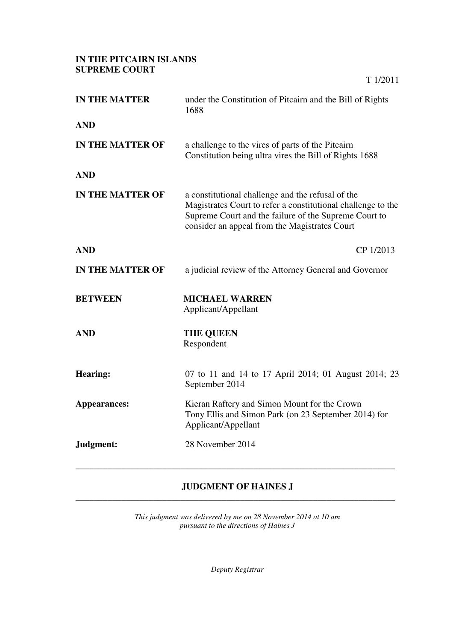## **IN THE PITCAIRN ISLANDS SUPREME COURT**

| <b>IN THE MATTER</b>    | under the Constitution of Pitcairn and the Bill of Rights<br>1688                                                                                                                                                           |
|-------------------------|-----------------------------------------------------------------------------------------------------------------------------------------------------------------------------------------------------------------------------|
| <b>AND</b>              |                                                                                                                                                                                                                             |
| <b>IN THE MATTER OF</b> | a challenge to the vires of parts of the Pitcairn<br>Constitution being ultra vires the Bill of Rights 1688                                                                                                                 |
| <b>AND</b>              |                                                                                                                                                                                                                             |
| <b>IN THE MATTER OF</b> | a constitutional challenge and the refusal of the<br>Magistrates Court to refer a constitutional challenge to the<br>Supreme Court and the failure of the Supreme Court to<br>consider an appeal from the Magistrates Court |
| <b>AND</b>              | CP 1/2013                                                                                                                                                                                                                   |
| <b>IN THE MATTER OF</b> | a judicial review of the Attorney General and Governor                                                                                                                                                                      |
| <b>BETWEEN</b>          | <b>MICHAEL WARREN</b><br>Applicant/Appellant                                                                                                                                                                                |
| <b>AND</b>              | <b>THE QUEEN</b><br>Respondent                                                                                                                                                                                              |
| <b>Hearing:</b>         | 07 to 11 and 14 to 17 April 2014; 01 August 2014; 23<br>September 2014                                                                                                                                                      |
| Appearances:            | Kieran Raftery and Simon Mount for the Crown<br>Tony Ellis and Simon Park (on 23 September 2014) for<br>Applicant/Appellant                                                                                                 |
| Judgment:               | 28 November 2014                                                                                                                                                                                                            |
|                         |                                                                                                                                                                                                                             |

T 1/2011

## **JUDGMENT OF HAINES J**  \_\_\_\_\_\_\_\_\_\_\_\_\_\_\_\_\_\_\_\_\_\_\_\_\_\_\_\_\_\_\_\_\_\_\_\_\_\_\_\_\_\_\_\_\_\_\_\_\_\_\_\_\_\_\_\_\_\_\_\_\_\_\_\_\_\_\_\_\_\_

*This judgment was delivered by me on 28 November 2014 at 10 am pursuant to the directions of Haines J* 

*Deputy Registrar*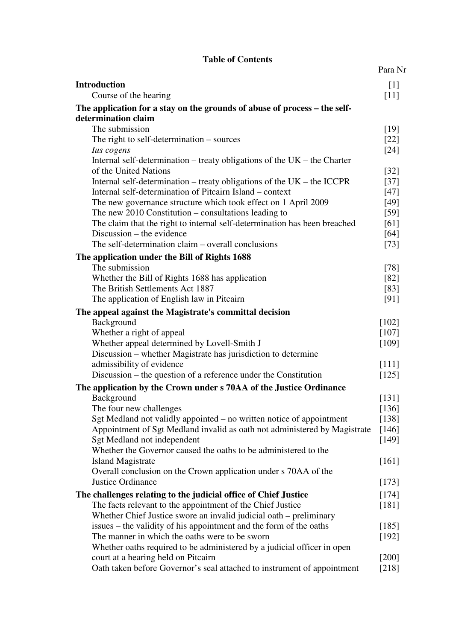## **Table of Contents**

|                                                                                                                | Para Nr |
|----------------------------------------------------------------------------------------------------------------|---------|
| <b>Introduction</b>                                                                                            | [1]     |
| Course of the hearing                                                                                          | $[11]$  |
| The application for a stay on the grounds of abuse of process – the self-                                      |         |
| determination claim                                                                                            |         |
| The submission                                                                                                 | $[19]$  |
| The right to self-determination $-$ sources                                                                    | $[22]$  |
| Ius cogens                                                                                                     | $[24]$  |
| Internal self-determination – treaty obligations of the $UK$ – the Charter                                     |         |
| of the United Nations                                                                                          | $[32]$  |
| Internal self-determination – treaty obligations of the $UK$ – the ICCPR                                       | $[37]$  |
| Internal self-determination of Pitcairn Island – context                                                       | $[47]$  |
| The new governance structure which took effect on 1 April 2009                                                 | $[49]$  |
| The new $2010$ Constitution – consultations leading to                                                         | $[59]$  |
| The claim that the right to internal self-determination has been breached                                      | [61]    |
| Discussion – the evidence                                                                                      | [64]    |
| The self-determination claim – overall conclusions                                                             | $[73]$  |
| The application under the Bill of Rights 1688                                                                  |         |
| The submission                                                                                                 | $[78]$  |
| Whether the Bill of Rights 1688 has application                                                                | [82]    |
| The British Settlements Act 1887                                                                               | [83]    |
| The application of English law in Pitcairn                                                                     | [91]    |
| The appeal against the Magistrate's committal decision                                                         |         |
| Background                                                                                                     | [102]   |
| Whether a right of appeal                                                                                      | [107]   |
| Whether appeal determined by Lovell-Smith J                                                                    | [109]   |
| Discussion – whether Magistrate has jurisdiction to determine                                                  |         |
| admissibility of evidence                                                                                      | [111]   |
| Discussion – the question of a reference under the Constitution                                                | [125]   |
| The application by the Crown under s 70AA of the Justice Ordinance                                             |         |
| Background                                                                                                     | [131]   |
| The four new challenges                                                                                        | [136]   |
| Sgt Medland not validly appointed – no written notice of appointment                                           | [138]   |
| Appointment of Sgt Medland invalid as oath not administered by Magistrate                                      | [146]   |
| Sgt Medland not independent                                                                                    | $[149]$ |
| Whether the Governor caused the oaths to be administered to the                                                |         |
| <b>Island Magistrate</b>                                                                                       | [161]   |
| Overall conclusion on the Crown application under s 70AA of the                                                |         |
| <b>Justice Ordinance</b>                                                                                       | [173]   |
| The challenges relating to the judicial office of Chief Justice                                                | [174]   |
| The facts relevant to the appointment of the Chief Justice                                                     | $[181]$ |
| Whether Chief Justice swore an invalid judicial oath – preliminary                                             |         |
| issues – the validity of his appointment and the form of the oaths                                             | $[185]$ |
| The manner in which the oaths were to be sworn                                                                 | [192]   |
| Whether oaths required to be administered by a judicial officer in open<br>court at a hearing held on Pitcairn | $[200]$ |
| Oath taken before Governor's seal attached to instrument of appointment                                        | $[218]$ |
|                                                                                                                |         |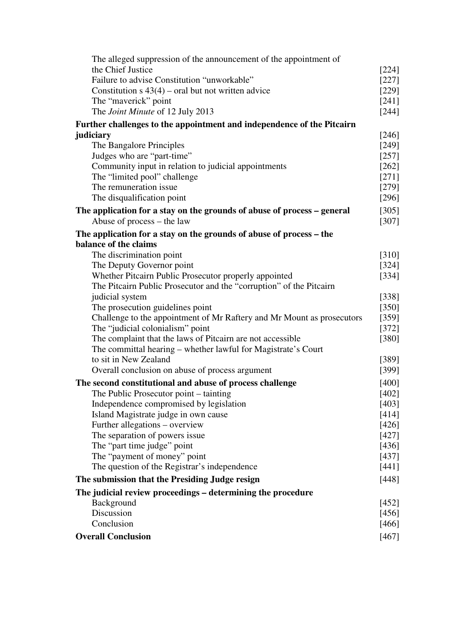| The alleged suppression of the announcement of the appointment of       |                  |
|-------------------------------------------------------------------------|------------------|
| the Chief Justice                                                       | [224]            |
| Failure to advise Constitution "unworkable"                             | $[227]$          |
| Constitution $s$ 43(4) – oral but not written advice                    |                  |
| The "maverick" point                                                    | $[229]$<br>[241] |
| The Joint Minute of 12 July 2013                                        | $[244]$          |
| Further challenges to the appointment and independence of the Pitcairn  |                  |
| judiciary                                                               | [246]            |
| The Bangalore Principles                                                | [249]            |
| Judges who are "part-time"                                              | $[257]$          |
| Community input in relation to judicial appointments                    | $[262]$          |
| The "limited pool" challenge                                            | $[271]$          |
| The remuneration issue                                                  | $[279]$          |
| The disqualification point                                              | [296]            |
| The application for a stay on the grounds of abuse of process – general | [305]            |
| Abuse of process – the law                                              | $[307]$          |
| The application for a stay on the grounds of abuse of process – the     |                  |
| balance of the claims                                                   |                  |
| The discrimination point                                                | [310]            |
| The Deputy Governor point                                               | $[324]$          |
| Whether Pitcairn Public Prosecutor properly appointed                   | [334]            |
| The Pitcairn Public Prosecutor and the "corruption" of the Pitcairn     |                  |
| judicial system                                                         | [338]            |
| The prosecution guidelines point                                        | $[350]$          |
| Challenge to the appointment of Mr Raftery and Mr Mount as prosecutors  | $[359]$          |
| The "judicial colonialism" point                                        | [372]            |
| The complaint that the laws of Pitcairn are not accessible              |                  |
| The committal hearing – whether lawful for Magistrate's Court           | [380]            |
| to sit in New Zealand                                                   | [389]            |
| Overall conclusion on abuse of process argument                         | $[399]$          |
| The second constitutional and abuse of process challenge                | [400]            |
| The Public Prosecutor point – tainting                                  | $[402]$          |
| Independence compromised by legislation                                 | [403]            |
| Island Magistrate judge in own cause                                    | [414]            |
| Further allegations – overview                                          | [426]            |
| The separation of powers issue.                                         | $[427]$          |
| The "part time judge" point                                             | [436]            |
| The "payment of money" point                                            | [437]            |
| The question of the Registrar's independence                            | [441]            |
| The submission that the Presiding Judge resign                          |                  |
| The judicial review proceedings – determining the procedure             |                  |
| Background                                                              | [452]            |
| Discussion                                                              | [456]            |
| Conclusion                                                              | [466]            |
| <b>Overall Conclusion</b>                                               |                  |
|                                                                         | [467]            |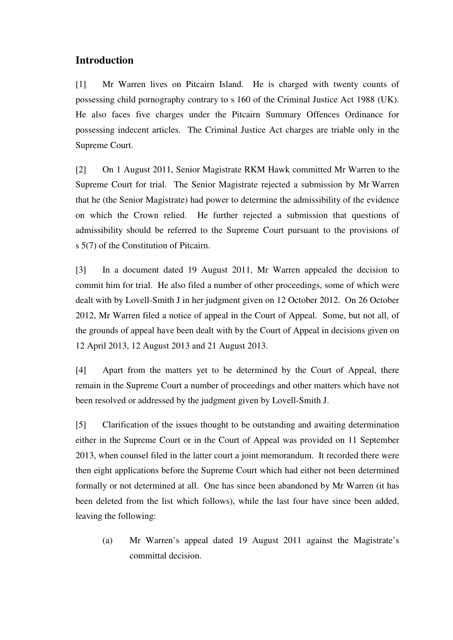# **Introduction**

[1] Mr Warren lives on Pitcairn Island. He is charged with twenty counts of possessing child pornography contrary to s 160 of the Criminal Justice Act 1988 (UK). He also faces five charges under the Pitcairn Summary Offences Ordinance for possessing indecent articles. The Criminal Justice Act charges are triable only in the Supreme Court.

[2] On 1 August 2011, Senior Magistrate RKM Hawk committed Mr Warren to the Supreme Court for trial. The Senior Magistrate rejected a submission by Mr Warren that he (the Senior Magistrate) had power to determine the admissibility of the evidence on which the Crown relied. He further rejected a submission that questions of admissibility should be referred to the Supreme Court pursuant to the provisions of s 5(7) of the Constitution of Pitcairn.

[3] In a document dated 19 August 2011, Mr Warren appealed the decision to commit him for trial. He also filed a number of other proceedings, some of which were dealt with by Lovell-Smith J in her judgment given on 12 October 2012. On 26 October 2012, Mr Warren filed a notice of appeal in the Court of Appeal. Some, but not all, of the grounds of appeal have been dealt with by the Court of Appeal in decisions given on 12 April 2013, 12 August 2013 and 21 August 2013.

[4] Apart from the matters yet to be determined by the Court of Appeal, there remain in the Supreme Court a number of proceedings and other matters which have not been resolved or addressed by the judgment given by Lovell-Smith J.

[5] Clarification of the issues thought to be outstanding and awaiting determination either in the Supreme Court or in the Court of Appeal was provided on 11 September 2013, when counsel filed in the latter court a joint memorandum. It recorded there were then eight applications before the Supreme Court which had either not been determined formally or not determined at all. One has since been abandoned by Mr Warren (it has been deleted from the list which follows), while the last four have since been added, leaving the following:

(a) Mr Warren's appeal dated 19 August 2011 against the Magistrate's committal decision.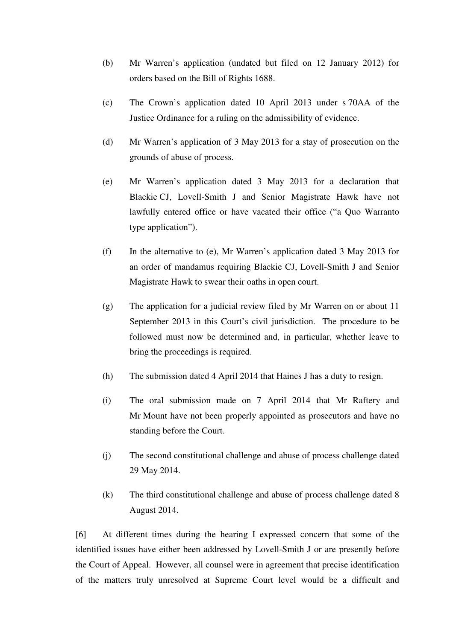- (b) Mr Warren's application (undated but filed on 12 January 2012) for orders based on the Bill of Rights 1688.
- (c) The Crown's application dated 10 April 2013 under s 70AA of the Justice Ordinance for a ruling on the admissibility of evidence.
- (d) Mr Warren's application of 3 May 2013 for a stay of prosecution on the grounds of abuse of process.
- (e) Mr Warren's application dated 3 May 2013 for a declaration that Blackie CJ, Lovell-Smith J and Senior Magistrate Hawk have not lawfully entered office or have vacated their office ("a Quo Warranto type application").
- (f) In the alternative to (e), Mr Warren's application dated 3 May 2013 for an order of mandamus requiring Blackie CJ, Lovell-Smith J and Senior Magistrate Hawk to swear their oaths in open court.
- (g) The application for a judicial review filed by Mr Warren on or about 11 September 2013 in this Court's civil jurisdiction. The procedure to be followed must now be determined and, in particular, whether leave to bring the proceedings is required.
- (h) The submission dated 4 April 2014 that Haines J has a duty to resign.
- (i) The oral submission made on 7 April 2014 that Mr Raftery and Mr Mount have not been properly appointed as prosecutors and have no standing before the Court.
- (j) The second constitutional challenge and abuse of process challenge dated 29 May 2014.
- (k) The third constitutional challenge and abuse of process challenge dated 8 August 2014.

[6] At different times during the hearing I expressed concern that some of the identified issues have either been addressed by Lovell-Smith J or are presently before the Court of Appeal. However, all counsel were in agreement that precise identification of the matters truly unresolved at Supreme Court level would be a difficult and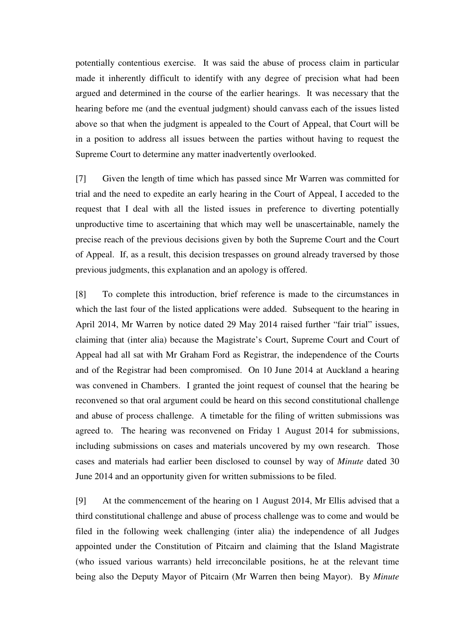potentially contentious exercise. It was said the abuse of process claim in particular made it inherently difficult to identify with any degree of precision what had been argued and determined in the course of the earlier hearings. It was necessary that the hearing before me (and the eventual judgment) should canvass each of the issues listed above so that when the judgment is appealed to the Court of Appeal, that Court will be in a position to address all issues between the parties without having to request the Supreme Court to determine any matter inadvertently overlooked.

[7] Given the length of time which has passed since Mr Warren was committed for trial and the need to expedite an early hearing in the Court of Appeal, I acceded to the request that I deal with all the listed issues in preference to diverting potentially unproductive time to ascertaining that which may well be unascertainable, namely the precise reach of the previous decisions given by both the Supreme Court and the Court of Appeal. If, as a result, this decision trespasses on ground already traversed by those previous judgments, this explanation and an apology is offered.

[8] To complete this introduction, brief reference is made to the circumstances in which the last four of the listed applications were added. Subsequent to the hearing in April 2014, Mr Warren by notice dated 29 May 2014 raised further "fair trial" issues, claiming that (inter alia) because the Magistrate's Court, Supreme Court and Court of Appeal had all sat with Mr Graham Ford as Registrar, the independence of the Courts and of the Registrar had been compromised. On 10 June 2014 at Auckland a hearing was convened in Chambers. I granted the joint request of counsel that the hearing be reconvened so that oral argument could be heard on this second constitutional challenge and abuse of process challenge. A timetable for the filing of written submissions was agreed to. The hearing was reconvened on Friday 1 August 2014 for submissions, including submissions on cases and materials uncovered by my own research. Those cases and materials had earlier been disclosed to counsel by way of *Minute* dated 30 June 2014 and an opportunity given for written submissions to be filed.

[9] At the commencement of the hearing on 1 August 2014, Mr Ellis advised that a third constitutional challenge and abuse of process challenge was to come and would be filed in the following week challenging (inter alia) the independence of all Judges appointed under the Constitution of Pitcairn and claiming that the Island Magistrate (who issued various warrants) held irreconcilable positions, he at the relevant time being also the Deputy Mayor of Pitcairn (Mr Warren then being Mayor). By *Minute*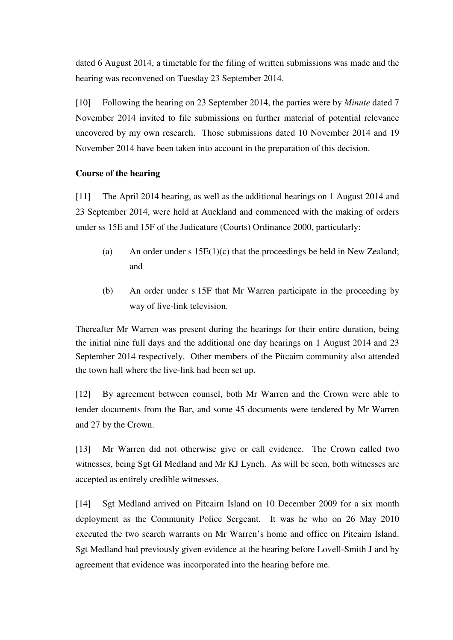dated 6 August 2014, a timetable for the filing of written submissions was made and the hearing was reconvened on Tuesday 23 September 2014.

[10] Following the hearing on 23 September 2014, the parties were by *Minute* dated 7 November 2014 invited to file submissions on further material of potential relevance uncovered by my own research. Those submissions dated 10 November 2014 and 19 November 2014 have been taken into account in the preparation of this decision.

## **Course of the hearing**

[11] The April 2014 hearing, as well as the additional hearings on 1 August 2014 and 23 September 2014, were held at Auckland and commenced with the making of orders under ss 15E and 15F of the Judicature (Courts) Ordinance 2000, particularly:

- (a) An order under s  $15E(1)(c)$  that the proceedings be held in New Zealand; and
- (b) An order under s 15F that Mr Warren participate in the proceeding by way of live-link television.

Thereafter Mr Warren was present during the hearings for their entire duration, being the initial nine full days and the additional one day hearings on 1 August 2014 and 23 September 2014 respectively. Other members of the Pitcairn community also attended the town hall where the live-link had been set up.

[12] By agreement between counsel, both Mr Warren and the Crown were able to tender documents from the Bar, and some 45 documents were tendered by Mr Warren and 27 by the Crown.

[13] Mr Warren did not otherwise give or call evidence. The Crown called two witnesses, being Sgt GI Medland and Mr KJ Lynch. As will be seen, both witnesses are accepted as entirely credible witnesses.

[14] Sgt Medland arrived on Pitcairn Island on 10 December 2009 for a six month deployment as the Community Police Sergeant. It was he who on 26 May 2010 executed the two search warrants on Mr Warren's home and office on Pitcairn Island. Sgt Medland had previously given evidence at the hearing before Lovell-Smith J and by agreement that evidence was incorporated into the hearing before me.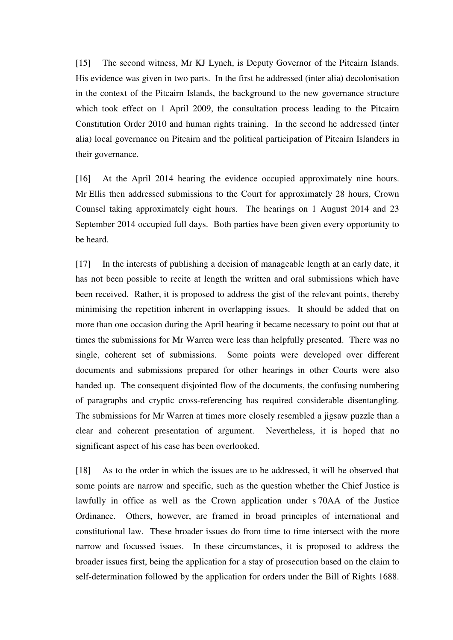[15] The second witness, Mr KJ Lynch, is Deputy Governor of the Pitcairn Islands. His evidence was given in two parts. In the first he addressed (inter alia) decolonisation in the context of the Pitcairn Islands, the background to the new governance structure which took effect on 1 April 2009, the consultation process leading to the Pitcairn Constitution Order 2010 and human rights training. In the second he addressed (inter alia) local governance on Pitcairn and the political participation of Pitcairn Islanders in their governance.

[16] At the April 2014 hearing the evidence occupied approximately nine hours. Mr Ellis then addressed submissions to the Court for approximately 28 hours, Crown Counsel taking approximately eight hours. The hearings on 1 August 2014 and 23 September 2014 occupied full days. Both parties have been given every opportunity to be heard.

[17] In the interests of publishing a decision of manageable length at an early date, it has not been possible to recite at length the written and oral submissions which have been received. Rather, it is proposed to address the gist of the relevant points, thereby minimising the repetition inherent in overlapping issues. It should be added that on more than one occasion during the April hearing it became necessary to point out that at times the submissions for Mr Warren were less than helpfully presented. There was no single, coherent set of submissions. Some points were developed over different documents and submissions prepared for other hearings in other Courts were also handed up. The consequent disjointed flow of the documents, the confusing numbering of paragraphs and cryptic cross-referencing has required considerable disentangling. The submissions for Mr Warren at times more closely resembled a jigsaw puzzle than a clear and coherent presentation of argument. Nevertheless, it is hoped that no significant aspect of his case has been overlooked.

[18] As to the order in which the issues are to be addressed, it will be observed that some points are narrow and specific, such as the question whether the Chief Justice is lawfully in office as well as the Crown application under s 70AA of the Justice Ordinance. Others, however, are framed in broad principles of international and constitutional law. These broader issues do from time to time intersect with the more narrow and focussed issues. In these circumstances, it is proposed to address the broader issues first, being the application for a stay of prosecution based on the claim to self-determination followed by the application for orders under the Bill of Rights 1688.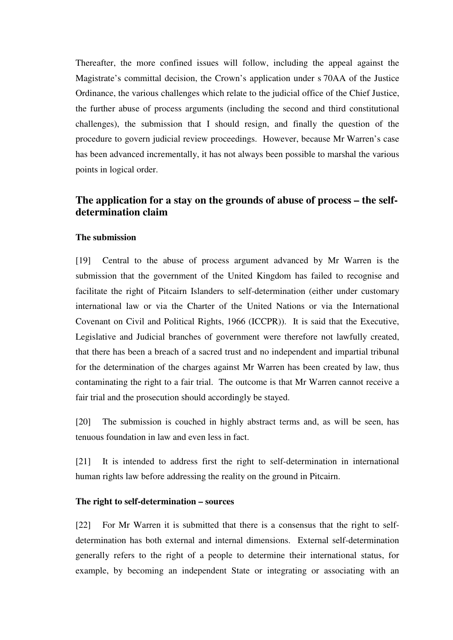Thereafter, the more confined issues will follow, including the appeal against the Magistrate's committal decision, the Crown's application under s 70AA of the Justice Ordinance, the various challenges which relate to the judicial office of the Chief Justice, the further abuse of process arguments (including the second and third constitutional challenges), the submission that I should resign, and finally the question of the procedure to govern judicial review proceedings. However, because Mr Warren's case has been advanced incrementally, it has not always been possible to marshal the various points in logical order.

# **The application for a stay on the grounds of abuse of process – the selfdetermination claim**

## **The submission**

[19] Central to the abuse of process argument advanced by Mr Warren is the submission that the government of the United Kingdom has failed to recognise and facilitate the right of Pitcairn Islanders to self-determination (either under customary international law or via the Charter of the United Nations or via the International Covenant on Civil and Political Rights, 1966 (ICCPR)). It is said that the Executive, Legislative and Judicial branches of government were therefore not lawfully created, that there has been a breach of a sacred trust and no independent and impartial tribunal for the determination of the charges against Mr Warren has been created by law, thus contaminating the right to a fair trial. The outcome is that Mr Warren cannot receive a fair trial and the prosecution should accordingly be stayed.

[20] The submission is couched in highly abstract terms and, as will be seen, has tenuous foundation in law and even less in fact.

[21] It is intended to address first the right to self-determination in international human rights law before addressing the reality on the ground in Pitcairn.

## **The right to self-determination – sources**

[22] For Mr Warren it is submitted that there is a consensus that the right to selfdetermination has both external and internal dimensions. External self-determination generally refers to the right of a people to determine their international status, for example, by becoming an independent State or integrating or associating with an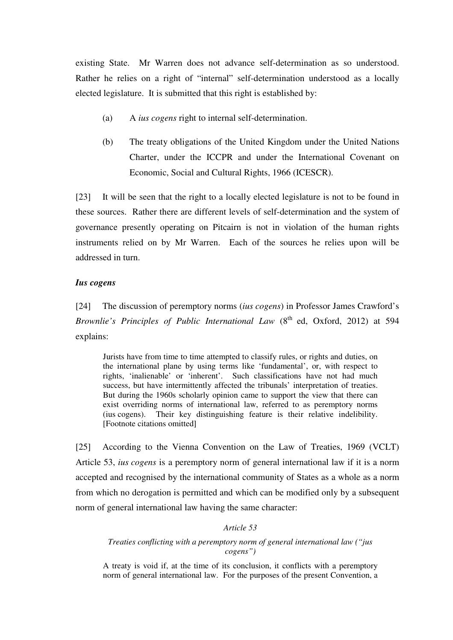existing State. Mr Warren does not advance self-determination as so understood. Rather he relies on a right of "internal" self-determination understood as a locally elected legislature. It is submitted that this right is established by:

- (a) A *ius cogens* right to internal self-determination.
- (b) The treaty obligations of the United Kingdom under the United Nations Charter, under the ICCPR and under the International Covenant on Economic, Social and Cultural Rights, 1966 (ICESCR).

[23] It will be seen that the right to a locally elected legislature is not to be found in these sources. Rather there are different levels of self-determination and the system of governance presently operating on Pitcairn is not in violation of the human rights instruments relied on by Mr Warren. Each of the sources he relies upon will be addressed in turn.

#### *Ius cogens*

[24] The discussion of peremptory norms (*ius cogens*) in Professor James Crawford's *Brownlie's Principles of Public International Law* (8<sup>th</sup> ed, Oxford, 2012) at 594 explains:

Jurists have from time to time attempted to classify rules, or rights and duties, on the international plane by using terms like 'fundamental', or, with respect to rights, 'inalienable' or 'inherent'. Such classifications have not had much success, but have intermittently affected the tribunals' interpretation of treaties. But during the 1960s scholarly opinion came to support the view that there can exist overriding norms of international law, referred to as peremptory norms (ius cogens). Their key distinguishing feature is their relative indelibility. [Footnote citations omitted]

[25] According to the Vienna Convention on the Law of Treaties, 1969 (VCLT) Article 53, *ius cogens* is a peremptory norm of general international law if it is a norm accepted and recognised by the international community of States as a whole as a norm from which no derogation is permitted and which can be modified only by a subsequent norm of general international law having the same character:

## *Article 53*

#### *Treaties conflicting with a peremptory norm of general international law ("jus cogens")*

A treaty is void if, at the time of its conclusion, it conflicts with a peremptory norm of general international law. For the purposes of the present Convention, a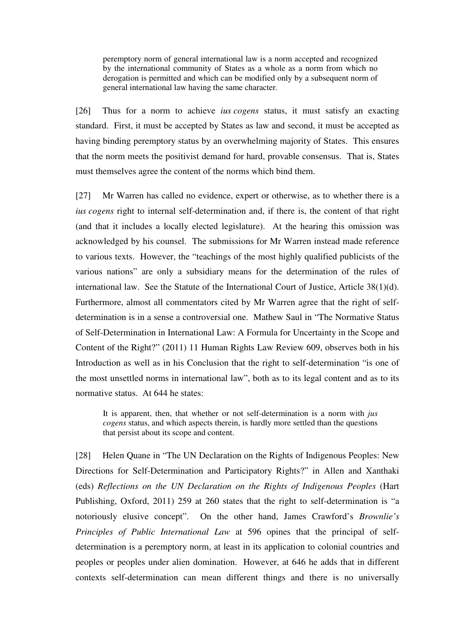peremptory norm of general international law is a norm accepted and recognized by the international community of States as a whole as a norm from which no derogation is permitted and which can be modified only by a subsequent norm of general international law having the same character.

[26] Thus for a norm to achieve *ius cogens* status, it must satisfy an exacting standard. First, it must be accepted by States as law and second, it must be accepted as having binding peremptory status by an overwhelming majority of States. This ensures that the norm meets the positivist demand for hard, provable consensus. That is, States must themselves agree the content of the norms which bind them.

[27] Mr Warren has called no evidence, expert or otherwise, as to whether there is a *ius cogens* right to internal self-determination and, if there is, the content of that right (and that it includes a locally elected legislature). At the hearing this omission was acknowledged by his counsel. The submissions for Mr Warren instead made reference to various texts. However, the "teachings of the most highly qualified publicists of the various nations" are only a subsidiary means for the determination of the rules of international law. See the Statute of the International Court of Justice, Article 38(1)(d). Furthermore, almost all commentators cited by Mr Warren agree that the right of selfdetermination is in a sense a controversial one. Mathew Saul in "The Normative Status of Self-Determination in International Law: A Formula for Uncertainty in the Scope and Content of the Right?" (2011) 11 Human Rights Law Review 609, observes both in his Introduction as well as in his Conclusion that the right to self-determination "is one of the most unsettled norms in international law", both as to its legal content and as to its normative status. At 644 he states:

It is apparent, then, that whether or not self-determination is a norm with *jus cogens* status, and which aspects therein, is hardly more settled than the questions that persist about its scope and content.

[28] Helen Quane in "The UN Declaration on the Rights of Indigenous Peoples: New Directions for Self-Determination and Participatory Rights?" in Allen and Xanthaki (eds) *Reflections on the UN Declaration on the Rights of Indigenous Peoples* (Hart Publishing, Oxford, 2011) 259 at 260 states that the right to self-determination is "a notoriously elusive concept". On the other hand, James Crawford's *Brownlie's Principles of Public International Law* at 596 opines that the principal of selfdetermination is a peremptory norm, at least in its application to colonial countries and peoples or peoples under alien domination. However, at 646 he adds that in different contexts self-determination can mean different things and there is no universally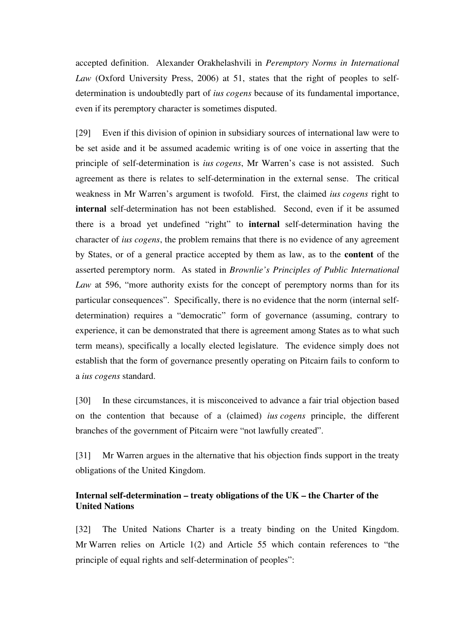accepted definition. Alexander Orakhelashvili in *Peremptory Norms in International Law* (Oxford University Press, 2006) at 51, states that the right of peoples to selfdetermination is undoubtedly part of *ius cogens* because of its fundamental importance, even if its peremptory character is sometimes disputed.

[29] Even if this division of opinion in subsidiary sources of international law were to be set aside and it be assumed academic writing is of one voice in asserting that the principle of self-determination is *ius cogens*, Mr Warren's case is not assisted. Such agreement as there is relates to self-determination in the external sense. The critical weakness in Mr Warren's argument is twofold. First, the claimed *ius cogens* right to **internal** self-determination has not been established. Second, even if it be assumed there is a broad yet undefined "right" to **internal** self-determination having the character of *ius cogens*, the problem remains that there is no evidence of any agreement by States, or of a general practice accepted by them as law, as to the **content** of the asserted peremptory norm. As stated in *Brownlie's Principles of Public International Law* at 596, "more authority exists for the concept of peremptory norms than for its particular consequences". Specifically, there is no evidence that the norm (internal selfdetermination) requires a "democratic" form of governance (assuming, contrary to experience, it can be demonstrated that there is agreement among States as to what such term means), specifically a locally elected legislature. The evidence simply does not establish that the form of governance presently operating on Pitcairn fails to conform to a *ius cogens* standard.

[30] In these circumstances, it is misconceived to advance a fair trial objection based on the contention that because of a (claimed) *ius cogens* principle, the different branches of the government of Pitcairn were "not lawfully created".

[31] Mr Warren argues in the alternative that his objection finds support in the treaty obligations of the United Kingdom.

## **Internal self-determination – treaty obligations of the UK – the Charter of the United Nations**

[32] The United Nations Charter is a treaty binding on the United Kingdom. Mr Warren relies on Article 1(2) and Article 55 which contain references to "the principle of equal rights and self-determination of peoples":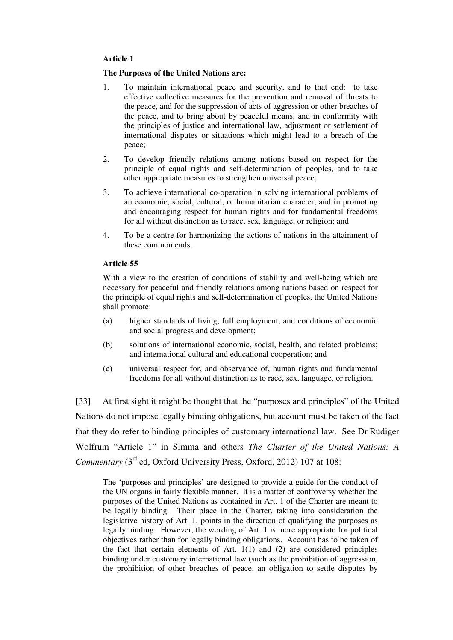#### **Article 1**

#### **The Purposes of the United Nations are:**

- 1. To maintain international peace and security, and to that end: to take effective collective measures for the prevention and removal of threats to the peace, and for the suppression of acts of aggression or other breaches of the peace, and to bring about by peaceful means, and in conformity with the principles of justice and international law, adjustment or settlement of international disputes or situations which might lead to a breach of the peace;
- 2. To develop friendly relations among nations based on respect for the principle of equal rights and self-determination of peoples, and to take other appropriate measures to strengthen universal peace;
- 3. To achieve international co-operation in solving international problems of an economic, social, cultural, or humanitarian character, and in promoting and encouraging respect for human rights and for fundamental freedoms for all without distinction as to race, sex, language, or religion; and
- 4. To be a centre for harmonizing the actions of nations in the attainment of these common ends.

#### **Article 55**

With a view to the creation of conditions of stability and well-being which are necessary for peaceful and friendly relations among nations based on respect for the principle of equal rights and self-determination of peoples, the United Nations shall promote:

- (a) higher standards of living, full employment, and conditions of economic and social progress and development;
- (b) solutions of international economic, social, health, and related problems; and international cultural and educational cooperation; and
- (c) universal respect for, and observance of, human rights and fundamental freedoms for all without distinction as to race, sex, language, or religion.

[33] At first sight it might be thought that the "purposes and principles" of the United Nations do not impose legally binding obligations, but account must be taken of the fact that they do refer to binding principles of customary international law. See Dr Rüdiger Wolfrum "Article 1" in Simma and others *The Charter of the United Nations: A Commentary* (3<sup>rd</sup> ed, Oxford University Press, Oxford, 2012) 107 at 108:

The 'purposes and principles' are designed to provide a guide for the conduct of the UN organs in fairly flexible manner. It is a matter of controversy whether the purposes of the United Nations as contained in Art. 1 of the Charter are meant to be legally binding. Their place in the Charter, taking into consideration the legislative history of Art. 1, points in the direction of qualifying the purposes as legally binding. However, the wording of Art. 1 is more appropriate for political objectives rather than for legally binding obligations. Account has to be taken of the fact that certain elements of Art. 1(1) and (2) are considered principles binding under customary international law (such as the prohibition of aggression, the prohibition of other breaches of peace, an obligation to settle disputes by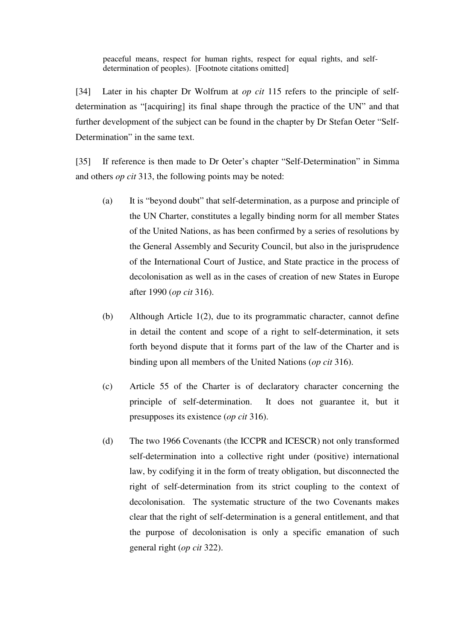peaceful means, respect for human rights, respect for equal rights, and selfdetermination of peoples). [Footnote citations omitted]

[34] Later in his chapter Dr Wolfrum at *op cit* 115 refers to the principle of selfdetermination as "[acquiring] its final shape through the practice of the UN" and that further development of the subject can be found in the chapter by Dr Stefan Oeter "Self-Determination" in the same text.

[35] If reference is then made to Dr Oeter's chapter "Self-Determination" in Simma and others *op cit* 313, the following points may be noted:

- (a) It is "beyond doubt" that self-determination, as a purpose and principle of the UN Charter, constitutes a legally binding norm for all member States of the United Nations, as has been confirmed by a series of resolutions by the General Assembly and Security Council, but also in the jurisprudence of the International Court of Justice, and State practice in the process of decolonisation as well as in the cases of creation of new States in Europe after 1990 (*op cit* 316).
- (b) Although Article 1(2), due to its programmatic character, cannot define in detail the content and scope of a right to self-determination, it sets forth beyond dispute that it forms part of the law of the Charter and is binding upon all members of the United Nations (*op cit* 316).
- (c) Article 55 of the Charter is of declaratory character concerning the principle of self-determination. It does not guarantee it, but it presupposes its existence (*op cit* 316).
- (d) The two 1966 Covenants (the ICCPR and ICESCR) not only transformed self-determination into a collective right under (positive) international law, by codifying it in the form of treaty obligation, but disconnected the right of self-determination from its strict coupling to the context of decolonisation. The systematic structure of the two Covenants makes clear that the right of self-determination is a general entitlement, and that the purpose of decolonisation is only a specific emanation of such general right (*op cit* 322).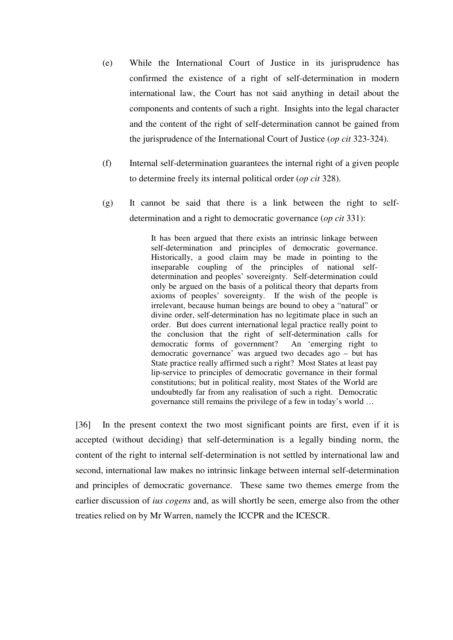- (e) While the International Court of Justice in its jurisprudence has confirmed the existence of a right of self-determination in modern international law, the Court has not said anything in detail about the components and contents of such a right. Insights into the legal character and the content of the right of self-determination cannot be gained from the jurisprudence of the International Court of Justice (*op cit* 323-324).
- (f) Internal self-determination guarantees the internal right of a given people to determine freely its internal political order (*op cit* 328).
- (g) It cannot be said that there is a link between the right to selfdetermination and a right to democratic governance (*op cit* 331):

It has been argued that there exists an intrinsic linkage between self-determination and principles of democratic governance. Historically, a good claim may be made in pointing to the inseparable coupling of the principles of national selfdetermination and peoples' sovereignty. Self-determination could only be argued on the basis of a political theory that departs from axioms of peoples' sovereignty. If the wish of the people is irrelevant, because human beings are bound to obey a "natural" or divine order, self-determination has no legitimate place in such an order. But does current international legal practice really point to the conclusion that the right of self-determination calls for democratic forms of government? An 'emerging right to democratic governance' was argued two decades ago – but has State practice really affirmed such a right? Most States at least pay lip-service to principles of democratic governance in their formal constitutions; but in political reality, most States of the World are undoubtedly far from any realisation of such a right. Democratic governance still remains the privilege of a few in today's world …

[36] In the present context the two most significant points are first, even if it is accepted (without deciding) that self-determination is a legally binding norm, the content of the right to internal self-determination is not settled by international law and second, international law makes no intrinsic linkage between internal self-determination and principles of democratic governance. These same two themes emerge from the earlier discussion of *ius cogens* and, as will shortly be seen, emerge also from the other treaties relied on by Mr Warren, namely the ICCPR and the ICESCR.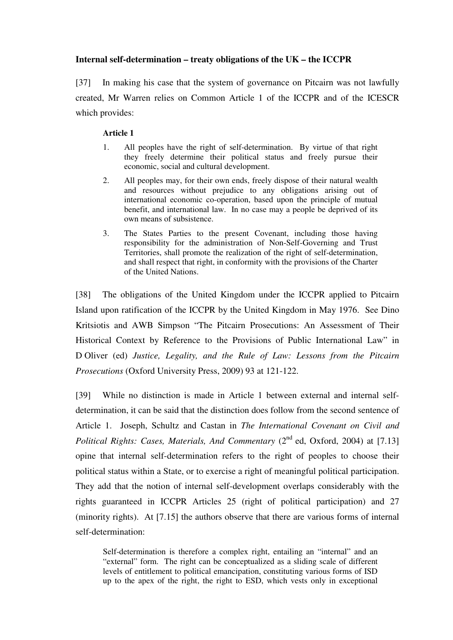## **Internal self-determination – treaty obligations of the UK – the ICCPR**

[37] In making his case that the system of governance on Pitcairn was not lawfully created, Mr Warren relies on Common Article 1 of the ICCPR and of the ICESCR which provides:

## **Article 1**

- 1. All peoples have the right of self-determination. By virtue of that right they freely determine their political status and freely pursue their economic, social and cultural development.
- 2. All peoples may, for their own ends, freely dispose of their natural wealth and resources without prejudice to any obligations arising out of international economic co-operation, based upon the principle of mutual benefit, and international law. In no case may a people be deprived of its own means of subsistence.
- 3. The States Parties to the present Covenant, including those having responsibility for the administration of Non-Self-Governing and Trust Territories, shall promote the realization of the right of self-determination, and shall respect that right, in conformity with the provisions of the Charter of the United Nations.

[38] The obligations of the United Kingdom under the ICCPR applied to Pitcairn Island upon ratification of the ICCPR by the United Kingdom in May 1976. See Dino Kritsiotis and AWB Simpson "The Pitcairn Prosecutions: An Assessment of Their Historical Context by Reference to the Provisions of Public International Law" in D Oliver (ed) *Justice, Legality, and the Rule of Law: Lessons from the Pitcairn Prosecutions* (Oxford University Press, 2009) 93 at 121-122.

[39] While no distinction is made in Article 1 between external and internal selfdetermination, it can be said that the distinction does follow from the second sentence of Article 1. Joseph, Schultz and Castan in *The International Covenant on Civil and Political Rights: Cases, Materials, And Commentary* (2<sup>nd</sup> ed, Oxford, 2004) at [7.13] opine that internal self-determination refers to the right of peoples to choose their political status within a State, or to exercise a right of meaningful political participation. They add that the notion of internal self-development overlaps considerably with the rights guaranteed in ICCPR Articles 25 (right of political participation) and 27 (minority rights). At [7.15] the authors observe that there are various forms of internal self-determination:

Self-determination is therefore a complex right, entailing an "internal" and an "external" form. The right can be conceptualized as a sliding scale of different levels of entitlement to political emancipation, constituting various forms of ISD up to the apex of the right, the right to ESD, which vests only in exceptional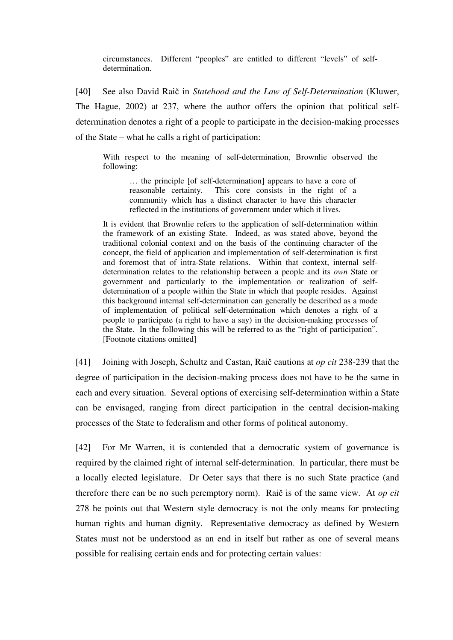circumstances. Different "peoples" are entitled to different "levels" of selfdetermination.

[40] See also David Raič in *Statehood and the Law of Self-Determination* (Kluwer, The Hague, 2002) at 237, where the author offers the opinion that political selfdetermination denotes a right of a people to participate in the decision-making processes of the State – what he calls a right of participation:

With respect to the meaning of self-determination, Brownlie observed the following:

… the principle [of self-determination] appears to have a core of reasonable certainty. This core consists in the right of a community which has a distinct character to have this character reflected in the institutions of government under which it lives.

It is evident that Brownlie refers to the application of self-determination within the framework of an existing State. Indeed, as was stated above, beyond the traditional colonial context and on the basis of the continuing character of the concept, the field of application and implementation of self-determination is first and foremost that of intra-State relations. Within that context, internal selfdetermination relates to the relationship between a people and its *own* State or government and particularly to the implementation or realization of selfdetermination of a people within the State in which that people resides. Against this background internal self-determination can generally be described as a mode of implementation of political self-determination which denotes a right of a people to participate (a right to have a say) in the decision-making processes of the State. In the following this will be referred to as the "right of participation". [Footnote citations omitted]

[41] Joining with Joseph, Schultz and Castan, Raič cautions at *op cit* 238-239 that the degree of participation in the decision-making process does not have to be the same in each and every situation. Several options of exercising self-determination within a State can be envisaged, ranging from direct participation in the central decision-making processes of the State to federalism and other forms of political autonomy.

[42] For Mr Warren, it is contended that a democratic system of governance is required by the claimed right of internal self-determination. In particular, there must be a locally elected legislature. Dr Oeter says that there is no such State practice (and therefore there can be no such peremptory norm). Raič is of the same view. At *op cit* 278 he points out that Western style democracy is not the only means for protecting human rights and human dignity. Representative democracy as defined by Western States must not be understood as an end in itself but rather as one of several means possible for realising certain ends and for protecting certain values: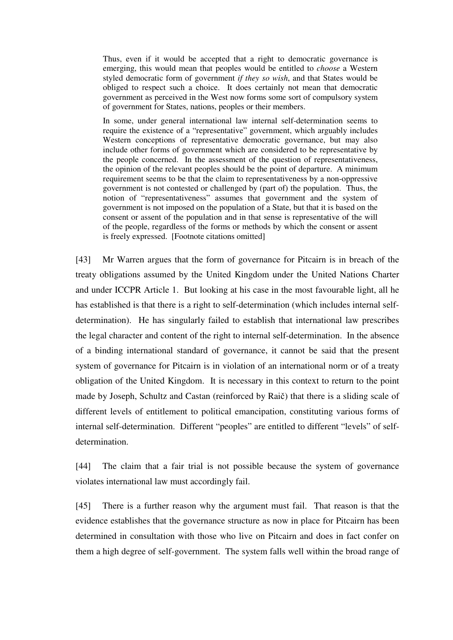Thus, even if it would be accepted that a right to democratic governance is emerging, this would mean that peoples would be entitled to *choose* a Western styled democratic form of government *if they so wish*, and that States would be obliged to respect such a choice. It does certainly not mean that democratic government as perceived in the West now forms some sort of compulsory system of government for States, nations, peoples or their members.

In some, under general international law internal self-determination seems to require the existence of a "representative" government, which arguably includes Western conceptions of representative democratic governance, but may also include other forms of government which are considered to be representative by the people concerned. In the assessment of the question of representativeness, the opinion of the relevant peoples should be the point of departure. A minimum requirement seems to be that the claim to representativeness by a non-oppressive government is not contested or challenged by (part of) the population. Thus, the notion of "representativeness" assumes that government and the system of government is not imposed on the population of a State, but that it is based on the consent or assent of the population and in that sense is representative of the will of the people, regardless of the forms or methods by which the consent or assent is freely expressed. [Footnote citations omitted]

[43] Mr Warren argues that the form of governance for Pitcairn is in breach of the treaty obligations assumed by the United Kingdom under the United Nations Charter and under ICCPR Article 1. But looking at his case in the most favourable light, all he has established is that there is a right to self-determination (which includes internal selfdetermination). He has singularly failed to establish that international law prescribes the legal character and content of the right to internal self-determination. In the absence of a binding international standard of governance, it cannot be said that the present system of governance for Pitcairn is in violation of an international norm or of a treaty obligation of the United Kingdom. It is necessary in this context to return to the point made by Joseph, Schultz and Castan (reinforced by Raič) that there is a sliding scale of different levels of entitlement to political emancipation, constituting various forms of internal self-determination. Different "peoples" are entitled to different "levels" of selfdetermination.

[44] The claim that a fair trial is not possible because the system of governance violates international law must accordingly fail.

[45] There is a further reason why the argument must fail. That reason is that the evidence establishes that the governance structure as now in place for Pitcairn has been determined in consultation with those who live on Pitcairn and does in fact confer on them a high degree of self-government. The system falls well within the broad range of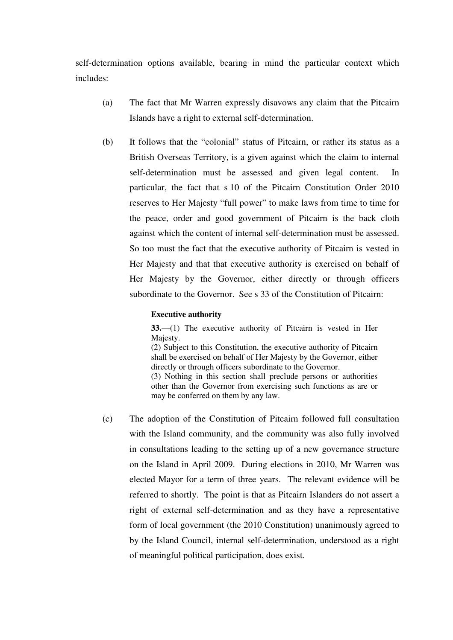self-determination options available, bearing in mind the particular context which includes:

- (a) The fact that Mr Warren expressly disavows any claim that the Pitcairn Islands have a right to external self-determination.
- (b) It follows that the "colonial" status of Pitcairn, or rather its status as a British Overseas Territory, is a given against which the claim to internal self-determination must be assessed and given legal content. In particular, the fact that s 10 of the Pitcairn Constitution Order 2010 reserves to Her Majesty "full power" to make laws from time to time for the peace, order and good government of Pitcairn is the back cloth against which the content of internal self-determination must be assessed. So too must the fact that the executive authority of Pitcairn is vested in Her Majesty and that that executive authority is exercised on behalf of Her Majesty by the Governor, either directly or through officers subordinate to the Governor. See s 33 of the Constitution of Pitcairn:

#### **Executive authority**

**33.**—(1) The executive authority of Pitcairn is vested in Her Majesty. (2) Subject to this Constitution, the executive authority of Pitcairn

shall be exercised on behalf of Her Majesty by the Governor, either directly or through officers subordinate to the Governor. (3) Nothing in this section shall preclude persons or authorities other than the Governor from exercising such functions as are or may be conferred on them by any law.

(c) The adoption of the Constitution of Pitcairn followed full consultation with the Island community, and the community was also fully involved in consultations leading to the setting up of a new governance structure on the Island in April 2009. During elections in 2010, Mr Warren was elected Mayor for a term of three years. The relevant evidence will be referred to shortly. The point is that as Pitcairn Islanders do not assert a right of external self-determination and as they have a representative form of local government (the 2010 Constitution) unanimously agreed to by the Island Council, internal self-determination, understood as a right of meaningful political participation, does exist.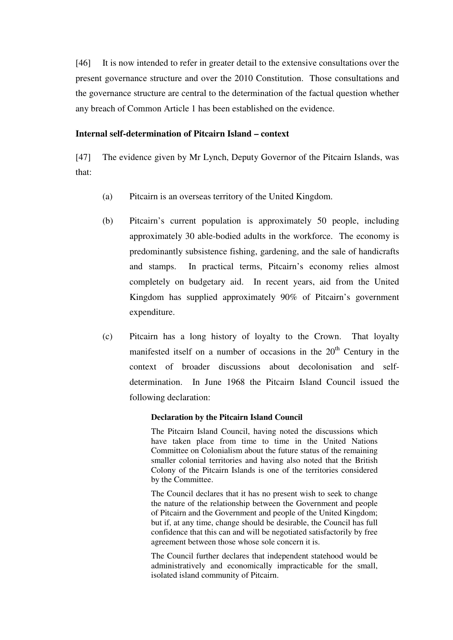[46] It is now intended to refer in greater detail to the extensive consultations over the present governance structure and over the 2010 Constitution. Those consultations and the governance structure are central to the determination of the factual question whether any breach of Common Article 1 has been established on the evidence.

#### **Internal self-determination of Pitcairn Island – context**

[47] The evidence given by Mr Lynch, Deputy Governor of the Pitcairn Islands, was that:

- (a) Pitcairn is an overseas territory of the United Kingdom.
- (b) Pitcairn's current population is approximately 50 people, including approximately 30 able-bodied adults in the workforce. The economy is predominantly subsistence fishing, gardening, and the sale of handicrafts and stamps. In practical terms, Pitcairn's economy relies almost completely on budgetary aid. In recent years, aid from the United Kingdom has supplied approximately 90% of Pitcairn's government expenditure.
- (c) Pitcairn has a long history of loyalty to the Crown. That loyalty manifested itself on a number of occasions in the 20<sup>th</sup> Century in the context of broader discussions about decolonisation and selfdetermination. In June 1968 the Pitcairn Island Council issued the following declaration:

#### **Declaration by the Pitcairn Island Council**

The Pitcairn Island Council, having noted the discussions which have taken place from time to time in the United Nations Committee on Colonialism about the future status of the remaining smaller colonial territories and having also noted that the British Colony of the Pitcairn Islands is one of the territories considered by the Committee.

The Council declares that it has no present wish to seek to change the nature of the relationship between the Government and people of Pitcairn and the Government and people of the United Kingdom; but if, at any time, change should be desirable, the Council has full confidence that this can and will be negotiated satisfactorily by free agreement between those whose sole concern it is.

The Council further declares that independent statehood would be administratively and economically impracticable for the small, isolated island community of Pitcairn.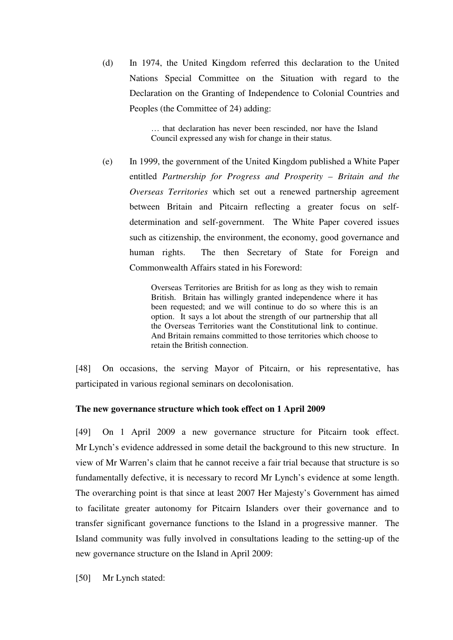(d) In 1974, the United Kingdom referred this declaration to the United Nations Special Committee on the Situation with regard to the Declaration on the Granting of Independence to Colonial Countries and Peoples (the Committee of 24) adding:

> … that declaration has never been rescinded, nor have the Island Council expressed any wish for change in their status.

(e) In 1999, the government of the United Kingdom published a White Paper entitled *Partnership for Progress and Prosperity – Britain and the Overseas Territories* which set out a renewed partnership agreement between Britain and Pitcairn reflecting a greater focus on selfdetermination and self-government. The White Paper covered issues such as citizenship, the environment, the economy, good governance and human rights. The then Secretary of State for Foreign and Commonwealth Affairs stated in his Foreword:

> Overseas Territories are British for as long as they wish to remain British. Britain has willingly granted independence where it has been requested; and we will continue to do so where this is an option. It says a lot about the strength of our partnership that all the Overseas Territories want the Constitutional link to continue. And Britain remains committed to those territories which choose to retain the British connection.

[48] On occasions, the serving Mayor of Pitcairn, or his representative, has participated in various regional seminars on decolonisation.

## **The new governance structure which took effect on 1 April 2009**

[49] On 1 April 2009 a new governance structure for Pitcairn took effect. Mr Lynch's evidence addressed in some detail the background to this new structure. In view of Mr Warren's claim that he cannot receive a fair trial because that structure is so fundamentally defective, it is necessary to record Mr Lynch's evidence at some length. The overarching point is that since at least 2007 Her Majesty's Government has aimed to facilitate greater autonomy for Pitcairn Islanders over their governance and to transfer significant governance functions to the Island in a progressive manner. The Island community was fully involved in consultations leading to the setting-up of the new governance structure on the Island in April 2009:

[50] Mr Lynch stated: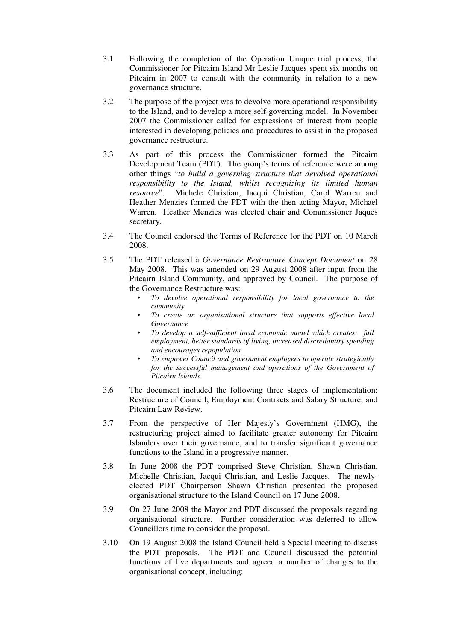- 3.1 Following the completion of the Operation Unique trial process, the Commissioner for Pitcairn Island Mr Leslie Jacques spent six months on Pitcairn in 2007 to consult with the community in relation to a new governance structure.
- 3.2 The purpose of the project was to devolve more operational responsibility to the Island, and to develop a more self-governing model. In November 2007 the Commissioner called for expressions of interest from people interested in developing policies and procedures to assist in the proposed governance restructure.
- 3.3 As part of this process the Commissioner formed the Pitcairn Development Team (PDT). The group's terms of reference were among other things "*to build a governing structure that devolved operational responsibility to the Island, whilst recognizing its limited human resource*". Michele Christian, Jacqui Christian, Carol Warren and Heather Menzies formed the PDT with the then acting Mayor, Michael Warren. Heather Menzies was elected chair and Commissioner Jaques secretary.
- 3.4 The Council endorsed the Terms of Reference for the PDT on 10 March 2008.
- 3.5 The PDT released a *Governance Restructure Concept Document* on 28 May 2008. This was amended on 29 August 2008 after input from the Pitcairn Island Community, and approved by Council. The purpose of the Governance Restructure was:
	- *To devolve operational responsibility for local governance to the community*
	- *To create an organisational structure that supports effective local Governance*
	- *To develop a self-sufficient local economic model which creates: full employment, better standards of living, increased discretionary spending and encourages repopulation*
	- *To empower Council and government employees to operate strategically for the successful management and operations of the Government of Pitcairn Islands.*
- 3.6 The document included the following three stages of implementation: Restructure of Council; Employment Contracts and Salary Structure; and Pitcairn Law Review.
- 3.7 From the perspective of Her Majesty's Government (HMG), the restructuring project aimed to facilitate greater autonomy for Pitcairn Islanders over their governance, and to transfer significant governance functions to the Island in a progressive manner.
- 3.8 In June 2008 the PDT comprised Steve Christian, Shawn Christian, Michelle Christian, Jacqui Christian, and Leslie Jacques. The newlyelected PDT Chairperson Shawn Christian presented the proposed organisational structure to the Island Council on 17 June 2008.
- 3.9 On 27 June 2008 the Mayor and PDT discussed the proposals regarding organisational structure. Further consideration was deferred to allow Councillors time to consider the proposal.
- 3.10 On 19 August 2008 the Island Council held a Special meeting to discuss the PDT proposals. The PDT and Council discussed the potential functions of five departments and agreed a number of changes to the organisational concept, including: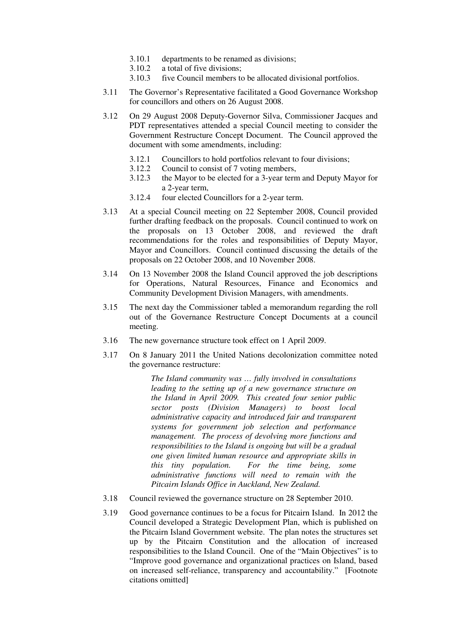- 3.10.1 departments to be renamed as divisions;
- 3.10.2 a total of five divisions;
- 3.10.3 five Council members to be allocated divisional portfolios.
- 3.11 The Governor's Representative facilitated a Good Governance Workshop for councillors and others on 26 August 2008.
- 3.12 On 29 August 2008 Deputy-Governor Silva, Commissioner Jacques and PDT representatives attended a special Council meeting to consider the Government Restructure Concept Document. The Council approved the document with some amendments, including:
	- 3.12.1 Councillors to hold portfolios relevant to four divisions;
	- 3.12.2 Council to consist of 7 voting members,
	- 3.12.3 the Mayor to be elected for a 3-year term and Deputy Mayor for a 2-year term,
	- 3.12.4 four elected Councillors for a 2-year term.
- 3.13 At a special Council meeting on 22 September 2008, Council provided further drafting feedback on the proposals. Council continued to work on the proposals on 13 October 2008, and reviewed the draft recommendations for the roles and responsibilities of Deputy Mayor, Mayor and Councillors. Council continued discussing the details of the proposals on 22 October 2008, and 10 November 2008.
- 3.14 On 13 November 2008 the Island Council approved the job descriptions for Operations, Natural Resources, Finance and Economics and Community Development Division Managers, with amendments.
- 3.15 The next day the Commissioner tabled a memorandum regarding the roll out of the Governance Restructure Concept Documents at a council meeting.
- 3.16 The new governance structure took effect on 1 April 2009.
- 3.17 On 8 January 2011 the United Nations decolonization committee noted the governance restructure:

*The Island community was … fully involved in consultations leading to the setting up of a new governance structure on the Island in April 2009. This created four senior public sector posts (Division Managers) to boost local administrative capacity and introduced fair and transparent systems for government job selection and performance management. The process of devolving more functions and responsibilities to the Island is ongoing but will be a gradual one given limited human resource and appropriate skills in this tiny population. For the time being, some administrative functions will need to remain with the Pitcairn Islands Office in Auckland, New Zealand.* 

- 3.18 Council reviewed the governance structure on 28 September 2010.
- 3.19 Good governance continues to be a focus for Pitcairn Island. In 2012 the Council developed a Strategic Development Plan, which is published on the Pitcairn Island Government website. The plan notes the structures set up by the Pitcairn Constitution and the allocation of increased responsibilities to the Island Council. One of the "Main Objectives" is to "Improve good governance and organizational practices on Island, based on increased self-reliance, transparency and accountability." [Footnote citations omitted]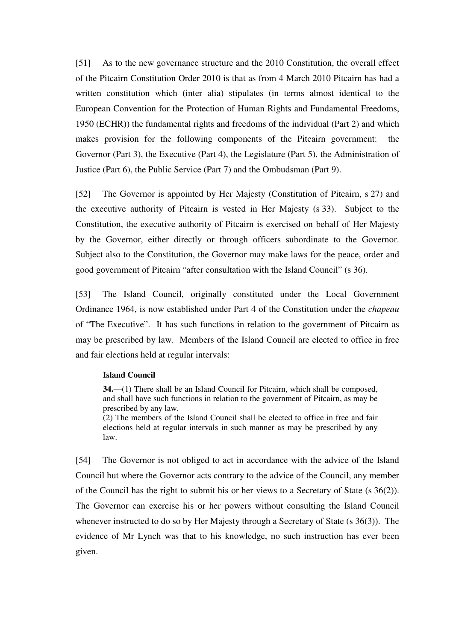[51] As to the new governance structure and the 2010 Constitution, the overall effect of the Pitcairn Constitution Order 2010 is that as from 4 March 2010 Pitcairn has had a written constitution which (inter alia) stipulates (in terms almost identical to the European Convention for the Protection of Human Rights and Fundamental Freedoms, 1950 (ECHR)) the fundamental rights and freedoms of the individual (Part 2) and which makes provision for the following components of the Pitcairn government: the Governor (Part 3), the Executive (Part 4), the Legislature (Part 5), the Administration of Justice (Part 6), the Public Service (Part 7) and the Ombudsman (Part 9).

[52] The Governor is appointed by Her Majesty (Constitution of Pitcairn, s 27) and the executive authority of Pitcairn is vested in Her Majesty (s 33). Subject to the Constitution, the executive authority of Pitcairn is exercised on behalf of Her Majesty by the Governor, either directly or through officers subordinate to the Governor. Subject also to the Constitution, the Governor may make laws for the peace, order and good government of Pitcairn "after consultation with the Island Council" (s 36).

[53] The Island Council, originally constituted under the Local Government Ordinance 1964, is now established under Part 4 of the Constitution under the *chapeau* of "The Executive". It has such functions in relation to the government of Pitcairn as may be prescribed by law. Members of the Island Council are elected to office in free and fair elections held at regular intervals:

#### **Island Council**

**34.**—(1) There shall be an Island Council for Pitcairn, which shall be composed, and shall have such functions in relation to the government of Pitcairn, as may be prescribed by any law.

(2) The members of the Island Council shall be elected to office in free and fair elections held at regular intervals in such manner as may be prescribed by any law.

[54] The Governor is not obliged to act in accordance with the advice of the Island Council but where the Governor acts contrary to the advice of the Council, any member of the Council has the right to submit his or her views to a Secretary of State (s 36(2)). The Governor can exercise his or her powers without consulting the Island Council whenever instructed to do so by Her Majesty through a Secretary of State (s 36(3)). The evidence of Mr Lynch was that to his knowledge, no such instruction has ever been given.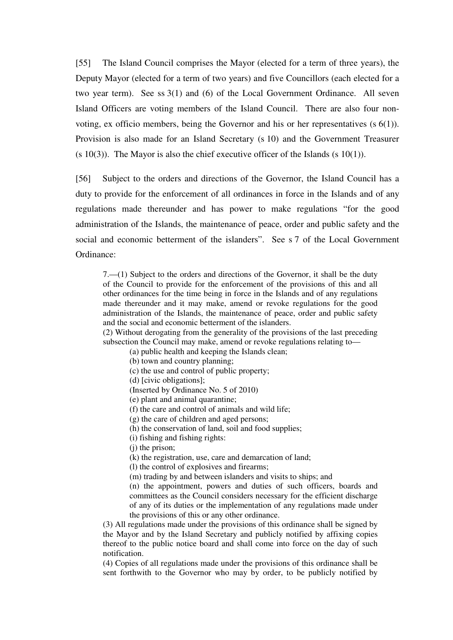[55] The Island Council comprises the Mayor (elected for a term of three years), the Deputy Mayor (elected for a term of two years) and five Councillors (each elected for a two year term). See ss 3(1) and (6) of the Local Government Ordinance. All seven Island Officers are voting members of the Island Council. There are also four nonvoting, ex officio members, being the Governor and his or her representatives  $(s 6(1))$ . Provision is also made for an Island Secretary (s 10) and the Government Treasurer  $(s 10(3))$ . The Mayor is also the chief executive officer of the Islands  $(s 10(1))$ .

[56] Subject to the orders and directions of the Governor, the Island Council has a duty to provide for the enforcement of all ordinances in force in the Islands and of any regulations made thereunder and has power to make regulations "for the good administration of the Islands, the maintenance of peace, order and public safety and the social and economic betterment of the islanders". See s 7 of the Local Government Ordinance:

7.—(1) Subject to the orders and directions of the Governor, it shall be the duty of the Council to provide for the enforcement of the provisions of this and all other ordinances for the time being in force in the Islands and of any regulations made thereunder and it may make, amend or revoke regulations for the good administration of the Islands, the maintenance of peace, order and public safety and the social and economic betterment of the islanders.

(2) Without derogating from the generality of the provisions of the last preceding subsection the Council may make, amend or revoke regulations relating to—

(a) public health and keeping the Islands clean;

(b) town and country planning;

(c) the use and control of public property;

(d) [civic obligations];

(Inserted by Ordinance No. 5 of 2010)

(e) plant and animal quarantine;

(f) the care and control of animals and wild life;

(g) the care of children and aged persons;

(h) the conservation of land, soil and food supplies;

(i) fishing and fishing rights:

(i) the prison:

(k) the registration, use, care and demarcation of land;

(l) the control of explosives and firearms;

(m) trading by and between islanders and visits to ships; and

(n) the appointment, powers and duties of such officers, boards and committees as the Council considers necessary for the efficient discharge of any of its duties or the implementation of any regulations made under the provisions of this or any other ordinance.

(3) All regulations made under the provisions of this ordinance shall be signed by the Mayor and by the Island Secretary and publicly notified by affixing copies thereof to the public notice board and shall come into force on the day of such notification.

(4) Copies of all regulations made under the provisions of this ordinance shall be sent forthwith to the Governor who may by order, to be publicly notified by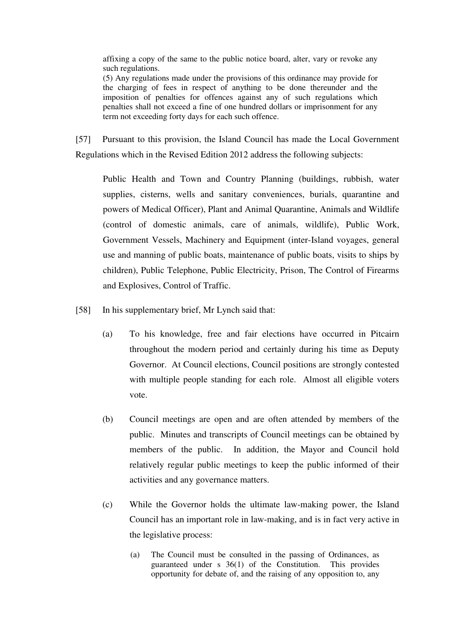affixing a copy of the same to the public notice board, alter, vary or revoke any such regulations.

(5) Any regulations made under the provisions of this ordinance may provide for the charging of fees in respect of anything to be done thereunder and the imposition of penalties for offences against any of such regulations which penalties shall not exceed a fine of one hundred dollars or imprisonment for any term not exceeding forty days for each such offence.

[57] Pursuant to this provision, the Island Council has made the Local Government Regulations which in the Revised Edition 2012 address the following subjects:

Public Health and Town and Country Planning (buildings, rubbish, water supplies, cisterns, wells and sanitary conveniences, burials, quarantine and powers of Medical Officer), Plant and Animal Quarantine, Animals and Wildlife (control of domestic animals, care of animals, wildlife), Public Work, Government Vessels, Machinery and Equipment (inter-Island voyages, general use and manning of public boats, maintenance of public boats, visits to ships by children), Public Telephone, Public Electricity, Prison, The Control of Firearms and Explosives, Control of Traffic.

[58] In his supplementary brief, Mr Lynch said that:

- (a) To his knowledge, free and fair elections have occurred in Pitcairn throughout the modern period and certainly during his time as Deputy Governor. At Council elections, Council positions are strongly contested with multiple people standing for each role. Almost all eligible voters vote.
- (b) Council meetings are open and are often attended by members of the public. Minutes and transcripts of Council meetings can be obtained by members of the public. In addition, the Mayor and Council hold relatively regular public meetings to keep the public informed of their activities and any governance matters.
- (c) While the Governor holds the ultimate law-making power, the Island Council has an important role in law-making, and is in fact very active in the legislative process:
	- (a) The Council must be consulted in the passing of Ordinances, as guaranteed under s 36(1) of the Constitution. This provides opportunity for debate of, and the raising of any opposition to, any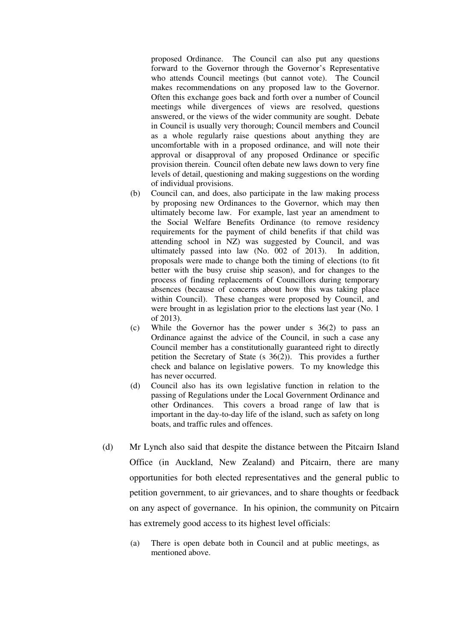proposed Ordinance. The Council can also put any questions forward to the Governor through the Governor's Representative who attends Council meetings (but cannot vote). The Council makes recommendations on any proposed law to the Governor. Often this exchange goes back and forth over a number of Council meetings while divergences of views are resolved, questions answered, or the views of the wider community are sought. Debate in Council is usually very thorough; Council members and Council as a whole regularly raise questions about anything they are uncomfortable with in a proposed ordinance, and will note their approval or disapproval of any proposed Ordinance or specific provision therein. Council often debate new laws down to very fine levels of detail, questioning and making suggestions on the wording of individual provisions.

- (b) Council can, and does, also participate in the law making process by proposing new Ordinances to the Governor, which may then ultimately become law. For example, last year an amendment to the Social Welfare Benefits Ordinance (to remove residency requirements for the payment of child benefits if that child was attending school in NZ) was suggested by Council, and was ultimately passed into law (No. 002 of 2013). In addition, proposals were made to change both the timing of elections (to fit better with the busy cruise ship season), and for changes to the process of finding replacements of Councillors during temporary absences (because of concerns about how this was taking place within Council). These changes were proposed by Council, and were brought in as legislation prior to the elections last year (No. 1 of 2013).
- (c) While the Governor has the power under s 36(2) to pass an Ordinance against the advice of the Council, in such a case any Council member has a constitutionally guaranteed right to directly petition the Secretary of State (s 36(2)). This provides a further check and balance on legislative powers. To my knowledge this has never occurred.
- (d) Council also has its own legislative function in relation to the passing of Regulations under the Local Government Ordinance and other Ordinances. This covers a broad range of law that is important in the day-to-day life of the island, such as safety on long boats, and traffic rules and offences.
- (d) Mr Lynch also said that despite the distance between the Pitcairn Island Office (in Auckland, New Zealand) and Pitcairn, there are many opportunities for both elected representatives and the general public to petition government, to air grievances, and to share thoughts or feedback on any aspect of governance. In his opinion, the community on Pitcairn has extremely good access to its highest level officials:
	- (a) There is open debate both in Council and at public meetings, as mentioned above.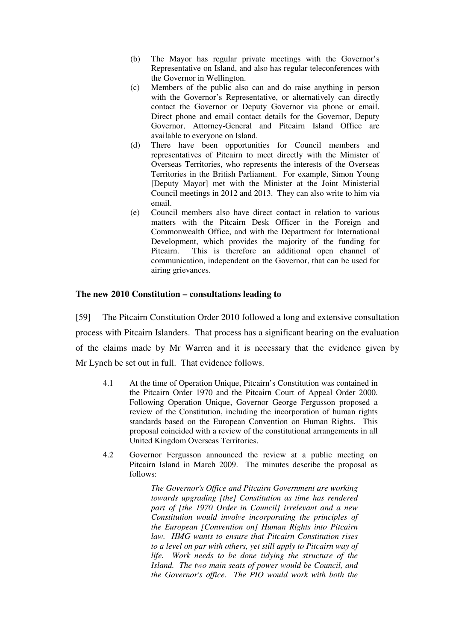- (b) The Mayor has regular private meetings with the Governor's Representative on Island, and also has regular teleconferences with the Governor in Wellington.
- (c) Members of the public also can and do raise anything in person with the Governor's Representative, or alternatively can directly contact the Governor or Deputy Governor via phone or email. Direct phone and email contact details for the Governor, Deputy Governor, Attorney-General and Pitcairn Island Office are available to everyone on Island.
- (d) There have been opportunities for Council members and representatives of Pitcairn to meet directly with the Minister of Overseas Territories, who represents the interests of the Overseas Territories in the British Parliament. For example, Simon Young [Deputy Mayor] met with the Minister at the Joint Ministerial Council meetings in 2012 and 2013. They can also write to him via email.
- (e) Council members also have direct contact in relation to various matters with the Pitcairn Desk Officer in the Foreign and Commonwealth Office, and with the Department for International Development, which provides the majority of the funding for Pitcairn. This is therefore an additional open channel of communication, independent on the Governor, that can be used for airing grievances.

#### **The new 2010 Constitution – consultations leading to**

[59] The Pitcairn Constitution Order 2010 followed a long and extensive consultation process with Pitcairn Islanders. That process has a significant bearing on the evaluation of the claims made by Mr Warren and it is necessary that the evidence given by Mr Lynch be set out in full. That evidence follows.

- 4.1 At the time of Operation Unique, Pitcairn's Constitution was contained in the Pitcairn Order 1970 and the Pitcairn Court of Appeal Order 2000. Following Operation Unique, Governor George Fergusson proposed a review of the Constitution, including the incorporation of human rights standards based on the European Convention on Human Rights. This proposal coincided with a review of the constitutional arrangements in all United Kingdom Overseas Territories.
- 4.2 Governor Fergusson announced the review at a public meeting on Pitcairn Island in March 2009. The minutes describe the proposal as follows:

*The Governor's Office and Pitcairn Government are working towards upgrading [the] Constitution as time has rendered part of [the 1970 Order in Council] irrelevant and a new Constitution would involve incorporating the principles of the European [Convention on] Human Rights into Pitcairn law. HMG wants to ensure that Pitcairn Constitution rises to a level on par with others, yet still apply to Pitcairn way of life. Work needs to be done tidying the structure of the Island. The two main seats of power would be Council, and the Governor's office. The PIO would work with both the*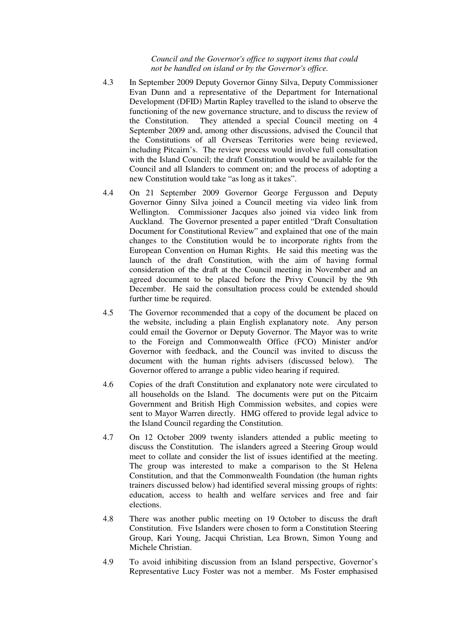#### *Council and the Governor's office to support items that could not be handled on island or by the Governor's office.*

- 4.3 In September 2009 Deputy Governor Ginny Silva, Deputy Commissioner Evan Dunn and a representative of the Department for International Development (DFID) Martin Rapley travelled to the island to observe the functioning of the new governance structure, and to discuss the review of the Constitution. They attended a special Council meeting on 4 September 2009 and, among other discussions, advised the Council that the Constitutions of all Overseas Territories were being reviewed, including Pitcairn's. The review process would involve full consultation with the Island Council; the draft Constitution would be available for the Council and all Islanders to comment on; and the process of adopting a new Constitution would take "as long as it takes".
- 4.4 On 21 September 2009 Governor George Fergusson and Deputy Governor Ginny Silva joined a Council meeting via video link from Wellington. Commissioner Jacques also joined via video link from Auckland. The Governor presented a paper entitled "Draft Consultation Document for Constitutional Review" and explained that one of the main changes to the Constitution would be to incorporate rights from the European Convention on Human Rights. He said this meeting was the launch of the draft Constitution, with the aim of having formal consideration of the draft at the Council meeting in November and an agreed document to be placed before the Privy Council by the 9th December. He said the consultation process could be extended should further time be required.
- 4.5 The Governor recommended that a copy of the document be placed on the website, including a plain English explanatory note. Any person could email the Governor or Deputy Governor. The Mayor was to write to the Foreign and Commonwealth Office (FCO) Minister and/or Governor with feedback, and the Council was invited to discuss the document with the human rights advisers (discussed below). The Governor offered to arrange a public video hearing if required.
- 4.6 Copies of the draft Constitution and explanatory note were circulated to all households on the Island. The documents were put on the Pitcairn Government and British High Commission websites, and copies were sent to Mayor Warren directly. HMG offered to provide legal advice to the Island Council regarding the Constitution.
- 4.7 On 12 October 2009 twenty islanders attended a public meeting to discuss the Constitution. The islanders agreed a Steering Group would meet to collate and consider the list of issues identified at the meeting. The group was interested to make a comparison to the St Helena Constitution, and that the Commonwealth Foundation (the human rights trainers discussed below) had identified several missing groups of rights: education, access to health and welfare services and free and fair elections.
- 4.8 There was another public meeting on 19 October to discuss the draft Constitution. Five Islanders were chosen to form a Constitution Steering Group, Kari Young, Jacqui Christian, Lea Brown, Simon Young and Michele Christian.
- 4.9 To avoid inhibiting discussion from an Island perspective, Governor's Representative Lucy Foster was not a member. Ms Foster emphasised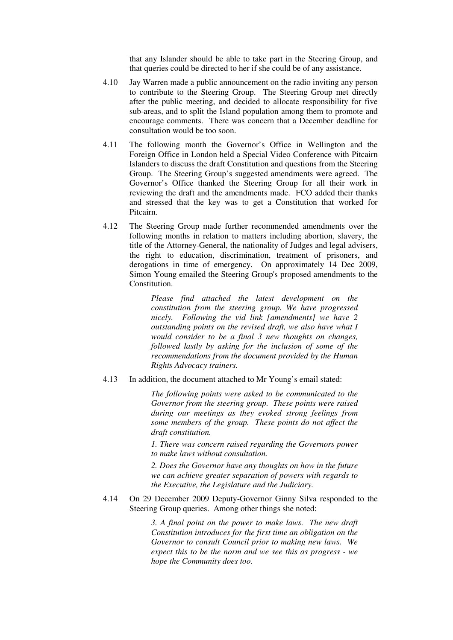that any Islander should be able to take part in the Steering Group, and that queries could be directed to her if she could be of any assistance.

- 4.10 Jay Warren made a public announcement on the radio inviting any person to contribute to the Steering Group. The Steering Group met directly after the public meeting, and decided to allocate responsibility for five sub-areas, and to split the Island population among them to promote and encourage comments. There was concern that a December deadline for consultation would be too soon.
- 4.11 The following month the Governor's Office in Wellington and the Foreign Office in London held a Special Video Conference with Pitcairn Islanders to discuss the draft Constitution and questions from the Steering Group. The Steering Group's suggested amendments were agreed. The Governor's Office thanked the Steering Group for all their work in reviewing the draft and the amendments made. FCO added their thanks and stressed that the key was to get a Constitution that worked for Pitcairn.
- 4.12 The Steering Group made further recommended amendments over the following months in relation to matters including abortion, slavery, the title of the Attorney-General, the nationality of Judges and legal advisers, the right to education, discrimination, treatment of prisoners, and derogations in time of emergency. On approximately 14 Dec 2009, Simon Young emailed the Steering Group's proposed amendments to the Constitution.

*Please find attached the latest development on the constitution from the steering group. We have progressed nicely. Following the vid link [amendments] we have 2 outstanding points on the revised draft, we also have what I would consider to be a final 3 new thoughts on changes, followed lastly by asking for the inclusion of some of the recommendations from the document provided by the Human Rights Advocacy trainers.* 

#### 4.13 In addition, the document attached to Mr Young's email stated:

*The following points were asked to be communicated to the Governor from the steering group. These points were raised during our meetings as they evoked strong feelings from some members of the group. These points do not affect the draft constitution.* 

*1. There was concern raised regarding the Governors power to make laws without consultation.* 

*2. Does the Governor have any thoughts on how in the future we can achieve greater separation of powers with regards to the Executive, the Legislature and the Judiciary.* 

#### 4.14 On 29 December 2009 Deputy-Governor Ginny Silva responded to the Steering Group queries. Among other things she noted:

*3. A final point on the power to make laws. The new draft Constitution introduces for the first time an obligation on the Governor to consult Council prior to making new laws. We expect this to be the norm and we see this as progress - we hope the Community does too.*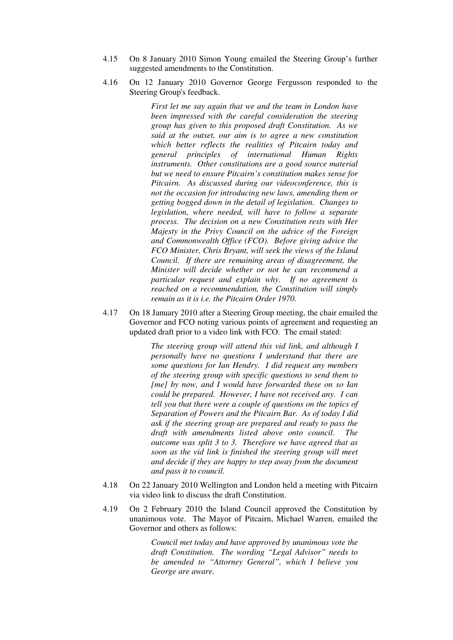- 4.15 On 8 January 2010 Simon Young emailed the Steering Group's further suggested amendments to the Constitution.
- 4.16 On 12 January 2010 Governor George Fergusson responded to the Steering Group's feedback.

*First let me say again that we and the team in London have been impressed with the careful consideration the steering group has given to this proposed draft Constitution. As we said at the outset, our aim is to agree a new constitution which better reflects the realities of Pitcairn today and general principles of international Human Rights instruments. Other constitutions are a good source material but we need to ensure Pitcairn's constitution makes sense for Pitcairn. As discussed during our videoconference, this is not the occasion for introducing new laws, amending them or getting bogged down in the detail of legislation. Changes to legislation, where needed, will have to follow a separate process. The decision on a new Constitution rests with Her Majesty in the Privy Council on the advice of the Foreign and Commonwealth Office (FCO). Before giving advice the FCO Minister, Chris Bryant, will seek the views of the Island Council. If there are remaining areas of disagreement, the Minister will decide whether or not he can recommend a particular request and explain why. If no agreement is reached on a recommendation, the Constitution will simply remain as it is i.e. the Pitcairn Order 1970.* 

4.17 On 18 January 2010 after a Steering Group meeting, the chair emailed the Governor and FCO noting various points of agreement and requesting an updated draft prior to a video link with FCO. The email stated:

> *The steering group will attend this vid link, and although I personally have no questions I understand that there are some questions for Ian Hendry. I did request any members of the steering group with specific questions to send them to [me] by now, and I would have forwarded these on so Ian could be prepared. However, I have not received any. I can tell you that there were a couple of questions on the topics of Separation of Powers and the Pitcairn Bar. As of today I did ask if the steering group are prepared and ready to pass the draft with amendments listed above onto council. The outcome was split 3 to 3. Therefore we have agreed that as soon as the vid link is finished the steering group will meet and decide if they are happy to step away from the document and pass it to council.*

- 4.18 On 22 January 2010 Wellington and London held a meeting with Pitcairn via video link to discuss the draft Constitution.
- 4.19 On 2 February 2010 the Island Council approved the Constitution by unanimous vote. The Mayor of Pitcairn, Michael Warren, emailed the Governor and others as follows:

*Council met today and have approved by unanimous vote the draft Constitution. The wording "Legal Advisor" needs to be amended to "Attorney General", which I believe you George are aware.*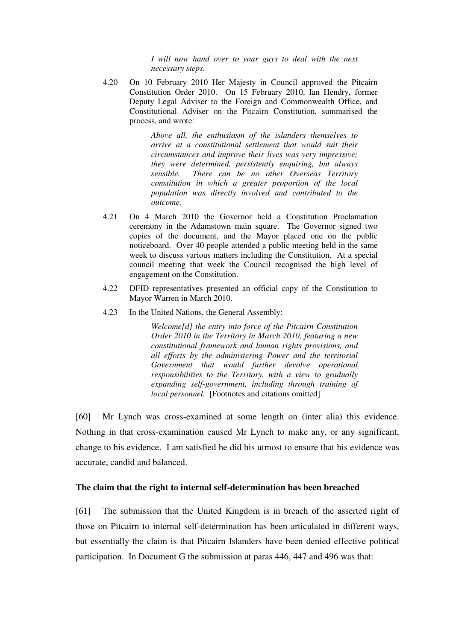*I will now hand over to your guys to deal with the next necessary steps.* 

4.20 On 10 February 2010 Her Majesty in Council approved the Pitcairn Constitution Order 2010. On 15 February 2010, Ian Hendry, former Deputy Legal Adviser to the Foreign and Commonwealth Office, and Constitutional Adviser on the Pitcairn Constitution, summarised the process, and wrote:

> *Above all, the enthusiasm of the islanders themselves to arrive at a constitutional settlement that would suit their circumstances and improve their lives was very impressive; they were determined, persistently enquiring, but always sensible. There can be no other Overseas Territory constitution in which a greater proportion of the local population was directly involved and contributed to the outcome.*

- 4.21 On 4 March 2010 the Governor held a Constitution Proclamation ceremony in the Adamstown main square. The Governor signed two copies of the document, and the Mayor placed one on the public noticeboard. Over 40 people attended a public meeting held in the same week to discuss various matters including the Constitution. At a special council meeting that week the Council recognised the high level of engagement on the Constitution.
- 4.22 DFID representatives presented an official copy of the Constitution to Mayor Warren in March 2010.
- 4.23 In the United Nations, the General Assembly:

*Welcome[d] the entry into force of the Pitcairn Constitution Order 2010 in the Territory in March 2010, featuring a new constitutional framework and human rights provisions, and all efforts by the administering Power and the territorial Government that would further devolve operational responsibilities to the Territory, with a view to gradually expanding self-government, including through training of local personnel.* [Footnotes and citations omitted]

[60] Mr Lynch was cross-examined at some length on (inter alia) this evidence. Nothing in that cross-examination caused Mr Lynch to make any, or any significant, change to his evidence. I am satisfied he did his utmost to ensure that his evidence was accurate, candid and balanced.

## **The claim that the right to internal self-determination has been breached**

[61] The submission that the United Kingdom is in breach of the asserted right of those on Pitcairn to internal self-determination has been articulated in different ways, but essentially the claim is that Pitcairn Islanders have been denied effective political participation. In Document G the submission at paras 446, 447 and 496 was that: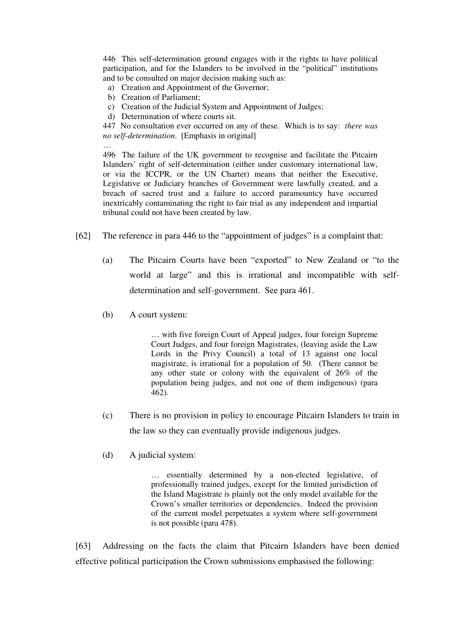446 This self-determination ground engages with it the rights to have political participation, and for the Islanders to be involved in the "political" institutions and to be consulted on major decision making such as:

- a) Creation and Appointment of the Governor;
- b) Creation of Parliament;

 $\ddot{\phantom{a}}$ 

- c) Creation of the Judicial System and Appointment of Judges;
- d) Determination of where courts sit.

447 No consultation ever occurred on any of these. Which is to say: *there was no self-determination*. [Emphasis in original]

496 The failure of the UK government to recognise and facilitate the Pitcairn Islanders' right of self-determination (either under customary international law, or via the ICCPR, or the UN Charter) means that neither the Executive, Legislative or Judiciary branches of Government were lawfully created, and a breach of sacred trust and a failure to accord paramountcy have occurred inextricably contaminating the right to fair trial as any independent and impartial tribunal could not have been created by law.

- [62] The reference in para 446 to the "appointment of judges" is a complaint that:
	- (a) The Pitcairn Courts have been "exported" to New Zealand or "to the world at large" and this is irrational and incompatible with selfdetermination and self-government. See para 461.
	- (b) A court system:

… with five foreign Court of Appeal judges, four foreign Supreme Court Judges, and four foreign Magistrates, (leaving aside the Law Lords in the Privy Council) a total of 13 against one local magistrate, is irrational for a population of 50. (There cannot be any other state or colony with the equivalent of 26% of the population being judges, and not one of them indigenous) (para 462).

- (c) There is no provision in policy to encourage Pitcairn Islanders to train in the law so they can eventually provide indigenous judges.
- (d) A judicial system:

… essentially determined by a non-elected legislative, of professionally trained judges, except for the limited jurisdiction of the Island Magistrate is plainly not the only model available for the Crown's smaller territories or dependencies. Indeed the provision of the current model perpetuates a system where self-government is not possible (para 478).

[63] Addressing on the facts the claim that Pitcairn Islanders have been denied effective political participation the Crown submissions emphasised the following: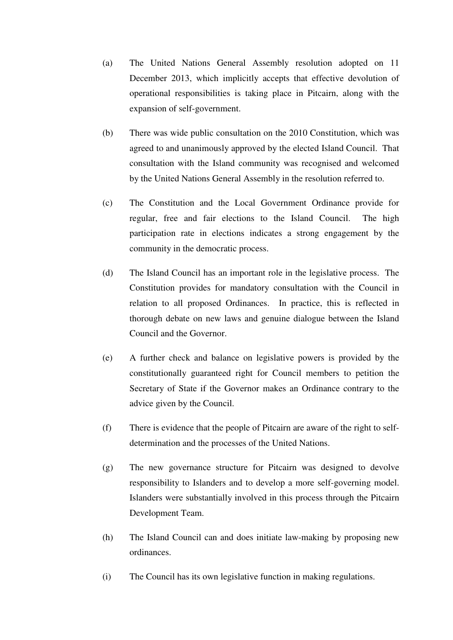- (a) The United Nations General Assembly resolution adopted on 11 December 2013, which implicitly accepts that effective devolution of operational responsibilities is taking place in Pitcairn, along with the expansion of self-government.
- (b) There was wide public consultation on the 2010 Constitution, which was agreed to and unanimously approved by the elected Island Council. That consultation with the Island community was recognised and welcomed by the United Nations General Assembly in the resolution referred to.
- (c) The Constitution and the Local Government Ordinance provide for regular, free and fair elections to the Island Council. The high participation rate in elections indicates a strong engagement by the community in the democratic process.
- (d) The Island Council has an important role in the legislative process. The Constitution provides for mandatory consultation with the Council in relation to all proposed Ordinances. In practice, this is reflected in thorough debate on new laws and genuine dialogue between the Island Council and the Governor.
- (e) A further check and balance on legislative powers is provided by the constitutionally guaranteed right for Council members to petition the Secretary of State if the Governor makes an Ordinance contrary to the advice given by the Council.
- (f) There is evidence that the people of Pitcairn are aware of the right to selfdetermination and the processes of the United Nations.
- (g) The new governance structure for Pitcairn was designed to devolve responsibility to Islanders and to develop a more self-governing model. Islanders were substantially involved in this process through the Pitcairn Development Team.
- (h) The Island Council can and does initiate law-making by proposing new ordinances.
- (i) The Council has its own legislative function in making regulations.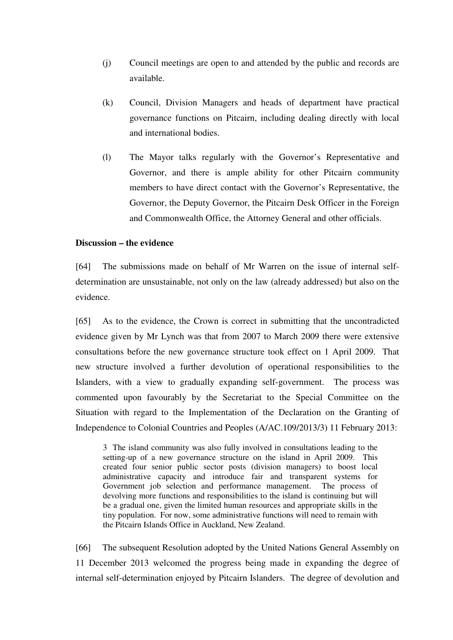- (j) Council meetings are open to and attended by the public and records are available.
- (k) Council, Division Managers and heads of department have practical governance functions on Pitcairn, including dealing directly with local and international bodies.
- (l) The Mayor talks regularly with the Governor's Representative and Governor, and there is ample ability for other Pitcairn community members to have direct contact with the Governor's Representative, the Governor, the Deputy Governor, the Pitcairn Desk Officer in the Foreign and Commonwealth Office, the Attorney General and other officials.

## **Discussion – the evidence**

[64] The submissions made on behalf of Mr Warren on the issue of internal selfdetermination are unsustainable, not only on the law (already addressed) but also on the evidence.

[65] As to the evidence, the Crown is correct in submitting that the uncontradicted evidence given by Mr Lynch was that from 2007 to March 2009 there were extensive consultations before the new governance structure took effect on 1 April 2009. That new structure involved a further devolution of operational responsibilities to the Islanders, with a view to gradually expanding self-government. The process was commented upon favourably by the Secretariat to the Special Committee on the Situation with regard to the Implementation of the Declaration on the Granting of Independence to Colonial Countries and Peoples (A/AC.109/2013/3) 11 February 2013:

3 The island community was also fully involved in consultations leading to the setting-up of a new governance structure on the island in April 2009. This created four senior public sector posts (division managers) to boost local administrative capacity and introduce fair and transparent systems for Government job selection and performance management. The process of devolving more functions and responsibilities to the island is continuing but will be a gradual one, given the limited human resources and appropriate skills in the tiny population. For now, some administrative functions will need to remain with the Pitcairn Islands Office in Auckland, New Zealand.

[66] The subsequent Resolution adopted by the United Nations General Assembly on 11 December 2013 welcomed the progress being made in expanding the degree of internal self-determination enjoyed by Pitcairn Islanders. The degree of devolution and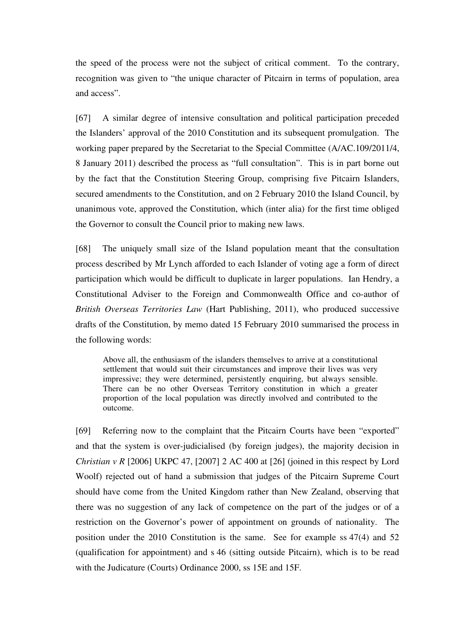the speed of the process were not the subject of critical comment. To the contrary, recognition was given to "the unique character of Pitcairn in terms of population, area and access".

[67] A similar degree of intensive consultation and political participation preceded the Islanders' approval of the 2010 Constitution and its subsequent promulgation. The working paper prepared by the Secretariat to the Special Committee (A/AC.109/2011/4, 8 January 2011) described the process as "full consultation". This is in part borne out by the fact that the Constitution Steering Group, comprising five Pitcairn Islanders, secured amendments to the Constitution, and on 2 February 2010 the Island Council, by unanimous vote, approved the Constitution, which (inter alia) for the first time obliged the Governor to consult the Council prior to making new laws.

[68] The uniquely small size of the Island population meant that the consultation process described by Mr Lynch afforded to each Islander of voting age a form of direct participation which would be difficult to duplicate in larger populations. Ian Hendry, a Constitutional Adviser to the Foreign and Commonwealth Office and co-author of *British Overseas Territories Law* (Hart Publishing, 2011), who produced successive drafts of the Constitution, by memo dated 15 February 2010 summarised the process in the following words:

Above all, the enthusiasm of the islanders themselves to arrive at a constitutional settlement that would suit their circumstances and improve their lives was very impressive; they were determined, persistently enquiring, but always sensible. There can be no other Overseas Territory constitution in which a greater proportion of the local population was directly involved and contributed to the outcome.

[69] Referring now to the complaint that the Pitcairn Courts have been "exported" and that the system is over-judicialised (by foreign judges), the majority decision in *Christian v R* [2006] UKPC 47, [2007] 2 AC 400 at [26] (joined in this respect by Lord Woolf) rejected out of hand a submission that judges of the Pitcairn Supreme Court should have come from the United Kingdom rather than New Zealand, observing that there was no suggestion of any lack of competence on the part of the judges or of a restriction on the Governor's power of appointment on grounds of nationality. The position under the 2010 Constitution is the same. See for example ss 47(4) and 52 (qualification for appointment) and s 46 (sitting outside Pitcairn), which is to be read with the Judicature (Courts) Ordinance 2000, ss 15E and 15F.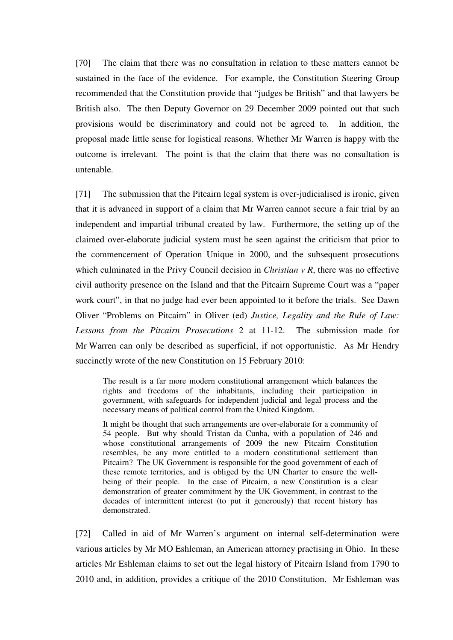[70] The claim that there was no consultation in relation to these matters cannot be sustained in the face of the evidence. For example, the Constitution Steering Group recommended that the Constitution provide that "judges be British" and that lawyers be British also. The then Deputy Governor on 29 December 2009 pointed out that such provisions would be discriminatory and could not be agreed to. In addition, the proposal made little sense for logistical reasons. Whether Mr Warren is happy with the outcome is irrelevant. The point is that the claim that there was no consultation is untenable.

[71] The submission that the Pitcairn legal system is over-judicialised is ironic, given that it is advanced in support of a claim that Mr Warren cannot secure a fair trial by an independent and impartial tribunal created by law. Furthermore, the setting up of the claimed over-elaborate judicial system must be seen against the criticism that prior to the commencement of Operation Unique in 2000, and the subsequent prosecutions which culminated in the Privy Council decision in *Christian v R*, there was no effective civil authority presence on the Island and that the Pitcairn Supreme Court was a "paper work court", in that no judge had ever been appointed to it before the trials. See Dawn Oliver "Problems on Pitcairn" in Oliver (ed) *Justice, Legality and the Rule of Law: Lessons from the Pitcairn Prosecutions* 2 at 11-12. The submission made for Mr Warren can only be described as superficial, if not opportunistic. As Mr Hendry succinctly wrote of the new Constitution on 15 February 2010:

The result is a far more modern constitutional arrangement which balances the rights and freedoms of the inhabitants, including their participation in government, with safeguards for independent judicial and legal process and the necessary means of political control from the United Kingdom.

It might be thought that such arrangements are over-elaborate for a community of 54 people. But why should Tristan da Cunha, with a population of 246 and whose constitutional arrangements of 2009 the new Pitcairn Constitution resembles, be any more entitled to a modern constitutional settlement than Pitcairn? The UK Government is responsible for the good government of each of these remote territories, and is obliged by the UN Charter to ensure the wellbeing of their people. In the case of Pitcairn, a new Constitution is a clear demonstration of greater commitment by the UK Government, in contrast to the decades of intermittent interest (to put it generously) that recent history has demonstrated.

[72] Called in aid of Mr Warren's argument on internal self-determination were various articles by Mr MO Eshleman, an American attorney practising in Ohio. In these articles Mr Eshleman claims to set out the legal history of Pitcairn Island from 1790 to 2010 and, in addition, provides a critique of the 2010 Constitution. Mr Eshleman was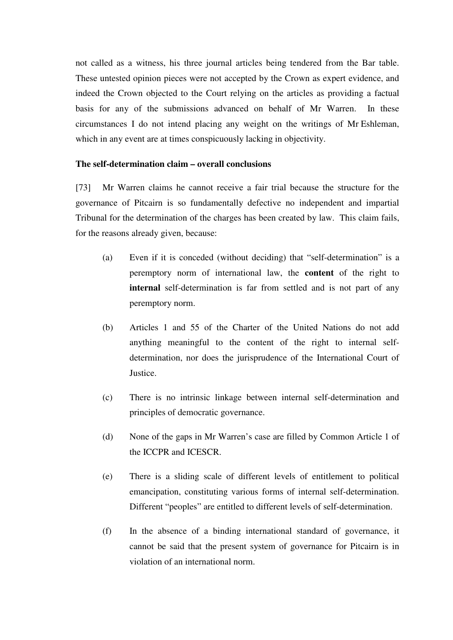not called as a witness, his three journal articles being tendered from the Bar table. These untested opinion pieces were not accepted by the Crown as expert evidence, and indeed the Crown objected to the Court relying on the articles as providing a factual basis for any of the submissions advanced on behalf of Mr Warren. In these circumstances I do not intend placing any weight on the writings of Mr Eshleman, which in any event are at times conspicuously lacking in objectivity.

### **The self-determination claim – overall conclusions**

[73] Mr Warren claims he cannot receive a fair trial because the structure for the governance of Pitcairn is so fundamentally defective no independent and impartial Tribunal for the determination of the charges has been created by law. This claim fails, for the reasons already given, because:

- (a) Even if it is conceded (without deciding) that "self-determination" is a peremptory norm of international law, the **content** of the right to **internal** self-determination is far from settled and is not part of any peremptory norm.
- (b) Articles 1 and 55 of the Charter of the United Nations do not add anything meaningful to the content of the right to internal selfdetermination, nor does the jurisprudence of the International Court of Justice.
- (c) There is no intrinsic linkage between internal self-determination and principles of democratic governance.
- (d) None of the gaps in Mr Warren's case are filled by Common Article 1 of the ICCPR and ICESCR.
- (e) There is a sliding scale of different levels of entitlement to political emancipation, constituting various forms of internal self-determination. Different "peoples" are entitled to different levels of self-determination.
- (f) In the absence of a binding international standard of governance, it cannot be said that the present system of governance for Pitcairn is in violation of an international norm.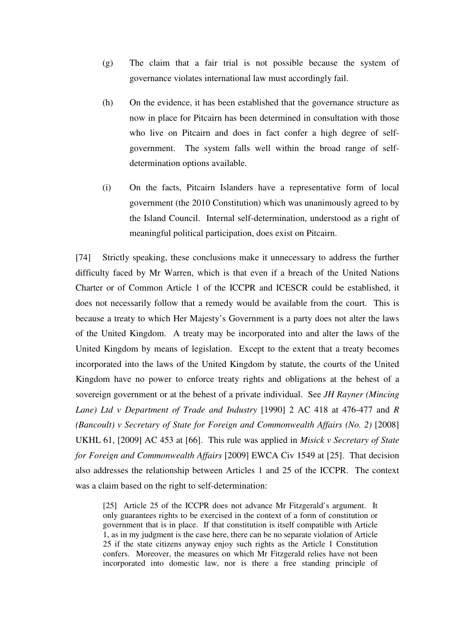- (g) The claim that a fair trial is not possible because the system of governance violates international law must accordingly fail.
- (h) On the evidence, it has been established that the governance structure as now in place for Pitcairn has been determined in consultation with those who live on Pitcairn and does in fact confer a high degree of selfgovernment. The system falls well within the broad range of selfdetermination options available.
- (i) On the facts, Pitcairn Islanders have a representative form of local government (the 2010 Constitution) which was unanimously agreed to by the Island Council. Internal self-determination, understood as a right of meaningful political participation, does exist on Pitcairn.

[74] Strictly speaking, these conclusions make it unnecessary to address the further difficulty faced by Mr Warren, which is that even if a breach of the United Nations Charter or of Common Article 1 of the ICCPR and ICESCR could be established, it does not necessarily follow that a remedy would be available from the court. This is because a treaty to which Her Majesty's Government is a party does not alter the laws of the United Kingdom. A treaty may be incorporated into and alter the laws of the United Kingdom by means of legislation. Except to the extent that a treaty becomes incorporated into the laws of the United Kingdom by statute, the courts of the United Kingdom have no power to enforce treaty rights and obligations at the behest of a sovereign government or at the behest of a private individual. See *JH Rayner (Mincing Lane) Ltd v Department of Trade and Industry* [1990] 2 AC 418 at 476-477 and *R (Bancoult) v Secretary of State for Foreign and Commonwealth Affairs (No. 2)* [2008] UKHL 61, [2009] AC 453 at [66]. This rule was applied in *Misick v Secretary of State for Foreign and Commonwealth Affairs* [2009] EWCA Civ 1549 at [25]. That decision also addresses the relationship between Articles 1 and 25 of the ICCPR. The context was a claim based on the right to self-determination:

[25] Article 25 of the ICCPR does not advance Mr Fitzgerald's argument. It only guarantees rights to be exercised in the context of a form of constitution or government that is in place. If that constitution is itself compatible with Article 1, as in my judgment is the case here, there can be no separate violation of Article 25 if the state citizens anyway enjoy such rights as the Article 1 Constitution confers. Moreover, the measures on which Mr Fitzgerald relies have not been incorporated into domestic law, nor is there a free standing principle of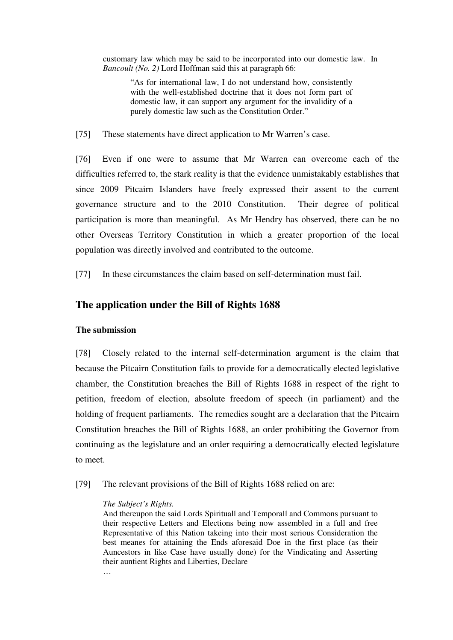customary law which may be said to be incorporated into our domestic law. In *Bancoult (No. 2)* Lord Hoffman said this at paragraph 66:

"As for international law, I do not understand how, consistently with the well-established doctrine that it does not form part of domestic law, it can support any argument for the invalidity of a purely domestic law such as the Constitution Order."

[75] These statements have direct application to Mr Warren's case.

[76] Even if one were to assume that Mr Warren can overcome each of the difficulties referred to, the stark reality is that the evidence unmistakably establishes that since 2009 Pitcairn Islanders have freely expressed their assent to the current governance structure and to the 2010 Constitution. Their degree of political participation is more than meaningful. As Mr Hendry has observed, there can be no other Overseas Territory Constitution in which a greater proportion of the local population was directly involved and contributed to the outcome.

[77] In these circumstances the claim based on self-determination must fail.

## **The application under the Bill of Rights 1688**

#### **The submission**

[78] Closely related to the internal self-determination argument is the claim that because the Pitcairn Constitution fails to provide for a democratically elected legislative chamber, the Constitution breaches the Bill of Rights 1688 in respect of the right to petition, freedom of election, absolute freedom of speech (in parliament) and the holding of frequent parliaments. The remedies sought are a declaration that the Pitcairn Constitution breaches the Bill of Rights 1688, an order prohibiting the Governor from continuing as the legislature and an order requiring a democratically elected legislature to meet.

[79] The relevant provisions of the Bill of Rights 1688 relied on are:

#### *The Subject's Rights.*

…

And thereupon the said Lords Spirituall and Temporall and Commons pursuant to their respective Letters and Elections being now assembled in a full and free Representative of this Nation takeing into their most serious Consideration the best meanes for attaining the Ends aforesaid Doe in the first place (as their Auncestors in like Case have usually done) for the Vindicating and Asserting their auntient Rights and Liberties, Declare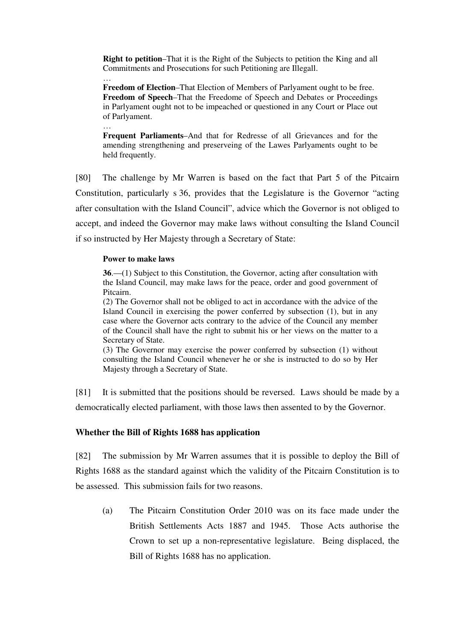**Right to petition**–That it is the Right of the Subjects to petition the King and all Commitments and Prosecutions for such Petitioning are Illegall.

… **Freedom of Election**–That Election of Members of Parlyament ought to be free. **Freedom of Speech**–That the Freedome of Speech and Debates or Proceedings in Parlyament ought not to be impeached or questioned in any Court or Place out of Parlyament.

… **Frequent Parliaments**–And that for Redresse of all Grievances and for the amending strengthening and preserveing of the Lawes Parlyaments ought to be held frequently.

[80] The challenge by Mr Warren is based on the fact that Part 5 of the Pitcairn Constitution, particularly s 36, provides that the Legislature is the Governor "acting after consultation with the Island Council", advice which the Governor is not obliged to accept, and indeed the Governor may make laws without consulting the Island Council if so instructed by Her Majesty through a Secretary of State:

#### **Power to make laws**

**36**.—(1) Subject to this Constitution, the Governor, acting after consultation with the Island Council, may make laws for the peace, order and good government of Pitcairn.

(2) The Governor shall not be obliged to act in accordance with the advice of the Island Council in exercising the power conferred by subsection (1), but in any case where the Governor acts contrary to the advice of the Council any member of the Council shall have the right to submit his or her views on the matter to a Secretary of State.

(3) The Governor may exercise the power conferred by subsection (1) without consulting the Island Council whenever he or she is instructed to do so by Her Majesty through a Secretary of State.

[81] It is submitted that the positions should be reversed. Laws should be made by a democratically elected parliament, with those laws then assented to by the Governor.

### **Whether the Bill of Rights 1688 has application**

[82] The submission by Mr Warren assumes that it is possible to deploy the Bill of Rights 1688 as the standard against which the validity of the Pitcairn Constitution is to be assessed. This submission fails for two reasons.

(a) The Pitcairn Constitution Order 2010 was on its face made under the British Settlements Acts 1887 and 1945. Those Acts authorise the Crown to set up a non-representative legislature. Being displaced, the Bill of Rights 1688 has no application.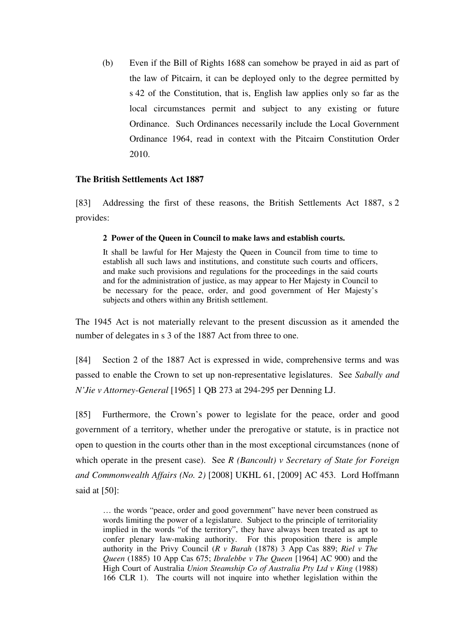(b) Even if the Bill of Rights 1688 can somehow be prayed in aid as part of the law of Pitcairn, it can be deployed only to the degree permitted by s 42 of the Constitution, that is, English law applies only so far as the local circumstances permit and subject to any existing or future Ordinance. Such Ordinances necessarily include the Local Government Ordinance 1964, read in context with the Pitcairn Constitution Order 2010.

### **The British Settlements Act 1887**

[83] Addressing the first of these reasons, the British Settlements Act 1887, s 2 provides:

### **2 Power of the Queen in Council to make laws and establish courts.**

It shall be lawful for Her Majesty the Queen in Council from time to time to establish all such laws and institutions, and constitute such courts and officers, and make such provisions and regulations for the proceedings in the said courts and for the administration of justice, as may appear to Her Majesty in Council to be necessary for the peace, order, and good government of Her Majesty's subjects and others within any British settlement.

The 1945 Act is not materially relevant to the present discussion as it amended the number of delegates in s 3 of the 1887 Act from three to one.

[84] Section 2 of the 1887 Act is expressed in wide, comprehensive terms and was passed to enable the Crown to set up non-representative legislatures. See *Sabally and N'Jie v Attorney-General* [1965] 1 QB 273 at 294-295 per Denning LJ.

[85] Furthermore, the Crown's power to legislate for the peace, order and good government of a territory, whether under the prerogative or statute, is in practice not open to question in the courts other than in the most exceptional circumstances (none of which operate in the present case). See *R (Bancoult) v Secretary of State for Foreign and Commonwealth Affairs (No. 2)* [2008] UKHL 61, [2009] AC 453. Lord Hoffmann said at [50]:

… the words "peace, order and good government" have never been construed as words limiting the power of a legislature. Subject to the principle of territoriality implied in the words "of the territory", they have always been treated as apt to confer plenary law-making authority. For this proposition there is ample authority in the Privy Council (*R v Burah* (1878) 3 App Cas 889; *Riel v The Queen* (1885) 10 App Cas 675; *Ibralebbe v The Queen* [1964] AC 900) and the High Court of Australia *Union Steamship Co of Australia Pty Ltd v King* (1988) 166 CLR 1). The courts will not inquire into whether legislation within the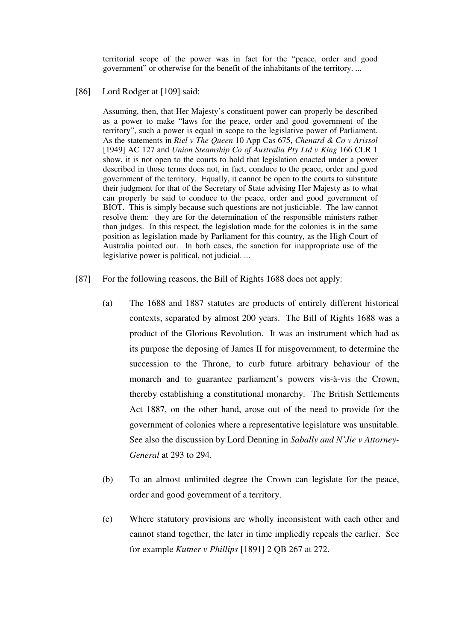territorial scope of the power was in fact for the "peace, order and good government" or otherwise for the benefit of the inhabitants of the territory. ...

#### [86] Lord Rodger at [109] said:

Assuming, then, that Her Majesty's constituent power can properly be described as a power to make "laws for the peace, order and good government of the territory", such a power is equal in scope to the legislative power of Parliament. As the statements in *Riel v The Queen* 10 App Cas 675, *Chenard & Co v Arissol* [1949] AC 127 and *Union Steamship Co of Australia Pty Ltd v King* 166 CLR 1 show, it is not open to the courts to hold that legislation enacted under a power described in those terms does not, in fact, conduce to the peace, order and good government of the territory. Equally, it cannot be open to the courts to substitute their judgment for that of the Secretary of State advising Her Majesty as to what can properly be said to conduce to the peace, order and good government of BIOT. This is simply because such questions are not justiciable. The law cannot resolve them: they are for the determination of the responsible ministers rather than judges. In this respect, the legislation made for the colonies is in the same position as legislation made by Parliament for this country, as the High Court of Australia pointed out. In both cases, the sanction for inappropriate use of the legislative power is political, not judicial. ...

- [87] For the following reasons, the Bill of Rights 1688 does not apply:
	- (a) The 1688 and 1887 statutes are products of entirely different historical contexts, separated by almost 200 years. The Bill of Rights 1688 was a product of the Glorious Revolution. It was an instrument which had as its purpose the deposing of James II for misgovernment, to determine the succession to the Throne, to curb future arbitrary behaviour of the monarch and to guarantee parliament's powers vis-à-vis the Crown, thereby establishing a constitutional monarchy. The British Settlements Act 1887, on the other hand, arose out of the need to provide for the government of colonies where a representative legislature was unsuitable. See also the discussion by Lord Denning in *Sabally and N'Jie v Attorney-General* at 293 to 294.
	- (b) To an almost unlimited degree the Crown can legislate for the peace, order and good government of a territory.
	- (c) Where statutory provisions are wholly inconsistent with each other and cannot stand together, the later in time impliedly repeals the earlier. See for example *Kutner v Phillips* [1891] 2 QB 267 at 272.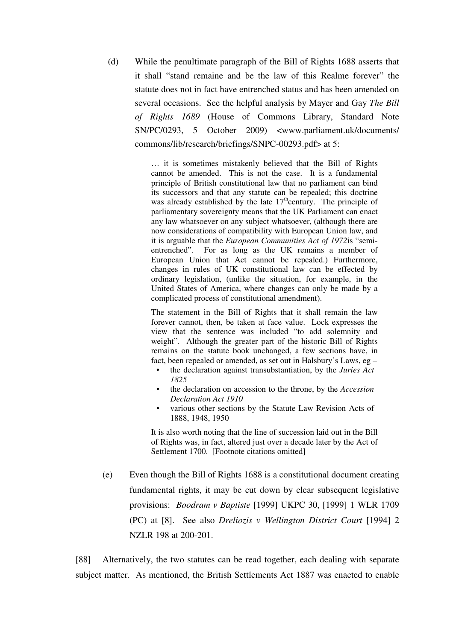(d) While the penultimate paragraph of the Bill of Rights 1688 asserts that it shall "stand remaine and be the law of this Realme forever" the statute does not in fact have entrenched status and has been amended on several occasions. See the helpful analysis by Mayer and Gay *The Bill of Rights 1689* (House of Commons Library, Standard Note SN/PC/0293, 5 October 2009) <www.parliament.uk/documents/ commons/lib/research/briefings/SNPC-00293.pdf> at 5:

> … it is sometimes mistakenly believed that the Bill of Rights cannot be amended. This is not the case. It is a fundamental principle of British constitutional law that no parliament can bind its successors and that any statute can be repealed; this doctrine was already established by the late  $17<sup>th</sup>$ century. The principle of parliamentary sovereignty means that the UK Parliament can enact any law whatsoever on any subject whatsoever, (although there are now considerations of compatibility with European Union law, and it is arguable that the *European Communities Act of 1972*is "semientrenched". For as long as the UK remains a member of European Union that Act cannot be repealed.) Furthermore, changes in rules of UK constitutional law can be effected by ordinary legislation, (unlike the situation, for example, in the United States of America, where changes can only be made by a complicated process of constitutional amendment).

> The statement in the Bill of Rights that it shall remain the law forever cannot, then, be taken at face value. Lock expresses the view that the sentence was included "to add solemnity and weight". Although the greater part of the historic Bill of Rights remains on the statute book unchanged, a few sections have, in fact, been repealed or amended, as set out in Halsbury's Laws, eg –

- the declaration against transubstantiation, by the *Juries Act 1825*
- the declaration on accession to the throne, by the *Accession Declaration Act 1910*
- various other sections by the Statute Law Revision Acts of 1888, 1948, 1950

It is also worth noting that the line of succession laid out in the Bill of Rights was, in fact, altered just over a decade later by the Act of Settlement 1700. [Footnote citations omitted]

(e) Even though the Bill of Rights 1688 is a constitutional document creating fundamental rights, it may be cut down by clear subsequent legislative provisions: *Boodram v Baptiste* [1999] UKPC 30, [1999] 1 WLR 1709 (PC) at [8]. See also *Dreliozis v Wellington District Court* [1994] 2 NZLR 198 at 200-201.

[88] Alternatively, the two statutes can be read together, each dealing with separate subject matter. As mentioned, the British Settlements Act 1887 was enacted to enable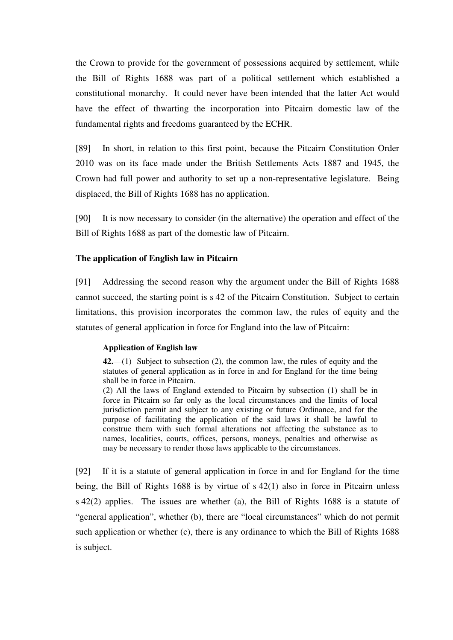the Crown to provide for the government of possessions acquired by settlement, while the Bill of Rights 1688 was part of a political settlement which established a constitutional monarchy. It could never have been intended that the latter Act would have the effect of thwarting the incorporation into Pitcairn domestic law of the fundamental rights and freedoms guaranteed by the ECHR.

[89] In short, in relation to this first point, because the Pitcairn Constitution Order 2010 was on its face made under the British Settlements Acts 1887 and 1945, the Crown had full power and authority to set up a non-representative legislature. Being displaced, the Bill of Rights 1688 has no application.

[90] It is now necessary to consider (in the alternative) the operation and effect of the Bill of Rights 1688 as part of the domestic law of Pitcairn.

### **The application of English law in Pitcairn**

[91] Addressing the second reason why the argument under the Bill of Rights 1688 cannot succeed, the starting point is s 42 of the Pitcairn Constitution. Subject to certain limitations, this provision incorporates the common law, the rules of equity and the statutes of general application in force for England into the law of Pitcairn:

### **Application of English law**

**42.**—(1) Subject to subsection (2), the common law, the rules of equity and the statutes of general application as in force in and for England for the time being shall be in force in Pitcairn.

(2) All the laws of England extended to Pitcairn by subsection (1) shall be in force in Pitcairn so far only as the local circumstances and the limits of local jurisdiction permit and subject to any existing or future Ordinance, and for the purpose of facilitating the application of the said laws it shall be lawful to construe them with such formal alterations not affecting the substance as to names, localities, courts, offices, persons, moneys, penalties and otherwise as may be necessary to render those laws applicable to the circumstances.

[92] If it is a statute of general application in force in and for England for the time being, the Bill of Rights 1688 is by virtue of s 42(1) also in force in Pitcairn unless s 42(2) applies. The issues are whether (a), the Bill of Rights 1688 is a statute of "general application", whether (b), there are "local circumstances" which do not permit such application or whether (c), there is any ordinance to which the Bill of Rights 1688 is subject.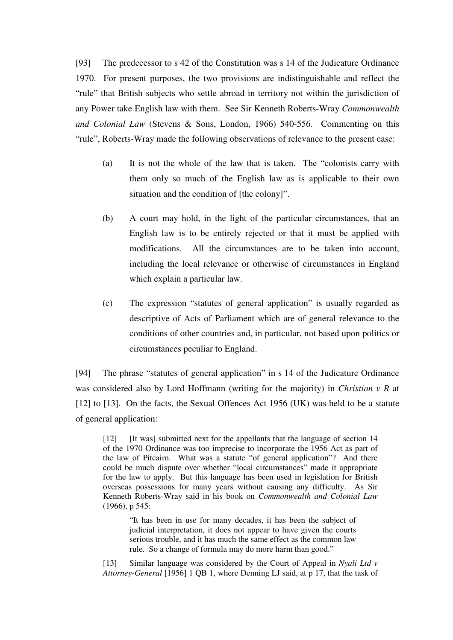[93] The predecessor to s 42 of the Constitution was s 14 of the Judicature Ordinance 1970. For present purposes, the two provisions are indistinguishable and reflect the "rule" that British subjects who settle abroad in territory not within the jurisdiction of any Power take English law with them. See Sir Kenneth Roberts-Wray *Commonwealth and Colonial Law* (Stevens & Sons, London, 1966) 540-556. Commenting on this "rule", Roberts-Wray made the following observations of relevance to the present case:

- (a) It is not the whole of the law that is taken. The "colonists carry with them only so much of the English law as is applicable to their own situation and the condition of [the colony]".
- (b) A court may hold, in the light of the particular circumstances, that an English law is to be entirely rejected or that it must be applied with modifications. All the circumstances are to be taken into account, including the local relevance or otherwise of circumstances in England which explain a particular law.
- (c) The expression "statutes of general application" is usually regarded as descriptive of Acts of Parliament which are of general relevance to the conditions of other countries and, in particular, not based upon politics or circumstances peculiar to England.

[94] The phrase "statutes of general application" in s 14 of the Judicature Ordinance was considered also by Lord Hoffmann (writing for the majority) in *Christian v R* at [12] to [13]. On the facts, the Sexual Offences Act 1956 (UK) was held to be a statute of general application:

[12] [It was] submitted next for the appellants that the language of section 14 of the 1970 Ordinance was too imprecise to incorporate the 1956 Act as part of the law of Pitcairn. What was a statute "of general application"? And there could be much dispute over whether "local circumstances" made it appropriate for the law to apply. But this language has been used in legislation for British overseas possessions for many years without causing any difficulty. As Sir Kenneth Roberts-Wray said in his book on *Commonwealth and Colonial Law* (1966), p 545:

"It has been in use for many decades, it has been the subject of judicial interpretation, it does not appear to have given the courts serious trouble, and it has much the same effect as the common law rule. So a change of formula may do more harm than good."

[13] Similar language was considered by the Court of Appeal in *Nyali Ltd v Attorney-General* [1956] 1 QB 1, where Denning LJ said, at p 17, that the task of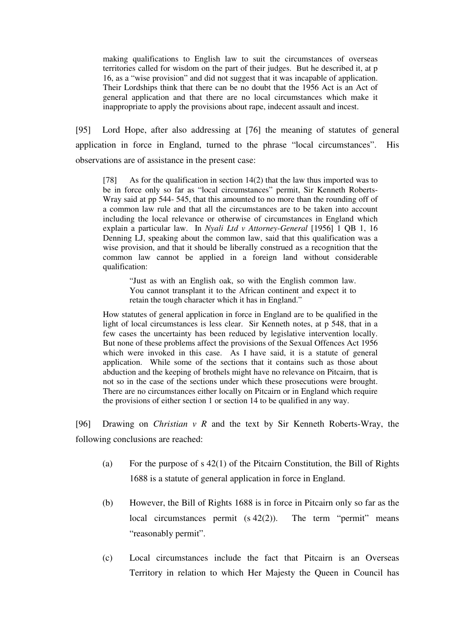making qualifications to English law to suit the circumstances of overseas territories called for wisdom on the part of their judges. But he described it, at p 16, as a "wise provision" and did not suggest that it was incapable of application. Their Lordships think that there can be no doubt that the 1956 Act is an Act of general application and that there are no local circumstances which make it inappropriate to apply the provisions about rape, indecent assault and incest.

[95] Lord Hope, after also addressing at [76] the meaning of statutes of general application in force in England, turned to the phrase "local circumstances". His observations are of assistance in the present case:

[78] As for the qualification in section 14(2) that the law thus imported was to be in force only so far as "local circumstances" permit, Sir Kenneth Roberts-Wray said at pp 544- 545, that this amounted to no more than the rounding off of a common law rule and that all the circumstances are to be taken into account including the local relevance or otherwise of circumstances in England which explain a particular law. In *Nyali Ltd v Attorney-General* [1956] 1 QB 1, 16 Denning LJ, speaking about the common law, said that this qualification was a wise provision, and that it should be liberally construed as a recognition that the common law cannot be applied in a foreign land without considerable qualification:

"Just as with an English oak, so with the English common law. You cannot transplant it to the African continent and expect it to retain the tough character which it has in England."

How statutes of general application in force in England are to be qualified in the light of local circumstances is less clear. Sir Kenneth notes, at  $p$  548, that in a few cases the uncertainty has been reduced by legislative intervention locally. But none of these problems affect the provisions of the Sexual Offences Act 1956 which were invoked in this case. As I have said, it is a statute of general application. While some of the sections that it contains such as those about abduction and the keeping of brothels might have no relevance on Pitcairn, that is not so in the case of the sections under which these prosecutions were brought. There are no circumstances either locally on Pitcairn or in England which require the provisions of either section 1 or section 14 to be qualified in any way.

[96] Drawing on *Christian v R* and the text by Sir Kenneth Roberts-Wray, the following conclusions are reached:

- (a) For the purpose of s 42(1) of the Pitcairn Constitution, the Bill of Rights 1688 is a statute of general application in force in England.
- (b) However, the Bill of Rights 1688 is in force in Pitcairn only so far as the local circumstances permit (s 42(2)). The term "permit" means "reasonably permit".
- (c) Local circumstances include the fact that Pitcairn is an Overseas Territory in relation to which Her Majesty the Queen in Council has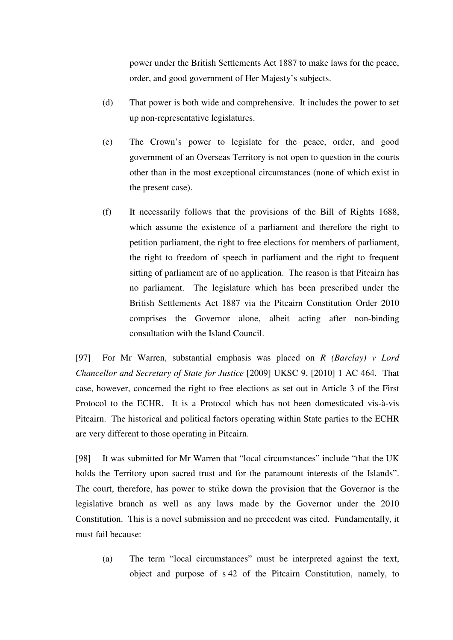power under the British Settlements Act 1887 to make laws for the peace, order, and good government of Her Majesty's subjects.

- (d) That power is both wide and comprehensive. It includes the power to set up non-representative legislatures.
- (e) The Crown's power to legislate for the peace, order, and good government of an Overseas Territory is not open to question in the courts other than in the most exceptional circumstances (none of which exist in the present case).
- (f) It necessarily follows that the provisions of the Bill of Rights 1688, which assume the existence of a parliament and therefore the right to petition parliament, the right to free elections for members of parliament, the right to freedom of speech in parliament and the right to frequent sitting of parliament are of no application. The reason is that Pitcairn has no parliament. The legislature which has been prescribed under the British Settlements Act 1887 via the Pitcairn Constitution Order 2010 comprises the Governor alone, albeit acting after non-binding consultation with the Island Council.

[97] For Mr Warren, substantial emphasis was placed on *R (Barclay) v Lord Chancellor and Secretary of State for Justice* [2009] UKSC 9, [2010] 1 AC 464. That case, however, concerned the right to free elections as set out in Article 3 of the First Protocol to the ECHR. It is a Protocol which has not been domesticated vis-à-vis Pitcairn. The historical and political factors operating within State parties to the ECHR are very different to those operating in Pitcairn.

[98] It was submitted for Mr Warren that "local circumstances" include "that the UK holds the Territory upon sacred trust and for the paramount interests of the Islands". The court, therefore, has power to strike down the provision that the Governor is the legislative branch as well as any laws made by the Governor under the 2010 Constitution. This is a novel submission and no precedent was cited. Fundamentally, it must fail because:

(a) The term "local circumstances" must be interpreted against the text, object and purpose of s 42 of the Pitcairn Constitution, namely, to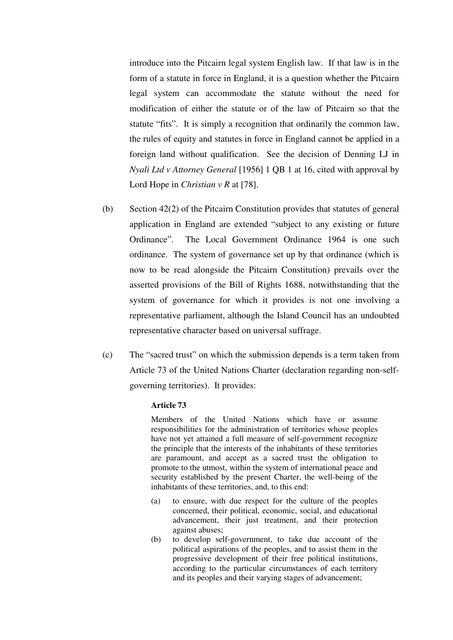introduce into the Pitcairn legal system English law. If that law is in the form of a statute in force in England, it is a question whether the Pitcairn legal system can accommodate the statute without the need for modification of either the statute or of the law of Pitcairn so that the statute "fits". It is simply a recognition that ordinarily the common law, the rules of equity and statutes in force in England cannot be applied in a foreign land without qualification. See the decision of Denning LJ in *Nyali Ltd v Attorney General* [1956] 1 QB 1 at 16, cited with approval by Lord Hope in *Christian* v R at [78].

- (b) Section 42(2) of the Pitcairn Constitution provides that statutes of general application in England are extended "subject to any existing or future Ordinance". The Local Government Ordinance 1964 is one such ordinance. The system of governance set up by that ordinance (which is now to be read alongside the Pitcairn Constitution) prevails over the asserted provisions of the Bill of Rights 1688, notwithstanding that the system of governance for which it provides is not one involving a representative parliament, although the Island Council has an undoubted representative character based on universal suffrage.
- (c) The "sacred trust" on which the submission depends is a term taken from Article 73 of the United Nations Charter (declaration regarding non-selfgoverning territories). It provides:

#### **Article 73**

Members of the United Nations which have or assume responsibilities for the administration of territories whose peoples have not yet attained a full measure of self-government recognize the principle that the interests of the inhabitants of these territories are paramount, and accept as a sacred trust the obligation to promote to the utmost, within the system of international peace and security established by the present Charter, the well-being of the inhabitants of these territories, and, to this end:

- (a) to ensure, with due respect for the culture of the peoples concerned, their political, economic, social, and educational advancement, their just treatment, and their protection against abuses;
- (b) to develop self-government, to take due account of the political aspirations of the peoples, and to assist them in the progressive development of their free political institutions, according to the particular circumstances of each territory and its peoples and their varying stages of advancement;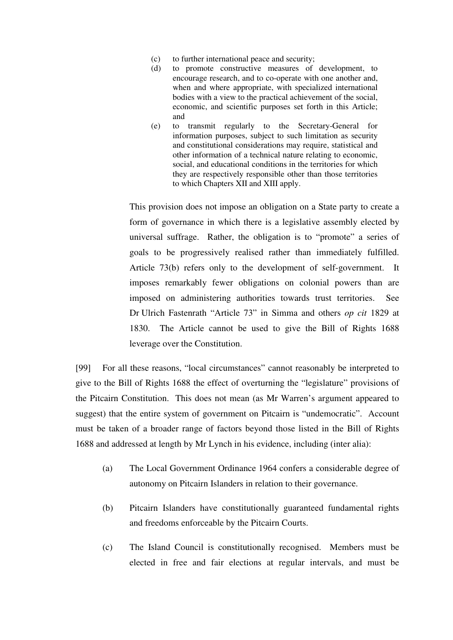- (c) to further international peace and security;
- (d) to promote constructive measures of development, to encourage research, and to co-operate with one another and, when and where appropriate, with specialized international bodies with a view to the practical achievement of the social, economic, and scientific purposes set forth in this Article; and
- (e) to transmit regularly to the Secretary-General for information purposes, subject to such limitation as security and constitutional considerations may require, statistical and other information of a technical nature relating to economic, social, and educational conditions in the territories for which they are respectively responsible other than those territories to which Chapters XII and XIII apply.

 This provision does not impose an obligation on a State party to create a form of governance in which there is a legislative assembly elected by universal suffrage. Rather, the obligation is to "promote" a series of goals to be progressively realised rather than immediately fulfilled. Article 73(b) refers only to the development of self-government. It imposes remarkably fewer obligations on colonial powers than are imposed on administering authorities towards trust territories. See Dr Ulrich Fastenrath "Article 73" in Simma and others *op cit* 1829 at 1830. The Article cannot be used to give the Bill of Rights 1688 leverage over the Constitution.

[99] For all these reasons, "local circumstances" cannot reasonably be interpreted to give to the Bill of Rights 1688 the effect of overturning the "legislature" provisions of the Pitcairn Constitution. This does not mean (as Mr Warren's argument appeared to suggest) that the entire system of government on Pitcairn is "undemocratic". Account must be taken of a broader range of factors beyond those listed in the Bill of Rights 1688 and addressed at length by Mr Lynch in his evidence, including (inter alia):

- (a) The Local Government Ordinance 1964 confers a considerable degree of autonomy on Pitcairn Islanders in relation to their governance.
- (b) Pitcairn Islanders have constitutionally guaranteed fundamental rights and freedoms enforceable by the Pitcairn Courts.
- (c) The Island Council is constitutionally recognised. Members must be elected in free and fair elections at regular intervals, and must be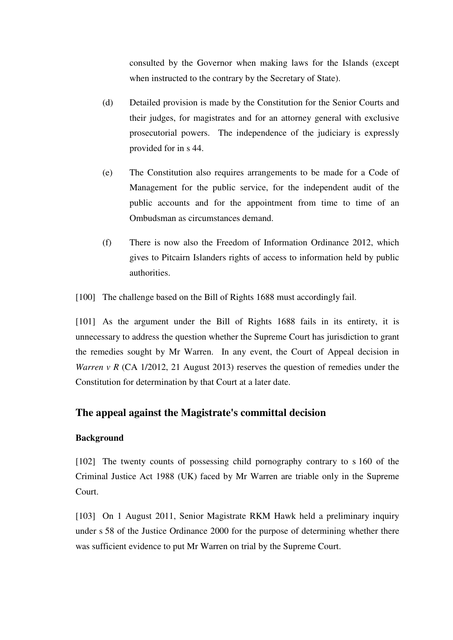consulted by the Governor when making laws for the Islands (except when instructed to the contrary by the Secretary of State).

- (d) Detailed provision is made by the Constitution for the Senior Courts and their judges, for magistrates and for an attorney general with exclusive prosecutorial powers. The independence of the judiciary is expressly provided for in s 44.
- (e) The Constitution also requires arrangements to be made for a Code of Management for the public service, for the independent audit of the public accounts and for the appointment from time to time of an Ombudsman as circumstances demand.
- (f) There is now also the Freedom of Information Ordinance 2012, which gives to Pitcairn Islanders rights of access to information held by public authorities.
- [100] The challenge based on the Bill of Rights 1688 must accordingly fail.

[101] As the argument under the Bill of Rights 1688 fails in its entirety, it is unnecessary to address the question whether the Supreme Court has jurisdiction to grant the remedies sought by Mr Warren. In any event, the Court of Appeal decision in *Warren v R* (CA 1/2012, 21 August 2013) reserves the question of remedies under the Constitution for determination by that Court at a later date.

# **The appeal against the Magistrate's committal decision**

### **Background**

[102] The twenty counts of possessing child pornography contrary to s 160 of the Criminal Justice Act 1988 (UK) faced by Mr Warren are triable only in the Supreme Court.

[103] On 1 August 2011, Senior Magistrate RKM Hawk held a preliminary inquiry under s 58 of the Justice Ordinance 2000 for the purpose of determining whether there was sufficient evidence to put Mr Warren on trial by the Supreme Court.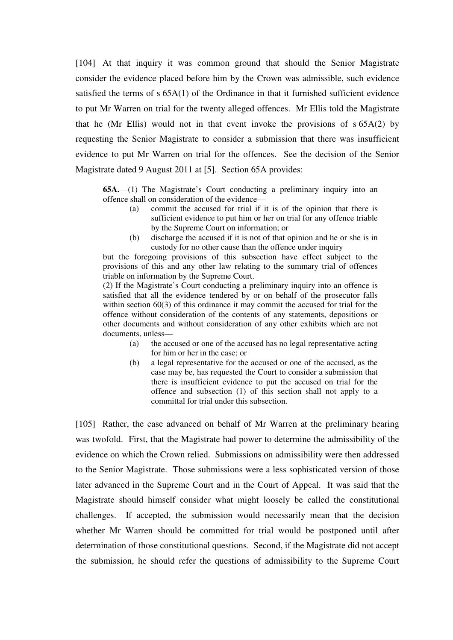[104] At that inquiry it was common ground that should the Senior Magistrate consider the evidence placed before him by the Crown was admissible, such evidence satisfied the terms of  $s$  65A(1) of the Ordinance in that it furnished sufficient evidence to put Mr Warren on trial for the twenty alleged offences. Mr Ellis told the Magistrate that he (Mr Ellis) would not in that event invoke the provisions of s 65A(2) by requesting the Senior Magistrate to consider a submission that there was insufficient evidence to put Mr Warren on trial for the offences. See the decision of the Senior Magistrate dated 9 August 2011 at [5]. Section 65A provides:

**65A.**—(1) The Magistrate's Court conducting a preliminary inquiry into an offence shall on consideration of the evidence—

- (a) commit the accused for trial if it is of the opinion that there is sufficient evidence to put him or her on trial for any offence triable by the Supreme Court on information; or
- (b) discharge the accused if it is not of that opinion and he or she is in custody for no other cause than the offence under inquiry

but the foregoing provisions of this subsection have effect subject to the provisions of this and any other law relating to the summary trial of offences triable on information by the Supreme Court.

(2) If the Magistrate's Court conducting a preliminary inquiry into an offence is satisfied that all the evidence tendered by or on behalf of the prosecutor falls within section 60(3) of this ordinance it may commit the accused for trial for the offence without consideration of the contents of any statements, depositions or other documents and without consideration of any other exhibits which are not documents, unless—

- (a) the accused or one of the accused has no legal representative acting for him or her in the case; or
- (b) a legal representative for the accused or one of the accused, as the case may be, has requested the Court to consider a submission that there is insufficient evidence to put the accused on trial for the offence and subsection (1) of this section shall not apply to a committal for trial under this subsection.

[105] Rather, the case advanced on behalf of Mr Warren at the preliminary hearing was twofold. First, that the Magistrate had power to determine the admissibility of the evidence on which the Crown relied. Submissions on admissibility were then addressed to the Senior Magistrate. Those submissions were a less sophisticated version of those later advanced in the Supreme Court and in the Court of Appeal. It was said that the Magistrate should himself consider what might loosely be called the constitutional challenges. If accepted, the submission would necessarily mean that the decision whether Mr Warren should be committed for trial would be postponed until after determination of those constitutional questions. Second, if the Magistrate did not accept the submission, he should refer the questions of admissibility to the Supreme Court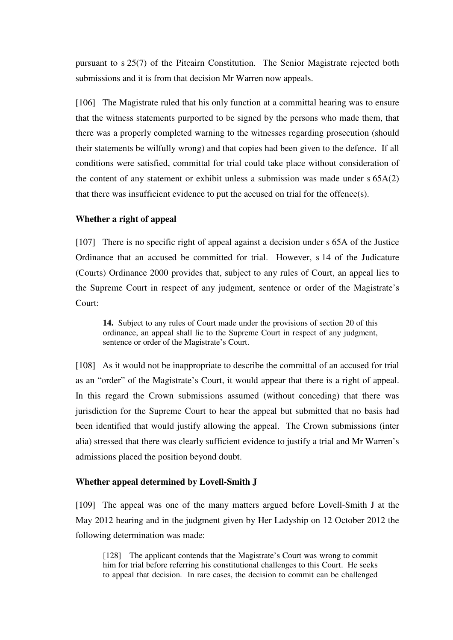pursuant to s 25(7) of the Pitcairn Constitution. The Senior Magistrate rejected both submissions and it is from that decision Mr Warren now appeals.

[106] The Magistrate ruled that his only function at a committal hearing was to ensure that the witness statements purported to be signed by the persons who made them, that there was a properly completed warning to the witnesses regarding prosecution (should their statements be wilfully wrong) and that copies had been given to the defence. If all conditions were satisfied, committal for trial could take place without consideration of the content of any statement or exhibit unless a submission was made under s 65A(2) that there was insufficient evidence to put the accused on trial for the offence(s).

### **Whether a right of appeal**

[107] There is no specific right of appeal against a decision under s 65A of the Justice Ordinance that an accused be committed for trial. However, s 14 of the Judicature (Courts) Ordinance 2000 provides that, subject to any rules of Court, an appeal lies to the Supreme Court in respect of any judgment, sentence or order of the Magistrate's Court:

**14.** Subject to any rules of Court made under the provisions of section 20 of this ordinance, an appeal shall lie to the Supreme Court in respect of any judgment, sentence or order of the Magistrate's Court.

[108] As it would not be inappropriate to describe the committal of an accused for trial as an "order" of the Magistrate's Court, it would appear that there is a right of appeal. In this regard the Crown submissions assumed (without conceding) that there was jurisdiction for the Supreme Court to hear the appeal but submitted that no basis had been identified that would justify allowing the appeal. The Crown submissions (inter alia) stressed that there was clearly sufficient evidence to justify a trial and Mr Warren's admissions placed the position beyond doubt.

### **Whether appeal determined by Lovell-Smith J**

[109] The appeal was one of the many matters argued before Lovell-Smith J at the May 2012 hearing and in the judgment given by Her Ladyship on 12 October 2012 the following determination was made:

[128] The applicant contends that the Magistrate's Court was wrong to commit him for trial before referring his constitutional challenges to this Court. He seeks to appeal that decision. In rare cases, the decision to commit can be challenged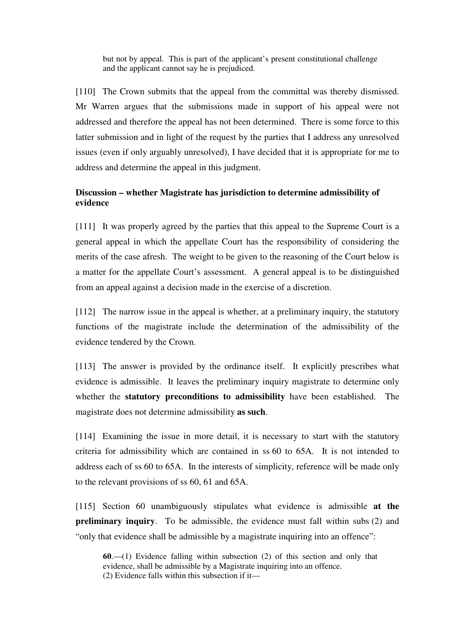but not by appeal. This is part of the applicant's present constitutional challenge and the applicant cannot say he is prejudiced.

[110] The Crown submits that the appeal from the committal was thereby dismissed. Mr Warren argues that the submissions made in support of his appeal were not addressed and therefore the appeal has not been determined. There is some force to this latter submission and in light of the request by the parties that I address any unresolved issues (even if only arguably unresolved), I have decided that it is appropriate for me to address and determine the appeal in this judgment.

## **Discussion – whether Magistrate has jurisdiction to determine admissibility of evidence**

[111] It was properly agreed by the parties that this appeal to the Supreme Court is a general appeal in which the appellate Court has the responsibility of considering the merits of the case afresh. The weight to be given to the reasoning of the Court below is a matter for the appellate Court's assessment. A general appeal is to be distinguished from an appeal against a decision made in the exercise of a discretion.

[112] The narrow issue in the appeal is whether, at a preliminary inquiry, the statutory functions of the magistrate include the determination of the admissibility of the evidence tendered by the Crown.

[113] The answer is provided by the ordinance itself. It explicitly prescribes what evidence is admissible. It leaves the preliminary inquiry magistrate to determine only whether the **statutory preconditions to admissibility** have been established. The magistrate does not determine admissibility **as such**.

[114] Examining the issue in more detail, it is necessary to start with the statutory criteria for admissibility which are contained in ss 60 to 65A. It is not intended to address each of ss 60 to 65A. In the interests of simplicity, reference will be made only to the relevant provisions of ss 60, 61 and 65A.

[115] Section 60 unambiguously stipulates what evidence is admissible **at the preliminary inquiry**. To be admissible, the evidence must fall within subs (2) and "only that evidence shall be admissible by a magistrate inquiring into an offence":

**60**.—(1) Evidence falling within subsection (2) of this section and only that evidence, shall be admissible by a Magistrate inquiring into an offence. (2) Evidence falls within this subsection if it—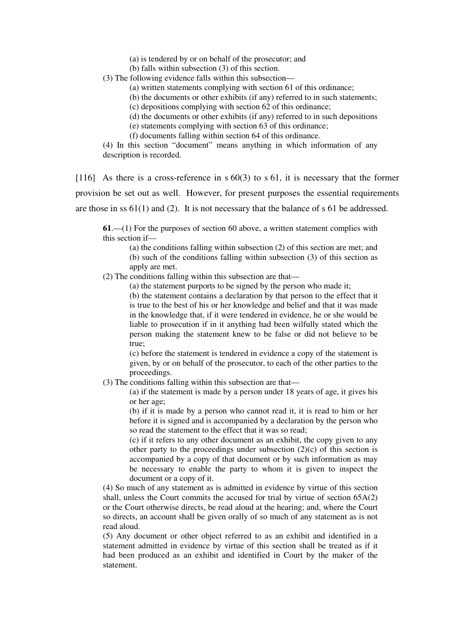- (a) is tendered by or on behalf of the prosecutor; and
- (b) falls within subsection (3) of this section.
- (3) The following evidence falls within this subsection—
	- (a) written statements complying with section 61 of this ordinance;
	- (b) the documents or other exhibits (if any) referred to in such statements;
	- (c) depositions complying with section 62 of this ordinance;
	- (d) the documents or other exhibits (if any) referred to in such depositions
	- (e) statements complying with section 63 of this ordinance;
	- (f) documents falling within section 64 of this ordinance.

(4) In this section "document" means anything in which information of any description is recorded.

[116] As there is a cross-reference in s 60(3) to s 61, it is necessary that the former provision be set out as well. However, for present purposes the essential requirements are those in ss 61(1) and (2). It is not necessary that the balance of s 61 be addressed.

**61**.—(1) For the purposes of section 60 above, a written statement complies with this section if—

(a) the conditions falling within subsection (2) of this section are met; and (b) such of the conditions falling within subsection (3) of this section as apply are met.

(2) The conditions falling within this subsection are that—

(a) the statement purports to be signed by the person who made it;

(b) the statement contains a declaration by that person to the effect that it is true to the best of his or her knowledge and belief and that it was made in the knowledge that, if it were tendered in evidence, he or she would be liable to prosecution if in it anything had been wilfully stated which the person making the statement knew to be false or did not believe to be true;

(c) before the statement is tendered in evidence a copy of the statement is given, by or on behalf of the prosecutor, to each of the other parties to the proceedings.

(3) The conditions falling within this subsection are that—

(a) if the statement is made by a person under 18 years of age, it gives his or her age;

(b) if it is made by a person who cannot read it, it is read to him or her before it is signed and is accompanied by a declaration by the person who so read the statement to the effect that it was so read;

(c) if it refers to any other document as an exhibit, the copy given to any other party to the proceedings under subsection  $(2)(c)$  of this section is accompanied by a copy of that document or by such information as may be necessary to enable the party to whom it is given to inspect the document or a copy of it.

(4) So much of any statement as is admitted in evidence by virtue of this section shall, unless the Court commits the accused for trial by virtue of section 65A(2) or the Court otherwise directs, be read aloud at the hearing; and, where the Court so directs, an account shall be given orally of so much of any statement as is not read aloud.

(5) Any document or other object referred to as an exhibit and identified in a statement admitted in evidence by virtue of this section shall be treated as if it had been produced as an exhibit and identified in Court by the maker of the statement.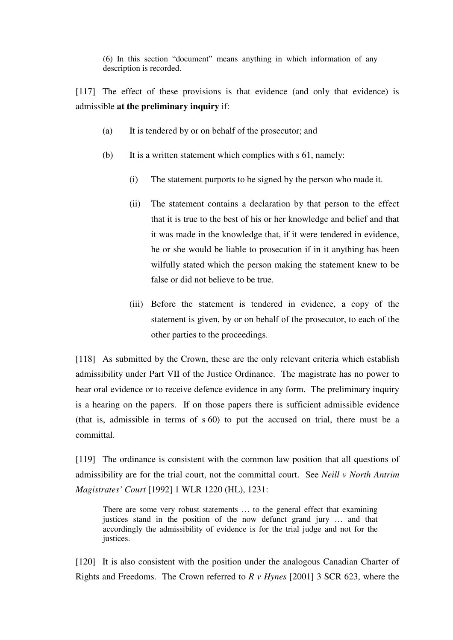(6) In this section "document" means anything in which information of any description is recorded.

[117] The effect of these provisions is that evidence (and only that evidence) is admissible **at the preliminary inquiry** if:

- (a) It is tendered by or on behalf of the prosecutor; and
- (b) It is a written statement which complies with s 61, namely:
	- (i) The statement purports to be signed by the person who made it.
	- (ii) The statement contains a declaration by that person to the effect that it is true to the best of his or her knowledge and belief and that it was made in the knowledge that, if it were tendered in evidence, he or she would be liable to prosecution if in it anything has been wilfully stated which the person making the statement knew to be false or did not believe to be true.
	- (iii) Before the statement is tendered in evidence, a copy of the statement is given, by or on behalf of the prosecutor, to each of the other parties to the proceedings.

[118] As submitted by the Crown, these are the only relevant criteria which establish admissibility under Part VII of the Justice Ordinance. The magistrate has no power to hear oral evidence or to receive defence evidence in any form. The preliminary inquiry is a hearing on the papers. If on those papers there is sufficient admissible evidence (that is, admissible in terms of s 60) to put the accused on trial, there must be a committal.

[119] The ordinance is consistent with the common law position that all questions of admissibility are for the trial court, not the committal court. See *Neill v North Antrim Magistrates' Court* [1992] 1 WLR 1220 (HL), 1231:

There are some very robust statements … to the general effect that examining justices stand in the position of the now defunct grand jury … and that accordingly the admissibility of evidence is for the trial judge and not for the justices.

[120] It is also consistent with the position under the analogous Canadian Charter of Rights and Freedoms. The Crown referred to *R v Hynes* [2001] 3 SCR 623, where the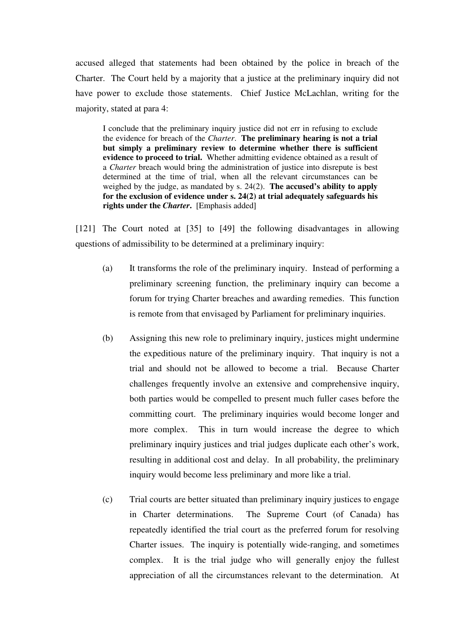accused alleged that statements had been obtained by the police in breach of the Charter. The Court held by a majority that a justice at the preliminary inquiry did not have power to exclude those statements. Chief Justice McLachlan, writing for the majority, stated at para 4:

I conclude that the preliminary inquiry justice did not err in refusing to exclude the evidence for breach of the *Charter*. **The preliminary hearing is not a trial but simply a preliminary review to determine whether there is sufficient evidence to proceed to trial.** Whether admitting evidence obtained as a result of a *Charter* breach would bring the administration of justice into disrepute is best determined at the time of trial, when all the relevant circumstances can be weighed by the judge, as mandated by s. 24(2). **The accused's ability to apply for the exclusion of evidence under s. 24(2) at trial adequately safeguards his rights under the** *Charter***.** [Emphasis added]

[121] The Court noted at [35] to [49] the following disadvantages in allowing questions of admissibility to be determined at a preliminary inquiry:

- (a) It transforms the role of the preliminary inquiry. Instead of performing a preliminary screening function, the preliminary inquiry can become a forum for trying Charter breaches and awarding remedies. This function is remote from that envisaged by Parliament for preliminary inquiries.
- (b) Assigning this new role to preliminary inquiry, justices might undermine the expeditious nature of the preliminary inquiry. That inquiry is not a trial and should not be allowed to become a trial. Because Charter challenges frequently involve an extensive and comprehensive inquiry, both parties would be compelled to present much fuller cases before the committing court. The preliminary inquiries would become longer and more complex. This in turn would increase the degree to which preliminary inquiry justices and trial judges duplicate each other's work, resulting in additional cost and delay. In all probability, the preliminary inquiry would become less preliminary and more like a trial.
- (c) Trial courts are better situated than preliminary inquiry justices to engage in Charter determinations. The Supreme Court (of Canada) has repeatedly identified the trial court as the preferred forum for resolving Charter issues. The inquiry is potentially wide-ranging, and sometimes complex. It is the trial judge who will generally enjoy the fullest appreciation of all the circumstances relevant to the determination. At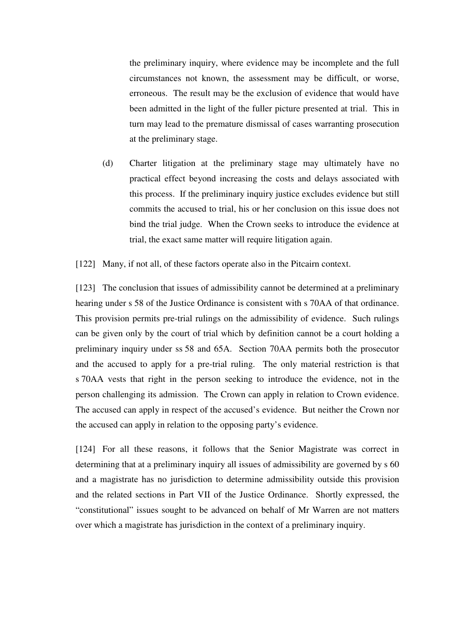the preliminary inquiry, where evidence may be incomplete and the full circumstances not known, the assessment may be difficult, or worse, erroneous. The result may be the exclusion of evidence that would have been admitted in the light of the fuller picture presented at trial. This in turn may lead to the premature dismissal of cases warranting prosecution at the preliminary stage.

(d) Charter litigation at the preliminary stage may ultimately have no practical effect beyond increasing the costs and delays associated with this process. If the preliminary inquiry justice excludes evidence but still commits the accused to trial, his or her conclusion on this issue does not bind the trial judge. When the Crown seeks to introduce the evidence at trial, the exact same matter will require litigation again.

[122] Many, if not all, of these factors operate also in the Pitcairn context.

[123] The conclusion that issues of admissibility cannot be determined at a preliminary hearing under s 58 of the Justice Ordinance is consistent with s 70AA of that ordinance. This provision permits pre-trial rulings on the admissibility of evidence. Such rulings can be given only by the court of trial which by definition cannot be a court holding a preliminary inquiry under ss 58 and 65A. Section 70AA permits both the prosecutor and the accused to apply for a pre-trial ruling. The only material restriction is that s 70AA vests that right in the person seeking to introduce the evidence, not in the person challenging its admission. The Crown can apply in relation to Crown evidence. The accused can apply in respect of the accused's evidence. But neither the Crown nor the accused can apply in relation to the opposing party's evidence.

[124] For all these reasons, it follows that the Senior Magistrate was correct in determining that at a preliminary inquiry all issues of admissibility are governed by s 60 and a magistrate has no jurisdiction to determine admissibility outside this provision and the related sections in Part VII of the Justice Ordinance. Shortly expressed, the "constitutional" issues sought to be advanced on behalf of Mr Warren are not matters over which a magistrate has jurisdiction in the context of a preliminary inquiry.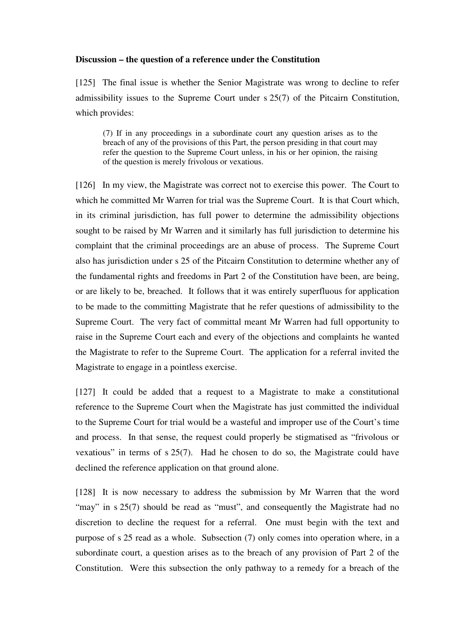#### **Discussion – the question of a reference under the Constitution**

[125] The final issue is whether the Senior Magistrate was wrong to decline to refer admissibility issues to the Supreme Court under s 25(7) of the Pitcairn Constitution, which provides:

(7) If in any proceedings in a subordinate court any question arises as to the breach of any of the provisions of this Part, the person presiding in that court may refer the question to the Supreme Court unless, in his or her opinion, the raising of the question is merely frivolous or vexatious.

[126] In my view, the Magistrate was correct not to exercise this power. The Court to which he committed Mr Warren for trial was the Supreme Court. It is that Court which, in its criminal jurisdiction, has full power to determine the admissibility objections sought to be raised by Mr Warren and it similarly has full jurisdiction to determine his complaint that the criminal proceedings are an abuse of process. The Supreme Court also has jurisdiction under s 25 of the Pitcairn Constitution to determine whether any of the fundamental rights and freedoms in Part 2 of the Constitution have been, are being, or are likely to be, breached. It follows that it was entirely superfluous for application to be made to the committing Magistrate that he refer questions of admissibility to the Supreme Court. The very fact of committal meant Mr Warren had full opportunity to raise in the Supreme Court each and every of the objections and complaints he wanted the Magistrate to refer to the Supreme Court. The application for a referral invited the Magistrate to engage in a pointless exercise.

[127] It could be added that a request to a Magistrate to make a constitutional reference to the Supreme Court when the Magistrate has just committed the individual to the Supreme Court for trial would be a wasteful and improper use of the Court's time and process. In that sense, the request could properly be stigmatised as "frivolous or vexatious" in terms of s 25(7). Had he chosen to do so, the Magistrate could have declined the reference application on that ground alone.

[128] It is now necessary to address the submission by Mr Warren that the word "may" in s 25(7) should be read as "must", and consequently the Magistrate had no discretion to decline the request for a referral. One must begin with the text and purpose of s 25 read as a whole. Subsection (7) only comes into operation where, in a subordinate court, a question arises as to the breach of any provision of Part 2 of the Constitution. Were this subsection the only pathway to a remedy for a breach of the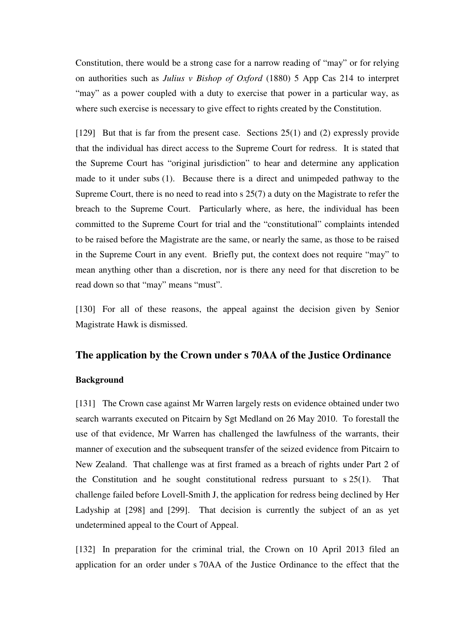Constitution, there would be a strong case for a narrow reading of "may" or for relying on authorities such as *Julius v Bishop of Oxford* (1880) 5 App Cas 214 to interpret "may" as a power coupled with a duty to exercise that power in a particular way, as where such exercise is necessary to give effect to rights created by the Constitution.

[129] But that is far from the present case. Sections 25(1) and (2) expressly provide that the individual has direct access to the Supreme Court for redress. It is stated that the Supreme Court has "original jurisdiction" to hear and determine any application made to it under subs (1). Because there is a direct and unimpeded pathway to the Supreme Court, there is no need to read into s 25(7) a duty on the Magistrate to refer the breach to the Supreme Court. Particularly where, as here, the individual has been committed to the Supreme Court for trial and the "constitutional" complaints intended to be raised before the Magistrate are the same, or nearly the same, as those to be raised in the Supreme Court in any event. Briefly put, the context does not require "may" to mean anything other than a discretion, nor is there any need for that discretion to be read down so that "may" means "must".

[130] For all of these reasons, the appeal against the decision given by Senior Magistrate Hawk is dismissed.

# **The application by the Crown under s 70AA of the Justice Ordinance**

## **Background**

[131] The Crown case against Mr Warren largely rests on evidence obtained under two search warrants executed on Pitcairn by Sgt Medland on 26 May 2010. To forestall the use of that evidence, Mr Warren has challenged the lawfulness of the warrants, their manner of execution and the subsequent transfer of the seized evidence from Pitcairn to New Zealand. That challenge was at first framed as a breach of rights under Part 2 of the Constitution and he sought constitutional redress pursuant to  $s$  25(1). That challenge failed before Lovell-Smith J, the application for redress being declined by Her Ladyship at [298] and [299]. That decision is currently the subject of an as yet undetermined appeal to the Court of Appeal.

[132] In preparation for the criminal trial, the Crown on 10 April 2013 filed an application for an order under s 70AA of the Justice Ordinance to the effect that the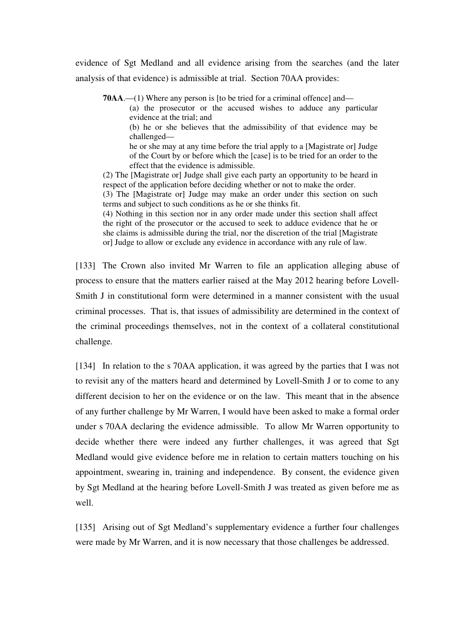evidence of Sgt Medland and all evidence arising from the searches (and the later analysis of that evidence) is admissible at trial. Section 70AA provides:

**70AA**.—(1) Where any person is [to be tried for a criminal offence] and—

(a) the prosecutor or the accused wishes to adduce any particular evidence at the trial; and

(b) he or she believes that the admissibility of that evidence may be challenged—

he or she may at any time before the trial apply to a [Magistrate or] Judge of the Court by or before which the [case] is to be tried for an order to the effect that the evidence is admissible.

(2) The [Magistrate or] Judge shall give each party an opportunity to be heard in respect of the application before deciding whether or not to make the order.

(3) The [Magistrate or] Judge may make an order under this section on such terms and subject to such conditions as he or she thinks fit.

(4) Nothing in this section nor in any order made under this section shall affect the right of the prosecutor or the accused to seek to adduce evidence that he or she claims is admissible during the trial, nor the discretion of the trial [Magistrate or] Judge to allow or exclude any evidence in accordance with any rule of law.

[133] The Crown also invited Mr Warren to file an application alleging abuse of process to ensure that the matters earlier raised at the May 2012 hearing before Lovell-Smith J in constitutional form were determined in a manner consistent with the usual criminal processes. That is, that issues of admissibility are determined in the context of the criminal proceedings themselves, not in the context of a collateral constitutional challenge.

[134] In relation to the s 70AA application, it was agreed by the parties that I was not to revisit any of the matters heard and determined by Lovell-Smith J or to come to any different decision to her on the evidence or on the law. This meant that in the absence of any further challenge by Mr Warren, I would have been asked to make a formal order under s 70AA declaring the evidence admissible. To allow Mr Warren opportunity to decide whether there were indeed any further challenges, it was agreed that Sgt Medland would give evidence before me in relation to certain matters touching on his appointment, swearing in, training and independence. By consent, the evidence given by Sgt Medland at the hearing before Lovell-Smith J was treated as given before me as well.

[135] Arising out of Sgt Medland's supplementary evidence a further four challenges were made by Mr Warren, and it is now necessary that those challenges be addressed.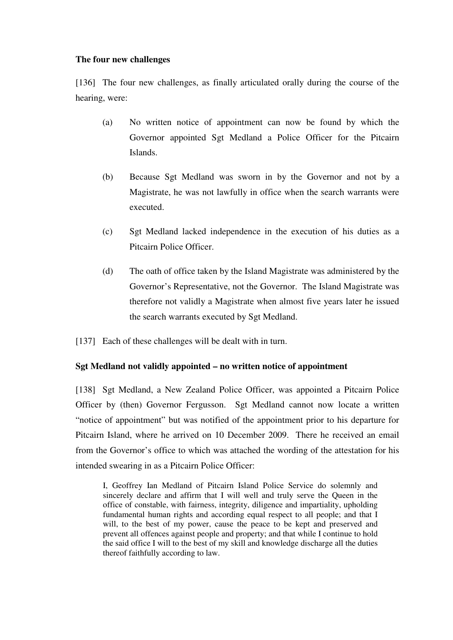### **The four new challenges**

[136] The four new challenges, as finally articulated orally during the course of the hearing, were:

- (a) No written notice of appointment can now be found by which the Governor appointed Sgt Medland a Police Officer for the Pitcairn Islands.
- (b) Because Sgt Medland was sworn in by the Governor and not by a Magistrate, he was not lawfully in office when the search warrants were executed.
- (c) Sgt Medland lacked independence in the execution of his duties as a Pitcairn Police Officer.
- (d) The oath of office taken by the Island Magistrate was administered by the Governor's Representative, not the Governor. The Island Magistrate was therefore not validly a Magistrate when almost five years later he issued the search warrants executed by Sgt Medland.
- [137] Each of these challenges will be dealt with in turn.

### **Sgt Medland not validly appointed – no written notice of appointment**

[138] Sgt Medland, a New Zealand Police Officer, was appointed a Pitcairn Police Officer by (then) Governor Fergusson. Sgt Medland cannot now locate a written "notice of appointment" but was notified of the appointment prior to his departure for Pitcairn Island, where he arrived on 10 December 2009. There he received an email from the Governor's office to which was attached the wording of the attestation for his intended swearing in as a Pitcairn Police Officer:

I, Geoffrey Ian Medland of Pitcairn Island Police Service do solemnly and sincerely declare and affirm that I will well and truly serve the Queen in the office of constable, with fairness, integrity, diligence and impartiality, upholding fundamental human rights and according equal respect to all people; and that I will, to the best of my power, cause the peace to be kept and preserved and prevent all offences against people and property; and that while I continue to hold the said office I will to the best of my skill and knowledge discharge all the duties thereof faithfully according to law.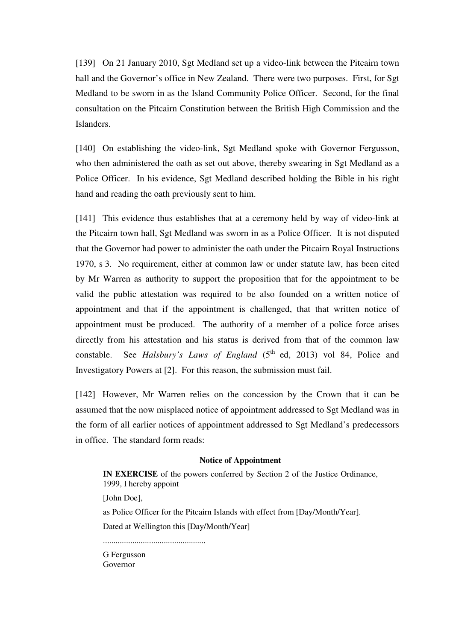[139] On 21 January 2010, Sgt Medland set up a video-link between the Pitcairn town hall and the Governor's office in New Zealand. There were two purposes. First, for Sgt Medland to be sworn in as the Island Community Police Officer. Second, for the final consultation on the Pitcairn Constitution between the British High Commission and the Islanders.

[140] On establishing the video-link, Sgt Medland spoke with Governor Fergusson, who then administered the oath as set out above, thereby swearing in Sgt Medland as a Police Officer. In his evidence, Sgt Medland described holding the Bible in his right hand and reading the oath previously sent to him.

[141] This evidence thus establishes that at a ceremony held by way of video-link at the Pitcairn town hall, Sgt Medland was sworn in as a Police Officer. It is not disputed that the Governor had power to administer the oath under the Pitcairn Royal Instructions 1970, s 3. No requirement, either at common law or under statute law, has been cited by Mr Warren as authority to support the proposition that for the appointment to be valid the public attestation was required to be also founded on a written notice of appointment and that if the appointment is challenged, that that written notice of appointment must be produced. The authority of a member of a police force arises directly from his attestation and his status is derived from that of the common law constable. See *Halsbury's Laws of England* (5<sup>th</sup> ed, 2013) vol 84, Police and Investigatory Powers at [2]. For this reason, the submission must fail.

[142] However, Mr Warren relies on the concession by the Crown that it can be assumed that the now misplaced notice of appointment addressed to Sgt Medland was in the form of all earlier notices of appointment addressed to Sgt Medland's predecessors in office. The standard form reads:

#### **Notice of Appointment**

**IN EXERCISE** of the powers conferred by Section 2 of the Justice Ordinance, 1999, I hereby appoint [John Doe], as Police Officer for the Pitcairn Islands with effect from [Day/Month/Year]. Dated at Wellington this [Day/Month/Year] ................................................. G Fergusson Governor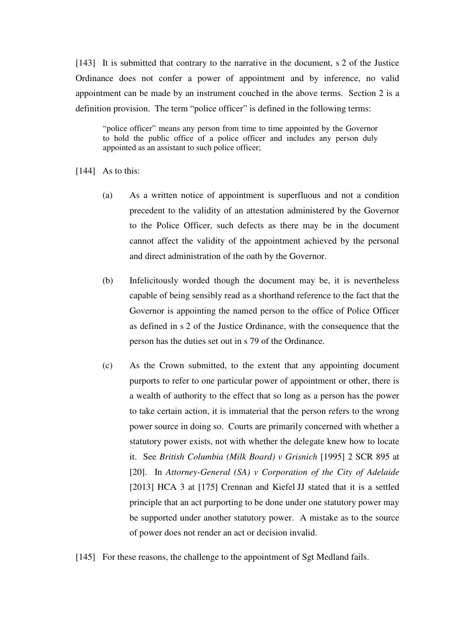[143] It is submitted that contrary to the narrative in the document, s 2 of the Justice Ordinance does not confer a power of appointment and by inference, no valid appointment can be made by an instrument couched in the above terms. Section 2 is a definition provision. The term "police officer" is defined in the following terms:

"police officer" means any person from time to time appointed by the Governor to hold the public office of a police officer and includes any person duly appointed as an assistant to such police officer;

- [144] As to this:
	- (a) As a written notice of appointment is superfluous and not a condition precedent to the validity of an attestation administered by the Governor to the Police Officer, such defects as there may be in the document cannot affect the validity of the appointment achieved by the personal and direct administration of the oath by the Governor.
	- (b) Infelicitously worded though the document may be, it is nevertheless capable of being sensibly read as a shorthand reference to the fact that the Governor is appointing the named person to the office of Police Officer as defined in s 2 of the Justice Ordinance, with the consequence that the person has the duties set out in s 79 of the Ordinance.
	- (c) As the Crown submitted, to the extent that any appointing document purports to refer to one particular power of appointment or other, there is a wealth of authority to the effect that so long as a person has the power to take certain action, it is immaterial that the person refers to the wrong power source in doing so. Courts are primarily concerned with whether a statutory power exists, not with whether the delegate knew how to locate it. See *British Columbia (Milk Board) v Grisnich* [1995] 2 SCR 895 at [20]. In *Attorney-General (SA) v Corporation of the City of Adelaide* [2013] HCA 3 at [175] Crennan and Kiefel JJ stated that it is a settled principle that an act purporting to be done under one statutory power may be supported under another statutory power. A mistake as to the source of power does not render an act or decision invalid.
- [145] For these reasons, the challenge to the appointment of Sgt Medland fails.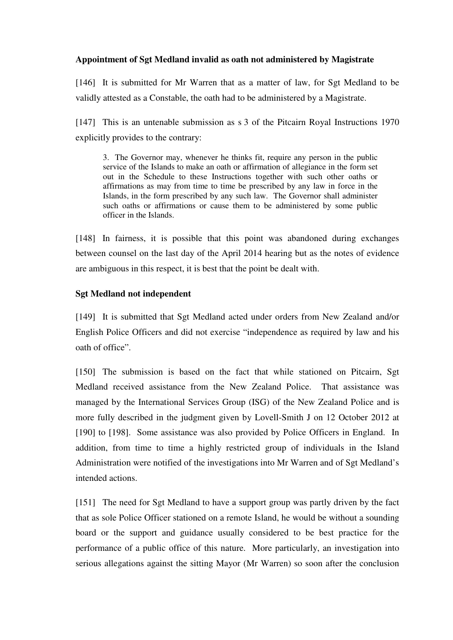## **Appointment of Sgt Medland invalid as oath not administered by Magistrate**

[146] It is submitted for Mr Warren that as a matter of law, for Sgt Medland to be validly attested as a Constable, the oath had to be administered by a Magistrate.

[147] This is an untenable submission as s 3 of the Pitcairn Royal Instructions 1970 explicitly provides to the contrary:

3. The Governor may, whenever he thinks fit, require any person in the public service of the Islands to make an oath or affirmation of allegiance in the form set out in the Schedule to these Instructions together with such other oaths or affirmations as may from time to time be prescribed by any law in force in the Islands, in the form prescribed by any such law. The Governor shall administer such oaths or affirmations or cause them to be administered by some public officer in the Islands.

[148] In fairness, it is possible that this point was abandoned during exchanges between counsel on the last day of the April 2014 hearing but as the notes of evidence are ambiguous in this respect, it is best that the point be dealt with.

## **Sgt Medland not independent**

[149] It is submitted that Sgt Medland acted under orders from New Zealand and/or English Police Officers and did not exercise "independence as required by law and his oath of office".

[150] The submission is based on the fact that while stationed on Pitcairn, Sgt Medland received assistance from the New Zealand Police. That assistance was managed by the International Services Group (ISG) of the New Zealand Police and is more fully described in the judgment given by Lovell-Smith J on 12 October 2012 at [190] to [198]. Some assistance was also provided by Police Officers in England. In addition, from time to time a highly restricted group of individuals in the Island Administration were notified of the investigations into Mr Warren and of Sgt Medland's intended actions.

[151] The need for Sgt Medland to have a support group was partly driven by the fact that as sole Police Officer stationed on a remote Island, he would be without a sounding board or the support and guidance usually considered to be best practice for the performance of a public office of this nature. More particularly, an investigation into serious allegations against the sitting Mayor (Mr Warren) so soon after the conclusion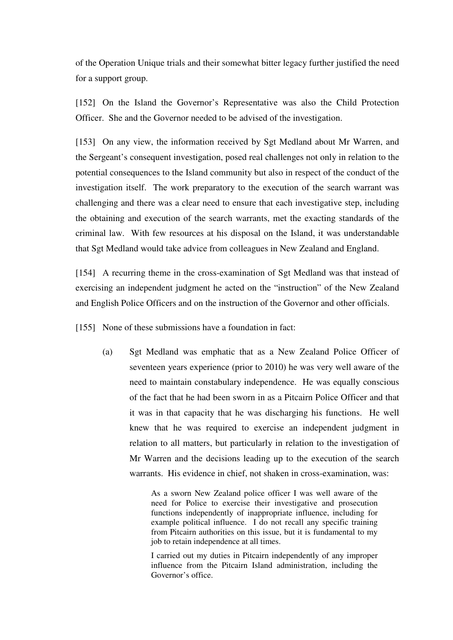of the Operation Unique trials and their somewhat bitter legacy further justified the need for a support group.

[152] On the Island the Governor's Representative was also the Child Protection Officer. She and the Governor needed to be advised of the investigation.

[153] On any view, the information received by Sgt Medland about Mr Warren, and the Sergeant's consequent investigation, posed real challenges not only in relation to the potential consequences to the Island community but also in respect of the conduct of the investigation itself. The work preparatory to the execution of the search warrant was challenging and there was a clear need to ensure that each investigative step, including the obtaining and execution of the search warrants, met the exacting standards of the criminal law. With few resources at his disposal on the Island, it was understandable that Sgt Medland would take advice from colleagues in New Zealand and England.

[154] A recurring theme in the cross-examination of Sgt Medland was that instead of exercising an independent judgment he acted on the "instruction" of the New Zealand and English Police Officers and on the instruction of the Governor and other officials.

[155] None of these submissions have a foundation in fact:

(a) Sgt Medland was emphatic that as a New Zealand Police Officer of seventeen years experience (prior to 2010) he was very well aware of the need to maintain constabulary independence. He was equally conscious of the fact that he had been sworn in as a Pitcairn Police Officer and that it was in that capacity that he was discharging his functions. He well knew that he was required to exercise an independent judgment in relation to all matters, but particularly in relation to the investigation of Mr Warren and the decisions leading up to the execution of the search warrants. His evidence in chief, not shaken in cross-examination, was:

> As a sworn New Zealand police officer I was well aware of the need for Police to exercise their investigative and prosecution functions independently of inappropriate influence, including for example political influence. I do not recall any specific training from Pitcairn authorities on this issue, but it is fundamental to my job to retain independence at all times.

> I carried out my duties in Pitcairn independently of any improper influence from the Pitcairn Island administration, including the Governor's office.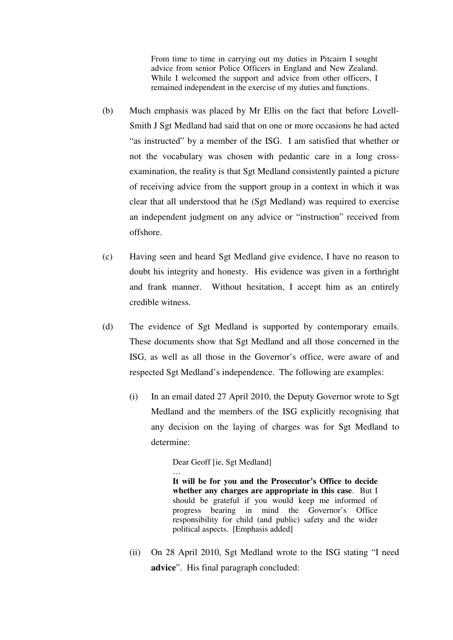From time to time in carrying out my duties in Pitcairn I sought advice from senior Police Officers in England and New Zealand. While I welcomed the support and advice from other officers, I remained independent in the exercise of my duties and functions.

- (b) Much emphasis was placed by Mr Ellis on the fact that before Lovell-Smith J Sgt Medland had said that on one or more occasions he had acted "as instructed" by a member of the ISG. I am satisfied that whether or not the vocabulary was chosen with pedantic care in a long crossexamination, the reality is that Sgt Medland consistently painted a picture of receiving advice from the support group in a context in which it was clear that all understood that he (Sgt Medland) was required to exercise an independent judgment on any advice or "instruction" received from offshore.
- (c) Having seen and heard Sgt Medland give evidence, I have no reason to doubt his integrity and honesty. His evidence was given in a forthright and frank manner. Without hesitation, I accept him as an entirely credible witness.
- (d) The evidence of Sgt Medland is supported by contemporary emails. These documents show that Sgt Medland and all those concerned in the ISG, as well as all those in the Governor's office, were aware of and respected Sgt Medland's independence. The following are examples:
	- (i) In an email dated 27 April 2010, the Deputy Governor wrote to Sgt Medland and the members of the ISG explicitly recognising that any decision on the laying of charges was for Sgt Medland to determine:

Dear Geoff [ie, Sgt Medland]

… **It will be for you and the Prosecutor's Office to decide whether any charges are appropriate in this case**. But I should be grateful if you would keep me informed of progress bearing in mind the Governor's Office responsibility for child (and public) safety and the wider political aspects. [Emphasis added]

(ii) On 28 April 2010, Sgt Medland wrote to the ISG stating "I need **advice**". His final paragraph concluded: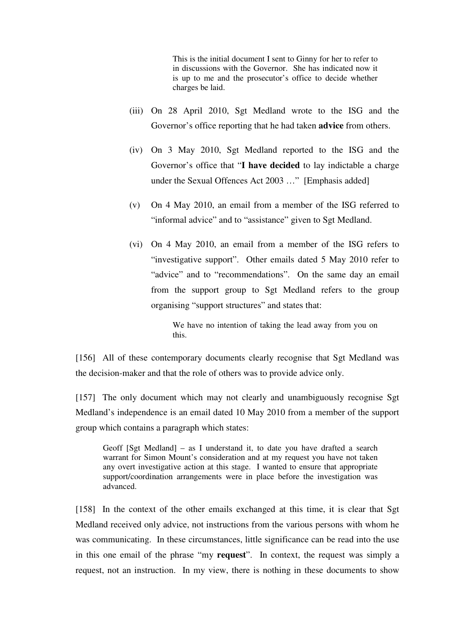This is the initial document I sent to Ginny for her to refer to in discussions with the Governor. She has indicated now it is up to me and the prosecutor's office to decide whether charges be laid.

- (iii) On 28 April 2010, Sgt Medland wrote to the ISG and the Governor's office reporting that he had taken **advice** from others.
- (iv) On 3 May 2010, Sgt Medland reported to the ISG and the Governor's office that "**I have decided** to lay indictable a charge under the Sexual Offences Act 2003 …" [Emphasis added]
- (v) On 4 May 2010, an email from a member of the ISG referred to "informal advice" and to "assistance" given to Sgt Medland.
- (vi) On 4 May 2010, an email from a member of the ISG refers to "investigative support". Other emails dated 5 May 2010 refer to "advice" and to "recommendations". On the same day an email from the support group to Sgt Medland refers to the group organising "support structures" and states that:

We have no intention of taking the lead away from you on this.

[156] All of these contemporary documents clearly recognise that Sgt Medland was the decision-maker and that the role of others was to provide advice only.

[157] The only document which may not clearly and unambiguously recognise Sgt Medland's independence is an email dated 10 May 2010 from a member of the support group which contains a paragraph which states:

Geoff [Sgt Medland] – as I understand it, to date you have drafted a search warrant for Simon Mount's consideration and at my request you have not taken any overt investigative action at this stage. I wanted to ensure that appropriate support/coordination arrangements were in place before the investigation was advanced.

[158] In the context of the other emails exchanged at this time, it is clear that Sgt Medland received only advice, not instructions from the various persons with whom he was communicating. In these circumstances, little significance can be read into the use in this one email of the phrase "my **request**". In context, the request was simply a request, not an instruction. In my view, there is nothing in these documents to show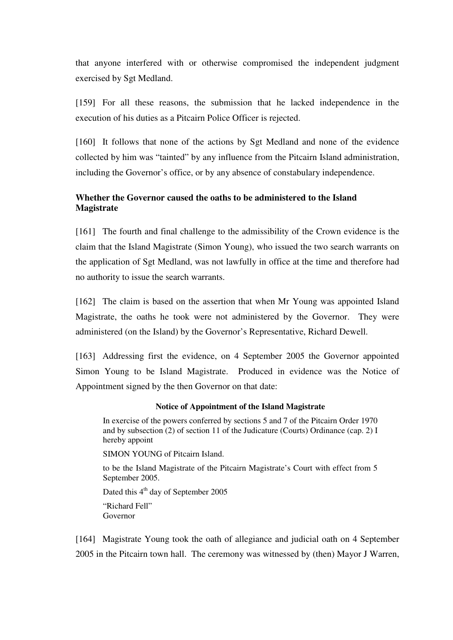that anyone interfered with or otherwise compromised the independent judgment exercised by Sgt Medland.

[159] For all these reasons, the submission that he lacked independence in the execution of his duties as a Pitcairn Police Officer is rejected.

[160] It follows that none of the actions by Sgt Medland and none of the evidence collected by him was "tainted" by any influence from the Pitcairn Island administration, including the Governor's office, or by any absence of constabulary independence.

## **Whether the Governor caused the oaths to be administered to the Island Magistrate**

[161] The fourth and final challenge to the admissibility of the Crown evidence is the claim that the Island Magistrate (Simon Young), who issued the two search warrants on the application of Sgt Medland, was not lawfully in office at the time and therefore had no authority to issue the search warrants.

[162] The claim is based on the assertion that when Mr Young was appointed Island Magistrate, the oaths he took were not administered by the Governor. They were administered (on the Island) by the Governor's Representative, Richard Dewell.

[163] Addressing first the evidence, on 4 September 2005 the Governor appointed Simon Young to be Island Magistrate. Produced in evidence was the Notice of Appointment signed by the then Governor on that date:

#### **Notice of Appointment of the Island Magistrate**

In exercise of the powers conferred by sections 5 and 7 of the Pitcairn Order 1970 and by subsection (2) of section 11 of the Judicature (Courts) Ordinance (cap. 2) I hereby appoint

SIMON YOUNG of Pitcairn Island.

to be the Island Magistrate of the Pitcairn Magistrate's Court with effect from 5 September 2005.

Dated this  $4<sup>th</sup>$  day of September 2005 "Richard Fell" Governor

[164] Magistrate Young took the oath of allegiance and judicial oath on 4 September 2005 in the Pitcairn town hall. The ceremony was witnessed by (then) Mayor J Warren,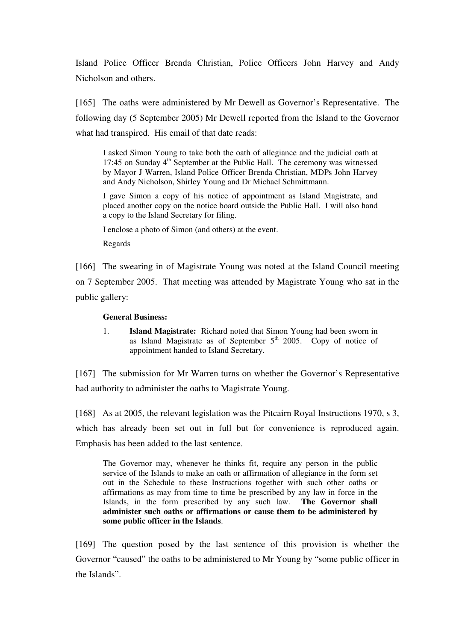Island Police Officer Brenda Christian, Police Officers John Harvey and Andy Nicholson and others.

[165] The oaths were administered by Mr Dewell as Governor's Representative. The following day (5 September 2005) Mr Dewell reported from the Island to the Governor what had transpired. His email of that date reads:

I asked Simon Young to take both the oath of allegiance and the judicial oath at 17:45 on Sunday  $4<sup>th</sup>$  September at the Public Hall. The ceremony was witnessed by Mayor J Warren, Island Police Officer Brenda Christian, MDPs John Harvey and Andy Nicholson, Shirley Young and Dr Michael Schmittmann.

I gave Simon a copy of his notice of appointment as Island Magistrate, and placed another copy on the notice board outside the Public Hall. I will also hand a copy to the Island Secretary for filing.

I enclose a photo of Simon (and others) at the event.

Regards

[166] The swearing in of Magistrate Young was noted at the Island Council meeting on 7 September 2005. That meeting was attended by Magistrate Young who sat in the public gallery:

### **General Business:**

1. **Island Magistrate:** Richard noted that Simon Young had been sworn in as Island Magistrate as of September  $5<sup>th</sup>$  2005. Copy of notice of appointment handed to Island Secretary.

[167] The submission for Mr Warren turns on whether the Governor's Representative had authority to administer the oaths to Magistrate Young.

[168] As at 2005, the relevant legislation was the Pitcairn Royal Instructions 1970, s 3, which has already been set out in full but for convenience is reproduced again. Emphasis has been added to the last sentence.

The Governor may, whenever he thinks fit, require any person in the public service of the Islands to make an oath or affirmation of allegiance in the form set out in the Schedule to these Instructions together with such other oaths or affirmations as may from time to time be prescribed by any law in force in the Islands, in the form prescribed by any such law. **The Governor shall administer such oaths or affirmations or cause them to be administered by some public officer in the Islands**.

[169] The question posed by the last sentence of this provision is whether the Governor "caused" the oaths to be administered to Mr Young by "some public officer in the Islands".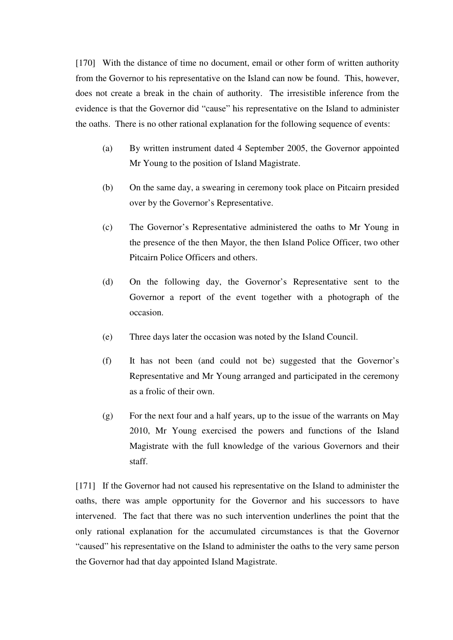[170] With the distance of time no document, email or other form of written authority from the Governor to his representative on the Island can now be found. This, however, does not create a break in the chain of authority. The irresistible inference from the evidence is that the Governor did "cause" his representative on the Island to administer the oaths. There is no other rational explanation for the following sequence of events:

- (a) By written instrument dated 4 September 2005, the Governor appointed Mr Young to the position of Island Magistrate.
- (b) On the same day, a swearing in ceremony took place on Pitcairn presided over by the Governor's Representative.
- (c) The Governor's Representative administered the oaths to Mr Young in the presence of the then Mayor, the then Island Police Officer, two other Pitcairn Police Officers and others.
- (d) On the following day, the Governor's Representative sent to the Governor a report of the event together with a photograph of the occasion.
- (e) Three days later the occasion was noted by the Island Council.
- (f) It has not been (and could not be) suggested that the Governor's Representative and Mr Young arranged and participated in the ceremony as a frolic of their own.
- (g) For the next four and a half years, up to the issue of the warrants on May 2010, Mr Young exercised the powers and functions of the Island Magistrate with the full knowledge of the various Governors and their staff.

[171] If the Governor had not caused his representative on the Island to administer the oaths, there was ample opportunity for the Governor and his successors to have intervened. The fact that there was no such intervention underlines the point that the only rational explanation for the accumulated circumstances is that the Governor "caused" his representative on the Island to administer the oaths to the very same person the Governor had that day appointed Island Magistrate.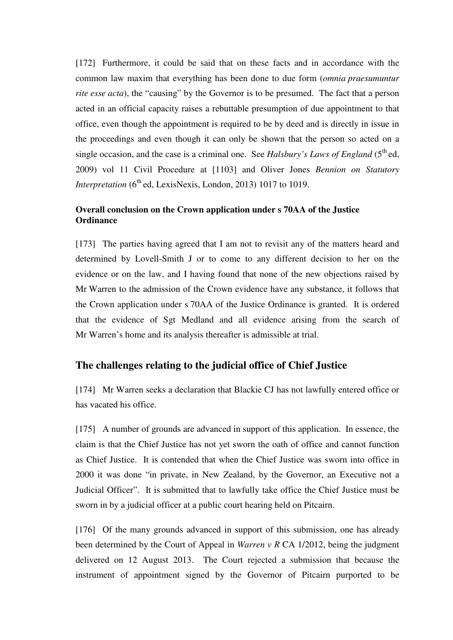[172] Furthermore, it could be said that on these facts and in accordance with the common law maxim that everything has been done to due form (*omnia praesumuntur rite esse acta*), the "causing" by the Governor is to be presumed. The fact that a person acted in an official capacity raises a rebuttable presumption of due appointment to that office, even though the appointment is required to be by deed and is directly in issue in the proceedings and even though it can only be shown that the person so acted on a single occasion, and the case is a criminal one. See *Halsbury's Laws of England* ( $5<sup>th</sup>$ ed, 2009) vol 11 Civil Procedure at [1103] and Oliver Jones *Bennion on Statutory Interpretation* (6<sup>th</sup> ed, LexisNexis, London, 2013) 1017 to 1019.

## **Overall conclusion on the Crown application under s 70AA of the Justice Ordinance**

[173] The parties having agreed that I am not to revisit any of the matters heard and determined by Lovell-Smith J or to come to any different decision to her on the evidence or on the law, and I having found that none of the new objections raised by Mr Warren to the admission of the Crown evidence have any substance, it follows that the Crown application under s 70AA of the Justice Ordinance is granted. It is ordered that the evidence of Sgt Medland and all evidence arising from the search of Mr Warren's home and its analysis thereafter is admissible at trial.

# **The challenges relating to the judicial office of Chief Justice**

[174] Mr Warren seeks a declaration that Blackie CJ has not lawfully entered office or has vacated his office.

[175] A number of grounds are advanced in support of this application. In essence, the claim is that the Chief Justice has not yet sworn the oath of office and cannot function as Chief Justice. It is contended that when the Chief Justice was sworn into office in 2000 it was done "in private, in New Zealand, by the Governor, an Executive not a Judicial Officer". It is submitted that to lawfully take office the Chief Justice must be sworn in by a judicial officer at a public court hearing held on Pitcairn.

[176] Of the many grounds advanced in support of this submission, one has already been determined by the Court of Appeal in *Warren v R* CA 1/2012, being the judgment delivered on 12 August 2013. The Court rejected a submission that because the instrument of appointment signed by the Governor of Pitcairn purported to be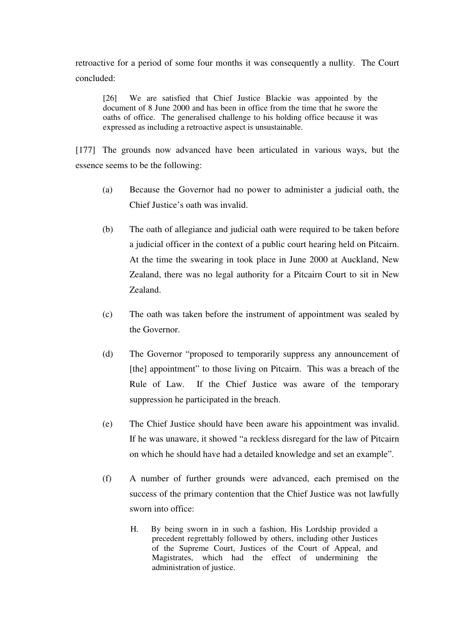retroactive for a period of some four months it was consequently a nullity. The Court concluded:

[26] We are satisfied that Chief Justice Blackie was appointed by the document of 8 June 2000 and has been in office from the time that he swore the oaths of office. The generalised challenge to his holding office because it was expressed as including a retroactive aspect is unsustainable.

[177] The grounds now advanced have been articulated in various ways, but the essence seems to be the following:

- (a) Because the Governor had no power to administer a judicial oath, the Chief Justice's oath was invalid.
- (b) The oath of allegiance and judicial oath were required to be taken before a judicial officer in the context of a public court hearing held on Pitcairn. At the time the swearing in took place in June 2000 at Auckland, New Zealand, there was no legal authority for a Pitcairn Court to sit in New Zealand.
- (c) The oath was taken before the instrument of appointment was sealed by the Governor.
- (d) The Governor "proposed to temporarily suppress any announcement of [the] appointment" to those living on Pitcairn. This was a breach of the Rule of Law. If the Chief Justice was aware of the temporary suppression he participated in the breach.
- (e) The Chief Justice should have been aware his appointment was invalid. If he was unaware, it showed "a reckless disregard for the law of Pitcairn on which he should have had a detailed knowledge and set an example".
- (f) A number of further grounds were advanced, each premised on the success of the primary contention that the Chief Justice was not lawfully sworn into office:
	- H. By being sworn in in such a fashion, His Lordship provided a precedent regrettably followed by others, including other Justices of the Supreme Court, Justices of the Court of Appeal, and Magistrates, which had the effect of undermining the administration of justice.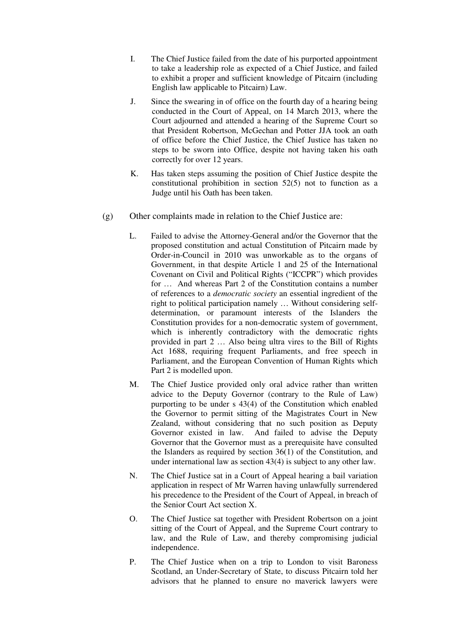- I. The Chief Justice failed from the date of his purported appointment to take a leadership role as expected of a Chief Justice, and failed to exhibit a proper and sufficient knowledge of Pitcairn (including English law applicable to Pitcairn) Law.
- J. Since the swearing in of office on the fourth day of a hearing being conducted in the Court of Appeal, on 14 March 2013, where the Court adjourned and attended a hearing of the Supreme Court so that President Robertson, McGechan and Potter JJA took an oath of office before the Chief Justice, the Chief Justice has taken no steps to be sworn into Office, despite not having taken his oath correctly for over 12 years.
- K. Has taken steps assuming the position of Chief Justice despite the constitutional prohibition in section 52(5) not to function as a Judge until his Oath has been taken.
- (g) Other complaints made in relation to the Chief Justice are:
	- L. Failed to advise the Attorney-General and/or the Governor that the proposed constitution and actual Constitution of Pitcairn made by Order-in-Council in 2010 was unworkable as to the organs of Government, in that despite Article 1 and 25 of the International Covenant on Civil and Political Rights ("ICCPR") which provides for … And whereas Part 2 of the Constitution contains a number of references to a *democratic society* an essential ingredient of the right to political participation namely … Without considering selfdetermination, or paramount interests of the Islanders the Constitution provides for a non-democratic system of government, which is inherently contradictory with the democratic rights provided in part 2 … Also being ultra vires to the Bill of Rights Act 1688, requiring frequent Parliaments, and free speech in Parliament, and the European Convention of Human Rights which Part 2 is modelled upon.
	- M. The Chief Justice provided only oral advice rather than written advice to the Deputy Governor (contrary to the Rule of Law) purporting to be under s 43(4) of the Constitution which enabled the Governor to permit sitting of the Magistrates Court in New Zealand, without considering that no such position as Deputy Governor existed in law. And failed to advise the Deputy Governor that the Governor must as a prerequisite have consulted the Islanders as required by section 36(1) of the Constitution, and under international law as section 43(4) is subject to any other law.
	- N. The Chief Justice sat in a Court of Appeal hearing a bail variation application in respect of Mr Warren having unlawfully surrendered his precedence to the President of the Court of Appeal, in breach of the Senior Court Act section X.
	- O. The Chief Justice sat together with President Robertson on a joint sitting of the Court of Appeal, and the Supreme Court contrary to law, and the Rule of Law, and thereby compromising judicial independence.
	- P. The Chief Justice when on a trip to London to visit Baroness Scotland, an Under-Secretary of State, to discuss Pitcairn told her advisors that he planned to ensure no maverick lawyers were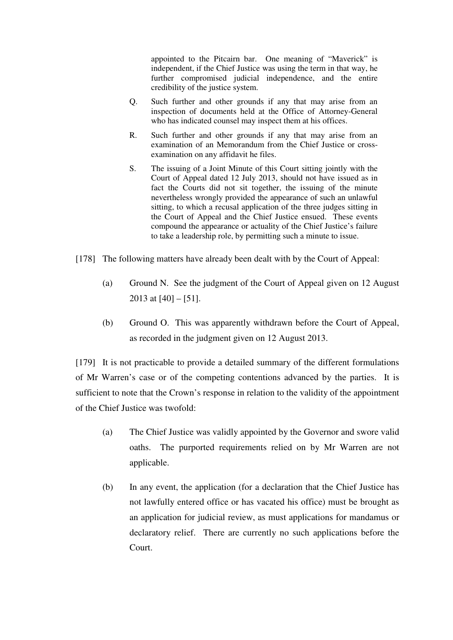appointed to the Pitcairn bar. One meaning of "Maverick" is independent, if the Chief Justice was using the term in that way, he further compromised judicial independence, and the entire credibility of the justice system.

- Q. Such further and other grounds if any that may arise from an inspection of documents held at the Office of Attorney-General who has indicated counsel may inspect them at his offices.
- R. Such further and other grounds if any that may arise from an examination of an Memorandum from the Chief Justice or crossexamination on any affidavit he files.
- S. The issuing of a Joint Minute of this Court sitting jointly with the Court of Appeal dated 12 July 2013, should not have issued as in fact the Courts did not sit together, the issuing of the minute nevertheless wrongly provided the appearance of such an unlawful sitting, to which a recusal application of the three judges sitting in the Court of Appeal and the Chief Justice ensued. These events compound the appearance or actuality of the Chief Justice's failure to take a leadership role, by permitting such a minute to issue.
- [178] The following matters have already been dealt with by the Court of Appeal:
	- (a) Ground N. See the judgment of the Court of Appeal given on 12 August 2013 at  $[40] - [51]$ .
	- (b) Ground O. This was apparently withdrawn before the Court of Appeal, as recorded in the judgment given on 12 August 2013.

[179] It is not practicable to provide a detailed summary of the different formulations of Mr Warren's case or of the competing contentions advanced by the parties. It is sufficient to note that the Crown's response in relation to the validity of the appointment of the Chief Justice was twofold:

- (a) The Chief Justice was validly appointed by the Governor and swore valid oaths. The purported requirements relied on by Mr Warren are not applicable.
- (b) In any event, the application (for a declaration that the Chief Justice has not lawfully entered office or has vacated his office) must be brought as an application for judicial review, as must applications for mandamus or declaratory relief. There are currently no such applications before the Court.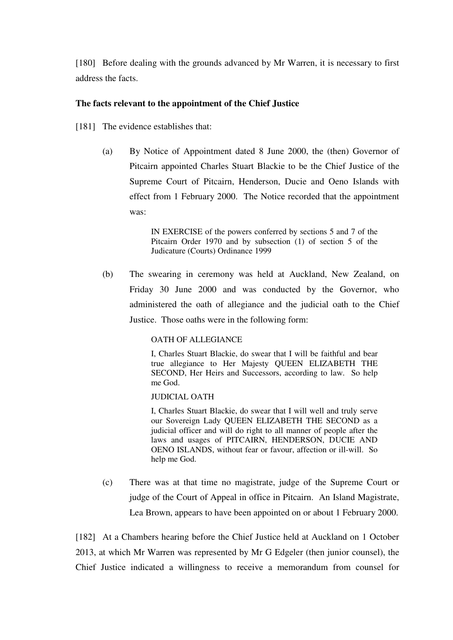[180] Before dealing with the grounds advanced by Mr Warren, it is necessary to first address the facts.

## **The facts relevant to the appointment of the Chief Justice**

[181] The evidence establishes that:

(a) By Notice of Appointment dated 8 June 2000, the (then) Governor of Pitcairn appointed Charles Stuart Blackie to be the Chief Justice of the Supreme Court of Pitcairn, Henderson, Ducie and Oeno Islands with effect from 1 February 2000. The Notice recorded that the appointment was:

> IN EXERCISE of the powers conferred by sections 5 and 7 of the Pitcairn Order 1970 and by subsection (1) of section 5 of the Judicature (Courts) Ordinance 1999

(b) The swearing in ceremony was held at Auckland, New Zealand, on Friday 30 June 2000 and was conducted by the Governor, who administered the oath of allegiance and the judicial oath to the Chief Justice. Those oaths were in the following form:

## OATH OF ALLEGIANCE

I, Charles Stuart Blackie, do swear that I will be faithful and bear true allegiance to Her Majesty QUEEN ELIZABETH THE SECOND, Her Heirs and Successors, according to law. So help me God.

### JUDICIAL OATH

I, Charles Stuart Blackie, do swear that I will well and truly serve our Sovereign Lady QUEEN ELIZABETH THE SECOND as a judicial officer and will do right to all manner of people after the laws and usages of PITCAIRN, HENDERSON, DUCIE AND OENO ISLANDS, without fear or favour, affection or ill-will. So help me God.

(c) There was at that time no magistrate, judge of the Supreme Court or judge of the Court of Appeal in office in Pitcairn. An Island Magistrate, Lea Brown, appears to have been appointed on or about 1 February 2000.

[182] At a Chambers hearing before the Chief Justice held at Auckland on 1 October 2013, at which Mr Warren was represented by Mr G Edgeler (then junior counsel), the Chief Justice indicated a willingness to receive a memorandum from counsel for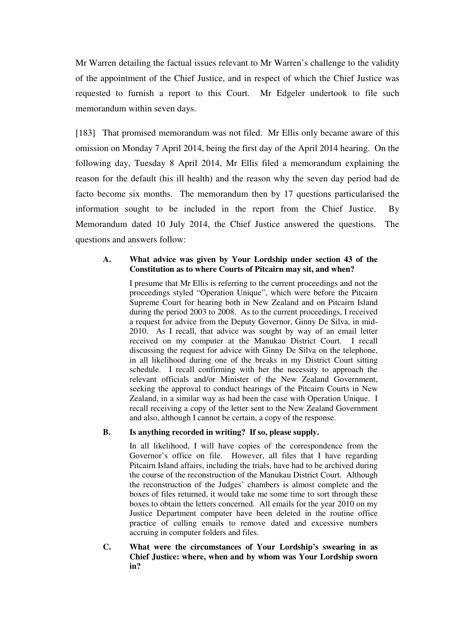Mr Warren detailing the factual issues relevant to Mr Warren's challenge to the validity of the appointment of the Chief Justice, and in respect of which the Chief Justice was requested to furnish a report to this Court. Mr Edgeler undertook to file such memorandum within seven days.

[183] That promised memorandum was not filed. Mr Ellis only became aware of this omission on Monday 7 April 2014, being the first day of the April 2014 hearing. On the following day, Tuesday 8 April 2014, Mr Ellis filed a memorandum explaining the reason for the default (his ill health) and the reason why the seven day period had de facto become six months. The memorandum then by 17 questions particularised the information sought to be included in the report from the Chief Justice. By Memorandum dated 10 July 2014, the Chief Justice answered the questions. The questions and answers follow:

## **A. What advice was given by Your Lordship under section 43 of the Constitution as to where Courts of Pitcairn may sit, and when?**

I presume that Mr Ellis is referring to the current proceedings and not the proceedings styled "Operation Unique", which were before the Pitcairn Supreme Court for hearing both in New Zealand and on Pitcairn Island during the period 2003 to 2008. As to the current proceedings, I received a request for advice from the Deputy Governor, Ginny De Silva, in mid-2010. As I recall, that advice was sought by way of an email letter received on my computer at the Manukau District Court. I recall discussing the request for advice with Ginny De Silva on the telephone, in all likelihood during one of the breaks in my District Court sitting schedule. I recall confirming with her the necessity to approach the relevant officials and/or Minister of the New Zealand Government, seeking the approval to conduct hearings of the Pitcairn Courts in New Zealand, in a similar way as had been the case with Operation Unique. I recall receiving a copy of the letter sent to the New Zealand Government and also, although I cannot be certain, a copy of the response.

## **B. Is anything recorded in writing? If so, please supply.**

In all likelihood, I will have copies of the correspondence from the Governor's office on file. However, all files that I have regarding Pitcairn Island affairs, including the trials, have had to be archived during the course of the reconstruction of the Manukau District Court. Although the reconstruction of the Judges' chambers is almost complete and the boxes of files returned, it would take me some time to sort through these boxes to obtain the letters concerned. All emails for the year 2010 on my Justice Department computer have been deleted in the routine office practice of culling emails to remove dated and excessive numbers accruing in computer folders and files.

**C. What were the circumstances of Your Lordship's swearing in as Chief Justice: where, when and by whom was Your Lordship sworn in?**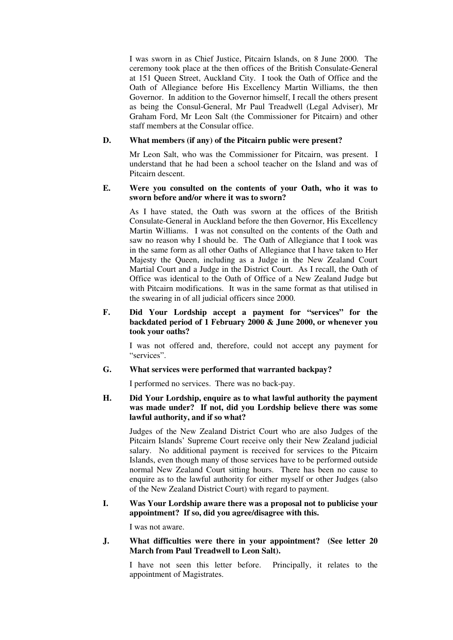I was sworn in as Chief Justice, Pitcairn Islands, on 8 June 2000. The ceremony took place at the then offices of the British Consulate-General at 151 Queen Street, Auckland City. I took the Oath of Office and the Oath of Allegiance before His Excellency Martin Williams, the then Governor. In addition to the Governor himself, I recall the others present as being the Consul-General, Mr Paul Treadwell (Legal Adviser), Mr Graham Ford, Mr Leon Salt (the Commissioner for Pitcairn) and other staff members at the Consular office.

## **D. What members (if any) of the Pitcairn public were present?**

Mr Leon Salt, who was the Commissioner for Pitcairn, was present. I understand that he had been a school teacher on the Island and was of Pitcairn descent.

#### **E. Were you consulted on the contents of your Oath, who it was to sworn before and/or where it was to sworn?**

As I have stated, the Oath was sworn at the offices of the British Consulate-General in Auckland before the then Governor, His Excellency Martin Williams. I was not consulted on the contents of the Oath and saw no reason why I should be. The Oath of Allegiance that I took was in the same form as all other Oaths of Allegiance that I have taken to Her Majesty the Queen, including as a Judge in the New Zealand Court Martial Court and a Judge in the District Court. As I recall, the Oath of Office was identical to the Oath of Office of a New Zealand Judge but with Pitcairn modifications. It was in the same format as that utilised in the swearing in of all judicial officers since 2000.

## **F. Did Your Lordship accept a payment for "services" for the backdated period of 1 February 2000 & June 2000, or whenever you took your oaths?**

I was not offered and, therefore, could not accept any payment for "services".

#### **G. What services were performed that warranted backpay?**

I performed no services. There was no back-pay.

**H. Did Your Lordship, enquire as to what lawful authority the payment was made under? If not, did you Lordship believe there was some lawful authority, and if so what?** 

Judges of the New Zealand District Court who are also Judges of the Pitcairn Islands' Supreme Court receive only their New Zealand judicial salary. No additional payment is received for services to the Pitcairn Islands, even though many of those services have to be performed outside normal New Zealand Court sitting hours. There has been no cause to enquire as to the lawful authority for either myself or other Judges (also of the New Zealand District Court) with regard to payment.

### **I. Was Your Lordship aware there was a proposal not to publicise your appointment? If so, did you agree/disagree with this.**

I was not aware.

#### **J. What difficulties were there in your appointment? (See letter 20 March from Paul Treadwell to Leon Salt).**

I have not seen this letter before. Principally, it relates to the appointment of Magistrates.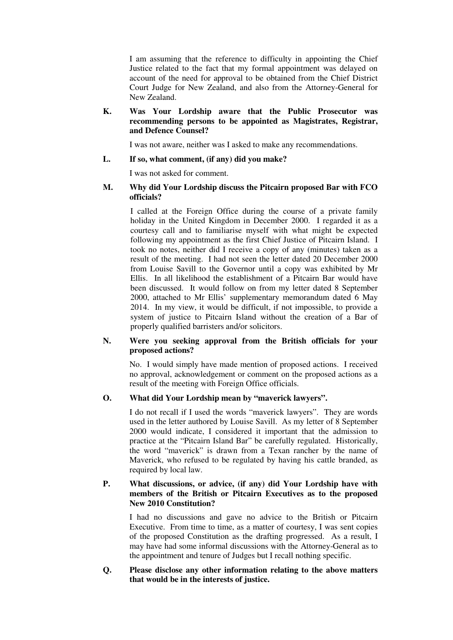I am assuming that the reference to difficulty in appointing the Chief Justice related to the fact that my formal appointment was delayed on account of the need for approval to be obtained from the Chief District Court Judge for New Zealand, and also from the Attorney-General for New Zealand.

#### **K. Was Your Lordship aware that the Public Prosecutor was recommending persons to be appointed as Magistrates, Registrar, and Defence Counsel?**

I was not aware, neither was I asked to make any recommendations.

### **L. If so, what comment, (if any) did you make?**

I was not asked for comment.

### **M. Why did Your Lordship discuss the Pitcairn proposed Bar with FCO officials?**

I called at the Foreign Office during the course of a private family holiday in the United Kingdom in December 2000. I regarded it as a courtesy call and to familiarise myself with what might be expected following my appointment as the first Chief Justice of Pitcairn Island. I took no notes, neither did I receive a copy of any (minutes) taken as a result of the meeting. I had not seen the letter dated 20 December 2000 from Louise Savill to the Governor until a copy was exhibited by Mr Ellis. In all likelihood the establishment of a Pitcairn Bar would have been discussed. It would follow on from my letter dated 8 September 2000, attached to Mr Ellis' supplementary memorandum dated 6 May 2014. In my view, it would be difficult, if not impossible, to provide a system of justice to Pitcairn Island without the creation of a Bar of properly qualified barristers and/or solicitors.

### **N. Were you seeking approval from the British officials for your proposed actions?**

No. I would simply have made mention of proposed actions. I received no approval, acknowledgement or comment on the proposed actions as a result of the meeting with Foreign Office officials.

## **O. What did Your Lordship mean by "maverick lawyers".**

I do not recall if I used the words "maverick lawyers". They are words used in the letter authored by Louise Savill. As my letter of 8 September 2000 would indicate, I considered it important that the admission to practice at the "Pitcairn Island Bar" be carefully regulated. Historically, the word "maverick" is drawn from a Texan rancher by the name of Maverick, who refused to be regulated by having his cattle branded, as required by local law.

## **P. What discussions, or advice, (if any) did Your Lordship have with members of the British or Pitcairn Executives as to the proposed New 2010 Constitution?**

I had no discussions and gave no advice to the British or Pitcairn Executive. From time to time, as a matter of courtesy, I was sent copies of the proposed Constitution as the drafting progressed. As a result, I may have had some informal discussions with the Attorney-General as to the appointment and tenure of Judges but I recall nothing specific.

#### **Q. Please disclose any other information relating to the above matters that would be in the interests of justice.**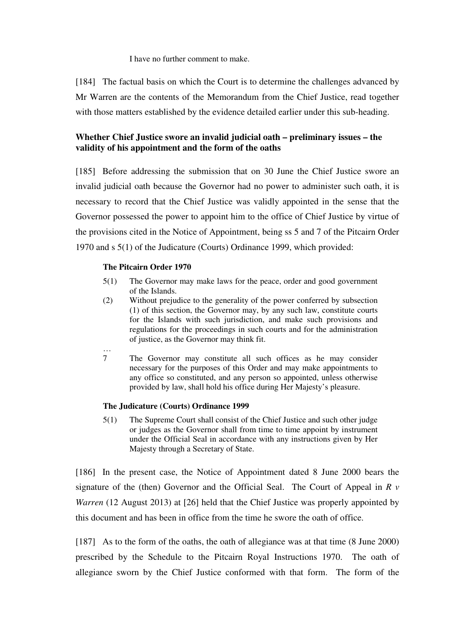I have no further comment to make.

[184] The factual basis on which the Court is to determine the challenges advanced by Mr Warren are the contents of the Memorandum from the Chief Justice, read together with those matters established by the evidence detailed earlier under this sub-heading.

# **Whether Chief Justice swore an invalid judicial oath – preliminary issues – the validity of his appointment and the form of the oaths**

[185] Before addressing the submission that on 30 June the Chief Justice swore an invalid judicial oath because the Governor had no power to administer such oath, it is necessary to record that the Chief Justice was validly appointed in the sense that the Governor possessed the power to appoint him to the office of Chief Justice by virtue of the provisions cited in the Notice of Appointment, being ss 5 and 7 of the Pitcairn Order 1970 and s 5(1) of the Judicature (Courts) Ordinance 1999, which provided:

## **The Pitcairn Order 1970**

- 5(1) The Governor may make laws for the peace, order and good government of the Islands.
- (2) Without prejudice to the generality of the power conferred by subsection (1) of this section, the Governor may, by any such law, constitute courts for the Islands with such jurisdiction, and make such provisions and regulations for the proceedings in such courts and for the administration of justice, as the Governor may think fit.
- $\frac{...}{7}$ 7 The Governor may constitute all such offices as he may consider necessary for the purposes of this Order and may make appointments to any office so constituted, and any person so appointed, unless otherwise provided by law, shall hold his office during Her Majesty's pleasure.

#### **The Judicature (Courts) Ordinance 1999**

5(1) The Supreme Court shall consist of the Chief Justice and such other judge or judges as the Governor shall from time to time appoint by instrument under the Official Seal in accordance with any instructions given by Her Majesty through a Secretary of State.

[186] In the present case, the Notice of Appointment dated 8 June 2000 bears the signature of the (then) Governor and the Official Seal. The Court of Appeal in *R v Warren* (12 August 2013) at [26] held that the Chief Justice was properly appointed by this document and has been in office from the time he swore the oath of office.

[187] As to the form of the oaths, the oath of allegiance was at that time (8 June 2000) prescribed by the Schedule to the Pitcairn Royal Instructions 1970. The oath of allegiance sworn by the Chief Justice conformed with that form. The form of the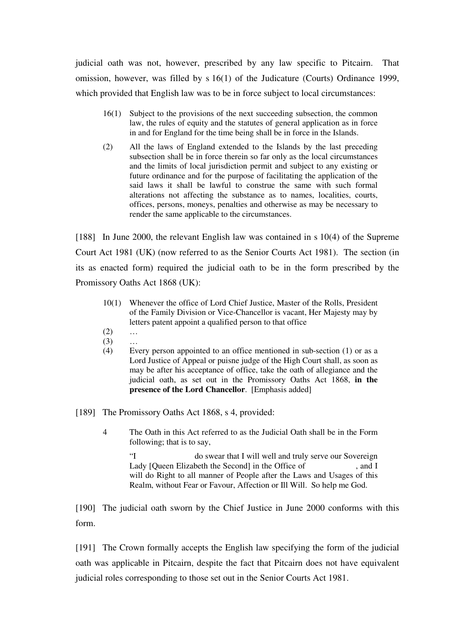judicial oath was not, however, prescribed by any law specific to Pitcairn. That omission, however, was filled by s 16(1) of the Judicature (Courts) Ordinance 1999, which provided that English law was to be in force subject to local circumstances:

- 16(1) Subject to the provisions of the next succeeding subsection, the common law, the rules of equity and the statutes of general application as in force in and for England for the time being shall be in force in the Islands.
- (2) All the laws of England extended to the Islands by the last preceding subsection shall be in force therein so far only as the local circumstances and the limits of local jurisdiction permit and subject to any existing or future ordinance and for the purpose of facilitating the application of the said laws it shall be lawful to construe the same with such formal alterations not affecting the substance as to names, localities, courts, offices, persons, moneys, penalties and otherwise as may be necessary to render the same applicable to the circumstances.

[188] In June 2000, the relevant English law was contained in s 10(4) of the Supreme Court Act 1981 (UK) (now referred to as the Senior Courts Act 1981). The section (in its as enacted form) required the judicial oath to be in the form prescribed by the Promissory Oaths Act 1868 (UK):

- 10(1) Whenever the office of Lord Chief Justice, Master of the Rolls, President of the Family Division or Vice-Chancellor is vacant, Her Majesty may by letters patent appoint a qualified person to that office
- $(2)$  ...
- (3) …
- (4) Every person appointed to an office mentioned in sub-section (1) or as a Lord Justice of Appeal or puisne judge of the High Court shall, as soon as may be after his acceptance of office, take the oath of allegiance and the judicial oath, as set out in the Promissory Oaths Act 1868, **in the presence of the Lord Chancellor**. [Emphasis added]

[189] The Promissory Oaths Act 1868, s 4, provided:

4 The Oath in this Act referred to as the Judicial Oath shall be in the Form following; that is to say,

"I do swear that I will well and truly serve our Sovereign Lady [Queen Elizabeth the Second] in the Office of , and I will do Right to all manner of People after the Laws and Usages of this Realm, without Fear or Favour, Affection or Ill Will. So help me God.

[190] The judicial oath sworn by the Chief Justice in June 2000 conforms with this form.

[191] The Crown formally accepts the English law specifying the form of the judicial oath was applicable in Pitcairn, despite the fact that Pitcairn does not have equivalent judicial roles corresponding to those set out in the Senior Courts Act 1981.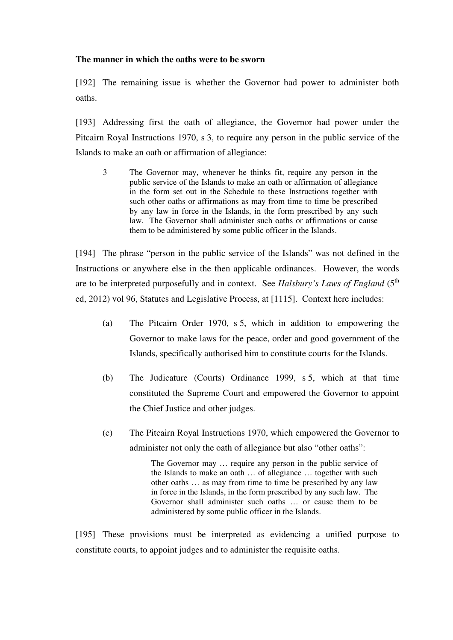## **The manner in which the oaths were to be sworn**

[192] The remaining issue is whether the Governor had power to administer both oaths.

[193] Addressing first the oath of allegiance, the Governor had power under the Pitcairn Royal Instructions 1970, s 3, to require any person in the public service of the Islands to make an oath or affirmation of allegiance:

3 The Governor may, whenever he thinks fit, require any person in the public service of the Islands to make an oath or affirmation of allegiance in the form set out in the Schedule to these Instructions together with such other oaths or affirmations as may from time to time be prescribed by any law in force in the Islands, in the form prescribed by any such law. The Governor shall administer such oaths or affirmations or cause them to be administered by some public officer in the Islands.

[194] The phrase "person in the public service of the Islands" was not defined in the Instructions or anywhere else in the then applicable ordinances. However, the words are to be interpreted purposefully and in context. See *Halsbury's Laws of England* (5<sup>th</sup>) ed, 2012) vol 96, Statutes and Legislative Process, at [1115]. Context here includes:

- (a) The Pitcairn Order 1970, s 5, which in addition to empowering the Governor to make laws for the peace, order and good government of the Islands, specifically authorised him to constitute courts for the Islands.
- (b) The Judicature (Courts) Ordinance 1999, s 5, which at that time constituted the Supreme Court and empowered the Governor to appoint the Chief Justice and other judges.
- (c) The Pitcairn Royal Instructions 1970, which empowered the Governor to administer not only the oath of allegiance but also "other oaths":

The Governor may … require any person in the public service of the Islands to make an oath … of allegiance … together with such other oaths … as may from time to time be prescribed by any law in force in the Islands, in the form prescribed by any such law. The Governor shall administer such oaths … or cause them to be administered by some public officer in the Islands.

[195] These provisions must be interpreted as evidencing a unified purpose to constitute courts, to appoint judges and to administer the requisite oaths.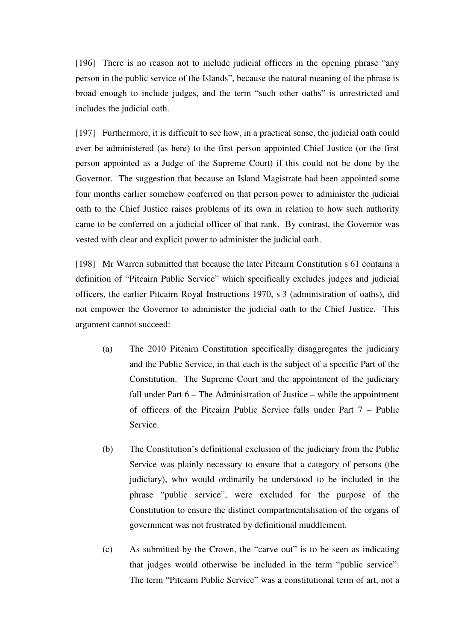[196] There is no reason not to include judicial officers in the opening phrase "any person in the public service of the Islands", because the natural meaning of the phrase is broad enough to include judges, and the term "such other oaths" is unrestricted and includes the judicial oath.

[197] Furthermore, it is difficult to see how, in a practical sense, the judicial oath could ever be administered (as here) to the first person appointed Chief Justice (or the first person appointed as a Judge of the Supreme Court) if this could not be done by the Governor. The suggestion that because an Island Magistrate had been appointed some four months earlier somehow conferred on that person power to administer the judicial oath to the Chief Justice raises problems of its own in relation to how such authority came to be conferred on a judicial officer of that rank. By contrast, the Governor was vested with clear and explicit power to administer the judicial oath.

[198] Mr Warren submitted that because the later Pitcairn Constitution s 61 contains a definition of "Pitcairn Public Service" which specifically excludes judges and judicial officers, the earlier Pitcairn Royal Instructions 1970, s 3 (administration of oaths), did not empower the Governor to administer the judicial oath to the Chief Justice. This argument cannot succeed:

- (a) The 2010 Pitcairn Constitution specifically disaggregates the judiciary and the Public Service, in that each is the subject of a specific Part of the Constitution. The Supreme Court and the appointment of the judiciary fall under Part 6 – The Administration of Justice – while the appointment of officers of the Pitcairn Public Service falls under Part 7 – Public Service.
- (b) The Constitution's definitional exclusion of the judiciary from the Public Service was plainly necessary to ensure that a category of persons (the judiciary), who would ordinarily be understood to be included in the phrase "public service", were excluded for the purpose of the Constitution to ensure the distinct compartmentalisation of the organs of government was not frustrated by definitional muddlement.
- (c) As submitted by the Crown, the "carve out" is to be seen as indicating that judges would otherwise be included in the term "public service". The term "Pitcairn Public Service" was a constitutional term of art, not a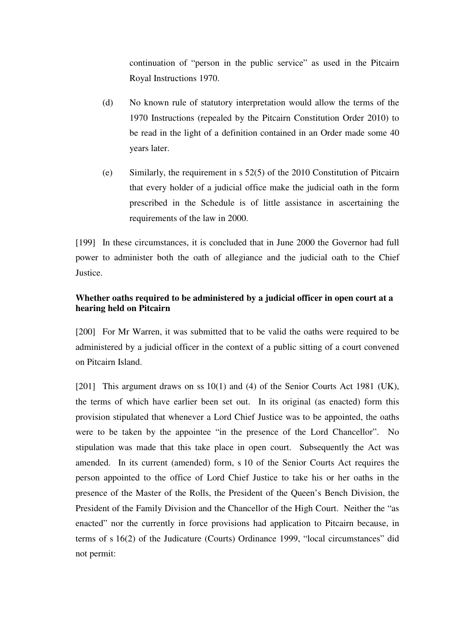continuation of "person in the public service" as used in the Pitcairn Royal Instructions 1970.

- (d) No known rule of statutory interpretation would allow the terms of the 1970 Instructions (repealed by the Pitcairn Constitution Order 2010) to be read in the light of a definition contained in an Order made some 40 years later.
- (e) Similarly, the requirement in s 52(5) of the 2010 Constitution of Pitcairn that every holder of a judicial office make the judicial oath in the form prescribed in the Schedule is of little assistance in ascertaining the requirements of the law in 2000.

[199] In these circumstances, it is concluded that in June 2000 the Governor had full power to administer both the oath of allegiance and the judicial oath to the Chief Justice.

# **Whether oaths required to be administered by a judicial officer in open court at a hearing held on Pitcairn**

[200] For Mr Warren, it was submitted that to be valid the oaths were required to be administered by a judicial officer in the context of a public sitting of a court convened on Pitcairn Island.

[201] This argument draws on ss 10(1) and (4) of the Senior Courts Act 1981 (UK), the terms of which have earlier been set out. In its original (as enacted) form this provision stipulated that whenever a Lord Chief Justice was to be appointed, the oaths were to be taken by the appointee "in the presence of the Lord Chancellor". No stipulation was made that this take place in open court. Subsequently the Act was amended. In its current (amended) form, s 10 of the Senior Courts Act requires the person appointed to the office of Lord Chief Justice to take his or her oaths in the presence of the Master of the Rolls, the President of the Queen's Bench Division, the President of the Family Division and the Chancellor of the High Court. Neither the "as enacted" nor the currently in force provisions had application to Pitcairn because, in terms of s 16(2) of the Judicature (Courts) Ordinance 1999, "local circumstances" did not permit: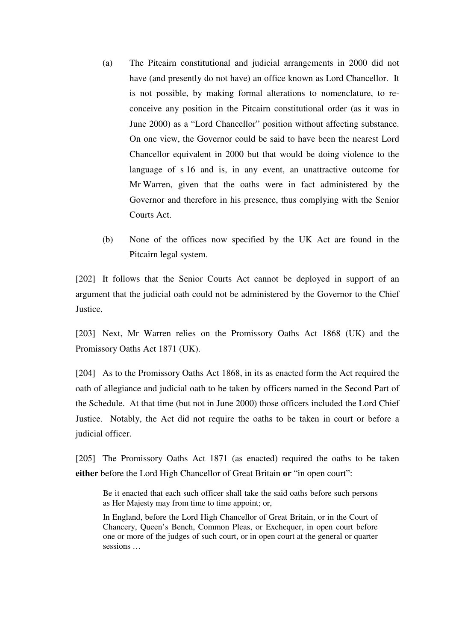- (a) The Pitcairn constitutional and judicial arrangements in 2000 did not have (and presently do not have) an office known as Lord Chancellor. It is not possible, by making formal alterations to nomenclature, to reconceive any position in the Pitcairn constitutional order (as it was in June 2000) as a "Lord Chancellor" position without affecting substance. On one view, the Governor could be said to have been the nearest Lord Chancellor equivalent in 2000 but that would be doing violence to the language of s 16 and is, in any event, an unattractive outcome for Mr Warren, given that the oaths were in fact administered by the Governor and therefore in his presence, thus complying with the Senior Courts Act.
- (b) None of the offices now specified by the UK Act are found in the Pitcairn legal system.

[202] It follows that the Senior Courts Act cannot be deployed in support of an argument that the judicial oath could not be administered by the Governor to the Chief Justice.

[203] Next, Mr Warren relies on the Promissory Oaths Act 1868 (UK) and the Promissory Oaths Act 1871 (UK).

[204] As to the Promissory Oaths Act 1868, in its as enacted form the Act required the oath of allegiance and judicial oath to be taken by officers named in the Second Part of the Schedule. At that time (but not in June 2000) those officers included the Lord Chief Justice. Notably, the Act did not require the oaths to be taken in court or before a judicial officer.

[205] The Promissory Oaths Act 1871 (as enacted) required the oaths to be taken **either** before the Lord High Chancellor of Great Britain **or** "in open court":

Be it enacted that each such officer shall take the said oaths before such persons as Her Majesty may from time to time appoint; or,

In England, before the Lord High Chancellor of Great Britain, or in the Court of Chancery, Queen's Bench, Common Pleas, or Exchequer, in open court before one or more of the judges of such court, or in open court at the general or quarter sessions …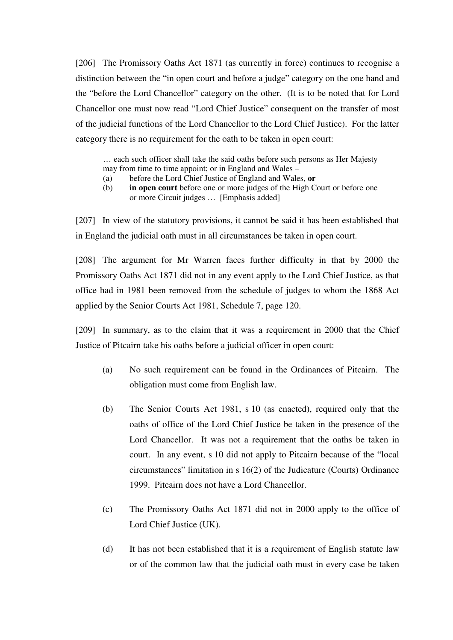[206] The Promissory Oaths Act 1871 (as currently in force) continues to recognise a distinction between the "in open court and before a judge" category on the one hand and the "before the Lord Chancellor" category on the other. (It is to be noted that for Lord Chancellor one must now read "Lord Chief Justice" consequent on the transfer of most of the judicial functions of the Lord Chancellor to the Lord Chief Justice). For the latter category there is no requirement for the oath to be taken in open court:

… each such officer shall take the said oaths before such persons as Her Majesty may from time to time appoint; or in England and Wales –

- (a) before the Lord Chief Justice of England and Wales, **or**
- (b) **in open court** before one or more judges of the High Court or before one or more Circuit judges … [Emphasis added]

[207] In view of the statutory provisions, it cannot be said it has been established that in England the judicial oath must in all circumstances be taken in open court.

[208] The argument for Mr Warren faces further difficulty in that by 2000 the Promissory Oaths Act 1871 did not in any event apply to the Lord Chief Justice, as that office had in 1981 been removed from the schedule of judges to whom the 1868 Act applied by the Senior Courts Act 1981, Schedule 7, page 120.

[209] In summary, as to the claim that it was a requirement in 2000 that the Chief Justice of Pitcairn take his oaths before a judicial officer in open court:

- (a) No such requirement can be found in the Ordinances of Pitcairn. The obligation must come from English law.
- (b) The Senior Courts Act 1981, s 10 (as enacted), required only that the oaths of office of the Lord Chief Justice be taken in the presence of the Lord Chancellor. It was not a requirement that the oaths be taken in court. In any event, s 10 did not apply to Pitcairn because of the "local circumstances" limitation in s 16(2) of the Judicature (Courts) Ordinance 1999. Pitcairn does not have a Lord Chancellor.
- (c) The Promissory Oaths Act 1871 did not in 2000 apply to the office of Lord Chief Justice (UK).
- (d) It has not been established that it is a requirement of English statute law or of the common law that the judicial oath must in every case be taken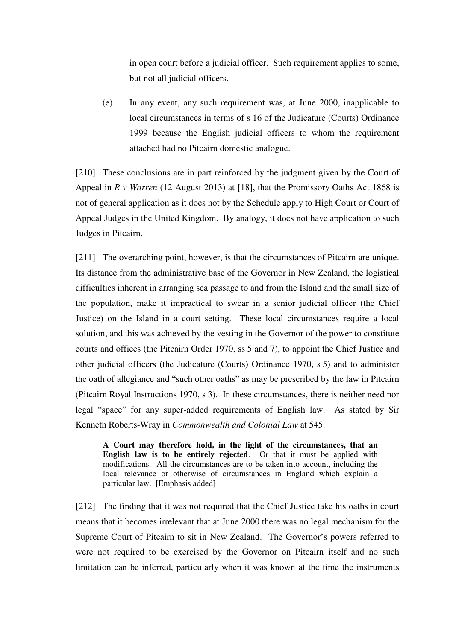in open court before a judicial officer. Such requirement applies to some, but not all judicial officers.

(e) In any event, any such requirement was, at June 2000, inapplicable to local circumstances in terms of s 16 of the Judicature (Courts) Ordinance 1999 because the English judicial officers to whom the requirement attached had no Pitcairn domestic analogue.

[210] These conclusions are in part reinforced by the judgment given by the Court of Appeal in *R v Warren* (12 August 2013) at [18], that the Promissory Oaths Act 1868 is not of general application as it does not by the Schedule apply to High Court or Court of Appeal Judges in the United Kingdom. By analogy, it does not have application to such Judges in Pitcairn.

[211] The overarching point, however, is that the circumstances of Pitcairn are unique. Its distance from the administrative base of the Governor in New Zealand, the logistical difficulties inherent in arranging sea passage to and from the Island and the small size of the population, make it impractical to swear in a senior judicial officer (the Chief Justice) on the Island in a court setting. These local circumstances require a local solution, and this was achieved by the vesting in the Governor of the power to constitute courts and offices (the Pitcairn Order 1970, ss 5 and 7), to appoint the Chief Justice and other judicial officers (the Judicature (Courts) Ordinance 1970, s 5) and to administer the oath of allegiance and "such other oaths" as may be prescribed by the law in Pitcairn (Pitcairn Royal Instructions 1970, s 3). In these circumstances, there is neither need nor legal "space" for any super-added requirements of English law. As stated by Sir Kenneth Roberts-Wray in *Commonwealth and Colonial Law* at 545:

**A Court may therefore hold, in the light of the circumstances, that an English law is to be entirely rejected**. Or that it must be applied with modifications. All the circumstances are to be taken into account, including the local relevance or otherwise of circumstances in England which explain a particular law. [Emphasis added]

[212] The finding that it was not required that the Chief Justice take his oaths in court means that it becomes irrelevant that at June 2000 there was no legal mechanism for the Supreme Court of Pitcairn to sit in New Zealand. The Governor's powers referred to were not required to be exercised by the Governor on Pitcairn itself and no such limitation can be inferred, particularly when it was known at the time the instruments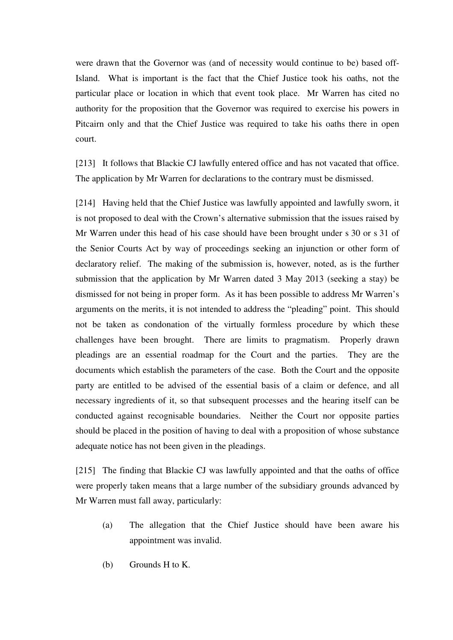were drawn that the Governor was (and of necessity would continue to be) based off-Island. What is important is the fact that the Chief Justice took his oaths, not the particular place or location in which that event took place. Mr Warren has cited no authority for the proposition that the Governor was required to exercise his powers in Pitcairn only and that the Chief Justice was required to take his oaths there in open court.

[213] It follows that Blackie CJ lawfully entered office and has not vacated that office. The application by Mr Warren for declarations to the contrary must be dismissed.

[214] Having held that the Chief Justice was lawfully appointed and lawfully sworn, it is not proposed to deal with the Crown's alternative submission that the issues raised by Mr Warren under this head of his case should have been brought under s 30 or s 31 of the Senior Courts Act by way of proceedings seeking an injunction or other form of declaratory relief. The making of the submission is, however, noted, as is the further submission that the application by Mr Warren dated 3 May 2013 (seeking a stay) be dismissed for not being in proper form. As it has been possible to address Mr Warren's arguments on the merits, it is not intended to address the "pleading" point. This should not be taken as condonation of the virtually formless procedure by which these challenges have been brought. There are limits to pragmatism. Properly drawn pleadings are an essential roadmap for the Court and the parties. They are the documents which establish the parameters of the case. Both the Court and the opposite party are entitled to be advised of the essential basis of a claim or defence, and all necessary ingredients of it, so that subsequent processes and the hearing itself can be conducted against recognisable boundaries. Neither the Court nor opposite parties should be placed in the position of having to deal with a proposition of whose substance adequate notice has not been given in the pleadings.

[215] The finding that Blackie CJ was lawfully appointed and that the oaths of office were properly taken means that a large number of the subsidiary grounds advanced by Mr Warren must fall away, particularly:

- (a) The allegation that the Chief Justice should have been aware his appointment was invalid.
- (b) Grounds H to K.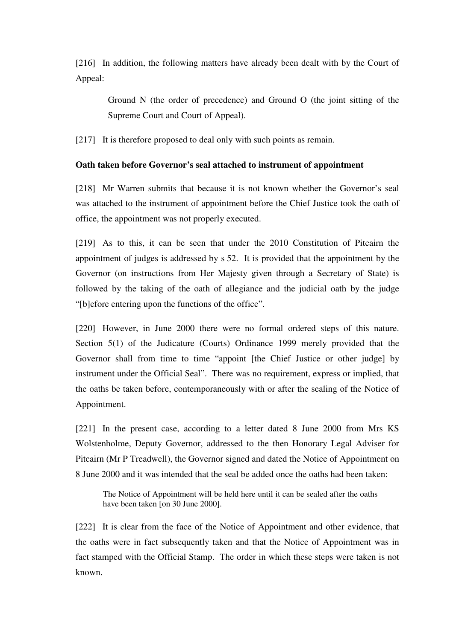[216] In addition, the following matters have already been dealt with by the Court of Appeal:

Ground N (the order of precedence) and Ground O (the joint sitting of the Supreme Court and Court of Appeal).

[217] It is therefore proposed to deal only with such points as remain.

# **Oath taken before Governor's seal attached to instrument of appointment**

[218] Mr Warren submits that because it is not known whether the Governor's seal was attached to the instrument of appointment before the Chief Justice took the oath of office, the appointment was not properly executed.

[219] As to this, it can be seen that under the 2010 Constitution of Pitcairn the appointment of judges is addressed by s 52. It is provided that the appointment by the Governor (on instructions from Her Majesty given through a Secretary of State) is followed by the taking of the oath of allegiance and the judicial oath by the judge "[b]efore entering upon the functions of the office".

[220] However, in June 2000 there were no formal ordered steps of this nature. Section 5(1) of the Judicature (Courts) Ordinance 1999 merely provided that the Governor shall from time to time "appoint [the Chief Justice or other judge] by instrument under the Official Seal". There was no requirement, express or implied, that the oaths be taken before, contemporaneously with or after the sealing of the Notice of Appointment.

[221] In the present case, according to a letter dated 8 June 2000 from Mrs KS Wolstenholme, Deputy Governor, addressed to the then Honorary Legal Adviser for Pitcairn (Mr P Treadwell), the Governor signed and dated the Notice of Appointment on 8 June 2000 and it was intended that the seal be added once the oaths had been taken:

The Notice of Appointment will be held here until it can be sealed after the oaths have been taken [on 30 June 2000].

[222] It is clear from the face of the Notice of Appointment and other evidence, that the oaths were in fact subsequently taken and that the Notice of Appointment was in fact stamped with the Official Stamp. The order in which these steps were taken is not known.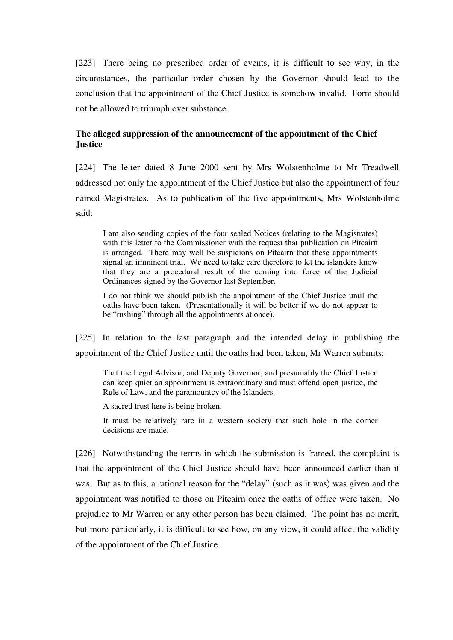[223] There being no prescribed order of events, it is difficult to see why, in the circumstances, the particular order chosen by the Governor should lead to the conclusion that the appointment of the Chief Justice is somehow invalid. Form should not be allowed to triumph over substance.

# **The alleged suppression of the announcement of the appointment of the Chief Justice**

[224] The letter dated 8 June 2000 sent by Mrs Wolstenholme to Mr Treadwell addressed not only the appointment of the Chief Justice but also the appointment of four named Magistrates. As to publication of the five appointments, Mrs Wolstenholme said:

I am also sending copies of the four sealed Notices (relating to the Magistrates) with this letter to the Commissioner with the request that publication on Pitcairn is arranged. There may well be suspicions on Pitcairn that these appointments signal an imminent trial. We need to take care therefore to let the islanders know that they are a procedural result of the coming into force of the Judicial Ordinances signed by the Governor last September.

I do not think we should publish the appointment of the Chief Justice until the oaths have been taken. (Presentationally it will be better if we do not appear to be "rushing" through all the appointments at once).

[225] In relation to the last paragraph and the intended delay in publishing the appointment of the Chief Justice until the oaths had been taken, Mr Warren submits:

That the Legal Advisor, and Deputy Governor, and presumably the Chief Justice can keep quiet an appointment is extraordinary and must offend open justice, the Rule of Law, and the paramountcy of the Islanders.

A sacred trust here is being broken.

It must be relatively rare in a western society that such hole in the corner decisions are made.

[226] Notwithstanding the terms in which the submission is framed, the complaint is that the appointment of the Chief Justice should have been announced earlier than it was. But as to this, a rational reason for the "delay" (such as it was) was given and the appointment was notified to those on Pitcairn once the oaths of office were taken. No prejudice to Mr Warren or any other person has been claimed. The point has no merit, but more particularly, it is difficult to see how, on any view, it could affect the validity of the appointment of the Chief Justice.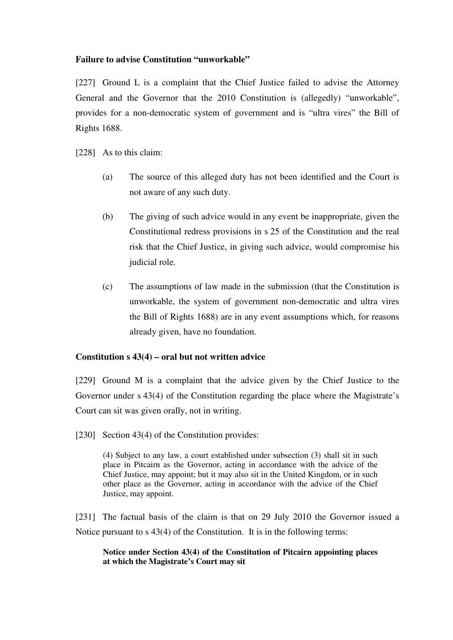## **Failure to advise Constitution "unworkable"**

[227] Ground L is a complaint that the Chief Justice failed to advise the Attorney General and the Governor that the 2010 Constitution is (allegedly) "unworkable", provides for a non-democratic system of government and is "ultra vires" the Bill of Rights 1688.

[228] As to this claim:

- (a) The source of this alleged duty has not been identified and the Court is not aware of any such duty.
- (b) The giving of such advice would in any event be inappropriate, given the Constitutional redress provisions in s 25 of the Constitution and the real risk that the Chief Justice, in giving such advice, would compromise his judicial role.
- (c) The assumptions of law made in the submission (that the Constitution is unworkable, the system of government non-democratic and ultra vires the Bill of Rights 1688) are in any event assumptions which, for reasons already given, have no foundation.

## **Constitution s 43(4) – oral but not written advice**

[229] Ground M is a complaint that the advice given by the Chief Justice to the Governor under s 43(4) of the Constitution regarding the place where the Magistrate's Court can sit was given orally, not in writing.

[230] Section 43(4) of the Constitution provides:

(4) Subject to any law, a court established under subsection (3) shall sit in such place in Pitcairn as the Governor, acting in accordance with the advice of the Chief Justice, may appoint; but it may also sit in the United Kingdom, or in such other place as the Governor, acting in accordance with the advice of the Chief Justice, may appoint.

[231] The factual basis of the claim is that on 29 July 2010 the Governor issued a Notice pursuant to s 43(4) of the Constitution. It is in the following terms:

**Notice under Section 43(4) of the Constitution of Pitcairn appointing places at which the Magistrate's Court may sit**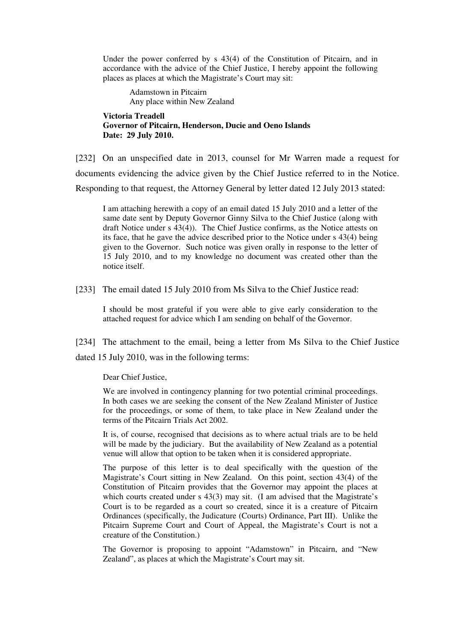Under the power conferred by s 43(4) of the Constitution of Pitcairn, and in accordance with the advice of the Chief Justice, I hereby appoint the following places as places at which the Magistrate's Court may sit:

Adamstown in Pitcairn Any place within New Zealand

**Victoria Treadell Governor of Pitcairn, Henderson, Ducie and Oeno Islands Date: 29 July 2010.** 

[232] On an unspecified date in 2013, counsel for Mr Warren made a request for documents evidencing the advice given by the Chief Justice referred to in the Notice. Responding to that request, the Attorney General by letter dated 12 July 2013 stated:

I am attaching herewith a copy of an email dated 15 July 2010 and a letter of the same date sent by Deputy Governor Ginny Silva to the Chief Justice (along with draft Notice under s 43(4)). The Chief Justice confirms, as the Notice attests on its face, that he gave the advice described prior to the Notice under s 43(4) being given to the Governor. Such notice was given orally in response to the letter of 15 July 2010, and to my knowledge no document was created other than the notice itself.

[233] The email dated 15 July 2010 from Ms Silva to the Chief Justice read:

I should be most grateful if you were able to give early consideration to the attached request for advice which I am sending on behalf of the Governor.

[234] The attachment to the email, being a letter from Ms Silva to the Chief Justice dated 15 July 2010, was in the following terms:

Dear Chief Justice,

We are involved in contingency planning for two potential criminal proceedings. In both cases we are seeking the consent of the New Zealand Minister of Justice for the proceedings, or some of them, to take place in New Zealand under the terms of the Pitcairn Trials Act 2002.

It is, of course, recognised that decisions as to where actual trials are to be held will be made by the judiciary. But the availability of New Zealand as a potential venue will allow that option to be taken when it is considered appropriate.

The purpose of this letter is to deal specifically with the question of the Magistrate's Court sitting in New Zealand. On this point, section 43(4) of the Constitution of Pitcairn provides that the Governor may appoint the places at which courts created under s 43(3) may sit. (I am advised that the Magistrate's Court is to be regarded as a court so created, since it is a creature of Pitcairn Ordinances (specifically, the Judicature (Courts) Ordinance, Part III). Unlike the Pitcairn Supreme Court and Court of Appeal, the Magistrate's Court is not a creature of the Constitution.)

The Governor is proposing to appoint "Adamstown" in Pitcairn, and "New Zealand", as places at which the Magistrate's Court may sit.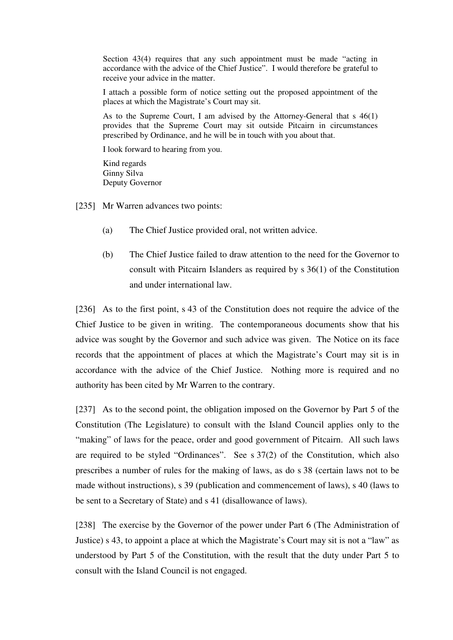Section 43(4) requires that any such appointment must be made "acting in accordance with the advice of the Chief Justice". I would therefore be grateful to receive your advice in the matter.

I attach a possible form of notice setting out the proposed appointment of the places at which the Magistrate's Court may sit.

As to the Supreme Court, I am advised by the Attorney-General that s 46(1) provides that the Supreme Court may sit outside Pitcairn in circumstances prescribed by Ordinance, and he will be in touch with you about that.

I look forward to hearing from you.

Kind regards Ginny Silva Deputy Governor

[235] Mr Warren advances two points:

- (a) The Chief Justice provided oral, not written advice.
- (b) The Chief Justice failed to draw attention to the need for the Governor to consult with Pitcairn Islanders as required by s 36(1) of the Constitution and under international law.

[236] As to the first point, s 43 of the Constitution does not require the advice of the Chief Justice to be given in writing. The contemporaneous documents show that his advice was sought by the Governor and such advice was given. The Notice on its face records that the appointment of places at which the Magistrate's Court may sit is in accordance with the advice of the Chief Justice. Nothing more is required and no authority has been cited by Mr Warren to the contrary.

[237] As to the second point, the obligation imposed on the Governor by Part 5 of the Constitution (The Legislature) to consult with the Island Council applies only to the "making" of laws for the peace, order and good government of Pitcairn. All such laws are required to be styled "Ordinances". See s 37(2) of the Constitution, which also prescribes a number of rules for the making of laws, as do s 38 (certain laws not to be made without instructions), s 39 (publication and commencement of laws), s 40 (laws to be sent to a Secretary of State) and s 41 (disallowance of laws).

[238] The exercise by the Governor of the power under Part 6 (The Administration of Justice) s 43, to appoint a place at which the Magistrate's Court may sit is not a "law" as understood by Part 5 of the Constitution, with the result that the duty under Part 5 to consult with the Island Council is not engaged.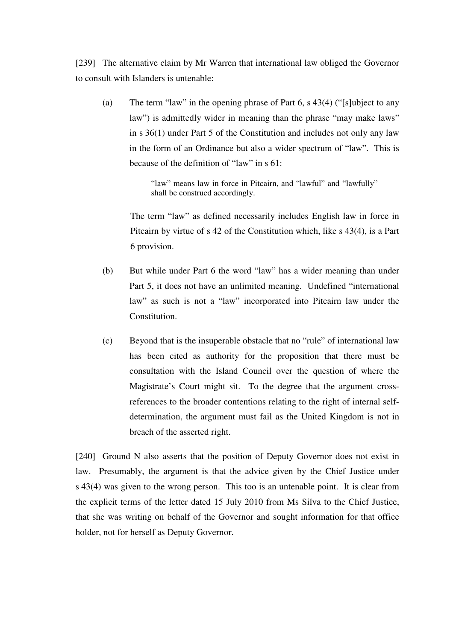[239] The alternative claim by Mr Warren that international law obliged the Governor to consult with Islanders is untenable:

(a) The term "law" in the opening phrase of Part 6, s 43(4) ("[s]ubject to any law") is admittedly wider in meaning than the phrase "may make laws" in s 36(1) under Part 5 of the Constitution and includes not only any law in the form of an Ordinance but also a wider spectrum of "law". This is because of the definition of "law" in s 61:

> "law" means law in force in Pitcairn, and "lawful" and "lawfully" shall be construed accordingly.

The term "law" as defined necessarily includes English law in force in Pitcairn by virtue of s 42 of the Constitution which, like s 43(4), is a Part 6 provision.

- (b) But while under Part 6 the word "law" has a wider meaning than under Part 5, it does not have an unlimited meaning. Undefined "international law" as such is not a "law" incorporated into Pitcairn law under the **Constitution**
- (c) Beyond that is the insuperable obstacle that no "rule" of international law has been cited as authority for the proposition that there must be consultation with the Island Council over the question of where the Magistrate's Court might sit. To the degree that the argument crossreferences to the broader contentions relating to the right of internal selfdetermination, the argument must fail as the United Kingdom is not in breach of the asserted right.

[240] Ground N also asserts that the position of Deputy Governor does not exist in law. Presumably, the argument is that the advice given by the Chief Justice under s 43(4) was given to the wrong person. This too is an untenable point. It is clear from the explicit terms of the letter dated 15 July 2010 from Ms Silva to the Chief Justice, that she was writing on behalf of the Governor and sought information for that office holder, not for herself as Deputy Governor.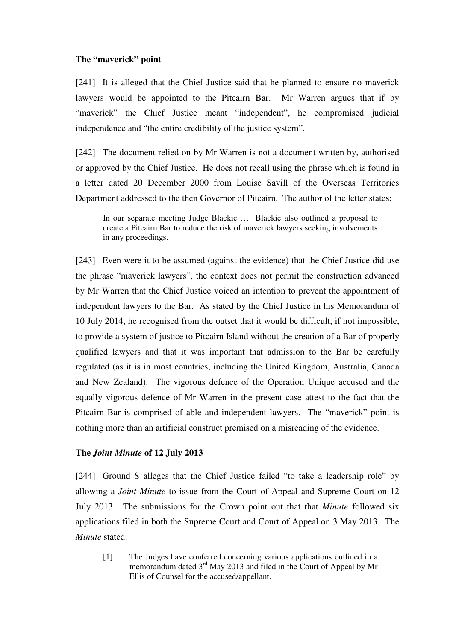## **The "maverick" point**

[241] It is alleged that the Chief Justice said that he planned to ensure no maverick lawyers would be appointed to the Pitcairn Bar. Mr Warren argues that if by "maverick" the Chief Justice meant "independent", he compromised judicial independence and "the entire credibility of the justice system".

[242] The document relied on by Mr Warren is not a document written by, authorised or approved by the Chief Justice. He does not recall using the phrase which is found in a letter dated 20 December 2000 from Louise Savill of the Overseas Territories Department addressed to the then Governor of Pitcairn. The author of the letter states:

In our separate meeting Judge Blackie … Blackie also outlined a proposal to create a Pitcairn Bar to reduce the risk of maverick lawyers seeking involvements in any proceedings.

[243] Even were it to be assumed (against the evidence) that the Chief Justice did use the phrase "maverick lawyers", the context does not permit the construction advanced by Mr Warren that the Chief Justice voiced an intention to prevent the appointment of independent lawyers to the Bar. As stated by the Chief Justice in his Memorandum of 10 July 2014, he recognised from the outset that it would be difficult, if not impossible, to provide a system of justice to Pitcairn Island without the creation of a Bar of properly qualified lawyers and that it was important that admission to the Bar be carefully regulated (as it is in most countries, including the United Kingdom, Australia, Canada and New Zealand). The vigorous defence of the Operation Unique accused and the equally vigorous defence of Mr Warren in the present case attest to the fact that the Pitcairn Bar is comprised of able and independent lawyers. The "maverick" point is nothing more than an artificial construct premised on a misreading of the evidence.

## **The** *Joint Minute* **of 12 July 2013**

[244] Ground S alleges that the Chief Justice failed "to take a leadership role" by allowing a *Joint Minute* to issue from the Court of Appeal and Supreme Court on 12 July 2013. The submissions for the Crown point out that that *Minute* followed six applications filed in both the Supreme Court and Court of Appeal on 3 May 2013. The *Minute* stated:

[1] The Judges have conferred concerning various applications outlined in a memorandum dated 3<sup>rd</sup> May 2013 and filed in the Court of Appeal by Mr Ellis of Counsel for the accused/appellant.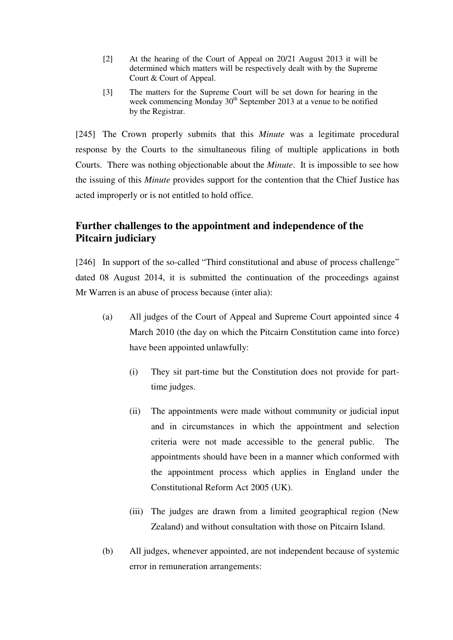- [2] At the hearing of the Court of Appeal on 20/21 August 2013 it will be determined which matters will be respectively dealt with by the Supreme Court & Court of Appeal.
- [3] The matters for the Supreme Court will be set down for hearing in the week commencing Monday  $30<sup>th</sup>$  September 2013 at a venue to be notified by the Registrar.

[245] The Crown properly submits that this *Minute* was a legitimate procedural response by the Courts to the simultaneous filing of multiple applications in both Courts. There was nothing objectionable about the *Minute*. It is impossible to see how the issuing of this *Minute* provides support for the contention that the Chief Justice has acted improperly or is not entitled to hold office.

# **Further challenges to the appointment and independence of the Pitcairn judiciary**

[246] In support of the so-called "Third constitutional and abuse of process challenge" dated 08 August 2014, it is submitted the continuation of the proceedings against Mr Warren is an abuse of process because (inter alia):

- (a) All judges of the Court of Appeal and Supreme Court appointed since 4 March 2010 (the day on which the Pitcairn Constitution came into force) have been appointed unlawfully:
	- (i) They sit part-time but the Constitution does not provide for parttime judges.
	- (ii) The appointments were made without community or judicial input and in circumstances in which the appointment and selection criteria were not made accessible to the general public. The appointments should have been in a manner which conformed with the appointment process which applies in England under the Constitutional Reform Act 2005 (UK).
	- (iii) The judges are drawn from a limited geographical region (New Zealand) and without consultation with those on Pitcairn Island.
- (b) All judges, whenever appointed, are not independent because of systemic error in remuneration arrangements: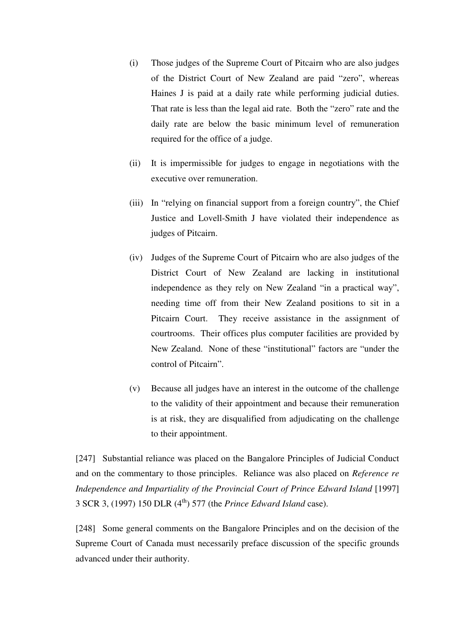- (i) Those judges of the Supreme Court of Pitcairn who are also judges of the District Court of New Zealand are paid "zero", whereas Haines J is paid at a daily rate while performing judicial duties. That rate is less than the legal aid rate. Both the "zero" rate and the daily rate are below the basic minimum level of remuneration required for the office of a judge.
- (ii) It is impermissible for judges to engage in negotiations with the executive over remuneration.
- (iii) In "relying on financial support from a foreign country", the Chief Justice and Lovell-Smith J have violated their independence as judges of Pitcairn.
- (iv) Judges of the Supreme Court of Pitcairn who are also judges of the District Court of New Zealand are lacking in institutional independence as they rely on New Zealand "in a practical way", needing time off from their New Zealand positions to sit in a Pitcairn Court. They receive assistance in the assignment of courtrooms. Their offices plus computer facilities are provided by New Zealand. None of these "institutional" factors are "under the control of Pitcairn".
- (v) Because all judges have an interest in the outcome of the challenge to the validity of their appointment and because their remuneration is at risk, they are disqualified from adjudicating on the challenge to their appointment.

[247] Substantial reliance was placed on the Bangalore Principles of Judicial Conduct and on the commentary to those principles. Reliance was also placed on *Reference re Independence and Impartiality of the Provincial Court of Prince Edward Island* [1997] 3 SCR 3, (1997) 150 DLR (4th) 577 (the *Prince Edward Island* case).

[248] Some general comments on the Bangalore Principles and on the decision of the Supreme Court of Canada must necessarily preface discussion of the specific grounds advanced under their authority.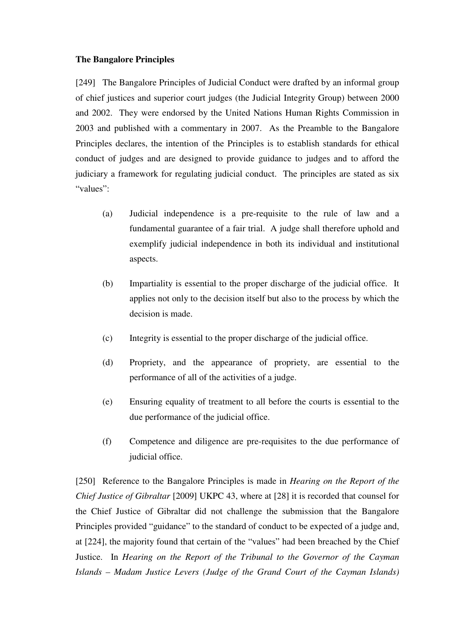## **The Bangalore Principles**

[249] The Bangalore Principles of Judicial Conduct were drafted by an informal group of chief justices and superior court judges (the Judicial Integrity Group) between 2000 and 2002. They were endorsed by the United Nations Human Rights Commission in 2003 and published with a commentary in 2007. As the Preamble to the Bangalore Principles declares, the intention of the Principles is to establish standards for ethical conduct of judges and are designed to provide guidance to judges and to afford the judiciary a framework for regulating judicial conduct. The principles are stated as six "values":

- (a) Judicial independence is a pre-requisite to the rule of law and a fundamental guarantee of a fair trial. A judge shall therefore uphold and exemplify judicial independence in both its individual and institutional aspects.
- (b) Impartiality is essential to the proper discharge of the judicial office. It applies not only to the decision itself but also to the process by which the decision is made.
- (c) Integrity is essential to the proper discharge of the judicial office.
- (d) Propriety, and the appearance of propriety, are essential to the performance of all of the activities of a judge.
- (e) Ensuring equality of treatment to all before the courts is essential to the due performance of the judicial office.
- (f) Competence and diligence are pre-requisites to the due performance of judicial office.

[250] Reference to the Bangalore Principles is made in *Hearing on the Report of the Chief Justice of Gibraltar* [2009] UKPC 43, where at [28] it is recorded that counsel for the Chief Justice of Gibraltar did not challenge the submission that the Bangalore Principles provided "guidance" to the standard of conduct to be expected of a judge and, at [224], the majority found that certain of the "values" had been breached by the Chief Justice. In *Hearing on the Report of the Tribunal to the Governor of the Cayman Islands – Madam Justice Levers (Judge of the Grand Court of the Cayman Islands)*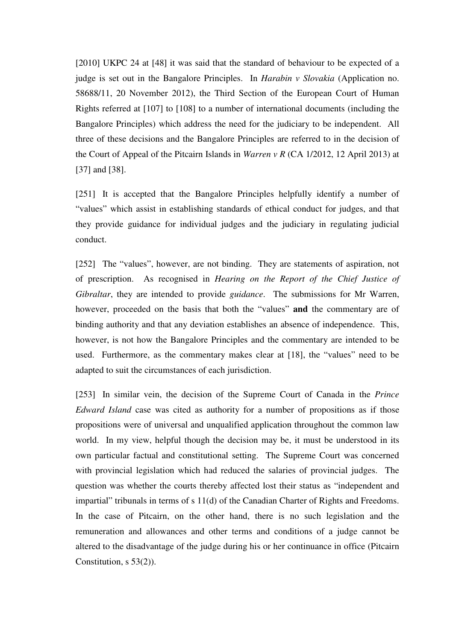[2010] UKPC 24 at [48] it was said that the standard of behaviour to be expected of a judge is set out in the Bangalore Principles. In *Harabin v Slovakia* (Application no. 58688/11, 20 November 2012), the Third Section of the European Court of Human Rights referred at [107] to [108] to a number of international documents (including the Bangalore Principles) which address the need for the judiciary to be independent. All three of these decisions and the Bangalore Principles are referred to in the decision of the Court of Appeal of the Pitcairn Islands in *Warren v R* (CA 1/2012, 12 April 2013) at [37] and [38].

[251] It is accepted that the Bangalore Principles helpfully identify a number of "values" which assist in establishing standards of ethical conduct for judges, and that they provide guidance for individual judges and the judiciary in regulating judicial conduct.

[252] The "values", however, are not binding. They are statements of aspiration, not of prescription. As recognised in *Hearing on the Report of the Chief Justice of Gibraltar*, they are intended to provide *guidance*. The submissions for Mr Warren, however, proceeded on the basis that both the "values" **and** the commentary are of binding authority and that any deviation establishes an absence of independence. This, however, is not how the Bangalore Principles and the commentary are intended to be used. Furthermore, as the commentary makes clear at [18], the "values" need to be adapted to suit the circumstances of each jurisdiction.

[253] In similar vein, the decision of the Supreme Court of Canada in the *Prince Edward Island* case was cited as authority for a number of propositions as if those propositions were of universal and unqualified application throughout the common law world. In my view, helpful though the decision may be, it must be understood in its own particular factual and constitutional setting. The Supreme Court was concerned with provincial legislation which had reduced the salaries of provincial judges. The question was whether the courts thereby affected lost their status as "independent and impartial" tribunals in terms of s 11(d) of the Canadian Charter of Rights and Freedoms. In the case of Pitcairn, on the other hand, there is no such legislation and the remuneration and allowances and other terms and conditions of a judge cannot be altered to the disadvantage of the judge during his or her continuance in office (Pitcairn Constitution, s 53(2)).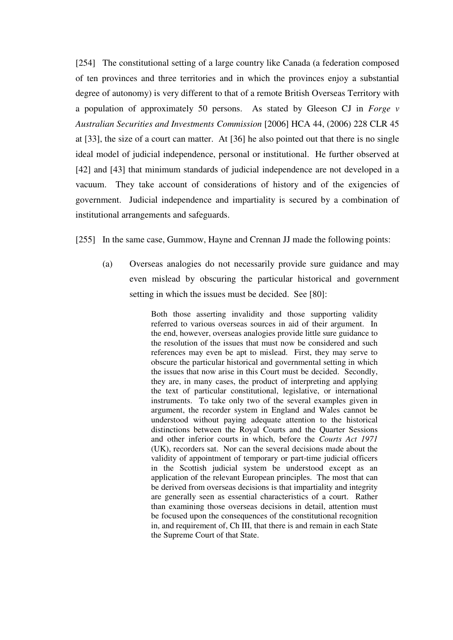[254] The constitutional setting of a large country like Canada (a federation composed of ten provinces and three territories and in which the provinces enjoy a substantial degree of autonomy) is very different to that of a remote British Overseas Territory with a population of approximately 50 persons. As stated by Gleeson CJ in *Forge v Australian Securities and Investments Commission* [2006] HCA 44, (2006) 228 CLR 45 at [33], the size of a court can matter. At [36] he also pointed out that there is no single ideal model of judicial independence, personal or institutional. He further observed at [42] and [43] that minimum standards of judicial independence are not developed in a vacuum. They take account of considerations of history and of the exigencies of government. Judicial independence and impartiality is secured by a combination of institutional arrangements and safeguards.

[255] In the same case, Gummow, Hayne and Crennan JJ made the following points:

(a) Overseas analogies do not necessarily provide sure guidance and may even mislead by obscuring the particular historical and government setting in which the issues must be decided. See [80]:

> Both those asserting invalidity and those supporting validity referred to various overseas sources in aid of their argument. In the end, however, overseas analogies provide little sure guidance to the resolution of the issues that must now be considered and such references may even be apt to mislead. First, they may serve to obscure the particular historical and governmental setting in which the issues that now arise in this Court must be decided. Secondly, they are, in many cases, the product of interpreting and applying the text of particular constitutional, legislative, or international instruments. To take only two of the several examples given in argument, the recorder system in England and Wales cannot be understood without paying adequate attention to the historical distinctions between the Royal Courts and the Quarter Sessions and other inferior courts in which, before the *Courts Act 1971*  (UK), recorders sat. Nor can the several decisions made about the validity of appointment of temporary or part-time judicial officers in the Scottish judicial system be understood except as an application of the relevant European principles. The most that can be derived from overseas decisions is that impartiality and integrity are generally seen as essential characteristics of a court. Rather than examining those overseas decisions in detail, attention must be focused upon the consequences of the constitutional recognition in, and requirement of, Ch III, that there is and remain in each State the Supreme Court of that State.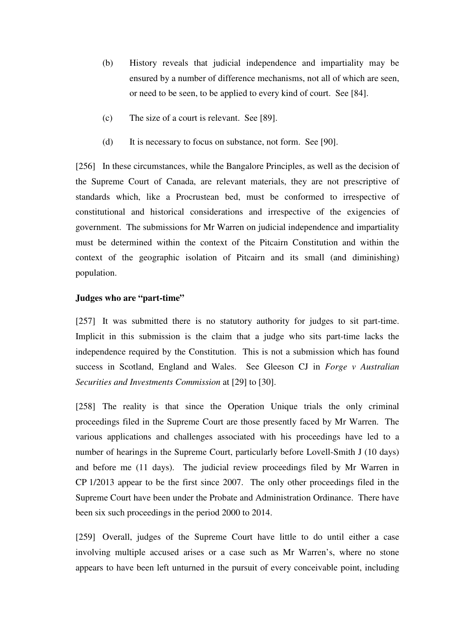- (b) History reveals that judicial independence and impartiality may be ensured by a number of difference mechanisms, not all of which are seen, or need to be seen, to be applied to every kind of court. See [84].
- (c) The size of a court is relevant. See [89].
- (d) It is necessary to focus on substance, not form. See [90].

[256] In these circumstances, while the Bangalore Principles, as well as the decision of the Supreme Court of Canada, are relevant materials, they are not prescriptive of standards which, like a Procrustean bed, must be conformed to irrespective of constitutional and historical considerations and irrespective of the exigencies of government. The submissions for Mr Warren on judicial independence and impartiality must be determined within the context of the Pitcairn Constitution and within the context of the geographic isolation of Pitcairn and its small (and diminishing) population.

## **Judges who are "part-time"**

[257] It was submitted there is no statutory authority for judges to sit part-time. Implicit in this submission is the claim that a judge who sits part-time lacks the independence required by the Constitution. This is not a submission which has found success in Scotland, England and Wales. See Gleeson CJ in *Forge v Australian Securities and Investments Commission* at [29] to [30].

[258] The reality is that since the Operation Unique trials the only criminal proceedings filed in the Supreme Court are those presently faced by Mr Warren. The various applications and challenges associated with his proceedings have led to a number of hearings in the Supreme Court, particularly before Lovell-Smith J (10 days) and before me (11 days). The judicial review proceedings filed by Mr Warren in CP 1/2013 appear to be the first since 2007. The only other proceedings filed in the Supreme Court have been under the Probate and Administration Ordinance. There have been six such proceedings in the period 2000 to 2014.

[259] Overall, judges of the Supreme Court have little to do until either a case involving multiple accused arises or a case such as Mr Warren's, where no stone appears to have been left unturned in the pursuit of every conceivable point, including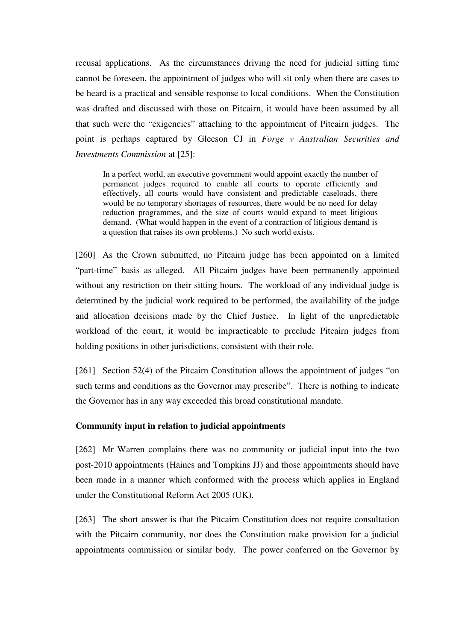recusal applications. As the circumstances driving the need for judicial sitting time cannot be foreseen, the appointment of judges who will sit only when there are cases to be heard is a practical and sensible response to local conditions. When the Constitution was drafted and discussed with those on Pitcairn, it would have been assumed by all that such were the "exigencies" attaching to the appointment of Pitcairn judges. The point is perhaps captured by Gleeson CJ in *Forge v Australian Securities and Investments Commission* at [25]:

In a perfect world, an executive government would appoint exactly the number of permanent judges required to enable all courts to operate efficiently and effectively, all courts would have consistent and predictable caseloads, there would be no temporary shortages of resources, there would be no need for delay reduction programmes, and the size of courts would expand to meet litigious demand. (What would happen in the event of a contraction of litigious demand is a question that raises its own problems.) No such world exists.

[260] As the Crown submitted, no Pitcairn judge has been appointed on a limited "part-time" basis as alleged. All Pitcairn judges have been permanently appointed without any restriction on their sitting hours. The workload of any individual judge is determined by the judicial work required to be performed, the availability of the judge and allocation decisions made by the Chief Justice. In light of the unpredictable workload of the court, it would be impracticable to preclude Pitcairn judges from holding positions in other jurisdictions, consistent with their role.

[261] Section 52(4) of the Pitcairn Constitution allows the appointment of judges "on such terms and conditions as the Governor may prescribe". There is nothing to indicate the Governor has in any way exceeded this broad constitutional mandate.

## **Community input in relation to judicial appointments**

[262] Mr Warren complains there was no community or judicial input into the two post-2010 appointments (Haines and Tompkins JJ) and those appointments should have been made in a manner which conformed with the process which applies in England under the Constitutional Reform Act 2005 (UK).

[263] The short answer is that the Pitcairn Constitution does not require consultation with the Pitcairn community, nor does the Constitution make provision for a judicial appointments commission or similar body. The power conferred on the Governor by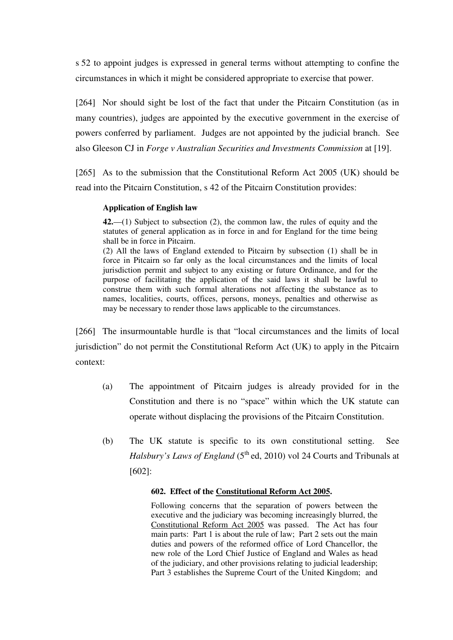s 52 to appoint judges is expressed in general terms without attempting to confine the circumstances in which it might be considered appropriate to exercise that power.

[264] Nor should sight be lost of the fact that under the Pitcairn Constitution (as in many countries), judges are appointed by the executive government in the exercise of powers conferred by parliament. Judges are not appointed by the judicial branch. See also Gleeson CJ in *Forge v Australian Securities and Investments Commission* at [19].

[265] As to the submission that the Constitutional Reform Act 2005 (UK) should be read into the Pitcairn Constitution, s 42 of the Pitcairn Constitution provides:

## **Application of English law**

**42.**—(1) Subject to subsection (2), the common law, the rules of equity and the statutes of general application as in force in and for England for the time being shall be in force in Pitcairn.

(2) All the laws of England extended to Pitcairn by subsection (1) shall be in force in Pitcairn so far only as the local circumstances and the limits of local jurisdiction permit and subject to any existing or future Ordinance, and for the purpose of facilitating the application of the said laws it shall be lawful to construe them with such formal alterations not affecting the substance as to names, localities, courts, offices, persons, moneys, penalties and otherwise as may be necessary to render those laws applicable to the circumstances.

[266] The insurmountable hurdle is that "local circumstances and the limits of local jurisdiction" do not permit the Constitutional Reform Act (UK) to apply in the Pitcairn context:

- (a) The appointment of Pitcairn judges is already provided for in the Constitution and there is no "space" within which the UK statute can operate without displacing the provisions of the Pitcairn Constitution.
- (b) The UK statute is specific to its own constitutional setting. See *Halsbury's Laws of England* (5<sup>th</sup> ed, 2010) vol 24 Courts and Tribunals at [602]:

#### **602. Effect of the Constitutional Reform Act 2005.**

Following concerns that the separation of powers between the executive and the judiciary was becoming increasingly blurred, the Constitutional Reform Act 2005 was passed. The Act has four main parts: Part 1 is about the rule of law; Part 2 sets out the main duties and powers of the reformed office of Lord Chancellor, the new role of the Lord Chief Justice of England and Wales as head of the judiciary, and other provisions relating to judicial leadership; Part 3 establishes the Supreme Court of the United Kingdom; and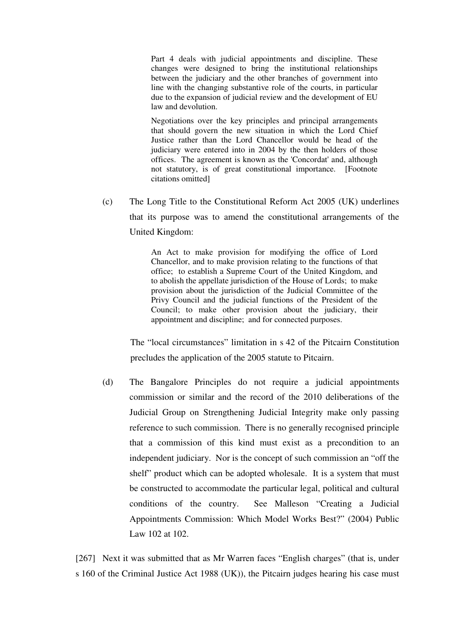Part 4 deals with judicial appointments and discipline. These changes were designed to bring the institutional relationships between the judiciary and the other branches of government into line with the changing substantive role of the courts, in particular due to the expansion of judicial review and the development of EU law and devolution.

Negotiations over the key principles and principal arrangements that should govern the new situation in which the Lord Chief Justice rather than the Lord Chancellor would be head of the judiciary were entered into in 2004 by the then holders of those offices. The agreement is known as the 'Concordat' and, although not statutory, is of great constitutional importance. [Footnote citations omitted]

(c) The Long Title to the Constitutional Reform Act 2005 (UK) underlines that its purpose was to amend the constitutional arrangements of the United Kingdom:

> An Act to make provision for modifying the office of Lord Chancellor, and to make provision relating to the functions of that office; to establish a Supreme Court of the United Kingdom, and to abolish the appellate jurisdiction of the House of Lords; to make provision about the jurisdiction of the Judicial Committee of the Privy Council and the judicial functions of the President of the Council; to make other provision about the judiciary, their appointment and discipline; and for connected purposes.

The "local circumstances" limitation in s 42 of the Pitcairn Constitution precludes the application of the 2005 statute to Pitcairn.

(d) The Bangalore Principles do not require a judicial appointments commission or similar and the record of the 2010 deliberations of the Judicial Group on Strengthening Judicial Integrity make only passing reference to such commission. There is no generally recognised principle that a commission of this kind must exist as a precondition to an independent judiciary. Nor is the concept of such commission an "off the shelf" product which can be adopted wholesale. It is a system that must be constructed to accommodate the particular legal, political and cultural conditions of the country. See Malleson "Creating a Judicial Appointments Commission: Which Model Works Best?" (2004) Public Law 102 at 102.

[267] Next it was submitted that as Mr Warren faces "English charges" (that is, under s 160 of the Criminal Justice Act 1988 (UK)), the Pitcairn judges hearing his case must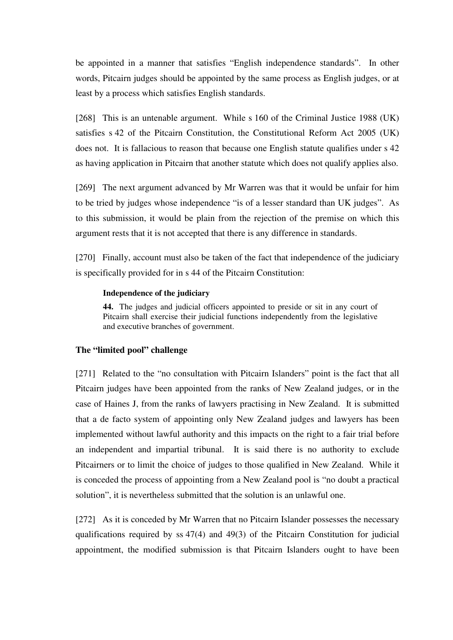be appointed in a manner that satisfies "English independence standards". In other words, Pitcairn judges should be appointed by the same process as English judges, or at least by a process which satisfies English standards.

[268] This is an untenable argument. While s 160 of the Criminal Justice 1988 (UK) satisfies s 42 of the Pitcairn Constitution, the Constitutional Reform Act 2005 (UK) does not. It is fallacious to reason that because one English statute qualifies under s 42 as having application in Pitcairn that another statute which does not qualify applies also.

[269] The next argument advanced by Mr Warren was that it would be unfair for him to be tried by judges whose independence "is of a lesser standard than UK judges". As to this submission, it would be plain from the rejection of the premise on which this argument rests that it is not accepted that there is any difference in standards.

[270] Finally, account must also be taken of the fact that independence of the judiciary is specifically provided for in s 44 of the Pitcairn Constitution:

#### **Independence of the judiciary**

**44.** The judges and judicial officers appointed to preside or sit in any court of Pitcairn shall exercise their judicial functions independently from the legislative and executive branches of government.

## **The "limited pool" challenge**

[271] Related to the "no consultation with Pitcairn Islanders" point is the fact that all Pitcairn judges have been appointed from the ranks of New Zealand judges, or in the case of Haines J, from the ranks of lawyers practising in New Zealand. It is submitted that a de facto system of appointing only New Zealand judges and lawyers has been implemented without lawful authority and this impacts on the right to a fair trial before an independent and impartial tribunal. It is said there is no authority to exclude Pitcairners or to limit the choice of judges to those qualified in New Zealand. While it is conceded the process of appointing from a New Zealand pool is "no doubt a practical solution", it is nevertheless submitted that the solution is an unlawful one.

[272] As it is conceded by Mr Warren that no Pitcairn Islander possesses the necessary qualifications required by ss 47(4) and 49(3) of the Pitcairn Constitution for judicial appointment, the modified submission is that Pitcairn Islanders ought to have been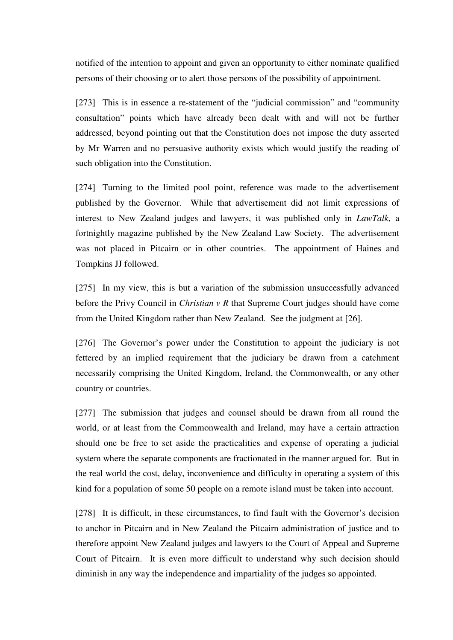notified of the intention to appoint and given an opportunity to either nominate qualified persons of their choosing or to alert those persons of the possibility of appointment.

[273] This is in essence a re-statement of the "judicial commission" and "community consultation" points which have already been dealt with and will not be further addressed, beyond pointing out that the Constitution does not impose the duty asserted by Mr Warren and no persuasive authority exists which would justify the reading of such obligation into the Constitution.

[274] Turning to the limited pool point, reference was made to the advertisement published by the Governor. While that advertisement did not limit expressions of interest to New Zealand judges and lawyers, it was published only in *LawTalk*, a fortnightly magazine published by the New Zealand Law Society. The advertisement was not placed in Pitcairn or in other countries. The appointment of Haines and Tompkins JJ followed.

[275] In my view, this is but a variation of the submission unsuccessfully advanced before the Privy Council in *Christian v R* that Supreme Court judges should have come from the United Kingdom rather than New Zealand. See the judgment at [26].

[276] The Governor's power under the Constitution to appoint the judiciary is not fettered by an implied requirement that the judiciary be drawn from a catchment necessarily comprising the United Kingdom, Ireland, the Commonwealth, or any other country or countries.

[277] The submission that judges and counsel should be drawn from all round the world, or at least from the Commonwealth and Ireland, may have a certain attraction should one be free to set aside the practicalities and expense of operating a judicial system where the separate components are fractionated in the manner argued for. But in the real world the cost, delay, inconvenience and difficulty in operating a system of this kind for a population of some 50 people on a remote island must be taken into account.

[278] It is difficult, in these circumstances, to find fault with the Governor's decision to anchor in Pitcairn and in New Zealand the Pitcairn administration of justice and to therefore appoint New Zealand judges and lawyers to the Court of Appeal and Supreme Court of Pitcairn. It is even more difficult to understand why such decision should diminish in any way the independence and impartiality of the judges so appointed.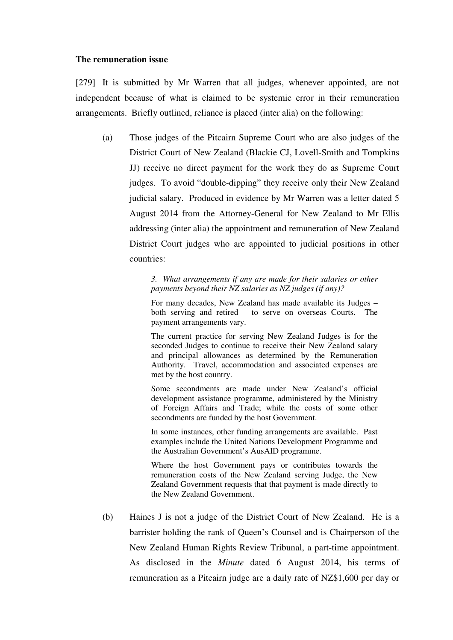### **The remuneration issue**

[279] It is submitted by Mr Warren that all judges, whenever appointed, are not independent because of what is claimed to be systemic error in their remuneration arrangements. Briefly outlined, reliance is placed (inter alia) on the following:

(a) Those judges of the Pitcairn Supreme Court who are also judges of the District Court of New Zealand (Blackie CJ, Lovell-Smith and Tompkins JJ) receive no direct payment for the work they do as Supreme Court judges. To avoid "double-dipping" they receive only their New Zealand judicial salary. Produced in evidence by Mr Warren was a letter dated 5 August 2014 from the Attorney-General for New Zealand to Mr Ellis addressing (inter alia) the appointment and remuneration of New Zealand District Court judges who are appointed to judicial positions in other countries:

> *3. What arrangements if any are made for their salaries or other payments beyond their NZ salaries as NZ judges (if any)?*

> For many decades, New Zealand has made available its Judges – both serving and retired – to serve on overseas Courts. The payment arrangements vary.

> The current practice for serving New Zealand Judges is for the seconded Judges to continue to receive their New Zealand salary and principal allowances as determined by the Remuneration Authority. Travel, accommodation and associated expenses are met by the host country.

> Some secondments are made under New Zealand's official development assistance programme, administered by the Ministry of Foreign Affairs and Trade; while the costs of some other secondments are funded by the host Government.

> In some instances, other funding arrangements are available. Past examples include the United Nations Development Programme and the Australian Government's AusAID programme.

> Where the host Government pays or contributes towards the remuneration costs of the New Zealand serving Judge, the New Zealand Government requests that that payment is made directly to the New Zealand Government.

(b) Haines J is not a judge of the District Court of New Zealand. He is a barrister holding the rank of Queen's Counsel and is Chairperson of the New Zealand Human Rights Review Tribunal, a part-time appointment. As disclosed in the *Minute* dated 6 August 2014, his terms of remuneration as a Pitcairn judge are a daily rate of NZ\$1,600 per day or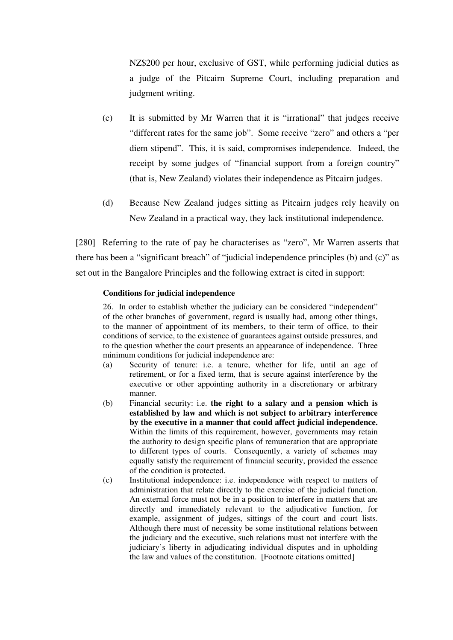NZ\$200 per hour, exclusive of GST, while performing judicial duties as a judge of the Pitcairn Supreme Court, including preparation and judgment writing.

- (c) It is submitted by Mr Warren that it is "irrational" that judges receive "different rates for the same job". Some receive "zero" and others a "per diem stipend". This, it is said, compromises independence. Indeed, the receipt by some judges of "financial support from a foreign country" (that is, New Zealand) violates their independence as Pitcairn judges.
- (d) Because New Zealand judges sitting as Pitcairn judges rely heavily on New Zealand in a practical way, they lack institutional independence.

[280] Referring to the rate of pay he characterises as "zero", Mr Warren asserts that there has been a "significant breach" of "judicial independence principles (b) and (c)" as set out in the Bangalore Principles and the following extract is cited in support:

## **Conditions for judicial independence**

26. In order to establish whether the judiciary can be considered "independent" of the other branches of government, regard is usually had, among other things, to the manner of appointment of its members, to their term of office, to their conditions of service, to the existence of guarantees against outside pressures, and to the question whether the court presents an appearance of independence. Three minimum conditions for judicial independence are:

- (a) Security of tenure: i.e. a tenure, whether for life, until an age of retirement, or for a fixed term, that is secure against interference by the executive or other appointing authority in a discretionary or arbitrary manner.
- (b) Financial security: i.e. **the right to a salary and a pension which is established by law and which is not subject to arbitrary interference by the executive in a manner that could affect judicial independence.** Within the limits of this requirement, however, governments may retain the authority to design specific plans of remuneration that are appropriate to different types of courts. Consequently, a variety of schemes may equally satisfy the requirement of financial security, provided the essence of the condition is protected.
- (c) Institutional independence: i.e. independence with respect to matters of administration that relate directly to the exercise of the judicial function. An external force must not be in a position to interfere in matters that are directly and immediately relevant to the adjudicative function, for example, assignment of judges, sittings of the court and court lists. Although there must of necessity be some institutional relations between the judiciary and the executive, such relations must not interfere with the judiciary's liberty in adjudicating individual disputes and in upholding the law and values of the constitution. [Footnote citations omitted]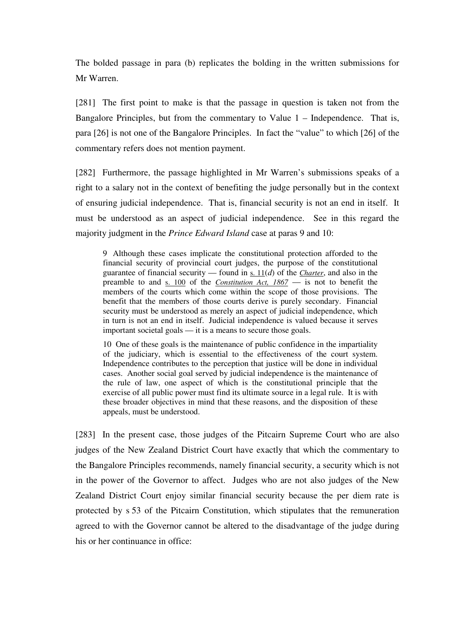The bolded passage in para (b) replicates the bolding in the written submissions for Mr Warren.

[281] The first point to make is that the passage in question is taken not from the Bangalore Principles, but from the commentary to Value 1 – Independence. That is, para [26] is not one of the Bangalore Principles. In fact the "value" to which [26] of the commentary refers does not mention payment.

[282] Furthermore, the passage highlighted in Mr Warren's submissions speaks of a right to a salary not in the context of benefiting the judge personally but in the context of ensuring judicial independence. That is, financial security is not an end in itself. It must be understood as an aspect of judicial independence. See in this regard the majority judgment in the *Prince Edward Island* case at paras 9 and 10:

9 Although these cases implicate the constitutional protection afforded to the financial security of provincial court judges, the purpose of the constitutional guarantee of financial security — found in s. 11(*d*) of the *Charter*, and also in the preamble to and s. 100 of the *Constitution Act, 1867* — is not to benefit the members of the courts which come within the scope of those provisions. The benefit that the members of those courts derive is purely secondary. Financial security must be understood as merely an aspect of judicial independence, which in turn is not an end in itself. Judicial independence is valued because it serves important societal goals — it is a means to secure those goals.

10 One of these goals is the maintenance of public confidence in the impartiality of the judiciary, which is essential to the effectiveness of the court system. Independence contributes to the perception that justice will be done in individual cases. Another social goal served by judicial independence is the maintenance of the rule of law, one aspect of which is the constitutional principle that the exercise of all public power must find its ultimate source in a legal rule. It is with these broader objectives in mind that these reasons, and the disposition of these appeals, must be understood.

[283] In the present case, those judges of the Pitcairn Supreme Court who are also judges of the New Zealand District Court have exactly that which the commentary to the Bangalore Principles recommends, namely financial security, a security which is not in the power of the Governor to affect. Judges who are not also judges of the New Zealand District Court enjoy similar financial security because the per diem rate is protected by s 53 of the Pitcairn Constitution, which stipulates that the remuneration agreed to with the Governor cannot be altered to the disadvantage of the judge during his or her continuance in office: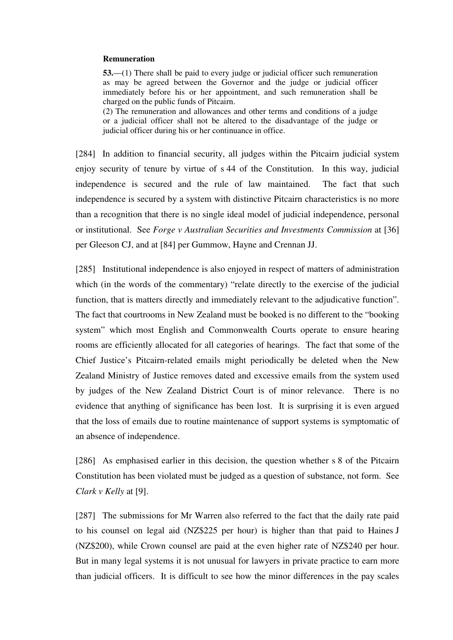#### **Remuneration**

**53.**—(1) There shall be paid to every judge or judicial officer such remuneration as may be agreed between the Governor and the judge or judicial officer immediately before his or her appointment, and such remuneration shall be charged on the public funds of Pitcairn.

(2) The remuneration and allowances and other terms and conditions of a judge or a judicial officer shall not be altered to the disadvantage of the judge or judicial officer during his or her continuance in office.

[284] In addition to financial security, all judges within the Pitcairn judicial system enjoy security of tenure by virtue of s 44 of the Constitution. In this way, judicial independence is secured and the rule of law maintained. The fact that such independence is secured by a system with distinctive Pitcairn characteristics is no more than a recognition that there is no single ideal model of judicial independence, personal or institutional. See *Forge v Australian Securities and Investments Commission* at [36] per Gleeson CJ, and at [84] per Gummow, Hayne and Crennan JJ.

[285] Institutional independence is also enjoyed in respect of matters of administration which (in the words of the commentary) "relate directly to the exercise of the judicial function, that is matters directly and immediately relevant to the adjudicative function". The fact that courtrooms in New Zealand must be booked is no different to the "booking system" which most English and Commonwealth Courts operate to ensure hearing rooms are efficiently allocated for all categories of hearings. The fact that some of the Chief Justice's Pitcairn-related emails might periodically be deleted when the New Zealand Ministry of Justice removes dated and excessive emails from the system used by judges of the New Zealand District Court is of minor relevance. There is no evidence that anything of significance has been lost. It is surprising it is even argued that the loss of emails due to routine maintenance of support systems is symptomatic of an absence of independence.

[286] As emphasised earlier in this decision, the question whether s 8 of the Pitcairn Constitution has been violated must be judged as a question of substance, not form. See *Clark v Kelly* at [9].

[287] The submissions for Mr Warren also referred to the fact that the daily rate paid to his counsel on legal aid (NZ\$225 per hour) is higher than that paid to Haines J (NZ\$200), while Crown counsel are paid at the even higher rate of NZ\$240 per hour. But in many legal systems it is not unusual for lawyers in private practice to earn more than judicial officers. It is difficult to see how the minor differences in the pay scales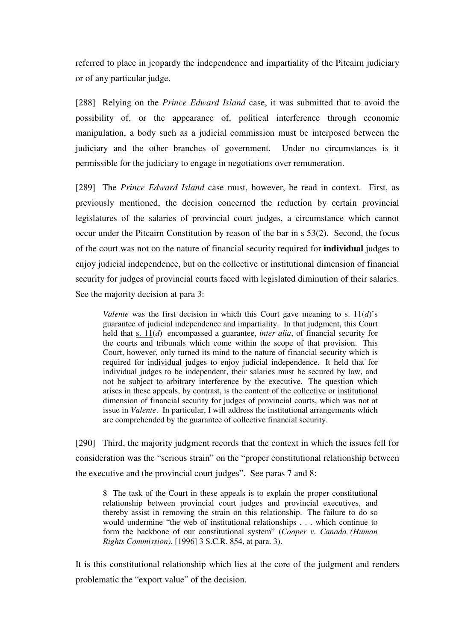referred to place in jeopardy the independence and impartiality of the Pitcairn judiciary or of any particular judge.

[288] Relying on the *Prince Edward Island* case, it was submitted that to avoid the possibility of, or the appearance of, political interference through economic manipulation, a body such as a judicial commission must be interposed between the judiciary and the other branches of government. Under no circumstances is it permissible for the judiciary to engage in negotiations over remuneration.

[289] The *Prince Edward Island* case must, however, be read in context. First, as previously mentioned, the decision concerned the reduction by certain provincial legislatures of the salaries of provincial court judges, a circumstance which cannot occur under the Pitcairn Constitution by reason of the bar in s 53(2). Second, the focus of the court was not on the nature of financial security required for **individual** judges to enjoy judicial independence, but on the collective or institutional dimension of financial security for judges of provincial courts faced with legislated diminution of their salaries. See the majority decision at para 3:

*Valente* was the first decision in which this Court gave meaning to s.  $11(d)$ 's guarantee of judicial independence and impartiality. In that judgment, this Court held that s. 11(*d*) encompassed a guarantee, *inter alia*, of financial security for the courts and tribunals which come within the scope of that provision. This Court, however, only turned its mind to the nature of financial security which is required for individual judges to enjoy judicial independence. It held that for individual judges to be independent, their salaries must be secured by law, and not be subject to arbitrary interference by the executive. The question which arises in these appeals, by contrast, is the content of the collective or institutional dimension of financial security for judges of provincial courts, which was not at issue in *Valente*. In particular, I will address the institutional arrangements which are comprehended by the guarantee of collective financial security.

[290] Third, the majority judgment records that the context in which the issues fell for consideration was the "serious strain" on the "proper constitutional relationship between the executive and the provincial court judges". See paras 7 and 8:

8 The task of the Court in these appeals is to explain the proper constitutional relationship between provincial court judges and provincial executives, and thereby assist in removing the strain on this relationship. The failure to do so would undermine "the web of institutional relationships . . . which continue to form the backbone of our constitutional system" (*Cooper v. Canada (Human Rights Commission)*, [1996] 3 S.C.R. 854, at para. 3).

It is this constitutional relationship which lies at the core of the judgment and renders problematic the "export value" of the decision.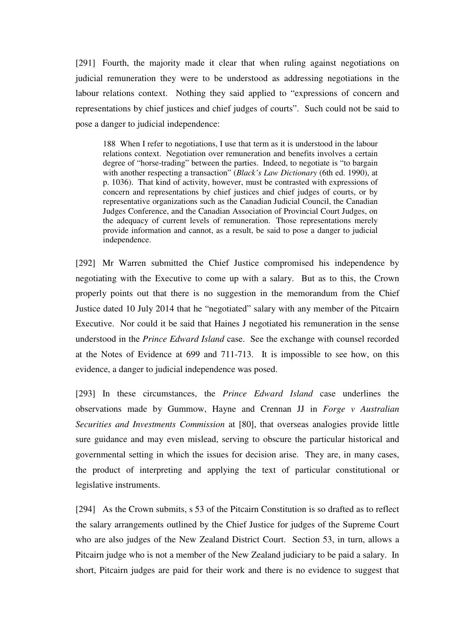[291] Fourth, the majority made it clear that when ruling against negotiations on judicial remuneration they were to be understood as addressing negotiations in the labour relations context. Nothing they said applied to "expressions of concern and representations by chief justices and chief judges of courts". Such could not be said to pose a danger to judicial independence:

188 When I refer to negotiations, I use that term as it is understood in the labour relations context. Negotiation over remuneration and benefits involves a certain degree of "horse-trading" between the parties. Indeed, to negotiate is "to bargain with another respecting a transaction" (*Black's Law Dictionary* (6th ed. 1990), at p. 1036). That kind of activity, however, must be contrasted with expressions of concern and representations by chief justices and chief judges of courts, or by representative organizations such as the Canadian Judicial Council, the Canadian Judges Conference, and the Canadian Association of Provincial Court Judges, on the adequacy of current levels of remuneration. Those representations merely provide information and cannot, as a result, be said to pose a danger to judicial independence.

[292] Mr Warren submitted the Chief Justice compromised his independence by negotiating with the Executive to come up with a salary. But as to this, the Crown properly points out that there is no suggestion in the memorandum from the Chief Justice dated 10 July 2014 that he "negotiated" salary with any member of the Pitcairn Executive. Nor could it be said that Haines J negotiated his remuneration in the sense understood in the *Prince Edward Island* case. See the exchange with counsel recorded at the Notes of Evidence at 699 and 711-713. It is impossible to see how, on this evidence, a danger to judicial independence was posed.

[293] In these circumstances, the *Prince Edward Island* case underlines the observations made by Gummow, Hayne and Crennan JJ in *Forge v Australian Securities and Investments Commission* at [80], that overseas analogies provide little sure guidance and may even mislead, serving to obscure the particular historical and governmental setting in which the issues for decision arise. They are, in many cases, the product of interpreting and applying the text of particular constitutional or legislative instruments.

[294] As the Crown submits, s 53 of the Pitcairn Constitution is so drafted as to reflect the salary arrangements outlined by the Chief Justice for judges of the Supreme Court who are also judges of the New Zealand District Court. Section 53, in turn, allows a Pitcairn judge who is not a member of the New Zealand judiciary to be paid a salary. In short, Pitcairn judges are paid for their work and there is no evidence to suggest that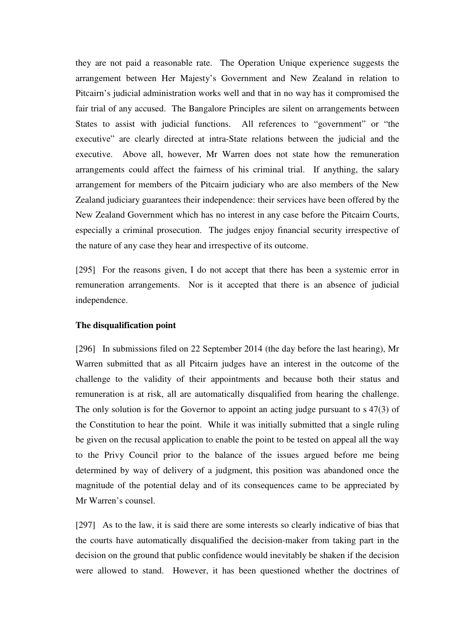they are not paid a reasonable rate. The Operation Unique experience suggests the arrangement between Her Majesty's Government and New Zealand in relation to Pitcairn's judicial administration works well and that in no way has it compromised the fair trial of any accused. The Bangalore Principles are silent on arrangements between States to assist with judicial functions. All references to "government" or "the executive" are clearly directed at intra-State relations between the judicial and the executive. Above all, however, Mr Warren does not state how the remuneration arrangements could affect the fairness of his criminal trial. If anything, the salary arrangement for members of the Pitcairn judiciary who are also members of the New Zealand judiciary guarantees their independence: their services have been offered by the New Zealand Government which has no interest in any case before the Pitcairn Courts, especially a criminal prosecution. The judges enjoy financial security irrespective of the nature of any case they hear and irrespective of its outcome.

[295] For the reasons given, I do not accept that there has been a systemic error in remuneration arrangements. Nor is it accepted that there is an absence of judicial independence.

## **The disqualification point**

[296] In submissions filed on 22 September 2014 (the day before the last hearing), Mr Warren submitted that as all Pitcairn judges have an interest in the outcome of the challenge to the validity of their appointments and because both their status and remuneration is at risk, all are automatically disqualified from hearing the challenge. The only solution is for the Governor to appoint an acting judge pursuant to s 47(3) of the Constitution to hear the point. While it was initially submitted that a single ruling be given on the recusal application to enable the point to be tested on appeal all the way to the Privy Council prior to the balance of the issues argued before me being determined by way of delivery of a judgment, this position was abandoned once the magnitude of the potential delay and of its consequences came to be appreciated by Mr Warren's counsel.

[297] As to the law, it is said there are some interests so clearly indicative of bias that the courts have automatically disqualified the decision-maker from taking part in the decision on the ground that public confidence would inevitably be shaken if the decision were allowed to stand. However, it has been questioned whether the doctrines of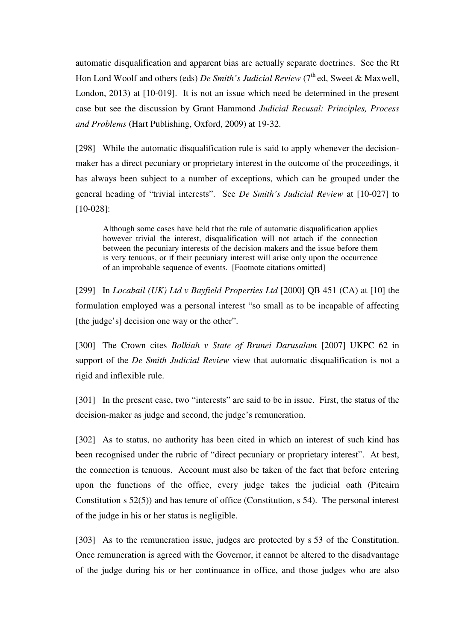automatic disqualification and apparent bias are actually separate doctrines. See the Rt Hon Lord Woolf and others (eds) *De Smith's Judicial Review* (7<sup>th</sup> ed, Sweet & Maxwell, London, 2013) at [10-019]. It is not an issue which need be determined in the present case but see the discussion by Grant Hammond *Judicial Recusal: Principles, Process and Problems* (Hart Publishing, Oxford, 2009) at 19-32.

[298] While the automatic disqualification rule is said to apply whenever the decisionmaker has a direct pecuniary or proprietary interest in the outcome of the proceedings, it has always been subject to a number of exceptions, which can be grouped under the general heading of "trivial interests". See *De Smith's Judicial Review* at [10-027] to [10-028]:

Although some cases have held that the rule of automatic disqualification applies however trivial the interest, disqualification will not attach if the connection between the pecuniary interests of the decision-makers and the issue before them is very tenuous, or if their pecuniary interest will arise only upon the occurrence of an improbable sequence of events. [Footnote citations omitted]

[299] In *Locabail (UK) Ltd v Bayfield Properties Ltd* [2000] QB 451 (CA) at [10] the formulation employed was a personal interest "so small as to be incapable of affecting [the judge's] decision one way or the other".

[300] The Crown cites *Bolkiah v State of Brunei Darusalam* [2007] UKPC 62 in support of the *De Smith Judicial Review* view that automatic disqualification is not a rigid and inflexible rule.

[301] In the present case, two "interests" are said to be in issue. First, the status of the decision-maker as judge and second, the judge's remuneration.

[302] As to status, no authority has been cited in which an interest of such kind has been recognised under the rubric of "direct pecuniary or proprietary interest". At best, the connection is tenuous. Account must also be taken of the fact that before entering upon the functions of the office, every judge takes the judicial oath (Pitcairn Constitution s 52(5)) and has tenure of office (Constitution, s 54). The personal interest of the judge in his or her status is negligible.

[303] As to the remuneration issue, judges are protected by s 53 of the Constitution. Once remuneration is agreed with the Governor, it cannot be altered to the disadvantage of the judge during his or her continuance in office, and those judges who are also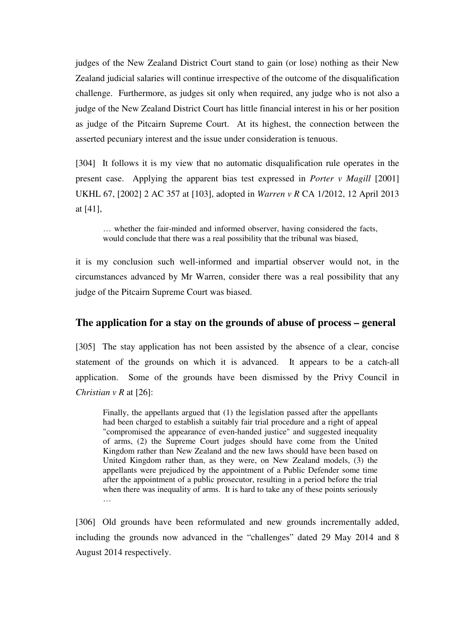judges of the New Zealand District Court stand to gain (or lose) nothing as their New Zealand judicial salaries will continue irrespective of the outcome of the disqualification challenge. Furthermore, as judges sit only when required, any judge who is not also a judge of the New Zealand District Court has little financial interest in his or her position as judge of the Pitcairn Supreme Court. At its highest, the connection between the asserted pecuniary interest and the issue under consideration is tenuous.

[304] It follows it is my view that no automatic disqualification rule operates in the present case. Applying the apparent bias test expressed in *Porter v Magill* [2001] UKHL 67, [2002] 2 AC 357 at [103], adopted in *Warren v R* CA 1/2012, 12 April 2013 at [41],

… whether the fair-minded and informed observer, having considered the facts, would conclude that there was a real possibility that the tribunal was biased,

it is my conclusion such well-informed and impartial observer would not, in the circumstances advanced by Mr Warren, consider there was a real possibility that any judge of the Pitcairn Supreme Court was biased.

# **The application for a stay on the grounds of abuse of process – general**

[305] The stay application has not been assisted by the absence of a clear, concise statement of the grounds on which it is advanced. It appears to be a catch-all application. Some of the grounds have been dismissed by the Privy Council in *Christian v R* at [26]:

Finally, the appellants argued that (1) the legislation passed after the appellants had been charged to establish a suitably fair trial procedure and a right of appeal "compromised the appearance of even-handed justice" and suggested inequality of arms, (2) the Supreme Court judges should have come from the United Kingdom rather than New Zealand and the new laws should have been based on United Kingdom rather than, as they were, on New Zealand models, (3) the appellants were prejudiced by the appointment of a Public Defender some time after the appointment of a public prosecutor, resulting in a period before the trial when there was inequality of arms. It is hard to take any of these points seriously …

[306] Old grounds have been reformulated and new grounds incrementally added, including the grounds now advanced in the "challenges" dated 29 May 2014 and 8 August 2014 respectively.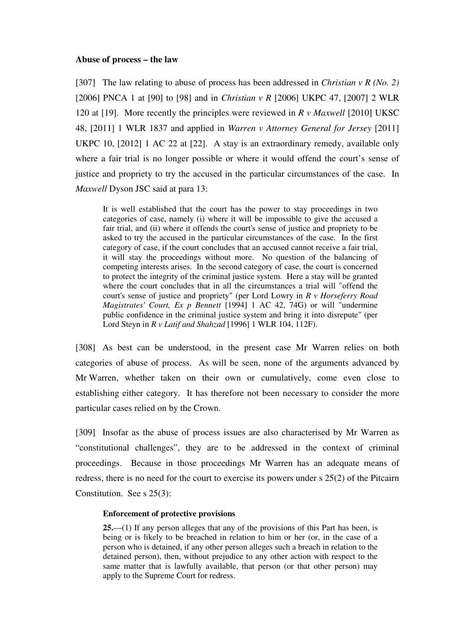#### **Abuse of process – the law**

[307] The law relating to abuse of process has been addressed in *Christian v R (No. 2)* [2006] PNCA 1 at [90] to [98] and in *Christian v R* [2006] UKPC 47, [2007] 2 WLR 120 at [19]. More recently the principles were reviewed in *R v Maxwell* [2010] UKSC 48, [2011] 1 WLR 1837 and applied in *Warren v Attorney General for Jersey* [2011] UKPC 10, [2012] 1 AC 22 at [22]. A stay is an extraordinary remedy, available only where a fair trial is no longer possible or where it would offend the court's sense of justice and propriety to try the accused in the particular circumstances of the case. In *Maxwell* Dyson JSC said at para 13:

It is well established that the court has the power to stay proceedings in two categories of case, namely (i) where it will be impossible to give the accused a fair trial, and (ii) where it offends the court's sense of justice and propriety to be asked to try the accused in the particular circumstances of the case. In the first category of case, if the court concludes that an accused cannot receive a fair trial, it will stay the proceedings without more. No question of the balancing of competing interests arises. In the second category of case, the court is concerned to protect the integrity of the criminal justice system. Here a stay will be granted where the court concludes that in all the circumstances a trial will "offend the court's sense of justice and propriety" (per Lord Lowry in *R v Horseferry Road Magistrates' Court, Ex p Bennett* [1994] 1 AC 42, 74G) or will "undermine public confidence in the criminal justice system and bring it into disrepute" (per Lord Steyn in *R v Latif and Shahzad* [1996] 1 WLR 104, 112F).

[308] As best can be understood, in the present case Mr Warren relies on both categories of abuse of process. As will be seen, none of the arguments advanced by Mr Warren, whether taken on their own or cumulatively, come even close to establishing either category. It has therefore not been necessary to consider the more particular cases relied on by the Crown.

[309] Insofar as the abuse of process issues are also characterised by Mr Warren as "constitutional challenges", they are to be addressed in the context of criminal proceedings. Because in those proceedings Mr Warren has an adequate means of redress, there is no need for the court to exercise its powers under s 25(2) of the Pitcairn Constitution. See s 25(3):

#### **Enforcement of protective provisions**

**25.**—(1) If any person alleges that any of the provisions of this Part has been, is being or is likely to be breached in relation to him or her (or, in the case of a person who is detained, if any other person alleges such a breach in relation to the detained person), then, without prejudice to any other action with respect to the same matter that is lawfully available, that person (or that other person) may apply to the Supreme Court for redress.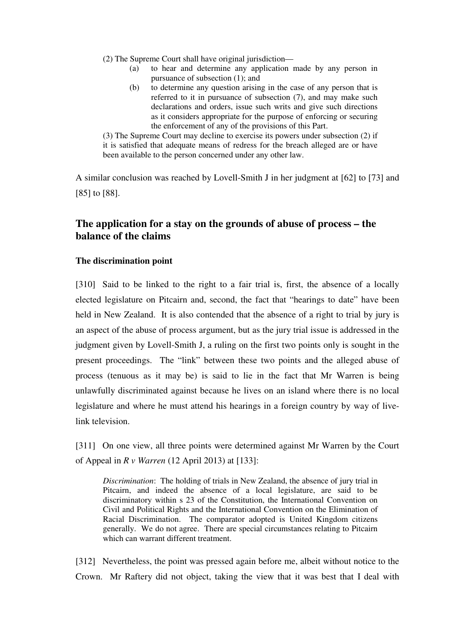(2) The Supreme Court shall have original jurisdiction—

- (a) to hear and determine any application made by any person in pursuance of subsection (1); and
- (b) to determine any question arising in the case of any person that is referred to it in pursuance of subsection (7), and may make such declarations and orders, issue such writs and give such directions as it considers appropriate for the purpose of enforcing or securing the enforcement of any of the provisions of this Part.

(3) The Supreme Court may decline to exercise its powers under subsection (2) if it is satisfied that adequate means of redress for the breach alleged are or have been available to the person concerned under any other law.

A similar conclusion was reached by Lovell-Smith J in her judgment at [62] to [73] and [85] to [88].

# **The application for a stay on the grounds of abuse of process – the balance of the claims**

# **The discrimination point**

[310] Said to be linked to the right to a fair trial is, first, the absence of a locally elected legislature on Pitcairn and, second, the fact that "hearings to date" have been held in New Zealand. It is also contended that the absence of a right to trial by jury is an aspect of the abuse of process argument, but as the jury trial issue is addressed in the judgment given by Lovell-Smith J, a ruling on the first two points only is sought in the present proceedings. The "link" between these two points and the alleged abuse of process (tenuous as it may be) is said to lie in the fact that Mr Warren is being unlawfully discriminated against because he lives on an island where there is no local legislature and where he must attend his hearings in a foreign country by way of livelink television.

[311] On one view, all three points were determined against Mr Warren by the Court of Appeal in *R v Warren* (12 April 2013) at [133]:

*Discrimination*: The holding of trials in New Zealand, the absence of jury trial in Pitcairn, and indeed the absence of a local legislature, are said to be discriminatory within s 23 of the Constitution, the International Convention on Civil and Political Rights and the International Convention on the Elimination of Racial Discrimination. The comparator adopted is United Kingdom citizens generally. We do not agree. There are special circumstances relating to Pitcairn which can warrant different treatment.

[312] Nevertheless, the point was pressed again before me, albeit without notice to the Crown. Mr Raftery did not object, taking the view that it was best that I deal with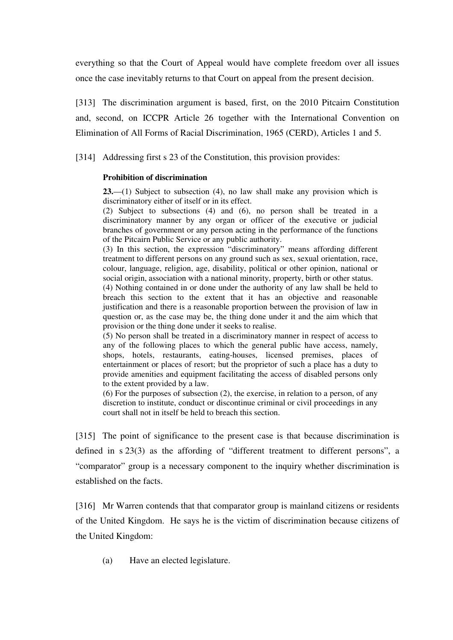everything so that the Court of Appeal would have complete freedom over all issues once the case inevitably returns to that Court on appeal from the present decision.

[313] The discrimination argument is based, first, on the 2010 Pitcairn Constitution and, second, on ICCPR Article 26 together with the International Convention on Elimination of All Forms of Racial Discrimination, 1965 (CERD), Articles 1 and 5.

[314] Addressing first s 23 of the Constitution, this provision provides:

## **Prohibition of discrimination**

**23.**—(1) Subject to subsection (4), no law shall make any provision which is discriminatory either of itself or in its effect.

(2) Subject to subsections (4) and (6), no person shall be treated in a discriminatory manner by any organ or officer of the executive or judicial branches of government or any person acting in the performance of the functions of the Pitcairn Public Service or any public authority.

(3) In this section, the expression "discriminatory" means affording different treatment to different persons on any ground such as sex, sexual orientation, race, colour, language, religion, age, disability, political or other opinion, national or social origin, association with a national minority, property, birth or other status.

(4) Nothing contained in or done under the authority of any law shall be held to breach this section to the extent that it has an objective and reasonable justification and there is a reasonable proportion between the provision of law in question or, as the case may be, the thing done under it and the aim which that provision or the thing done under it seeks to realise.

(5) No person shall be treated in a discriminatory manner in respect of access to any of the following places to which the general public have access, namely, shops, hotels, restaurants, eating-houses, licensed premises, places of entertainment or places of resort; but the proprietor of such a place has a duty to provide amenities and equipment facilitating the access of disabled persons only to the extent provided by a law.

(6) For the purposes of subsection (2), the exercise, in relation to a person, of any discretion to institute, conduct or discontinue criminal or civil proceedings in any court shall not in itself be held to breach this section.

[315] The point of significance to the present case is that because discrimination is defined in s 23(3) as the affording of "different treatment to different persons", a "comparator" group is a necessary component to the inquiry whether discrimination is established on the facts.

[316] Mr Warren contends that that comparator group is mainland citizens or residents of the United Kingdom. He says he is the victim of discrimination because citizens of the United Kingdom:

(a) Have an elected legislature.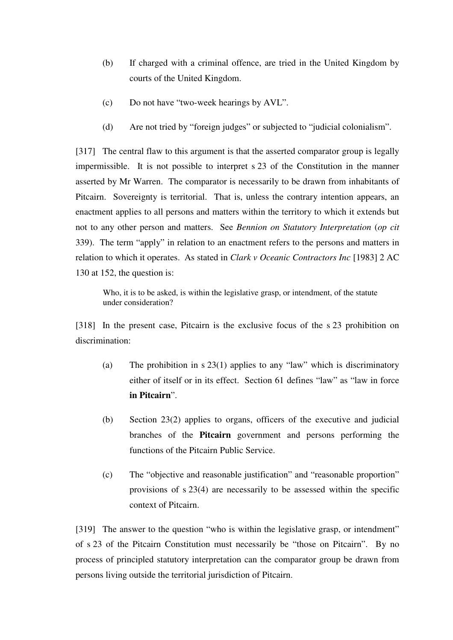- (b) If charged with a criminal offence, are tried in the United Kingdom by courts of the United Kingdom.
- (c) Do not have "two-week hearings by AVL".
- (d) Are not tried by "foreign judges" or subjected to "judicial colonialism".

[317] The central flaw to this argument is that the asserted comparator group is legally impermissible. It is not possible to interpret s 23 of the Constitution in the manner asserted by Mr Warren. The comparator is necessarily to be drawn from inhabitants of Pitcairn. Sovereignty is territorial. That is, unless the contrary intention appears, an enactment applies to all persons and matters within the territory to which it extends but not to any other person and matters. See *Bennion on Statutory Interpretation* (*op cit* 339). The term "apply" in relation to an enactment refers to the persons and matters in relation to which it operates. As stated in *Clark v Oceanic Contractors Inc* [1983] 2 AC 130 at 152, the question is:

Who, it is to be asked, is within the legislative grasp, or intendment, of the statute under consideration?

[318] In the present case, Pitcairn is the exclusive focus of the s 23 prohibition on discrimination:

- (a) The prohibition in s 23(1) applies to any "law" which is discriminatory either of itself or in its effect. Section 61 defines "law" as "law in force **in Pitcairn**".
- (b) Section 23(2) applies to organs, officers of the executive and judicial branches of the **Pitcairn** government and persons performing the functions of the Pitcairn Public Service.
- (c) The "objective and reasonable justification" and "reasonable proportion" provisions of s 23(4) are necessarily to be assessed within the specific context of Pitcairn.

[319] The answer to the question "who is within the legislative grasp, or intendment" of s 23 of the Pitcairn Constitution must necessarily be "those on Pitcairn". By no process of principled statutory interpretation can the comparator group be drawn from persons living outside the territorial jurisdiction of Pitcairn.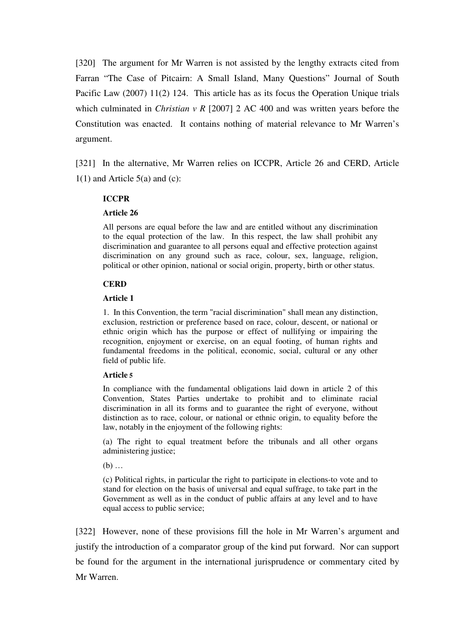[320] The argument for Mr Warren is not assisted by the lengthy extracts cited from Farran "The Case of Pitcairn: A Small Island, Many Questions" Journal of South Pacific Law (2007) 11(2) 124. This article has as its focus the Operation Unique trials which culminated in *Christian v R* [2007] 2 AC 400 and was written years before the Constitution was enacted. It contains nothing of material relevance to Mr Warren's argument.

[321] In the alternative, Mr Warren relies on ICCPR, Article 26 and CERD, Article  $1(1)$  and Article 5(a) and (c):

## **ICCPR**

### **Article 26**

All persons are equal before the law and are entitled without any discrimination to the equal protection of the law. In this respect, the law shall prohibit any discrimination and guarantee to all persons equal and effective protection against discrimination on any ground such as race, colour, sex, language, religion, political or other opinion, national or social origin, property, birth or other status.

#### **CERD**

#### **Article 1**

1. In this Convention, the term "racial discrimination" shall mean any distinction, exclusion, restriction or preference based on race, colour, descent, or national or ethnic origin which has the purpose or effect of nullifying or impairing the recognition, enjoyment or exercise, on an equal footing, of human rights and fundamental freedoms in the political, economic, social, cultural or any other field of public life.

#### **Article 5**

In compliance with the fundamental obligations laid down in article 2 of this Convention, States Parties undertake to prohibit and to eliminate racial discrimination in all its forms and to guarantee the right of everyone, without distinction as to race, colour, or national or ethnic origin, to equality before the law, notably in the enjoyment of the following rights:

(a) The right to equal treatment before the tribunals and all other organs administering justice;

 $(b)$  ...

(c) Political rights, in particular the right to participate in elections-to vote and to stand for election on the basis of universal and equal suffrage, to take part in the Government as well as in the conduct of public affairs at any level and to have equal access to public service;

[322] However, none of these provisions fill the hole in Mr Warren's argument and justify the introduction of a comparator group of the kind put forward. Nor can support be found for the argument in the international jurisprudence or commentary cited by Mr Warren.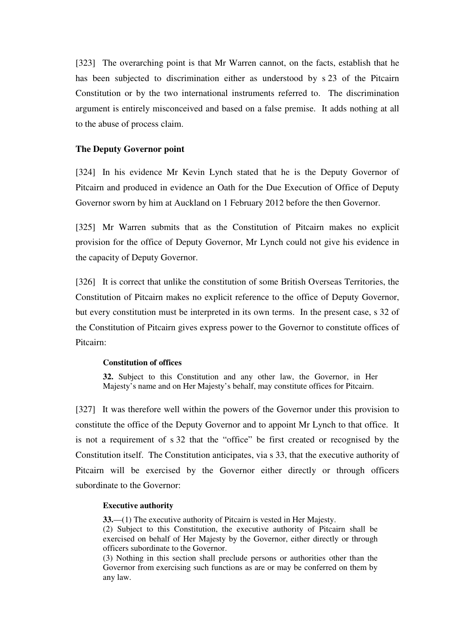[323] The overarching point is that Mr Warren cannot, on the facts, establish that he has been subjected to discrimination either as understood by s 23 of the Pitcairn Constitution or by the two international instruments referred to. The discrimination argument is entirely misconceived and based on a false premise. It adds nothing at all to the abuse of process claim.

## **The Deputy Governor point**

[324] In his evidence Mr Kevin Lynch stated that he is the Deputy Governor of Pitcairn and produced in evidence an Oath for the Due Execution of Office of Deputy Governor sworn by him at Auckland on 1 February 2012 before the then Governor.

[325] Mr Warren submits that as the Constitution of Pitcairn makes no explicit provision for the office of Deputy Governor, Mr Lynch could not give his evidence in the capacity of Deputy Governor.

[326] It is correct that unlike the constitution of some British Overseas Territories, the Constitution of Pitcairn makes no explicit reference to the office of Deputy Governor, but every constitution must be interpreted in its own terms. In the present case, s 32 of the Constitution of Pitcairn gives express power to the Governor to constitute offices of Pitcairn:

## **Constitution of offices**

**32.** Subject to this Constitution and any other law, the Governor, in Her Majesty's name and on Her Majesty's behalf, may constitute offices for Pitcairn.

[327] It was therefore well within the powers of the Governor under this provision to constitute the office of the Deputy Governor and to appoint Mr Lynch to that office. It is not a requirement of s 32 that the "office" be first created or recognised by the Constitution itself. The Constitution anticipates, via s 33, that the executive authority of Pitcairn will be exercised by the Governor either directly or through officers subordinate to the Governor:

### **Executive authority**

**33.**—(1) The executive authority of Pitcairn is vested in Her Majesty. (2) Subject to this Constitution, the executive authority of Pitcairn shall be exercised on behalf of Her Majesty by the Governor, either directly or through officers subordinate to the Governor.

(3) Nothing in this section shall preclude persons or authorities other than the Governor from exercising such functions as are or may be conferred on them by any law.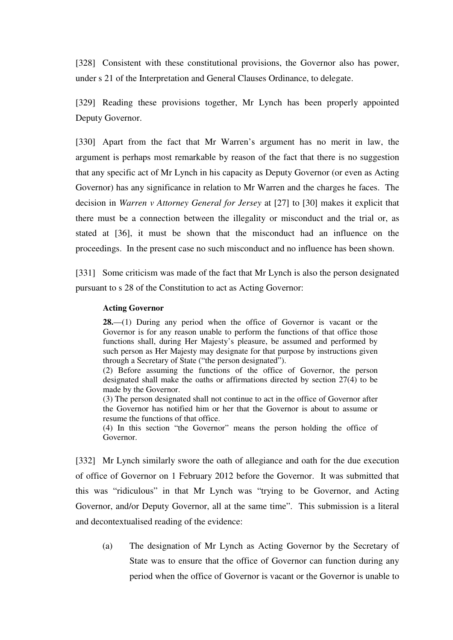[328] Consistent with these constitutional provisions, the Governor also has power, under s 21 of the Interpretation and General Clauses Ordinance, to delegate.

[329] Reading these provisions together, Mr Lynch has been properly appointed Deputy Governor.

[330] Apart from the fact that Mr Warren's argument has no merit in law, the argument is perhaps most remarkable by reason of the fact that there is no suggestion that any specific act of Mr Lynch in his capacity as Deputy Governor (or even as Acting Governor) has any significance in relation to Mr Warren and the charges he faces. The decision in *Warren v Attorney General for Jersey* at [27] to [30] makes it explicit that there must be a connection between the illegality or misconduct and the trial or, as stated at [36], it must be shown that the misconduct had an influence on the proceedings. In the present case no such misconduct and no influence has been shown.

[331] Some criticism was made of the fact that Mr Lynch is also the person designated pursuant to s 28 of the Constitution to act as Acting Governor:

### **Acting Governor**

**28.**—(1) During any period when the office of Governor is vacant or the Governor is for any reason unable to perform the functions of that office those functions shall, during Her Majesty's pleasure, be assumed and performed by such person as Her Majesty may designate for that purpose by instructions given through a Secretary of State ("the person designated").

(2) Before assuming the functions of the office of Governor, the person designated shall make the oaths or affirmations directed by section 27(4) to be made by the Governor.

(3) The person designated shall not continue to act in the office of Governor after the Governor has notified him or her that the Governor is about to assume or resume the functions of that office.

(4) In this section "the Governor" means the person holding the office of Governor.

[332] Mr Lynch similarly swore the oath of allegiance and oath for the due execution of office of Governor on 1 February 2012 before the Governor. It was submitted that this was "ridiculous" in that Mr Lynch was "trying to be Governor, and Acting Governor, and/or Deputy Governor, all at the same time". This submission is a literal and decontextualised reading of the evidence:

(a) The designation of Mr Lynch as Acting Governor by the Secretary of State was to ensure that the office of Governor can function during any period when the office of Governor is vacant or the Governor is unable to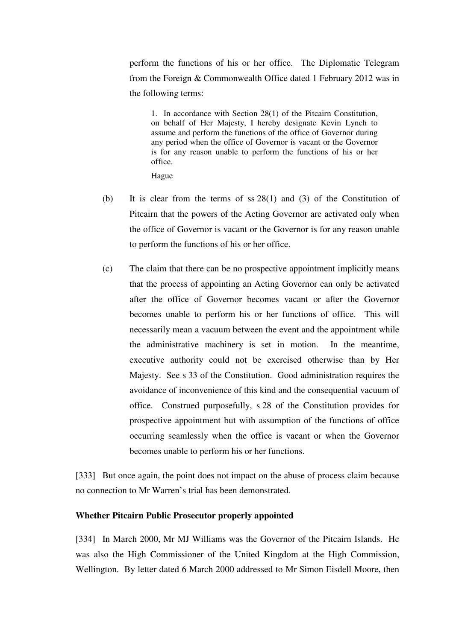perform the functions of his or her office. The Diplomatic Telegram from the Foreign & Commonwealth Office dated 1 February 2012 was in the following terms:

1. In accordance with Section 28(1) of the Pitcairn Constitution, on behalf of Her Majesty, I hereby designate Kevin Lynch to assume and perform the functions of the office of Governor during any period when the office of Governor is vacant or the Governor is for any reason unable to perform the functions of his or her office.

Hague

- (b) It is clear from the terms of ss 28(1) and (3) of the Constitution of Pitcairn that the powers of the Acting Governor are activated only when the office of Governor is vacant or the Governor is for any reason unable to perform the functions of his or her office.
- (c) The claim that there can be no prospective appointment implicitly means that the process of appointing an Acting Governor can only be activated after the office of Governor becomes vacant or after the Governor becomes unable to perform his or her functions of office. This will necessarily mean a vacuum between the event and the appointment while the administrative machinery is set in motion. In the meantime, executive authority could not be exercised otherwise than by Her Majesty. See s 33 of the Constitution. Good administration requires the avoidance of inconvenience of this kind and the consequential vacuum of office. Construed purposefully, s 28 of the Constitution provides for prospective appointment but with assumption of the functions of office occurring seamlessly when the office is vacant or when the Governor becomes unable to perform his or her functions.

[333] But once again, the point does not impact on the abuse of process claim because no connection to Mr Warren's trial has been demonstrated.

## **Whether Pitcairn Public Prosecutor properly appointed**

[334] In March 2000, Mr MJ Williams was the Governor of the Pitcairn Islands. He was also the High Commissioner of the United Kingdom at the High Commission, Wellington. By letter dated 6 March 2000 addressed to Mr Simon Eisdell Moore, then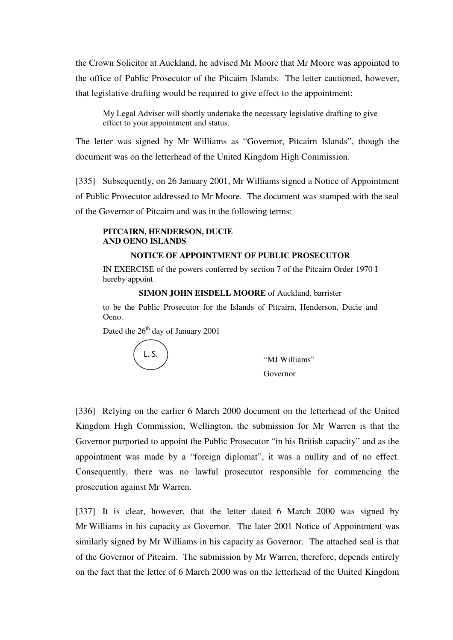the Crown Solicitor at Auckland, he advised Mr Moore that Mr Moore was appointed to the office of Public Prosecutor of the Pitcairn Islands. The letter cautioned, however, that legislative drafting would be required to give effect to the appointment:

My Legal Adviser will shortly undertake the necessary legislative drafting to give effect to your appointment and status.

The letter was signed by Mr Williams as "Governor, Pitcairn Islands", though the document was on the letterhead of the United Kingdom High Commission.

[335] Subsequently, on 26 January 2001, Mr Williams signed a Notice of Appointment of Public Prosecutor addressed to Mr Moore. The document was stamped with the seal of the Governor of Pitcairn and was in the following terms:

## **PITCAIRN, HENDERSON, DUCIE AND OENO ISLANDS**

## **NOTICE OF APPOINTMENT OF PUBLIC PROSECUTOR**

IN EXERCISE of the powers conferred by section 7 of the Pitcairn Order 1970 I hereby appoint

**SIMON JOHN EISDELL MOORE** of Auckland, barrister

to be the Public Prosecutor for the Islands of Pitcairn, Henderson, Ducie and Oeno.

Dated the  $26<sup>th</sup>$  day of January 2001

L. S.

"MJ Williams" Governor

[336] Relying on the earlier 6 March 2000 document on the letterhead of the United Kingdom High Commission, Wellington, the submission for Mr Warren is that the Governor purported to appoint the Public Prosecutor "in his British capacity" and as the appointment was made by a "foreign diplomat", it was a nullity and of no effect. Consequently, there was no lawful prosecutor responsible for commencing the prosecution against Mr Warren.

[337] It is clear, however, that the letter dated 6 March 2000 was signed by Mr Williams in his capacity as Governor. The later 2001 Notice of Appointment was similarly signed by Mr Williams in his capacity as Governor. The attached seal is that of the Governor of Pitcairn. The submission by Mr Warren, therefore, depends entirely on the fact that the letter of 6 March 2000 was on the letterhead of the United Kingdom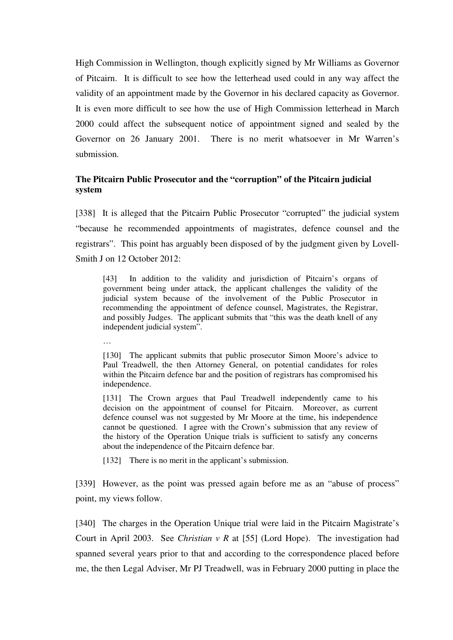High Commission in Wellington, though explicitly signed by Mr Williams as Governor of Pitcairn. It is difficult to see how the letterhead used could in any way affect the validity of an appointment made by the Governor in his declared capacity as Governor. It is even more difficult to see how the use of High Commission letterhead in March 2000 could affect the subsequent notice of appointment signed and sealed by the Governor on 26 January 2001. There is no merit whatsoever in Mr Warren's submission.

# **The Pitcairn Public Prosecutor and the "corruption" of the Pitcairn judicial system**

[338] It is alleged that the Pitcairn Public Prosecutor "corrupted" the judicial system "because he recommended appointments of magistrates, defence counsel and the registrars". This point has arguably been disposed of by the judgment given by Lovell-Smith Lon 12 October 2012:

[43] In addition to the validity and jurisdiction of Pitcairn's organs of government being under attack, the applicant challenges the validity of the judicial system because of the involvement of the Public Prosecutor in recommending the appointment of defence counsel, Magistrates, the Registrar, and possibly Judges. The applicant submits that "this was the death knell of any independent judicial system".

…

[130] The applicant submits that public prosecutor Simon Moore's advice to Paul Treadwell, the then Attorney General, on potential candidates for roles within the Pitcairn defence bar and the position of registrars has compromised his independence.

[131] The Crown argues that Paul Treadwell independently came to his decision on the appointment of counsel for Pitcairn. Moreover, as current defence counsel was not suggested by Mr Moore at the time, his independence cannot be questioned. I agree with the Crown's submission that any review of the history of the Operation Unique trials is sufficient to satisfy any concerns about the independence of the Pitcairn defence bar.

[132] There is no merit in the applicant's submission.

[339] However, as the point was pressed again before me as an "abuse of process" point, my views follow.

[340] The charges in the Operation Unique trial were laid in the Pitcairn Magistrate's Court in April 2003. See *Christian v R* at [55] (Lord Hope). The investigation had spanned several years prior to that and according to the correspondence placed before me, the then Legal Adviser, Mr PJ Treadwell, was in February 2000 putting in place the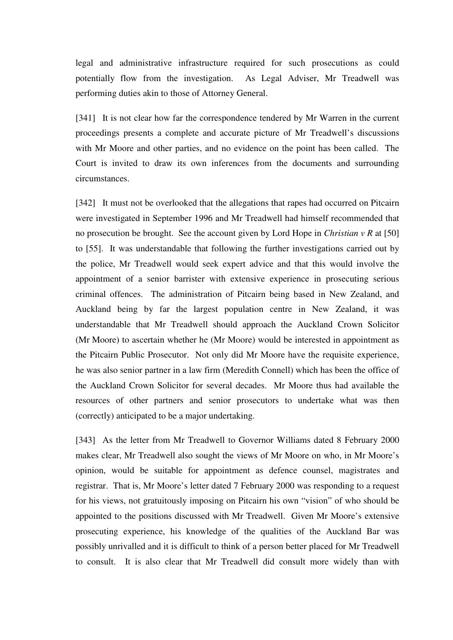legal and administrative infrastructure required for such prosecutions as could potentially flow from the investigation. As Legal Adviser, Mr Treadwell was performing duties akin to those of Attorney General.

[341] It is not clear how far the correspondence tendered by Mr Warren in the current proceedings presents a complete and accurate picture of Mr Treadwell's discussions with Mr Moore and other parties, and no evidence on the point has been called. The Court is invited to draw its own inferences from the documents and surrounding circumstances.

[342] It must not be overlooked that the allegations that rapes had occurred on Pitcairn were investigated in September 1996 and Mr Treadwell had himself recommended that no prosecution be brought. See the account given by Lord Hope in *Christian v R* at [50] to [55]. It was understandable that following the further investigations carried out by the police, Mr Treadwell would seek expert advice and that this would involve the appointment of a senior barrister with extensive experience in prosecuting serious criminal offences. The administration of Pitcairn being based in New Zealand, and Auckland being by far the largest population centre in New Zealand, it was understandable that Mr Treadwell should approach the Auckland Crown Solicitor (Mr Moore) to ascertain whether he (Mr Moore) would be interested in appointment as the Pitcairn Public Prosecutor. Not only did Mr Moore have the requisite experience, he was also senior partner in a law firm (Meredith Connell) which has been the office of the Auckland Crown Solicitor for several decades. Mr Moore thus had available the resources of other partners and senior prosecutors to undertake what was then (correctly) anticipated to be a major undertaking.

[343] As the letter from Mr Treadwell to Governor Williams dated 8 February 2000 makes clear, Mr Treadwell also sought the views of Mr Moore on who, in Mr Moore's opinion, would be suitable for appointment as defence counsel, magistrates and registrar. That is, Mr Moore's letter dated 7 February 2000 was responding to a request for his views, not gratuitously imposing on Pitcairn his own "vision" of who should be appointed to the positions discussed with Mr Treadwell. Given Mr Moore's extensive prosecuting experience, his knowledge of the qualities of the Auckland Bar was possibly unrivalled and it is difficult to think of a person better placed for Mr Treadwell to consult. It is also clear that Mr Treadwell did consult more widely than with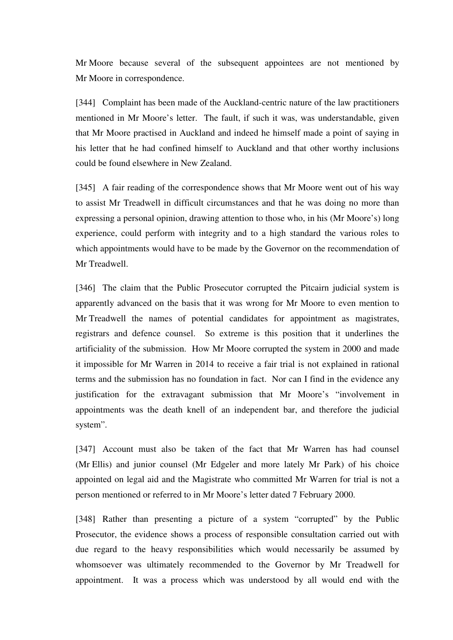Mr Moore because several of the subsequent appointees are not mentioned by Mr Moore in correspondence.

[344] Complaint has been made of the Auckland-centric nature of the law practitioners mentioned in Mr Moore's letter. The fault, if such it was, was understandable, given that Mr Moore practised in Auckland and indeed he himself made a point of saying in his letter that he had confined himself to Auckland and that other worthy inclusions could be found elsewhere in New Zealand.

[345] A fair reading of the correspondence shows that Mr Moore went out of his way to assist Mr Treadwell in difficult circumstances and that he was doing no more than expressing a personal opinion, drawing attention to those who, in his (Mr Moore's) long experience, could perform with integrity and to a high standard the various roles to which appointments would have to be made by the Governor on the recommendation of Mr Treadwell.

[346] The claim that the Public Prosecutor corrupted the Pitcairn judicial system is apparently advanced on the basis that it was wrong for Mr Moore to even mention to Mr Treadwell the names of potential candidates for appointment as magistrates, registrars and defence counsel. So extreme is this position that it underlines the artificiality of the submission. How Mr Moore corrupted the system in 2000 and made it impossible for Mr Warren in 2014 to receive a fair trial is not explained in rational terms and the submission has no foundation in fact. Nor can I find in the evidence any justification for the extravagant submission that Mr Moore's "involvement in appointments was the death knell of an independent bar, and therefore the judicial system".

[347] Account must also be taken of the fact that Mr Warren has had counsel (Mr Ellis) and junior counsel (Mr Edgeler and more lately Mr Park) of his choice appointed on legal aid and the Magistrate who committed Mr Warren for trial is not a person mentioned or referred to in Mr Moore's letter dated 7 February 2000.

[348] Rather than presenting a picture of a system "corrupted" by the Public Prosecutor, the evidence shows a process of responsible consultation carried out with due regard to the heavy responsibilities which would necessarily be assumed by whomsoever was ultimately recommended to the Governor by Mr Treadwell for appointment. It was a process which was understood by all would end with the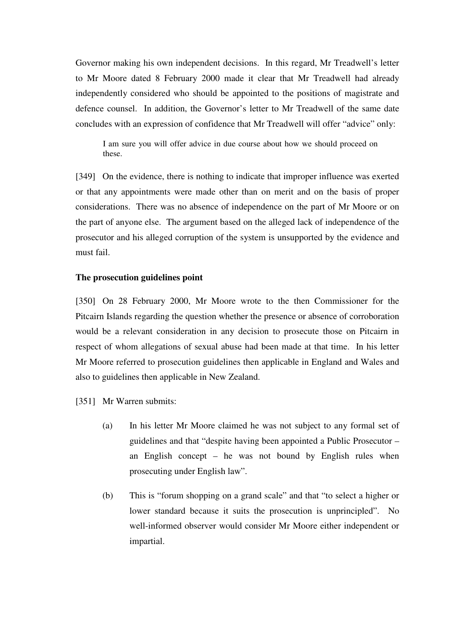Governor making his own independent decisions. In this regard, Mr Treadwell's letter to Mr Moore dated 8 February 2000 made it clear that Mr Treadwell had already independently considered who should be appointed to the positions of magistrate and defence counsel. In addition, the Governor's letter to Mr Treadwell of the same date concludes with an expression of confidence that Mr Treadwell will offer "advice" only:

I am sure you will offer advice in due course about how we should proceed on these.

[349] On the evidence, there is nothing to indicate that improper influence was exerted or that any appointments were made other than on merit and on the basis of proper considerations. There was no absence of independence on the part of Mr Moore or on the part of anyone else. The argument based on the alleged lack of independence of the prosecutor and his alleged corruption of the system is unsupported by the evidence and must fail.

## **The prosecution guidelines point**

[350] On 28 February 2000, Mr Moore wrote to the then Commissioner for the Pitcairn Islands regarding the question whether the presence or absence of corroboration would be a relevant consideration in any decision to prosecute those on Pitcairn in respect of whom allegations of sexual abuse had been made at that time. In his letter Mr Moore referred to prosecution guidelines then applicable in England and Wales and also to guidelines then applicable in New Zealand.

[351] Mr Warren submits:

- (a) In his letter Mr Moore claimed he was not subject to any formal set of guidelines and that "despite having been appointed a Public Prosecutor – an English concept – he was not bound by English rules when prosecuting under English law".
- (b) This is "forum shopping on a grand scale" and that "to select a higher or lower standard because it suits the prosecution is unprincipled". No well-informed observer would consider Mr Moore either independent or impartial.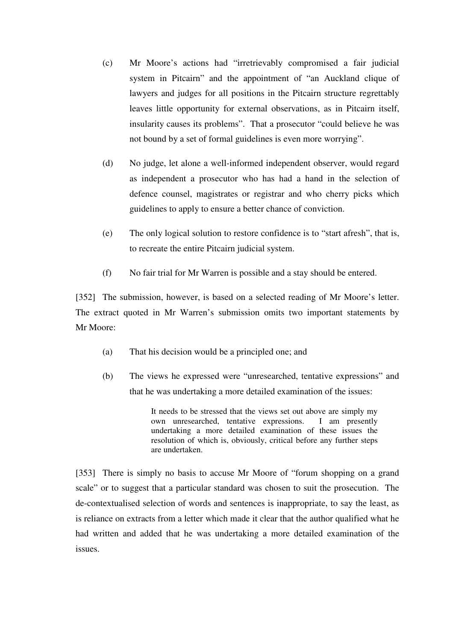- (c) Mr Moore's actions had "irretrievably compromised a fair judicial system in Pitcairn" and the appointment of "an Auckland clique of lawyers and judges for all positions in the Pitcairn structure regrettably leaves little opportunity for external observations, as in Pitcairn itself, insularity causes its problems". That a prosecutor "could believe he was not bound by a set of formal guidelines is even more worrying".
- (d) No judge, let alone a well-informed independent observer, would regard as independent a prosecutor who has had a hand in the selection of defence counsel, magistrates or registrar and who cherry picks which guidelines to apply to ensure a better chance of conviction.
- (e) The only logical solution to restore confidence is to "start afresh", that is, to recreate the entire Pitcairn judicial system.
- (f) No fair trial for Mr Warren is possible and a stay should be entered.

[352] The submission, however, is based on a selected reading of Mr Moore's letter. The extract quoted in Mr Warren's submission omits two important statements by Mr Moore:

- (a) That his decision would be a principled one; and
- (b) The views he expressed were "unresearched, tentative expressions" and that he was undertaking a more detailed examination of the issues:

It needs to be stressed that the views set out above are simply my own unresearched, tentative expressions. I am presently undertaking a more detailed examination of these issues the resolution of which is, obviously, critical before any further steps are undertaken.

[353] There is simply no basis to accuse Mr Moore of "forum shopping on a grand scale" or to suggest that a particular standard was chosen to suit the prosecution. The de-contextualised selection of words and sentences is inappropriate, to say the least, as is reliance on extracts from a letter which made it clear that the author qualified what he had written and added that he was undertaking a more detailed examination of the issues.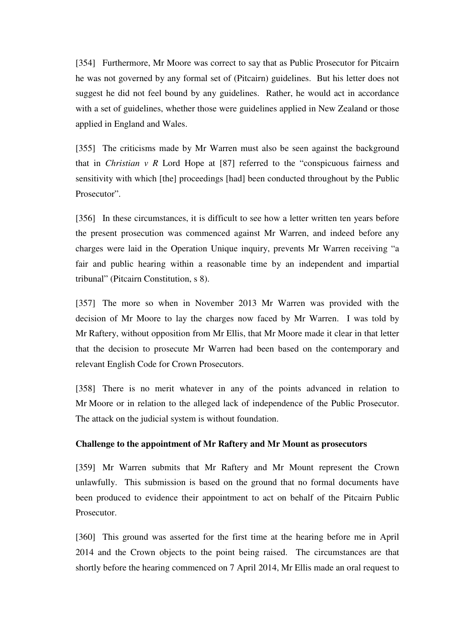[354] Furthermore, Mr Moore was correct to say that as Public Prosecutor for Pitcairn he was not governed by any formal set of (Pitcairn) guidelines. But his letter does not suggest he did not feel bound by any guidelines. Rather, he would act in accordance with a set of guidelines, whether those were guidelines applied in New Zealand or those applied in England and Wales.

[355] The criticisms made by Mr Warren must also be seen against the background that in *Christian v R* Lord Hope at [87] referred to the "conspicuous fairness and sensitivity with which [the] proceedings [had] been conducted throughout by the Public Prosecutor".

[356] In these circumstances, it is difficult to see how a letter written ten years before the present prosecution was commenced against Mr Warren, and indeed before any charges were laid in the Operation Unique inquiry, prevents Mr Warren receiving "a fair and public hearing within a reasonable time by an independent and impartial tribunal" (Pitcairn Constitution, s 8).

[357] The more so when in November 2013 Mr Warren was provided with the decision of Mr Moore to lay the charges now faced by Mr Warren. I was told by Mr Raftery, without opposition from Mr Ellis, that Mr Moore made it clear in that letter that the decision to prosecute Mr Warren had been based on the contemporary and relevant English Code for Crown Prosecutors.

[358] There is no merit whatever in any of the points advanced in relation to Mr Moore or in relation to the alleged lack of independence of the Public Prosecutor. The attack on the judicial system is without foundation.

### **Challenge to the appointment of Mr Raftery and Mr Mount as prosecutors**

[359] Mr Warren submits that Mr Raftery and Mr Mount represent the Crown unlawfully. This submission is based on the ground that no formal documents have been produced to evidence their appointment to act on behalf of the Pitcairn Public Prosecutor.

[360] This ground was asserted for the first time at the hearing before me in April 2014 and the Crown objects to the point being raised. The circumstances are that shortly before the hearing commenced on 7 April 2014, Mr Ellis made an oral request to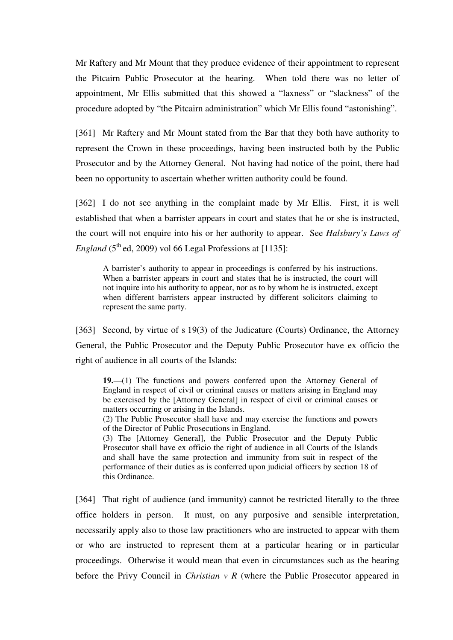Mr Raftery and Mr Mount that they produce evidence of their appointment to represent the Pitcairn Public Prosecutor at the hearing. When told there was no letter of appointment, Mr Ellis submitted that this showed a "laxness" or "slackness" of the procedure adopted by "the Pitcairn administration" which Mr Ellis found "astonishing".

[361] Mr Raftery and Mr Mount stated from the Bar that they both have authority to represent the Crown in these proceedings, having been instructed both by the Public Prosecutor and by the Attorney General. Not having had notice of the point, there had been no opportunity to ascertain whether written authority could be found.

[362] I do not see anything in the complaint made by Mr Ellis. First, it is well established that when a barrister appears in court and states that he or she is instructed, the court will not enquire into his or her authority to appear. See *Halsbury's Laws of England* (5<sup>th</sup> ed, 2009) vol 66 Legal Professions at [1135]:

A barrister's authority to appear in proceedings is conferred by his instructions. When a barrister appears in court and states that he is instructed, the court will not inquire into his authority to appear, nor as to by whom he is instructed, except when different barristers appear instructed by different solicitors claiming to represent the same party.

[363] Second, by virtue of s 19(3) of the Judicature (Courts) Ordinance, the Attorney General, the Public Prosecutor and the Deputy Public Prosecutor have ex officio the right of audience in all courts of the Islands:

**19.**—(1) The functions and powers conferred upon the Attorney General of England in respect of civil or criminal causes or matters arising in England may be exercised by the [Attorney General] in respect of civil or criminal causes or matters occurring or arising in the Islands.

(2) The Public Prosecutor shall have and may exercise the functions and powers of the Director of Public Prosecutions in England.

(3) The [Attorney General], the Public Prosecutor and the Deputy Public Prosecutor shall have ex officio the right of audience in all Courts of the Islands and shall have the same protection and immunity from suit in respect of the performance of their duties as is conferred upon judicial officers by section 18 of this Ordinance.

[364] That right of audience (and immunity) cannot be restricted literally to the three office holders in person. It must, on any purposive and sensible interpretation, necessarily apply also to those law practitioners who are instructed to appear with them or who are instructed to represent them at a particular hearing or in particular proceedings. Otherwise it would mean that even in circumstances such as the hearing before the Privy Council in *Christian v R* (where the Public Prosecutor appeared in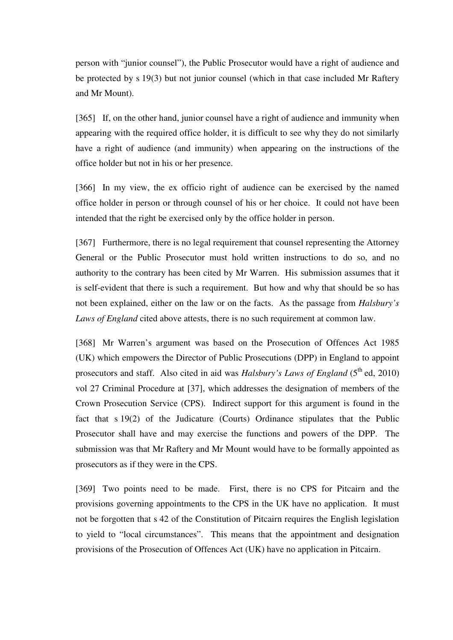person with "junior counsel"), the Public Prosecutor would have a right of audience and be protected by s 19(3) but not junior counsel (which in that case included Mr Raftery and Mr Mount).

[365] If, on the other hand, junior counsel have a right of audience and immunity when appearing with the required office holder, it is difficult to see why they do not similarly have a right of audience (and immunity) when appearing on the instructions of the office holder but not in his or her presence.

[366] In my view, the ex officio right of audience can be exercised by the named office holder in person or through counsel of his or her choice. It could not have been intended that the right be exercised only by the office holder in person.

[367] Furthermore, there is no legal requirement that counsel representing the Attorney General or the Public Prosecutor must hold written instructions to do so, and no authority to the contrary has been cited by Mr Warren. His submission assumes that it is self-evident that there is such a requirement. But how and why that should be so has not been explained, either on the law or on the facts. As the passage from *Halsbury's Laws of England* cited above attests, there is no such requirement at common law.

[368] Mr Warren's argument was based on the Prosecution of Offences Act 1985 (UK) which empowers the Director of Public Prosecutions (DPP) in England to appoint prosecutors and staff. Also cited in aid was *Halsbury's Laws of England* (5<sup>th</sup> ed. 2010) vol 27 Criminal Procedure at [37], which addresses the designation of members of the Crown Prosecution Service (CPS). Indirect support for this argument is found in the fact that s 19(2) of the Judicature (Courts) Ordinance stipulates that the Public Prosecutor shall have and may exercise the functions and powers of the DPP. The submission was that Mr Raftery and Mr Mount would have to be formally appointed as prosecutors as if they were in the CPS.

[369] Two points need to be made. First, there is no CPS for Pitcairn and the provisions governing appointments to the CPS in the UK have no application. It must not be forgotten that s 42 of the Constitution of Pitcairn requires the English legislation to yield to "local circumstances". This means that the appointment and designation provisions of the Prosecution of Offences Act (UK) have no application in Pitcairn.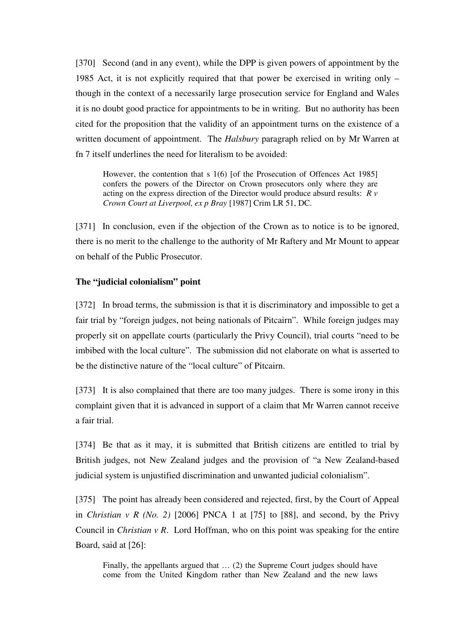[370] Second (and in any event), while the DPP is given powers of appointment by the 1985 Act, it is not explicitly required that that power be exercised in writing only – though in the context of a necessarily large prosecution service for England and Wales it is no doubt good practice for appointments to be in writing. But no authority has been cited for the proposition that the validity of an appointment turns on the existence of a written document of appointment. The *Halsbury* paragraph relied on by Mr Warren at fn 7 itself underlines the need for literalism to be avoided:

However, the contention that s 1(6) [of the Prosecution of Offences Act 1985] confers the powers of the Director on Crown prosecutors only where they are acting on the express direction of the Director would produce absurd results: *R v Crown Court at Liverpool, ex p Bray* [1987] Crim LR 51, DC.

[371] In conclusion, even if the objection of the Crown as to notice is to be ignored, there is no merit to the challenge to the authority of Mr Raftery and Mr Mount to appear on behalf of the Public Prosecutor.

## **The "judicial colonialism" point**

[372] In broad terms, the submission is that it is discriminatory and impossible to get a fair trial by "foreign judges, not being nationals of Pitcairn". While foreign judges may properly sit on appellate courts (particularly the Privy Council), trial courts "need to be imbibed with the local culture". The submission did not elaborate on what is asserted to be the distinctive nature of the "local culture" of Pitcairn.

[373] It is also complained that there are too many judges. There is some irony in this complaint given that it is advanced in support of a claim that Mr Warren cannot receive a fair trial.

[374] Be that as it may, it is submitted that British citizens are entitled to trial by British judges, not New Zealand judges and the provision of "a New Zealand-based judicial system is unjustified discrimination and unwanted judicial colonialism".

[375] The point has already been considered and rejected, first, by the Court of Appeal in *Christian v R (No. 2)* [2006] PNCA 1 at [75] to [88], and second, by the Privy Council in *Christian v R*. Lord Hoffman, who on this point was speaking for the entire Board, said at [26]:

Finally, the appellants argued that … (2) the Supreme Court judges should have come from the United Kingdom rather than New Zealand and the new laws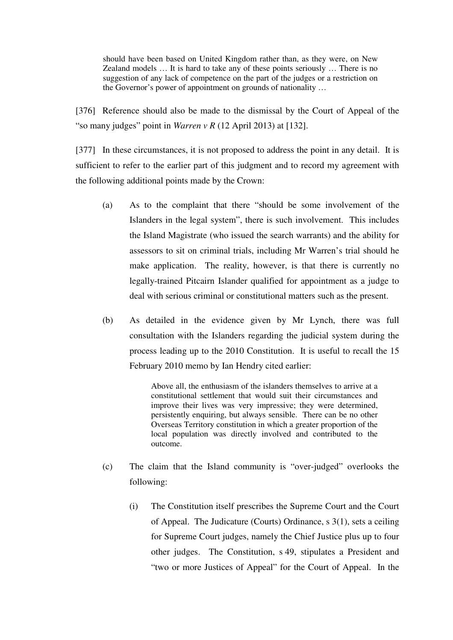should have been based on United Kingdom rather than, as they were, on New Zealand models … It is hard to take any of these points seriously … There is no suggestion of any lack of competence on the part of the judges or a restriction on the Governor's power of appointment on grounds of nationality …

[376] Reference should also be made to the dismissal by the Court of Appeal of the "so many judges" point in *Warren v R* (12 April 2013) at [132].

[377] In these circumstances, it is not proposed to address the point in any detail. It is sufficient to refer to the earlier part of this judgment and to record my agreement with the following additional points made by the Crown:

- (a) As to the complaint that there "should be some involvement of the Islanders in the legal system", there is such involvement. This includes the Island Magistrate (who issued the search warrants) and the ability for assessors to sit on criminal trials, including Mr Warren's trial should he make application. The reality, however, is that there is currently no legally-trained Pitcairn Islander qualified for appointment as a judge to deal with serious criminal or constitutional matters such as the present.
- (b) As detailed in the evidence given by Mr Lynch, there was full consultation with the Islanders regarding the judicial system during the process leading up to the 2010 Constitution. It is useful to recall the 15 February 2010 memo by Ian Hendry cited earlier:

Above all, the enthusiasm of the islanders themselves to arrive at a constitutional settlement that would suit their circumstances and improve their lives was very impressive; they were determined, persistently enquiring, but always sensible. There can be no other Overseas Territory constitution in which a greater proportion of the local population was directly involved and contributed to the outcome.

- (c) The claim that the Island community is "over-judged" overlooks the following:
	- (i) The Constitution itself prescribes the Supreme Court and the Court of Appeal. The Judicature (Courts) Ordinance, s 3(1), sets a ceiling for Supreme Court judges, namely the Chief Justice plus up to four other judges. The Constitution, s 49, stipulates a President and "two or more Justices of Appeal" for the Court of Appeal. In the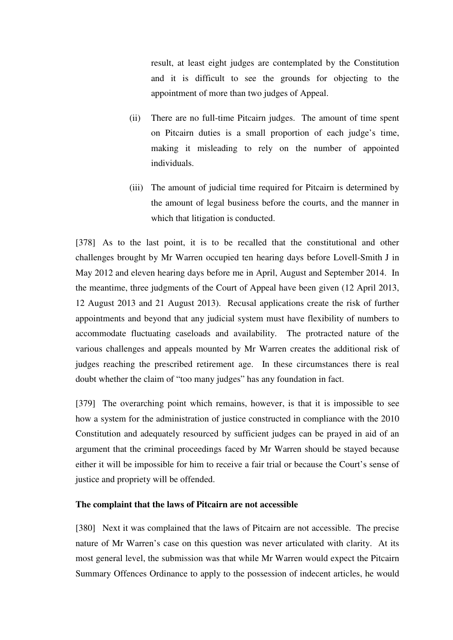result, at least eight judges are contemplated by the Constitution and it is difficult to see the grounds for objecting to the appointment of more than two judges of Appeal.

- (ii) There are no full-time Pitcairn judges. The amount of time spent on Pitcairn duties is a small proportion of each judge's time, making it misleading to rely on the number of appointed individuals.
- (iii) The amount of judicial time required for Pitcairn is determined by the amount of legal business before the courts, and the manner in which that litigation is conducted.

[378] As to the last point, it is to be recalled that the constitutional and other challenges brought by Mr Warren occupied ten hearing days before Lovell-Smith J in May 2012 and eleven hearing days before me in April, August and September 2014. In the meantime, three judgments of the Court of Appeal have been given (12 April 2013, 12 August 2013 and 21 August 2013). Recusal applications create the risk of further appointments and beyond that any judicial system must have flexibility of numbers to accommodate fluctuating caseloads and availability. The protracted nature of the various challenges and appeals mounted by Mr Warren creates the additional risk of judges reaching the prescribed retirement age. In these circumstances there is real doubt whether the claim of "too many judges" has any foundation in fact.

[379] The overarching point which remains, however, is that it is impossible to see how a system for the administration of justice constructed in compliance with the 2010 Constitution and adequately resourced by sufficient judges can be prayed in aid of an argument that the criminal proceedings faced by Mr Warren should be stayed because either it will be impossible for him to receive a fair trial or because the Court's sense of justice and propriety will be offended.

## **The complaint that the laws of Pitcairn are not accessible**

[380] Next it was complained that the laws of Pitcairn are not accessible. The precise nature of Mr Warren's case on this question was never articulated with clarity. At its most general level, the submission was that while Mr Warren would expect the Pitcairn Summary Offences Ordinance to apply to the possession of indecent articles, he would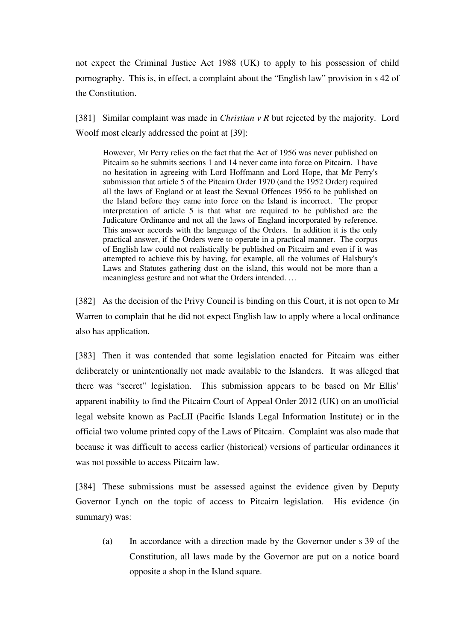not expect the Criminal Justice Act 1988 (UK) to apply to his possession of child pornography. This is, in effect, a complaint about the "English law" provision in s 42 of the Constitution.

[381] Similar complaint was made in *Christian v R* but rejected by the majority. Lord Woolf most clearly addressed the point at [39]:

However, Mr Perry relies on the fact that the Act of 1956 was never published on Pitcairn so he submits sections 1 and 14 never came into force on Pitcairn. I have no hesitation in agreeing with Lord Hoffmann and Lord Hope, that Mr Perry's submission that article 5 of the Pitcairn Order 1970 (and the 1952 Order) required all the laws of England or at least the Sexual Offences 1956 to be published on the Island before they came into force on the Island is incorrect. The proper interpretation of article 5 is that what are required to be published are the Judicature Ordinance and not all the laws of England incorporated by reference. This answer accords with the language of the Orders. In addition it is the only practical answer, if the Orders were to operate in a practical manner. The corpus of English law could not realistically be published on Pitcairn and even if it was attempted to achieve this by having, for example, all the volumes of Halsbury's Laws and Statutes gathering dust on the island, this would not be more than a meaningless gesture and not what the Orders intended. …

[382] As the decision of the Privy Council is binding on this Court, it is not open to Mr Warren to complain that he did not expect English law to apply where a local ordinance also has application.

[383] Then it was contended that some legislation enacted for Pitcairn was either deliberately or unintentionally not made available to the Islanders. It was alleged that there was "secret" legislation. This submission appears to be based on Mr Ellis' apparent inability to find the Pitcairn Court of Appeal Order 2012 (UK) on an unofficial legal website known as PacLII (Pacific Islands Legal Information Institute) or in the official two volume printed copy of the Laws of Pitcairn. Complaint was also made that because it was difficult to access earlier (historical) versions of particular ordinances it was not possible to access Pitcairn law.

[384] These submissions must be assessed against the evidence given by Deputy Governor Lynch on the topic of access to Pitcairn legislation. His evidence (in summary) was:

(a) In accordance with a direction made by the Governor under s 39 of the Constitution, all laws made by the Governor are put on a notice board opposite a shop in the Island square.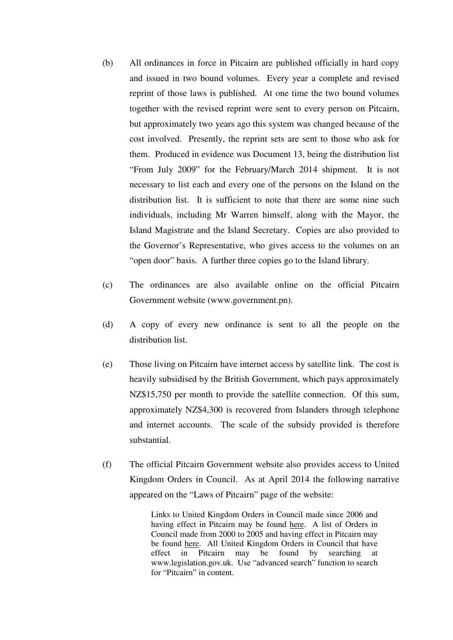- (b) All ordinances in force in Pitcairn are published officially in hard copy and issued in two bound volumes. Every year a complete and revised reprint of those laws is published. At one time the two bound volumes together with the revised reprint were sent to every person on Pitcairn, but approximately two years ago this system was changed because of the cost involved. Presently, the reprint sets are sent to those who ask for them. Produced in evidence was Document 13, being the distribution list "From July 2009" for the February/March 2014 shipment. It is not necessary to list each and every one of the persons on the Island on the distribution list. It is sufficient to note that there are some nine such individuals, including Mr Warren himself, along with the Mayor, the Island Magistrate and the Island Secretary. Copies are also provided to the Governor's Representative, who gives access to the volumes on an "open door" basis. A further three copies go to the Island library.
- (c) The ordinances are also available online on the official Pitcairn Government website (www.government.pn).
- (d) A copy of every new ordinance is sent to all the people on the distribution list.
- (e) Those living on Pitcairn have internet access by satellite link. The cost is heavily subsidised by the British Government, which pays approximately NZ\$15,750 per month to provide the satellite connection. Of this sum, approximately NZ\$4,300 is recovered from Islanders through telephone and internet accounts. The scale of the subsidy provided is therefore substantial.
- (f) The official Pitcairn Government website also provides access to United Kingdom Orders in Council. As at April 2014 the following narrative appeared on the "Laws of Pitcairn" page of the website:

Links to United Kingdom Orders in Council made since 2006 and having effect in Pitcairn may be found here. A list of Orders in Council made from 2000 to 2005 and having effect in Pitcairn may be found here. All United Kingdom Orders in Council that have effect in Pitcairn may be found by searching at www.legislation.gov.uk. Use "advanced search" function to search for "Pitcairn" in content.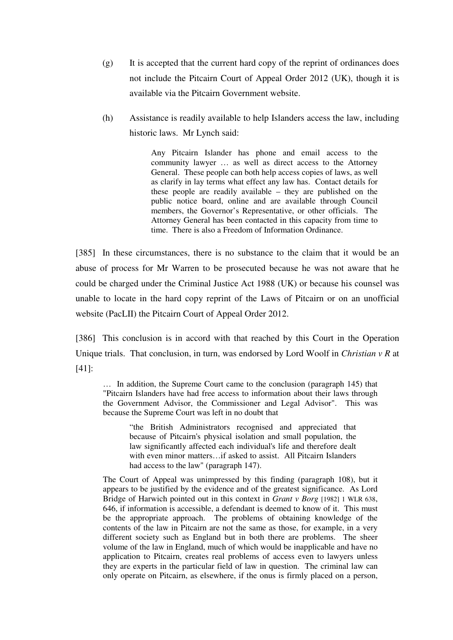- (g) It is accepted that the current hard copy of the reprint of ordinances does not include the Pitcairn Court of Appeal Order 2012 (UK), though it is available via the Pitcairn Government website.
- (h) Assistance is readily available to help Islanders access the law, including historic laws. Mr Lynch said:

Any Pitcairn Islander has phone and email access to the community lawyer … as well as direct access to the Attorney General. These people can both help access copies of laws, as well as clarify in lay terms what effect any law has. Contact details for these people are readily available – they are published on the public notice board, online and are available through Council members, the Governor's Representative, or other officials. The Attorney General has been contacted in this capacity from time to time. There is also a Freedom of Information Ordinance.

[385] In these circumstances, there is no substance to the claim that it would be an abuse of process for Mr Warren to be prosecuted because he was not aware that he could be charged under the Criminal Justice Act 1988 (UK) or because his counsel was unable to locate in the hard copy reprint of the Laws of Pitcairn or on an unofficial website (PacLII) the Pitcairn Court of Appeal Order 2012.

[386] This conclusion is in accord with that reached by this Court in the Operation Unique trials. That conclusion, in turn, was endorsed by Lord Woolf in *Christian v R* at [41]:

… In addition, the Supreme Court came to the conclusion (paragraph 145) that "Pitcairn Islanders have had free access to information about their laws through the Government Advisor, the Commissioner and Legal Advisor". This was because the Supreme Court was left in no doubt that

"the British Administrators recognised and appreciated that because of Pitcairn's physical isolation and small population, the law significantly affected each individual's life and therefore dealt with even minor matters…if asked to assist. All Pitcairn Islanders had access to the law" (paragraph 147).

The Court of Appeal was unimpressed by this finding (paragraph 108), but it appears to be justified by the evidence and of the greatest significance. As Lord Bridge of Harwich pointed out in this context in *Grant v Borg* [1982] 1 WLR 638, 646, if information is accessible, a defendant is deemed to know of it. This must be the appropriate approach. The problems of obtaining knowledge of the contents of the law in Pitcairn are not the same as those, for example, in a very different society such as England but in both there are problems. The sheer volume of the law in England, much of which would be inapplicable and have no application to Pitcairn, creates real problems of access even to lawyers unless they are experts in the particular field of law in question. The criminal law can only operate on Pitcairn, as elsewhere, if the onus is firmly placed on a person,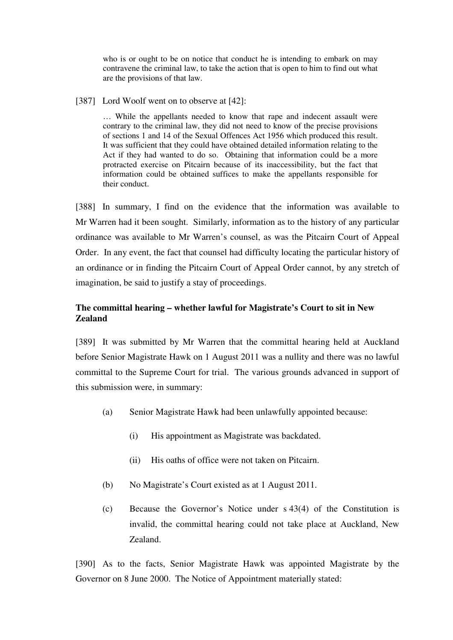who is or ought to be on notice that conduct he is intending to embark on may contravene the criminal law, to take the action that is open to him to find out what are the provisions of that law.

[387] Lord Woolf went on to observe at [42]:

… While the appellants needed to know that rape and indecent assault were contrary to the criminal law, they did not need to know of the precise provisions of sections 1 and 14 of the Sexual Offences Act 1956 which produced this result. It was sufficient that they could have obtained detailed information relating to the Act if they had wanted to do so. Obtaining that information could be a more protracted exercise on Pitcairn because of its inaccessibility, but the fact that information could be obtained suffices to make the appellants responsible for their conduct.

[388] In summary, I find on the evidence that the information was available to Mr Warren had it been sought. Similarly, information as to the history of any particular ordinance was available to Mr Warren's counsel, as was the Pitcairn Court of Appeal Order. In any event, the fact that counsel had difficulty locating the particular history of an ordinance or in finding the Pitcairn Court of Appeal Order cannot, by any stretch of imagination, be said to justify a stay of proceedings.

# **The committal hearing – whether lawful for Magistrate's Court to sit in New Zealand**

[389] It was submitted by Mr Warren that the committal hearing held at Auckland before Senior Magistrate Hawk on 1 August 2011 was a nullity and there was no lawful committal to the Supreme Court for trial. The various grounds advanced in support of this submission were, in summary:

- (a) Senior Magistrate Hawk had been unlawfully appointed because:
	- (i) His appointment as Magistrate was backdated.
	- (ii) His oaths of office were not taken on Pitcairn.
- (b) No Magistrate's Court existed as at 1 August 2011.
- (c) Because the Governor's Notice under s 43(4) of the Constitution is invalid, the committal hearing could not take place at Auckland, New Zealand.

[390] As to the facts, Senior Magistrate Hawk was appointed Magistrate by the Governor on 8 June 2000. The Notice of Appointment materially stated: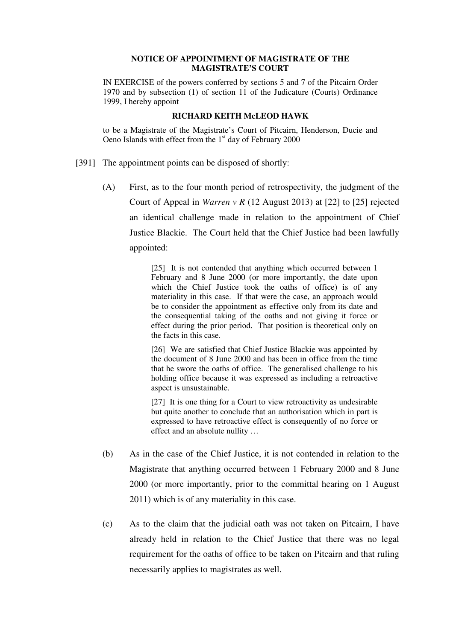### **NOTICE OF APPOINTMENT OF MAGISTRATE OF THE MAGISTRATE'S COURT**

IN EXERCISE of the powers conferred by sections 5 and 7 of the Pitcairn Order 1970 and by subsection (1) of section 11 of the Judicature (Courts) Ordinance 1999, I hereby appoint

#### **RICHARD KEITH McLEOD HAWK**

to be a Magistrate of the Magistrate's Court of Pitcairn, Henderson, Ducie and Oeno Islands with effect from the  $1<sup>st</sup>$  day of February 2000

- [391] The appointment points can be disposed of shortly:
	- (A) First, as to the four month period of retrospectivity, the judgment of the Court of Appeal in *Warren v R* (12 August 2013) at [22] to [25] rejected an identical challenge made in relation to the appointment of Chief Justice Blackie. The Court held that the Chief Justice had been lawfully appointed:

[25] It is not contended that anything which occurred between 1 February and 8 June 2000 (or more importantly, the date upon which the Chief Justice took the oaths of office) is of any materiality in this case. If that were the case, an approach would be to consider the appointment as effective only from its date and the consequential taking of the oaths and not giving it force or effect during the prior period. That position is theoretical only on the facts in this case.

[26] We are satisfied that Chief Justice Blackie was appointed by the document of 8 June 2000 and has been in office from the time that he swore the oaths of office. The generalised challenge to his holding office because it was expressed as including a retroactive aspect is unsustainable.

[27] It is one thing for a Court to view retroactivity as undesirable but quite another to conclude that an authorisation which in part is expressed to have retroactive effect is consequently of no force or effect and an absolute nullity …

- (b) As in the case of the Chief Justice, it is not contended in relation to the Magistrate that anything occurred between 1 February 2000 and 8 June 2000 (or more importantly, prior to the committal hearing on 1 August 2011) which is of any materiality in this case.
- (c) As to the claim that the judicial oath was not taken on Pitcairn, I have already held in relation to the Chief Justice that there was no legal requirement for the oaths of office to be taken on Pitcairn and that ruling necessarily applies to magistrates as well.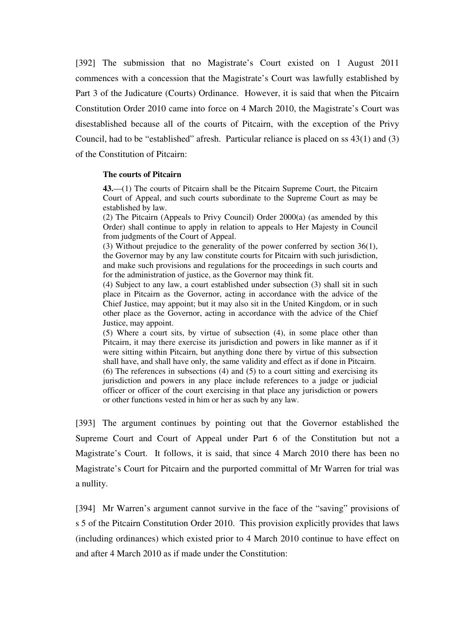[392] The submission that no Magistrate's Court existed on 1 August 2011 commences with a concession that the Magistrate's Court was lawfully established by Part 3 of the Judicature (Courts) Ordinance. However, it is said that when the Pitcairn Constitution Order 2010 came into force on 4 March 2010, the Magistrate's Court was disestablished because all of the courts of Pitcairn, with the exception of the Privy Council, had to be "established" afresh. Particular reliance is placed on ss 43(1) and (3) of the Constitution of Pitcairn:

#### **The courts of Pitcairn**

**43.**—(1) The courts of Pitcairn shall be the Pitcairn Supreme Court, the Pitcairn Court of Appeal, and such courts subordinate to the Supreme Court as may be established by law.

(2) The Pitcairn (Appeals to Privy Council) Order 2000(a) (as amended by this Order) shall continue to apply in relation to appeals to Her Majesty in Council from judgments of the Court of Appeal.

(3) Without prejudice to the generality of the power conferred by section 36(1), the Governor may by any law constitute courts for Pitcairn with such jurisdiction, and make such provisions and regulations for the proceedings in such courts and for the administration of justice, as the Governor may think fit.

(4) Subject to any law, a court established under subsection (3) shall sit in such place in Pitcairn as the Governor, acting in accordance with the advice of the Chief Justice, may appoint; but it may also sit in the United Kingdom, or in such other place as the Governor, acting in accordance with the advice of the Chief Justice, may appoint.

(5) Where a court sits, by virtue of subsection (4), in some place other than Pitcairn, it may there exercise its jurisdiction and powers in like manner as if it were sitting within Pitcairn, but anything done there by virtue of this subsection shall have, and shall have only, the same validity and effect as if done in Pitcairn. (6) The references in subsections (4) and (5) to a court sitting and exercising its jurisdiction and powers in any place include references to a judge or judicial officer or officer of the court exercising in that place any jurisdiction or powers or other functions vested in him or her as such by any law.

[393] The argument continues by pointing out that the Governor established the Supreme Court and Court of Appeal under Part 6 of the Constitution but not a Magistrate's Court. It follows, it is said, that since 4 March 2010 there has been no Magistrate's Court for Pitcairn and the purported committal of Mr Warren for trial was a nullity.

[394] Mr Warren's argument cannot survive in the face of the "saving" provisions of s 5 of the Pitcairn Constitution Order 2010. This provision explicitly provides that laws (including ordinances) which existed prior to 4 March 2010 continue to have effect on and after 4 March 2010 as if made under the Constitution: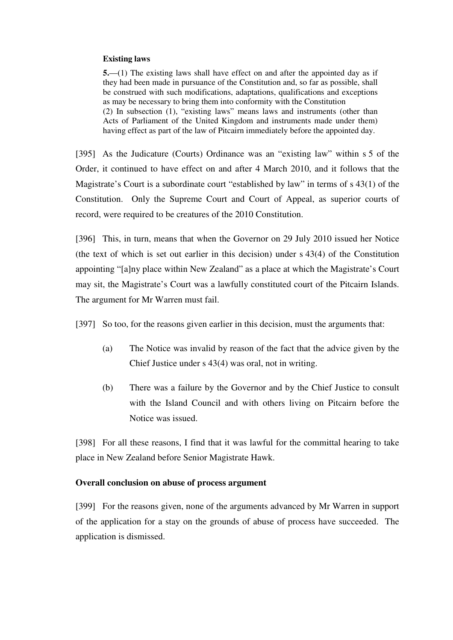### **Existing laws**

**5.**—(1) The existing laws shall have effect on and after the appointed day as if they had been made in pursuance of the Constitution and, so far as possible, shall be construed with such modifications, adaptations, qualifications and exceptions as may be necessary to bring them into conformity with the Constitution (2) In subsection (1), "existing laws" means laws and instruments (other than Acts of Parliament of the United Kingdom and instruments made under them) having effect as part of the law of Pitcairn immediately before the appointed day.

[395] As the Judicature (Courts) Ordinance was an "existing law" within s 5 of the Order, it continued to have effect on and after 4 March 2010, and it follows that the Magistrate's Court is a subordinate court "established by law" in terms of s 43(1) of the Constitution. Only the Supreme Court and Court of Appeal, as superior courts of record, were required to be creatures of the 2010 Constitution.

[396] This, in turn, means that when the Governor on 29 July 2010 issued her Notice (the text of which is set out earlier in this decision) under s 43(4) of the Constitution appointing "[a]ny place within New Zealand" as a place at which the Magistrate's Court may sit, the Magistrate's Court was a lawfully constituted court of the Pitcairn Islands. The argument for Mr Warren must fail.

[397] So too, for the reasons given earlier in this decision, must the arguments that:

- (a) The Notice was invalid by reason of the fact that the advice given by the Chief Justice under s 43(4) was oral, not in writing.
- (b) There was a failure by the Governor and by the Chief Justice to consult with the Island Council and with others living on Pitcairn before the Notice was issued.

[398] For all these reasons, I find that it was lawful for the committal hearing to take place in New Zealand before Senior Magistrate Hawk.

## **Overall conclusion on abuse of process argument**

[399] For the reasons given, none of the arguments advanced by Mr Warren in support of the application for a stay on the grounds of abuse of process have succeeded. The application is dismissed.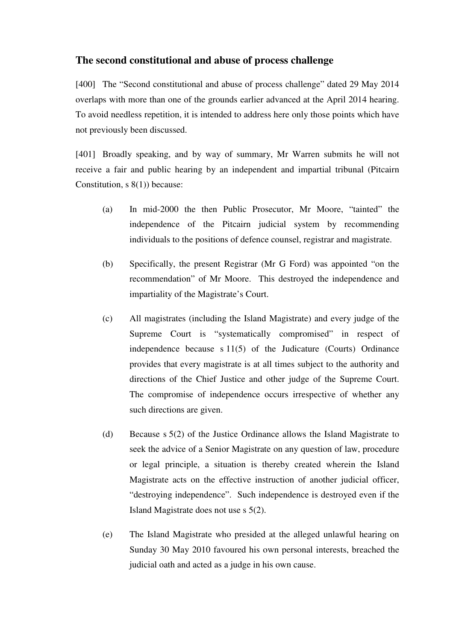# **The second constitutional and abuse of process challenge**

[400] The "Second constitutional and abuse of process challenge" dated 29 May 2014 overlaps with more than one of the grounds earlier advanced at the April 2014 hearing. To avoid needless repetition, it is intended to address here only those points which have not previously been discussed.

[401] Broadly speaking, and by way of summary, Mr Warren submits he will not receive a fair and public hearing by an independent and impartial tribunal (Pitcairn Constitution, s 8(1)) because:

- (a) In mid-2000 the then Public Prosecutor, Mr Moore, "tainted" the independence of the Pitcairn judicial system by recommending individuals to the positions of defence counsel, registrar and magistrate.
- (b) Specifically, the present Registrar (Mr G Ford) was appointed "on the recommendation" of Mr Moore. This destroyed the independence and impartiality of the Magistrate's Court.
- (c) All magistrates (including the Island Magistrate) and every judge of the Supreme Court is "systematically compromised" in respect of independence because s 11(5) of the Judicature (Courts) Ordinance provides that every magistrate is at all times subject to the authority and directions of the Chief Justice and other judge of the Supreme Court. The compromise of independence occurs irrespective of whether any such directions are given.
- (d) Because s 5(2) of the Justice Ordinance allows the Island Magistrate to seek the advice of a Senior Magistrate on any question of law, procedure or legal principle, a situation is thereby created wherein the Island Magistrate acts on the effective instruction of another judicial officer, "destroying independence". Such independence is destroyed even if the Island Magistrate does not use s 5(2).
- (e) The Island Magistrate who presided at the alleged unlawful hearing on Sunday 30 May 2010 favoured his own personal interests, breached the judicial oath and acted as a judge in his own cause.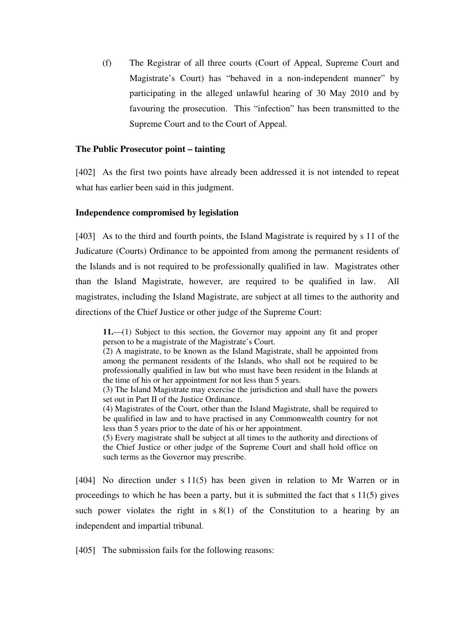(f) The Registrar of all three courts (Court of Appeal, Supreme Court and Magistrate's Court) has "behaved in a non-independent manner" by participating in the alleged unlawful hearing of 30 May 2010 and by favouring the prosecution. This "infection" has been transmitted to the Supreme Court and to the Court of Appeal.

## **The Public Prosecutor point – tainting**

[402] As the first two points have already been addressed it is not intended to repeat what has earlier been said in this judgment.

## **Independence compromised by legislation**

[403] As to the third and fourth points, the Island Magistrate is required by s 11 of the Judicature (Courts) Ordinance to be appointed from among the permanent residents of the Islands and is not required to be professionally qualified in law. Magistrates other than the Island Magistrate, however, are required to be qualified in law. All magistrates, including the Island Magistrate, are subject at all times to the authority and directions of the Chief Justice or other judge of the Supreme Court:

**11.**—(1) Subject to this section, the Governor may appoint any fit and proper person to be a magistrate of the Magistrate's Court.

(2) A magistrate, to be known as the Island Magistrate, shall be appointed from among the permanent residents of the Islands, who shall not be required to be professionally qualified in law but who must have been resident in the Islands at the time of his or her appointment for not less than 5 years.

(3) The Island Magistrate may exercise the jurisdiction and shall have the powers set out in Part II of the Justice Ordinance.

(4) Magistrates of the Court, other than the Island Magistrate, shall be required to be qualified in law and to have practised in any Commonwealth country for not less than 5 years prior to the date of his or her appointment.

(5) Every magistrate shall be subject at all times to the authority and directions of the Chief Justice or other judge of the Supreme Court and shall hold office on such terms as the Governor may prescribe.

[404] No direction under s 11(5) has been given in relation to Mr Warren or in proceedings to which he has been a party, but it is submitted the fact that s 11(5) gives such power violates the right in  $s(1)$  of the Constitution to a hearing by an independent and impartial tribunal.

[405] The submission fails for the following reasons: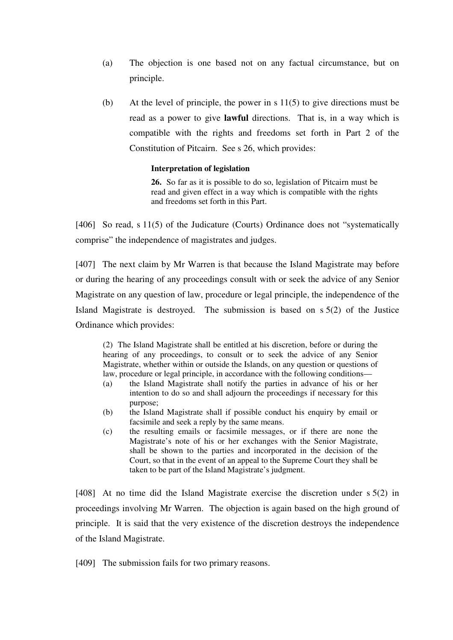- (a) The objection is one based not on any factual circumstance, but on principle.
- (b) At the level of principle, the power in s 11(5) to give directions must be read as a power to give **lawful** directions. That is, in a way which is compatible with the rights and freedoms set forth in Part 2 of the Constitution of Pitcairn. See s 26, which provides:

### **Interpretation of legislation**

**26.** So far as it is possible to do so, legislation of Pitcairn must be read and given effect in a way which is compatible with the rights and freedoms set forth in this Part.

[406] So read, s 11(5) of the Judicature (Courts) Ordinance does not "systematically comprise" the independence of magistrates and judges.

[407] The next claim by Mr Warren is that because the Island Magistrate may before or during the hearing of any proceedings consult with or seek the advice of any Senior Magistrate on any question of law, procedure or legal principle, the independence of the Island Magistrate is destroyed. The submission is based on s 5(2) of the Justice Ordinance which provides:

(2) The Island Magistrate shall be entitled at his discretion, before or during the hearing of any proceedings, to consult or to seek the advice of any Senior Magistrate, whether within or outside the Islands, on any question or questions of law, procedure or legal principle, in accordance with the following conditions—

- (a) the Island Magistrate shall notify the parties in advance of his or her intention to do so and shall adjourn the proceedings if necessary for this purpose;
- (b) the Island Magistrate shall if possible conduct his enquiry by email or facsimile and seek a reply by the same means.
- (c) the resulting emails or facsimile messages, or if there are none the Magistrate's note of his or her exchanges with the Senior Magistrate, shall be shown to the parties and incorporated in the decision of the Court, so that in the event of an appeal to the Supreme Court they shall be taken to be part of the Island Magistrate's judgment.

[408] At no time did the Island Magistrate exercise the discretion under s 5(2) in proceedings involving Mr Warren. The objection is again based on the high ground of principle. It is said that the very existence of the discretion destroys the independence of the Island Magistrate.

[409] The submission fails for two primary reasons.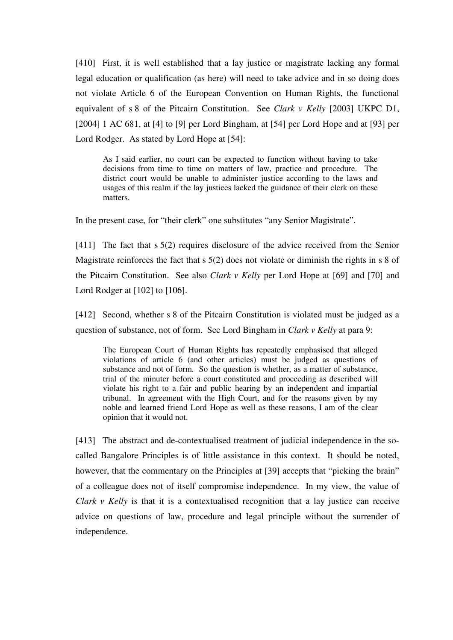[410] First, it is well established that a lay justice or magistrate lacking any formal legal education or qualification (as here) will need to take advice and in so doing does not violate Article 6 of the European Convention on Human Rights, the functional equivalent of s 8 of the Pitcairn Constitution. See *Clark v Kelly* [2003] UKPC D1, [2004] 1 AC 681, at [4] to [9] per Lord Bingham, at [54] per Lord Hope and at [93] per Lord Rodger. As stated by Lord Hope at [54]:

As I said earlier, no court can be expected to function without having to take decisions from time to time on matters of law, practice and procedure. The district court would be unable to administer justice according to the laws and usages of this realm if the lay justices lacked the guidance of their clerk on these matters.

In the present case, for "their clerk" one substitutes "any Senior Magistrate".

[411] The fact that s 5(2) requires disclosure of the advice received from the Senior Magistrate reinforces the fact that s 5(2) does not violate or diminish the rights in s 8 of the Pitcairn Constitution. See also *Clark v Kelly* per Lord Hope at [69] and [70] and Lord Rodger at [102] to [106].

[412] Second, whether s 8 of the Pitcairn Constitution is violated must be judged as a question of substance, not of form. See Lord Bingham in *Clark v Kelly* at para 9:

The European Court of Human Rights has repeatedly emphasised that alleged violations of article 6 (and other articles) must be judged as questions of substance and not of form. So the question is whether, as a matter of substance, trial of the minuter before a court constituted and proceeding as described will violate his right to a fair and public hearing by an independent and impartial tribunal. In agreement with the High Court, and for the reasons given by my noble and learned friend Lord Hope as well as these reasons, I am of the clear opinion that it would not.

[413] The abstract and de-contextualised treatment of judicial independence in the socalled Bangalore Principles is of little assistance in this context. It should be noted, however, that the commentary on the Principles at [39] accepts that "picking the brain" of a colleague does not of itself compromise independence. In my view, the value of *Clark v Kelly* is that it is a contextualised recognition that a lay justice can receive advice on questions of law, procedure and legal principle without the surrender of independence.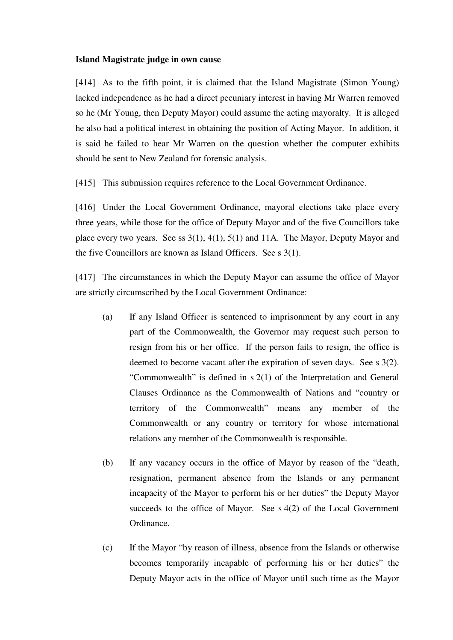#### **Island Magistrate judge in own cause**

[414] As to the fifth point, it is claimed that the Island Magistrate (Simon Young) lacked independence as he had a direct pecuniary interest in having Mr Warren removed so he (Mr Young, then Deputy Mayor) could assume the acting mayoralty. It is alleged he also had a political interest in obtaining the position of Acting Mayor. In addition, it is said he failed to hear Mr Warren on the question whether the computer exhibits should be sent to New Zealand for forensic analysis.

[415] This submission requires reference to the Local Government Ordinance.

[416] Under the Local Government Ordinance, mayoral elections take place every three years, while those for the office of Deputy Mayor and of the five Councillors take place every two years. See ss 3(1), 4(1), 5(1) and 11A. The Mayor, Deputy Mayor and the five Councillors are known as Island Officers. See s 3(1).

[417] The circumstances in which the Deputy Mayor can assume the office of Mayor are strictly circumscribed by the Local Government Ordinance:

- (a) If any Island Officer is sentenced to imprisonment by any court in any part of the Commonwealth, the Governor may request such person to resign from his or her office. If the person fails to resign, the office is deemed to become vacant after the expiration of seven days. See s 3(2). "Commonwealth" is defined in s 2(1) of the Interpretation and General Clauses Ordinance as the Commonwealth of Nations and "country or territory of the Commonwealth" means any member of the Commonwealth or any country or territory for whose international relations any member of the Commonwealth is responsible.
- (b) If any vacancy occurs in the office of Mayor by reason of the "death, resignation, permanent absence from the Islands or any permanent incapacity of the Mayor to perform his or her duties" the Deputy Mayor succeeds to the office of Mayor. See s 4(2) of the Local Government Ordinance.
- (c) If the Mayor "by reason of illness, absence from the Islands or otherwise becomes temporarily incapable of performing his or her duties" the Deputy Mayor acts in the office of Mayor until such time as the Mayor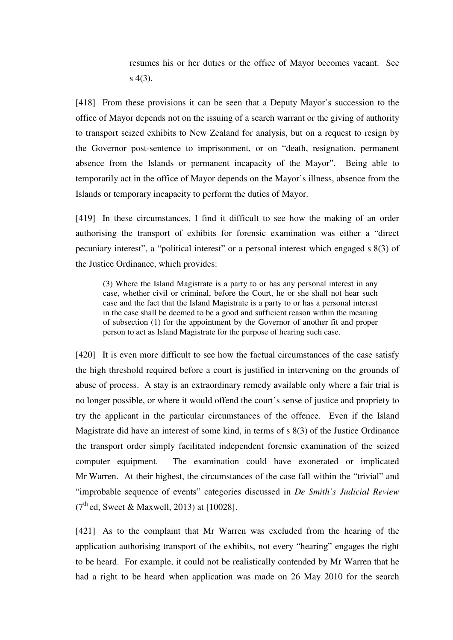resumes his or her duties or the office of Mayor becomes vacant. See s 4(3).

[418] From these provisions it can be seen that a Deputy Mayor's succession to the office of Mayor depends not on the issuing of a search warrant or the giving of authority to transport seized exhibits to New Zealand for analysis, but on a request to resign by the Governor post-sentence to imprisonment, or on "death, resignation, permanent absence from the Islands or permanent incapacity of the Mayor". Being able to temporarily act in the office of Mayor depends on the Mayor's illness, absence from the Islands or temporary incapacity to perform the duties of Mayor.

[419] In these circumstances, I find it difficult to see how the making of an order authorising the transport of exhibits for forensic examination was either a "direct pecuniary interest", a "political interest" or a personal interest which engaged s 8(3) of the Justice Ordinance, which provides:

(3) Where the Island Magistrate is a party to or has any personal interest in any case, whether civil or criminal, before the Court, he or she shall not hear such case and the fact that the Island Magistrate is a party to or has a personal interest in the case shall be deemed to be a good and sufficient reason within the meaning of subsection (1) for the appointment by the Governor of another fit and proper person to act as Island Magistrate for the purpose of hearing such case.

[420] It is even more difficult to see how the factual circumstances of the case satisfy the high threshold required before a court is justified in intervening on the grounds of abuse of process. A stay is an extraordinary remedy available only where a fair trial is no longer possible, or where it would offend the court's sense of justice and propriety to try the applicant in the particular circumstances of the offence. Even if the Island Magistrate did have an interest of some kind, in terms of s 8(3) of the Justice Ordinance the transport order simply facilitated independent forensic examination of the seized computer equipment. The examination could have exonerated or implicated Mr Warren. At their highest, the circumstances of the case fall within the "trivial" and "improbable sequence of events" categories discussed in *De Smith's Judicial Review*  $(7<sup>th</sup>$ ed, Sweet & Maxwell, 2013) at [10028].

[421] As to the complaint that Mr Warren was excluded from the hearing of the application authorising transport of the exhibits, not every "hearing" engages the right to be heard. For example, it could not be realistically contended by Mr Warren that he had a right to be heard when application was made on 26 May 2010 for the search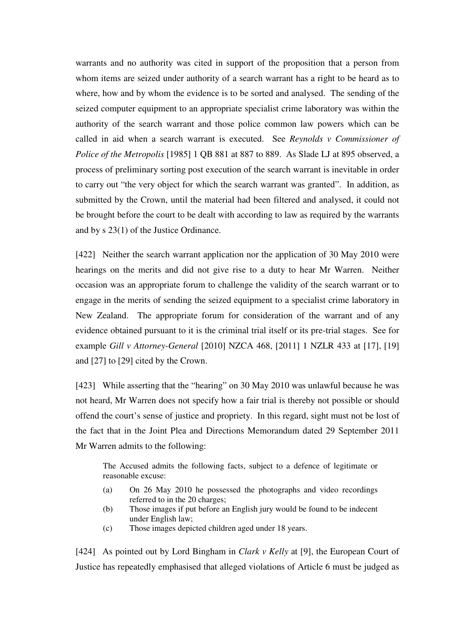warrants and no authority was cited in support of the proposition that a person from whom items are seized under authority of a search warrant has a right to be heard as to where, how and by whom the evidence is to be sorted and analysed. The sending of the seized computer equipment to an appropriate specialist crime laboratory was within the authority of the search warrant and those police common law powers which can be called in aid when a search warrant is executed. See *Reynolds v Commissioner of Police of the Metropolis* [1985] 1 QB 881 at 887 to 889. As Slade LJ at 895 observed, a process of preliminary sorting post execution of the search warrant is inevitable in order to carry out "the very object for which the search warrant was granted". In addition, as submitted by the Crown, until the material had been filtered and analysed, it could not be brought before the court to be dealt with according to law as required by the warrants and by s 23(1) of the Justice Ordinance.

[422] Neither the search warrant application nor the application of 30 May 2010 were hearings on the merits and did not give rise to a duty to hear Mr Warren. Neither occasion was an appropriate forum to challenge the validity of the search warrant or to engage in the merits of sending the seized equipment to a specialist crime laboratory in New Zealand. The appropriate forum for consideration of the warrant and of any evidence obtained pursuant to it is the criminal trial itself or its pre-trial stages. See for example *Gill v Attorney-General* [2010] NZCA 468, [2011] 1 NZLR 433 at [17], [19] and [27] to [29] cited by the Crown.

[423] While asserting that the "hearing" on 30 May 2010 was unlawful because he was not heard, Mr Warren does not specify how a fair trial is thereby not possible or should offend the court's sense of justice and propriety. In this regard, sight must not be lost of the fact that in the Joint Plea and Directions Memorandum dated 29 September 2011 Mr Warren admits to the following:

The Accused admits the following facts, subject to a defence of legitimate or reasonable excuse:

- (a) On 26 May 2010 he possessed the photographs and video recordings referred to in the 20 charges;
- (b) Those images if put before an English jury would be found to be indecent under English law;
- (c) Those images depicted children aged under 18 years.

[424] As pointed out by Lord Bingham in *Clark v Kelly* at [9], the European Court of Justice has repeatedly emphasised that alleged violations of Article 6 must be judged as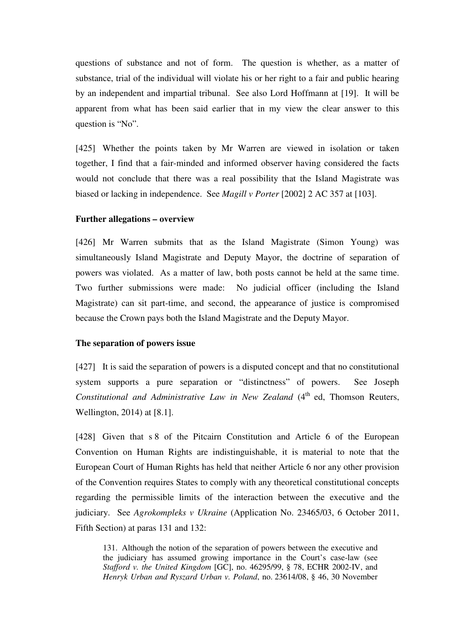questions of substance and not of form. The question is whether, as a matter of substance, trial of the individual will violate his or her right to a fair and public hearing by an independent and impartial tribunal. See also Lord Hoffmann at [19]. It will be apparent from what has been said earlier that in my view the clear answer to this question is "No".

[425] Whether the points taken by Mr Warren are viewed in isolation or taken together, I find that a fair-minded and informed observer having considered the facts would not conclude that there was a real possibility that the Island Magistrate was biased or lacking in independence. See *Magill v Porter* [2002] 2 AC 357 at [103].

## **Further allegations – overview**

[426] Mr Warren submits that as the Island Magistrate (Simon Young) was simultaneously Island Magistrate and Deputy Mayor, the doctrine of separation of powers was violated. As a matter of law, both posts cannot be held at the same time. Two further submissions were made: No judicial officer (including the Island Magistrate) can sit part-time, and second, the appearance of justice is compromised because the Crown pays both the Island Magistrate and the Deputy Mayor.

## **The separation of powers issue**

[427] It is said the separation of powers is a disputed concept and that no constitutional system supports a pure separation or "distinctness" of powers. See Joseph *Constitutional and Administrative Law in New Zealand* (4<sup>th</sup> ed, Thomson Reuters, Wellington, 2014) at [8.1].

[428] Given that s 8 of the Pitcairn Constitution and Article 6 of the European Convention on Human Rights are indistinguishable, it is material to note that the European Court of Human Rights has held that neither Article 6 nor any other provision of the Convention requires States to comply with any theoretical constitutional concepts regarding the permissible limits of the interaction between the executive and the judiciary. See *Agrokompleks v Ukraine* (Application No. 23465/03, 6 October 2011, Fifth Section) at paras 131 and 132:

131. Although the notion of the separation of powers between the executive and the judiciary has assumed growing importance in the Court's case-law (see *Stafford v. the United Kingdom* [GC], no. 46295/99, § 78, ECHR 2002-IV, and *Henryk Urban and Ryszard Urban v. Poland*, no. 23614/08, § 46, 30 November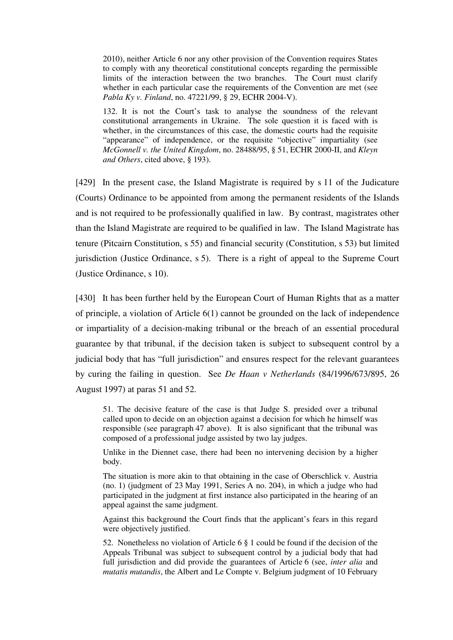2010), neither Article 6 nor any other provision of the Convention requires States to comply with any theoretical constitutional concepts regarding the permissible limits of the interaction between the two branches. The Court must clarify whether in each particular case the requirements of the Convention are met (see *Pabla Ky v. Finland*, no. 47221/99, § 29, ECHR 2004-V).

132. It is not the Court's task to analyse the soundness of the relevant constitutional arrangements in Ukraine. The sole question it is faced with is whether, in the circumstances of this case, the domestic courts had the requisite "appearance" of independence, or the requisite "objective" impartiality (see *McGonnell v. the United Kingdom*, no. 28488/95, § 51, ECHR 2000-II, and *Kleyn and Others*, cited above, § 193).

[429] In the present case, the Island Magistrate is required by s 11 of the Judicature (Courts) Ordinance to be appointed from among the permanent residents of the Islands and is not required to be professionally qualified in law. By contrast, magistrates other than the Island Magistrate are required to be qualified in law. The Island Magistrate has tenure (Pitcairn Constitution, s 55) and financial security (Constitution, s 53) but limited jurisdiction (Justice Ordinance, s 5). There is a right of appeal to the Supreme Court (Justice Ordinance, s 10).

[430] It has been further held by the European Court of Human Rights that as a matter of principle, a violation of Article 6(1) cannot be grounded on the lack of independence or impartiality of a decision-making tribunal or the breach of an essential procedural guarantee by that tribunal, if the decision taken is subject to subsequent control by a judicial body that has "full jurisdiction" and ensures respect for the relevant guarantees by curing the failing in question. See *De Haan v Netherlands* (84/1996/673/895, 26 August 1997) at paras 51 and 52.

51. The decisive feature of the case is that Judge S. presided over a tribunal called upon to decide on an objection against a decision for which he himself was responsible (see paragraph 47 above). It is also significant that the tribunal was composed of a professional judge assisted by two lay judges.

Unlike in the Diennet case, there had been no intervening decision by a higher body.

The situation is more akin to that obtaining in the case of Oberschlick v. Austria (no. 1) (judgment of 23 May 1991, Series A no. 204), in which a judge who had participated in the judgment at first instance also participated in the hearing of an appeal against the same judgment.

Against this background the Court finds that the applicant's fears in this regard were objectively justified.

52. Nonetheless no violation of Article 6 § 1 could be found if the decision of the Appeals Tribunal was subject to subsequent control by a judicial body that had full jurisdiction and did provide the guarantees of Article 6 (see, *inter alia* and *mutatis mutandis*, the Albert and Le Compte v. Belgium judgment of 10 February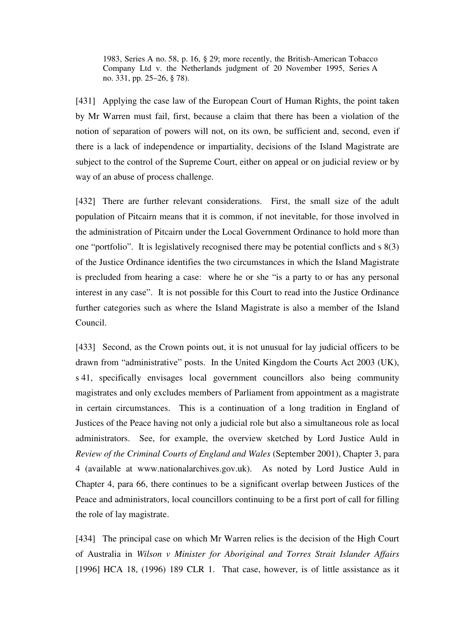1983, Series A no. 58, p. 16, § 29; more recently, the British-American Tobacco Company Ltd v. the Netherlands judgment of 20 November 1995, Series A no. 331, pp. 25–26, § 78).

[431] Applying the case law of the European Court of Human Rights, the point taken by Mr Warren must fail, first, because a claim that there has been a violation of the notion of separation of powers will not, on its own, be sufficient and, second, even if there is a lack of independence or impartiality, decisions of the Island Magistrate are subject to the control of the Supreme Court, either on appeal or on judicial review or by way of an abuse of process challenge.

[432] There are further relevant considerations. First, the small size of the adult population of Pitcairn means that it is common, if not inevitable, for those involved in the administration of Pitcairn under the Local Government Ordinance to hold more than one "portfolio". It is legislatively recognised there may be potential conflicts and s 8(3) of the Justice Ordinance identifies the two circumstances in which the Island Magistrate is precluded from hearing a case: where he or she "is a party to or has any personal interest in any case". It is not possible for this Court to read into the Justice Ordinance further categories such as where the Island Magistrate is also a member of the Island Council.

[433] Second, as the Crown points out, it is not unusual for lay judicial officers to be drawn from "administrative" posts. In the United Kingdom the Courts Act 2003 (UK), s 41, specifically envisages local government councillors also being community magistrates and only excludes members of Parliament from appointment as a magistrate in certain circumstances. This is a continuation of a long tradition in England of Justices of the Peace having not only a judicial role but also a simultaneous role as local administrators. See, for example, the overview sketched by Lord Justice Auld in *Review of the Criminal Courts of England and Wales* (September 2001), Chapter 3, para 4 (available at www.nationalarchives.gov.uk). As noted by Lord Justice Auld in Chapter 4, para 66, there continues to be a significant overlap between Justices of the Peace and administrators, local councillors continuing to be a first port of call for filling the role of lay magistrate.

[434] The principal case on which Mr Warren relies is the decision of the High Court of Australia in *Wilson v Minister for Aboriginal and Torres Strait Islander Affairs* [1996] HCA 18, (1996) 189 CLR 1. That case, however, is of little assistance as it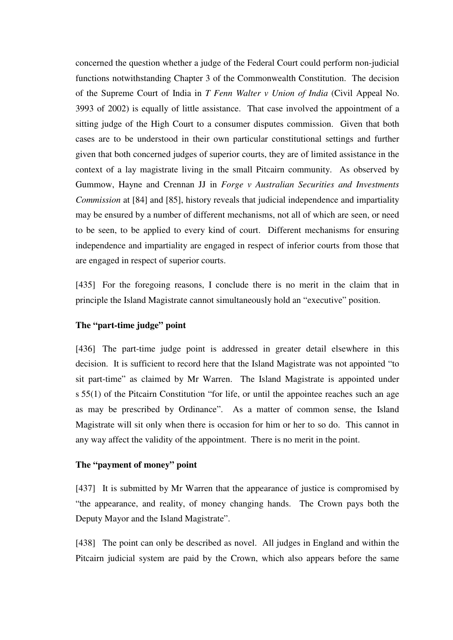concerned the question whether a judge of the Federal Court could perform non-judicial functions notwithstanding Chapter 3 of the Commonwealth Constitution. The decision of the Supreme Court of India in *T Fenn Walter v Union of India* (Civil Appeal No. 3993 of 2002) is equally of little assistance. That case involved the appointment of a sitting judge of the High Court to a consumer disputes commission. Given that both cases are to be understood in their own particular constitutional settings and further given that both concerned judges of superior courts, they are of limited assistance in the context of a lay magistrate living in the small Pitcairn community. As observed by Gummow, Hayne and Crennan JJ in *Forge v Australian Securities and Investments Commission* at [84] and [85], history reveals that judicial independence and impartiality may be ensured by a number of different mechanisms, not all of which are seen, or need to be seen, to be applied to every kind of court. Different mechanisms for ensuring independence and impartiality are engaged in respect of inferior courts from those that are engaged in respect of superior courts.

[435] For the foregoing reasons, I conclude there is no merit in the claim that in principle the Island Magistrate cannot simultaneously hold an "executive" position.

## **The "part-time judge" point**

[436] The part-time judge point is addressed in greater detail elsewhere in this decision. It is sufficient to record here that the Island Magistrate was not appointed "to sit part-time" as claimed by Mr Warren. The Island Magistrate is appointed under s 55(1) of the Pitcairn Constitution "for life, or until the appointee reaches such an age as may be prescribed by Ordinance". As a matter of common sense, the Island Magistrate will sit only when there is occasion for him or her to so do. This cannot in any way affect the validity of the appointment. There is no merit in the point.

## **The "payment of money" point**

[437] It is submitted by Mr Warren that the appearance of justice is compromised by "the appearance, and reality, of money changing hands. The Crown pays both the Deputy Mayor and the Island Magistrate".

[438] The point can only be described as novel. All judges in England and within the Pitcairn judicial system are paid by the Crown, which also appears before the same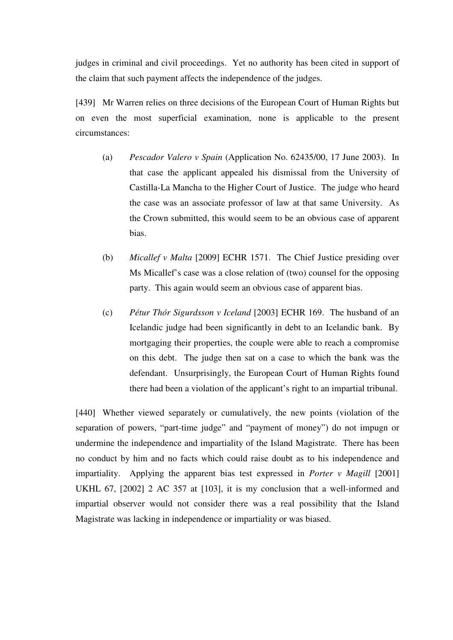judges in criminal and civil proceedings. Yet no authority has been cited in support of the claim that such payment affects the independence of the judges.

[439] Mr Warren relies on three decisions of the European Court of Human Rights but on even the most superficial examination, none is applicable to the present circumstances:

- (a) *Pescador Valero v Spain* (Application No. 62435/00, 17 June 2003). In that case the applicant appealed his dismissal from the University of Castilla-La Mancha to the Higher Court of Justice. The judge who heard the case was an associate professor of law at that same University. As the Crown submitted, this would seem to be an obvious case of apparent bias.
- (b) *Micallef v Malta* [2009] ECHR 1571. The Chief Justice presiding over Ms Micallef's case was a close relation of (two) counsel for the opposing party. This again would seem an obvious case of apparent bias.
- (c) *Pétur Thór Sigurdsson v Iceland* [2003] ECHR 169. The husband of an Icelandic judge had been significantly in debt to an Icelandic bank. By mortgaging their properties, the couple were able to reach a compromise on this debt. The judge then sat on a case to which the bank was the defendant. Unsurprisingly, the European Court of Human Rights found there had been a violation of the applicant's right to an impartial tribunal.

[440] Whether viewed separately or cumulatively, the new points (violation of the separation of powers, "part-time judge" and "payment of money") do not impugn or undermine the independence and impartiality of the Island Magistrate. There has been no conduct by him and no facts which could raise doubt as to his independence and impartiality. Applying the apparent bias test expressed in *Porter v Magill* [2001] UKHL 67, [2002] 2 AC 357 at [103], it is my conclusion that a well-informed and impartial observer would not consider there was a real possibility that the Island Magistrate was lacking in independence or impartiality or was biased.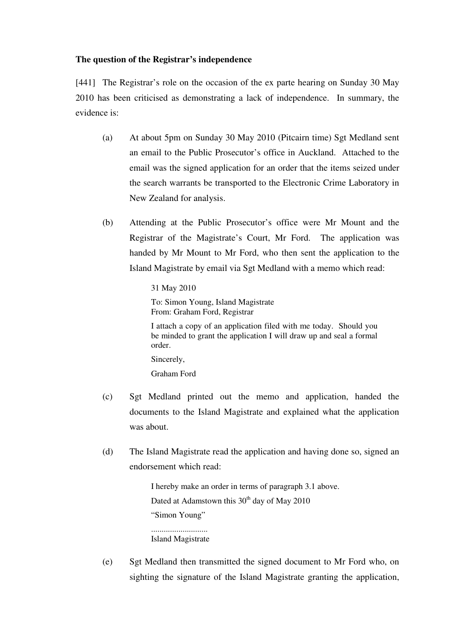## **The question of the Registrar's independence**

[441] The Registrar's role on the occasion of the ex parte hearing on Sunday 30 May 2010 has been criticised as demonstrating a lack of independence. In summary, the evidence is:

- (a) At about 5pm on Sunday 30 May 2010 (Pitcairn time) Sgt Medland sent an email to the Public Prosecutor's office in Auckland. Attached to the email was the signed application for an order that the items seized under the search warrants be transported to the Electronic Crime Laboratory in New Zealand for analysis.
- (b) Attending at the Public Prosecutor's office were Mr Mount and the Registrar of the Magistrate's Court, Mr Ford. The application was handed by Mr Mount to Mr Ford, who then sent the application to the Island Magistrate by email via Sgt Medland with a memo which read:

31 May 2010 To: Simon Young, Island Magistrate From: Graham Ford, Registrar I attach a copy of an application filed with me today. Should you be minded to grant the application I will draw up and seal a formal order. Sincerely, Graham Ford

- (c) Sgt Medland printed out the memo and application, handed the documents to the Island Magistrate and explained what the application was about.
- (d) The Island Magistrate read the application and having done so, signed an endorsement which read:

I hereby make an order in terms of paragraph 3.1 above. Dated at Adamstown this  $30<sup>th</sup>$  day of May 2010 "Simon Young" ........................... Island Magistrate

(e) Sgt Medland then transmitted the signed document to Mr Ford who, on sighting the signature of the Island Magistrate granting the application,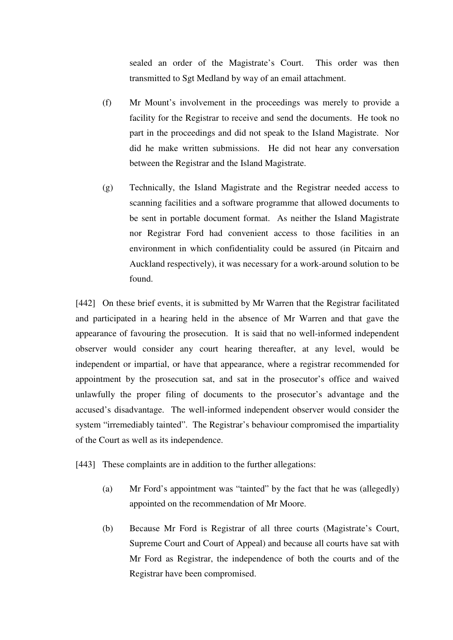sealed an order of the Magistrate's Court. This order was then transmitted to Sgt Medland by way of an email attachment.

- (f) Mr Mount's involvement in the proceedings was merely to provide a facility for the Registrar to receive and send the documents. He took no part in the proceedings and did not speak to the Island Magistrate. Nor did he make written submissions. He did not hear any conversation between the Registrar and the Island Magistrate.
- (g) Technically, the Island Magistrate and the Registrar needed access to scanning facilities and a software programme that allowed documents to be sent in portable document format. As neither the Island Magistrate nor Registrar Ford had convenient access to those facilities in an environment in which confidentiality could be assured (in Pitcairn and Auckland respectively), it was necessary for a work-around solution to be found.

[442] On these brief events, it is submitted by Mr Warren that the Registrar facilitated and participated in a hearing held in the absence of Mr Warren and that gave the appearance of favouring the prosecution. It is said that no well-informed independent observer would consider any court hearing thereafter, at any level, would be independent or impartial, or have that appearance, where a registrar recommended for appointment by the prosecution sat, and sat in the prosecutor's office and waived unlawfully the proper filing of documents to the prosecutor's advantage and the accused's disadvantage. The well-informed independent observer would consider the system "irremediably tainted". The Registrar's behaviour compromised the impartiality of the Court as well as its independence.

[443] These complaints are in addition to the further allegations:

- (a) Mr Ford's appointment was "tainted" by the fact that he was (allegedly) appointed on the recommendation of Mr Moore.
- (b) Because Mr Ford is Registrar of all three courts (Magistrate's Court, Supreme Court and Court of Appeal) and because all courts have sat with Mr Ford as Registrar, the independence of both the courts and of the Registrar have been compromised.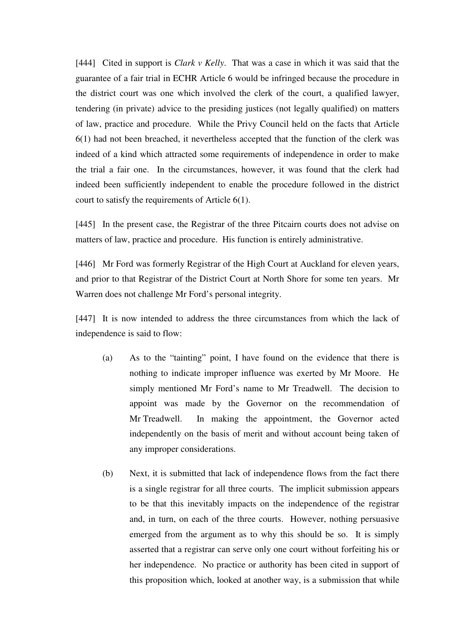[444] Cited in support is *Clark v Kelly*. That was a case in which it was said that the guarantee of a fair trial in ECHR Article 6 would be infringed because the procedure in the district court was one which involved the clerk of the court, a qualified lawyer, tendering (in private) advice to the presiding justices (not legally qualified) on matters of law, practice and procedure. While the Privy Council held on the facts that Article 6(1) had not been breached, it nevertheless accepted that the function of the clerk was indeed of a kind which attracted some requirements of independence in order to make the trial a fair one. In the circumstances, however, it was found that the clerk had indeed been sufficiently independent to enable the procedure followed in the district court to satisfy the requirements of Article 6(1).

[445] In the present case, the Registrar of the three Pitcairn courts does not advise on matters of law, practice and procedure. His function is entirely administrative.

[446] Mr Ford was formerly Registrar of the High Court at Auckland for eleven years, and prior to that Registrar of the District Court at North Shore for some ten years. Mr Warren does not challenge Mr Ford's personal integrity.

[447] It is now intended to address the three circumstances from which the lack of independence is said to flow:

- (a) As to the "tainting" point, I have found on the evidence that there is nothing to indicate improper influence was exerted by Mr Moore. He simply mentioned Mr Ford's name to Mr Treadwell. The decision to appoint was made by the Governor on the recommendation of Mr Treadwell. In making the appointment, the Governor acted independently on the basis of merit and without account being taken of any improper considerations.
- (b) Next, it is submitted that lack of independence flows from the fact there is a single registrar for all three courts. The implicit submission appears to be that this inevitably impacts on the independence of the registrar and, in turn, on each of the three courts. However, nothing persuasive emerged from the argument as to why this should be so. It is simply asserted that a registrar can serve only one court without forfeiting his or her independence. No practice or authority has been cited in support of this proposition which, looked at another way, is a submission that while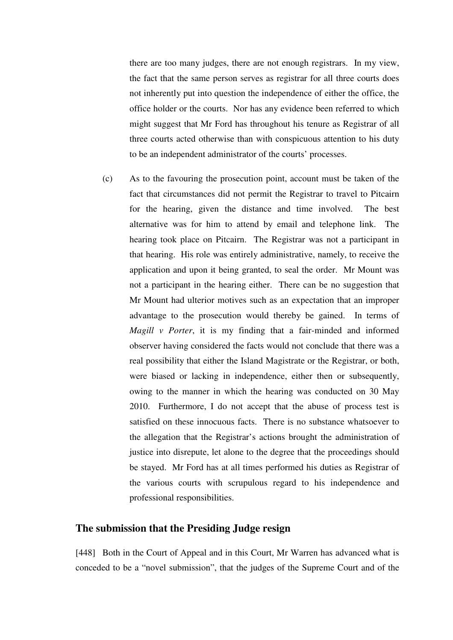there are too many judges, there are not enough registrars. In my view, the fact that the same person serves as registrar for all three courts does not inherently put into question the independence of either the office, the office holder or the courts. Nor has any evidence been referred to which might suggest that Mr Ford has throughout his tenure as Registrar of all three courts acted otherwise than with conspicuous attention to his duty to be an independent administrator of the courts' processes.

(c) As to the favouring the prosecution point, account must be taken of the fact that circumstances did not permit the Registrar to travel to Pitcairn for the hearing, given the distance and time involved. The best alternative was for him to attend by email and telephone link. The hearing took place on Pitcairn. The Registrar was not a participant in that hearing. His role was entirely administrative, namely, to receive the application and upon it being granted, to seal the order. Mr Mount was not a participant in the hearing either. There can be no suggestion that Mr Mount had ulterior motives such as an expectation that an improper advantage to the prosecution would thereby be gained. In terms of *Magill v Porter*, it is my finding that a fair-minded and informed observer having considered the facts would not conclude that there was a real possibility that either the Island Magistrate or the Registrar, or both, were biased or lacking in independence, either then or subsequently, owing to the manner in which the hearing was conducted on 30 May 2010. Furthermore, I do not accept that the abuse of process test is satisfied on these innocuous facts. There is no substance whatsoever to the allegation that the Registrar's actions brought the administration of justice into disrepute, let alone to the degree that the proceedings should be stayed. Mr Ford has at all times performed his duties as Registrar of the various courts with scrupulous regard to his independence and professional responsibilities.

## **The submission that the Presiding Judge resign**

[448] Both in the Court of Appeal and in this Court, Mr Warren has advanced what is conceded to be a "novel submission", that the judges of the Supreme Court and of the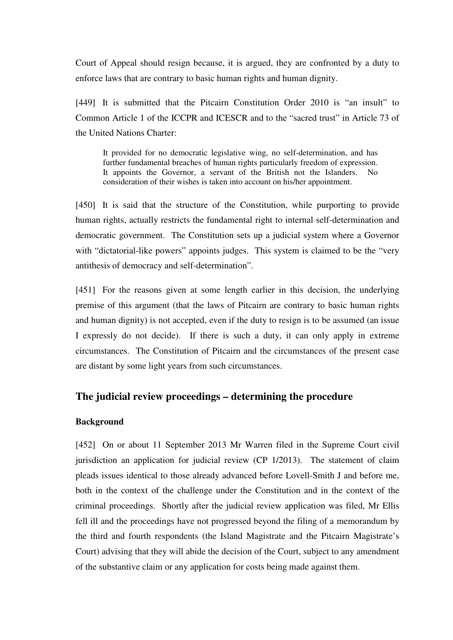Court of Appeal should resign because, it is argued, they are confronted by a duty to enforce laws that are contrary to basic human rights and human dignity.

[449] It is submitted that the Pitcairn Constitution Order 2010 is "an insult" to Common Article 1 of the ICCPR and ICESCR and to the "sacred trust" in Article 73 of the United Nations Charter:

It provided for no democratic legislative wing, no self-determination, and has further fundamental breaches of human rights particularly freedom of expression. It appoints the Governor, a servant of the British not the Islanders. No consideration of their wishes is taken into account on his/her appointment.

[450] It is said that the structure of the Constitution, while purporting to provide human rights, actually restricts the fundamental right to internal self-determination and democratic government. The Constitution sets up a judicial system where a Governor with "dictatorial-like powers" appoints judges. This system is claimed to be the "very antithesis of democracy and self-determination".

[451] For the reasons given at some length earlier in this decision, the underlying premise of this argument (that the laws of Pitcairn are contrary to basic human rights and human dignity) is not accepted, even if the duty to resign is to be assumed (an issue I expressly do not decide). If there is such a duty, it can only apply in extreme circumstances. The Constitution of Pitcairn and the circumstances of the present case are distant by some light years from such circumstances.

# **The judicial review proceedings – determining the procedure**

## **Background**

[452] On or about 11 September 2013 Mr Warren filed in the Supreme Court civil jurisdiction an application for judicial review (CP 1/2013). The statement of claim pleads issues identical to those already advanced before Lovell-Smith J and before me, both in the context of the challenge under the Constitution and in the context of the criminal proceedings. Shortly after the judicial review application was filed, Mr Ellis fell ill and the proceedings have not progressed beyond the filing of a memorandum by the third and fourth respondents (the Island Magistrate and the Pitcairn Magistrate's Court) advising that they will abide the decision of the Court, subject to any amendment of the substantive claim or any application for costs being made against them.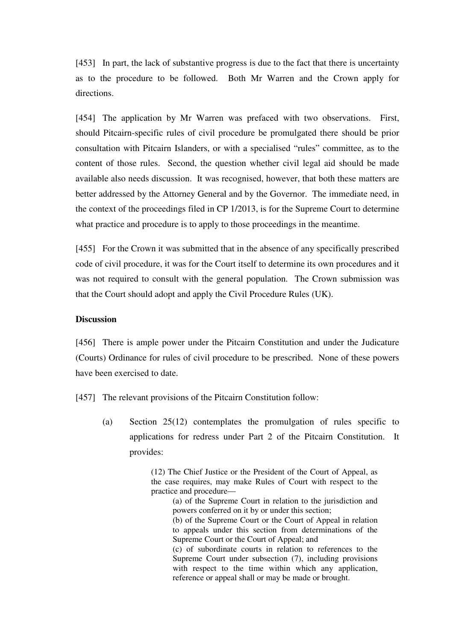[453] In part, the lack of substantive progress is due to the fact that there is uncertainty as to the procedure to be followed. Both Mr Warren and the Crown apply for directions.

[454] The application by Mr Warren was prefaced with two observations. First, should Pitcairn-specific rules of civil procedure be promulgated there should be prior consultation with Pitcairn Islanders, or with a specialised "rules" committee, as to the content of those rules. Second, the question whether civil legal aid should be made available also needs discussion. It was recognised, however, that both these matters are better addressed by the Attorney General and by the Governor. The immediate need, in the context of the proceedings filed in CP 1/2013, is for the Supreme Court to determine what practice and procedure is to apply to those proceedings in the meantime.

[455] For the Crown it was submitted that in the absence of any specifically prescribed code of civil procedure, it was for the Court itself to determine its own procedures and it was not required to consult with the general population. The Crown submission was that the Court should adopt and apply the Civil Procedure Rules (UK).

#### **Discussion**

[456] There is ample power under the Pitcairn Constitution and under the Judicature (Courts) Ordinance for rules of civil procedure to be prescribed. None of these powers have been exercised to date.

[457] The relevant provisions of the Pitcairn Constitution follow:

(a) Section 25(12) contemplates the promulgation of rules specific to applications for redress under Part 2 of the Pitcairn Constitution. It provides:

> (12) The Chief Justice or the President of the Court of Appeal, as the case requires, may make Rules of Court with respect to the practice and procedure—

(a) of the Supreme Court in relation to the jurisdiction and powers conferred on it by or under this section;

(b) of the Supreme Court or the Court of Appeal in relation to appeals under this section from determinations of the Supreme Court or the Court of Appeal; and

(c) of subordinate courts in relation to references to the Supreme Court under subsection (7), including provisions with respect to the time within which any application, reference or appeal shall or may be made or brought.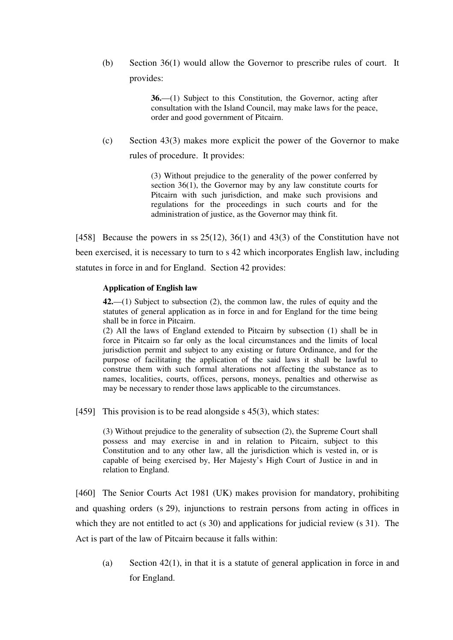(b) Section 36(1) would allow the Governor to prescribe rules of court. It provides:

> **36.**—(1) Subject to this Constitution, the Governor, acting after consultation with the Island Council, may make laws for the peace, order and good government of Pitcairn.

(c) Section 43(3) makes more explicit the power of the Governor to make rules of procedure. It provides:

> (3) Without prejudice to the generality of the power conferred by section 36(1), the Governor may by any law constitute courts for Pitcairn with such jurisdiction, and make such provisions and regulations for the proceedings in such courts and for the administration of justice, as the Governor may think fit.

[458] Because the powers in ss  $25(12)$ ,  $36(1)$  and  $43(3)$  of the Constitution have not been exercised, it is necessary to turn to s 42 which incorporates English law, including statutes in force in and for England. Section 42 provides:

### **Application of English law**

**42.**—(1) Subject to subsection (2), the common law, the rules of equity and the statutes of general application as in force in and for England for the time being shall be in force in Pitcairn.

(2) All the laws of England extended to Pitcairn by subsection (1) shall be in force in Pitcairn so far only as the local circumstances and the limits of local jurisdiction permit and subject to any existing or future Ordinance, and for the purpose of facilitating the application of the said laws it shall be lawful to construe them with such formal alterations not affecting the substance as to names, localities, courts, offices, persons, moneys, penalties and otherwise as may be necessary to render those laws applicable to the circumstances.

[459] This provision is to be read alongside s  $45(3)$ , which states:

(3) Without prejudice to the generality of subsection (2), the Supreme Court shall possess and may exercise in and in relation to Pitcairn, subject to this Constitution and to any other law, all the jurisdiction which is vested in, or is capable of being exercised by, Her Majesty's High Court of Justice in and in relation to England.

[460] The Senior Courts Act 1981 (UK) makes provision for mandatory, prohibiting and quashing orders (s 29), injunctions to restrain persons from acting in offices in which they are not entitled to act (s 30) and applications for judicial review (s 31). The Act is part of the law of Pitcairn because it falls within:

(a) Section 42(1), in that it is a statute of general application in force in and for England.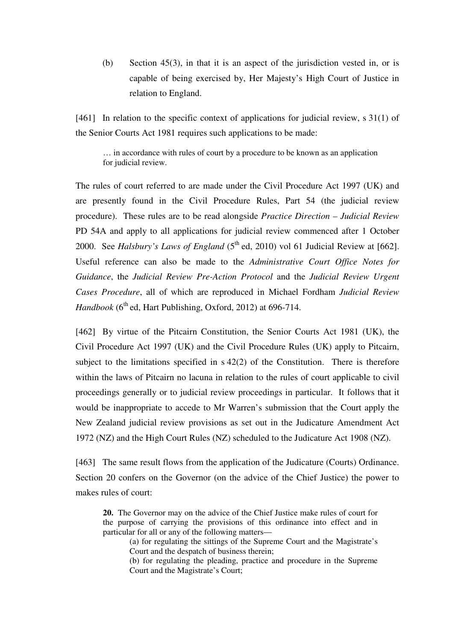(b) Section 45(3), in that it is an aspect of the jurisdiction vested in, or is capable of being exercised by, Her Majesty's High Court of Justice in relation to England.

[461] In relation to the specific context of applications for judicial review, s 31(1) of the Senior Courts Act 1981 requires such applications to be made:

… in accordance with rules of court by a procedure to be known as an application for judicial review.

The rules of court referred to are made under the Civil Procedure Act 1997 (UK) and are presently found in the Civil Procedure Rules, Part 54 (the judicial review procedure). These rules are to be read alongside *Practice Direction – Judicial Review* PD 54A and apply to all applications for judicial review commenced after 1 October 2000. See *Halsbury's Laws of England* (5<sup>th</sup> ed, 2010) vol 61 Judicial Review at [662]. Useful reference can also be made to the *Administrative Court Office Notes for Guidance*, the *Judicial Review Pre-Action Protocol* and the *Judicial Review Urgent Cases Procedure*, all of which are reproduced in Michael Fordham *Judicial Review*   $Handbook (6<sup>th</sup> ed, Hart Publishing, Oxford, 2012) at 696-714.$ 

[462] By virtue of the Pitcairn Constitution, the Senior Courts Act 1981 (UK), the Civil Procedure Act 1997 (UK) and the Civil Procedure Rules (UK) apply to Pitcairn, subject to the limitations specified in s 42(2) of the Constitution. There is therefore within the laws of Pitcairn no lacuna in relation to the rules of court applicable to civil proceedings generally or to judicial review proceedings in particular. It follows that it would be inappropriate to accede to Mr Warren's submission that the Court apply the New Zealand judicial review provisions as set out in the Judicature Amendment Act 1972 (NZ) and the High Court Rules (NZ) scheduled to the Judicature Act 1908 (NZ).

[463] The same result flows from the application of the Judicature (Courts) Ordinance. Section 20 confers on the Governor (on the advice of the Chief Justice) the power to makes rules of court:

**20.** The Governor may on the advice of the Chief Justice make rules of court for the purpose of carrying the provisions of this ordinance into effect and in particular for all or any of the following matters—

(a) for regulating the sittings of the Supreme Court and the Magistrate's Court and the despatch of business therein;

(b) for regulating the pleading, practice and procedure in the Supreme Court and the Magistrate's Court;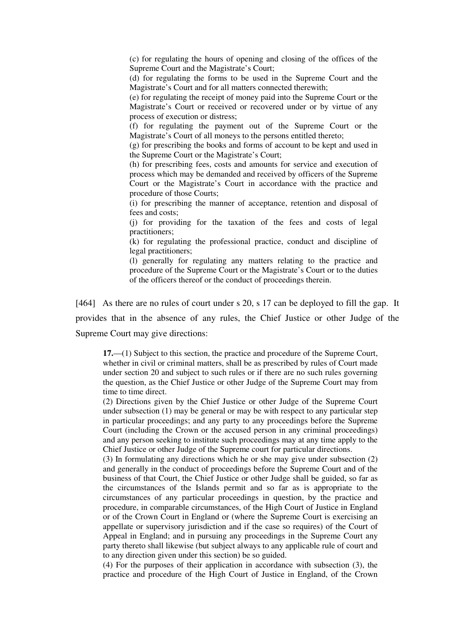(c) for regulating the hours of opening and closing of the offices of the Supreme Court and the Magistrate's Court;

(d) for regulating the forms to be used in the Supreme Court and the Magistrate's Court and for all matters connected therewith;

(e) for regulating the receipt of money paid into the Supreme Court or the Magistrate's Court or received or recovered under or by virtue of any process of execution or distress;

(f) for regulating the payment out of the Supreme Court or the Magistrate's Court of all moneys to the persons entitled thereto;

(g) for prescribing the books and forms of account to be kept and used in the Supreme Court or the Magistrate's Court;

(h) for prescribing fees, costs and amounts for service and execution of process which may be demanded and received by officers of the Supreme Court or the Magistrate's Court in accordance with the practice and procedure of those Courts;

(i) for prescribing the manner of acceptance, retention and disposal of fees and costs;

(j) for providing for the taxation of the fees and costs of legal practitioners;

(k) for regulating the professional practice, conduct and discipline of legal practitioners;

(l) generally for regulating any matters relating to the practice and procedure of the Supreme Court or the Magistrate's Court or to the duties of the officers thereof or the conduct of proceedings therein.

[464] As there are no rules of court under s 20, s 17 can be deployed to fill the gap. It provides that in the absence of any rules, the Chief Justice or other Judge of the Supreme Court may give directions:

**17.**—(1) Subject to this section, the practice and procedure of the Supreme Court, whether in civil or criminal matters, shall be as prescribed by rules of Court made under section 20 and subject to such rules or if there are no such rules governing the question, as the Chief Justice or other Judge of the Supreme Court may from time to time direct.

(2) Directions given by the Chief Justice or other Judge of the Supreme Court under subsection (1) may be general or may be with respect to any particular step in particular proceedings; and any party to any proceedings before the Supreme Court (including the Crown or the accused person in any criminal proceedings) and any person seeking to institute such proceedings may at any time apply to the Chief Justice or other Judge of the Supreme court for particular directions.

(3) In formulating any directions which he or she may give under subsection (2) and generally in the conduct of proceedings before the Supreme Court and of the business of that Court, the Chief Justice or other Judge shall be guided, so far as the circumstances of the Islands permit and so far as is appropriate to the circumstances of any particular proceedings in question, by the practice and procedure, in comparable circumstances, of the High Court of Justice in England or of the Crown Court in England or (where the Supreme Court is exercising an appellate or supervisory jurisdiction and if the case so requires) of the Court of Appeal in England; and in pursuing any proceedings in the Supreme Court any party thereto shall likewise (but subject always to any applicable rule of court and to any direction given under this section) be so guided.

(4) For the purposes of their application in accordance with subsection (3), the practice and procedure of the High Court of Justice in England, of the Crown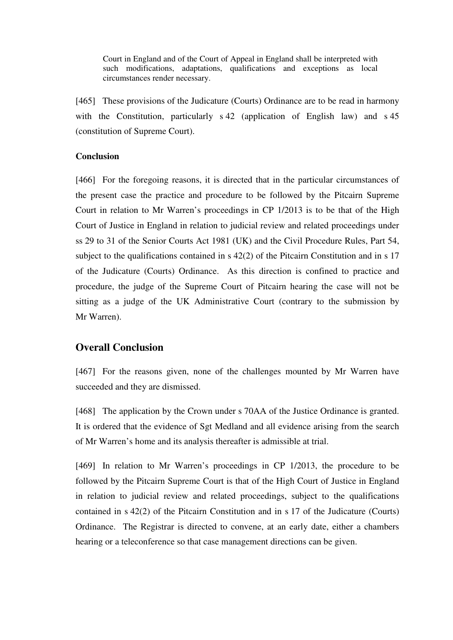Court in England and of the Court of Appeal in England shall be interpreted with such modifications, adaptations, qualifications and exceptions as local circumstances render necessary.

[465] These provisions of the Judicature (Courts) Ordinance are to be read in harmony with the Constitution, particularly s 42 (application of English law) and s 45 (constitution of Supreme Court).

## **Conclusion**

[466] For the foregoing reasons, it is directed that in the particular circumstances of the present case the practice and procedure to be followed by the Pitcairn Supreme Court in relation to Mr Warren's proceedings in CP 1/2013 is to be that of the High Court of Justice in England in relation to judicial review and related proceedings under ss 29 to 31 of the Senior Courts Act 1981 (UK) and the Civil Procedure Rules, Part 54, subject to the qualifications contained in s 42(2) of the Pitcairn Constitution and in s 17 of the Judicature (Courts) Ordinance. As this direction is confined to practice and procedure, the judge of the Supreme Court of Pitcairn hearing the case will not be sitting as a judge of the UK Administrative Court (contrary to the submission by Mr Warren).

# **Overall Conclusion**

[467] For the reasons given, none of the challenges mounted by Mr Warren have succeeded and they are dismissed.

[468] The application by the Crown under s 70AA of the Justice Ordinance is granted. It is ordered that the evidence of Sgt Medland and all evidence arising from the search of Mr Warren's home and its analysis thereafter is admissible at trial.

[469] In relation to Mr Warren's proceedings in CP 1/2013, the procedure to be followed by the Pitcairn Supreme Court is that of the High Court of Justice in England in relation to judicial review and related proceedings, subject to the qualifications contained in s 42(2) of the Pitcairn Constitution and in s 17 of the Judicature (Courts) Ordinance. The Registrar is directed to convene, at an early date, either a chambers hearing or a teleconference so that case management directions can be given.